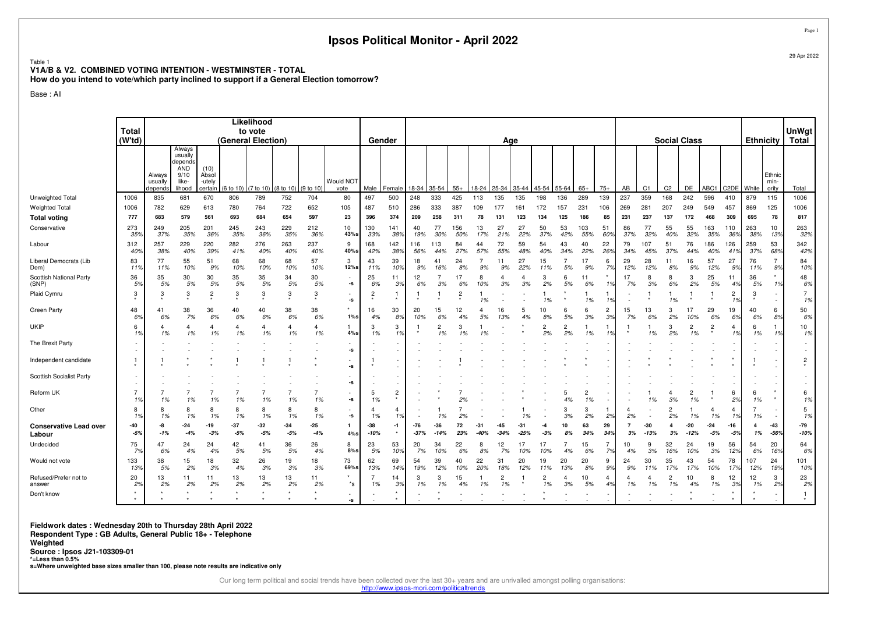#### Table 1 **V1A/B & V2. COMBINED VOTING INTENTION - WESTMINSTER - TOTALHow do you intend to vote/which party inclined to support if a General Election tomorrow?**

Base : All

|                                         | <b>Total</b>         |                              |                                                      |                                    |                    | Likelihood<br>to vote |               |                            |                                |                      |                |               |                            |                |           |               |               |                            |                           |                      |                       |           |                 |                      |                             |                            |                   |               |                                 | <b>UnWgt</b>         |
|-----------------------------------------|----------------------|------------------------------|------------------------------------------------------|------------------------------------|--------------------|-----------------------|---------------|----------------------------|--------------------------------|----------------------|----------------|---------------|----------------------------|----------------|-----------|---------------|---------------|----------------------------|---------------------------|----------------------|-----------------------|-----------|-----------------|----------------------|-----------------------------|----------------------------|-------------------|---------------|---------------------------------|----------------------|
|                                         | (Wtd)                |                              | Always                                               |                                    | (General Election) |                       |               |                            |                                |                      | Gender         |               |                            |                |           | Age           |               |                            |                           |                      |                       |           |                 | <b>Social Class</b>  |                             |                            |                   |               | <b>Ethnicity</b>                | <b>Total</b>         |
|                                         |                      | Always<br>usually<br>depends | usually<br>depends<br>AND<br>9/10<br>like-<br>lihood | (10)<br>Absol<br>-utely<br>certain | $6$ to 10)         | (7 to 10)             | (8 to 10)     | (9 to 10)                  | Would NOT<br>vote              | Male                 | Female         | 18-34         | 35-54                      | $55+$          | 18-24     | 25-34   35-44 |               | 45-54 55-64                |                           | $65+$                | $75+$                 | AB        | C <sub>1</sub>  | C <sub>2</sub>       | DE                          | ABC1                       | C <sub>2</sub> DE | White         | Ethnic<br>min-<br>ority         | Total                |
| Unweighted Total                        | 1006                 | 835                          | 681                                                  | 670                                | 806                | 789                   | 752           | 704                        | 80                             | 497                  | 500            | 248           | 333                        | 425            | 113       | 135           | 135           | 198                        | 136                       | 289                  | 139                   | 237       | 359             | 168                  | 242                         | 596                        | 410               | 879           | 115                             | 1006                 |
| <b>Weighted Total</b>                   | 1006                 | 782                          | 629                                                  | 613                                | 780                | 764                   | 722           | 652                        | 105                            | 487                  | 510            | 286           | 333                        | 387            | 109       | 177           | 161           | 172                        | 157                       | 231                  | 106                   | 269       | 281             | 207                  | 249                         | 549                        | 457               | 869           | 125                             | 1006                 |
| <b>Total voting</b>                     | 777                  | 683                          | 579                                                  | 561                                | 693                | 684                   | 654           | 597                        | 23                             | 396                  | 374            | 209           | 258                        | 311            | 78        | 131           | 123           | 134                        | 125                       | 186                  | 85                    | 231       | 237             | 137                  | 172                         | 468                        | 309               | 695           | 78                              | 817                  |
| Conservative                            | 273<br>359           | 249<br>37%                   | 205<br>35%                                           | 201<br>36%                         | 245<br>35%         | 243<br>36%            | 229<br>35%    | 212<br>36%                 | 10<br>43%s                     | 130<br>33%           | 141<br>38%     | 40<br>19%     | 77<br>30%                  | 156<br>50%     | 13<br>17% | 27<br>21%     | 27<br>22%     | 50<br>37%                  | 53<br>42%                 | 103<br>55%           | 51<br>60°             | 86<br>37% | 77<br>32%       | 55<br>40%            | 55<br>32%                   | 163<br>35%                 | 110<br>36%        | 263<br>38%    | 10<br>13%                       | 263<br>32%           |
| Labour                                  | 312<br>40%           | 257<br>38%                   | 229<br>40%                                           | 220<br>39%                         | 282<br>41%         | 276<br>40%            | 263<br>40%    | 237<br>40%                 | 9<br>40%s                      | 168<br>42%           | 142<br>389     | 116<br>56%    | 113<br>44%                 | 84<br>27%      | 44<br>57% | 72<br>55%     | 59<br>48%     | 54<br>40%                  | 43<br>34%                 | 40<br>22%            | 22<br>26%             | 79<br>34% | 107<br>45%      | 51<br>37%            | 76<br>44%                   | 186<br>40%                 | 126<br>419        | 259<br>37%    | 53<br>68%                       | 342<br>42%           |
| Liberal Democrats (Lib<br>Dem)          | 83<br>11%            | 77<br>11%                    | 55<br>10%                                            | 51<br>9%                           | 68<br>10%          | 68<br>10%             | 68<br>10%     | 57<br>10%                  | 3<br>12%s                      | 43<br>11%            | 39<br>10%      | 18<br>9%      | 41<br>16%                  | 24<br>8%       | 7<br>9%   | 11<br>9%      | 27<br>22%     | 15<br>11%                  | 7<br>5%                   | 17<br>9%             | 6<br>7 <sup>o</sup>   | 29<br>12% | 28<br>12%       | 11<br>8%             | 16<br>9%                    | 57<br>12%                  | 27<br>9%          | 76<br>11%     | $\overline{7}$<br>9%<br>$\star$ | 84<br>10%            |
| Scottish National Party<br>(SNP)        | 36<br>5%             | 35<br>5%                     | 30<br>5%                                             | 30<br>5%                           | 35<br>5%           | 35<br>5%              | 34<br>5%      | 30<br>5%                   | $\overline{\phantom{a}}$<br>-s | 25<br>6%             | 11<br>3%       | 12<br>6%      | 3%                         | 6%             | 8<br>10%  | Δ<br>3%       | Δ<br>3%       | 3<br>2%                    | 6<br>5%                   | 11<br>6%             |                       | 17<br>7%  | 8<br>3%         | 8<br>6%              | 3<br>2%                     | 25<br>5%                   | 11<br>4%          | 36<br>5%      | 1%                              | 48<br>6%             |
| Plaid Cymru                             | 3                    | 3                            | 3                                                    | $\overline{2}$                     | 3                  | 3                     | 3             | 3                          | ٠<br>-s<br>$\star$             | $\overline{2}$       | 1              |               |                            | $\overline{c}$ | 1%        |               |               | 1%                         |                           | 1%                   |                       |           |                 | 1%                   |                             |                            | 2<br>1%           | 3             | $\sim$                          | $\overline{7}$<br>1% |
| Green Party<br>UKIP                     | 48<br>6%<br>6        | 41<br>6%<br>$\overline{4}$   | 38<br>7%<br>$\overline{4}$                           | 36<br>6%                           | 40<br>6%<br>4      | 40<br>6%<br>4         | 38<br>6%<br>4 | 38<br>6%<br>$\overline{4}$ | $1\%s$                         | 16<br>4%<br>3        | 30<br>8%<br>3  | 20<br>10%     | 15<br>6%<br>$\overline{2}$ | 12<br>4%<br>3  | 4<br>5%   | 16<br>13%     | 5<br>4%       | 10<br>8%<br>$\overline{2}$ | 6<br>5%<br>$\overline{c}$ | 6<br>3%              | $\overline{c}$<br>3%  | 15<br>7%  | 13<br>6%        | 3<br>2%<br>3         | 17<br>10%<br>$\overline{c}$ | 29<br>6%<br>$\overline{c}$ | 19<br>6%<br>4     | 40<br>6%<br>6 | 6<br>8%                         | 50<br>6%<br>10       |
| The Brexit Party                        | 1%                   | 1%                           | 1%                                                   | 1%                                 | 1%                 | 1%                    | 1%            | 1%                         | $4\%s$                         | 1%                   | 1%             |               | 1%                         |                |           |               |               | 2%                         | 2%                        | 1%                   |                       |           | 1%              | 2%                   | 1%                          |                            | 1%                | 1%            | 1%                              | 1%                   |
|                                         |                      |                              |                                                      |                                    |                    |                       |               |                            | -s                             |                      |                |               |                            |                |           |               |               |                            |                           |                      |                       |           |                 |                      |                             |                            |                   |               | $\sim$                          |                      |
| Independent candidate                   | $\mathbf{1}$         |                              |                                                      |                                    |                    |                       |               |                            | -s                             |                      |                |               |                            |                |           |               |               |                            |                           |                      |                       |           |                 |                      |                             |                            |                   |               | з.                              | 2                    |
| Scottish Socialist Party                |                      |                              |                                                      |                                    |                    |                       |               |                            | $\overline{\phantom{a}}$<br>-s |                      |                |               |                            |                |           |               |               |                            |                           |                      |                       |           |                 |                      |                             |                            |                   |               |                                 |                      |
| Reform UK                               | $\overline{7}$<br>1% | 1%                           | 1%                                                   | 1%                                 | 1%                 | 1%                    | 1%            | 1%                         | ٠<br>-s                        | 5<br>1%              | $\overline{c}$ |               |                            |                |           |               |               |                            | 5<br>4%                   | $\overline{2}$<br>1% |                       |           | 1%              | 3%                   | $\overline{c}$<br>1%        |                            | 6<br>2%           | 6<br>1%       | $\star$<br>$\star$              | 6<br>1%              |
| Other                                   | 8<br>1%              | 8<br>1%                      | 8<br>1%                                              | 1%                                 | 8<br>1%            | 8<br>1%               | 8<br>1%       | 8<br>1%                    | $\overline{\phantom{a}}$<br>-s | $\overline{4}$<br>1% | 4<br>1%        |               | 1%                         |                |           |               |               |                            | 3<br>3%                   | 3<br>2%              | 2 <sup>o</sup>        | 2%        |                 | $\overline{2}$<br>2% | 1%                          | 1%                         | 4<br>1%           | 1%            | $\sim$                          | 5<br>1%              |
| <b>Conservative Lead over</b><br>Labour | -40<br>$-5%$         | -8<br>$-1%$                  | -24<br>$-4%$                                         | -19<br>$-3%$                       | -37<br>$-5%$       | -32<br>$-5%$          | -34<br>$-5%$  | -25<br>$-4%$               | 1<br>$4\%$ s                   | $-38$<br>$-10%$      | -1<br>$\star$  | -76<br>$-37%$ | -36<br>$-14%$              | 72<br>23%      | -31       | -45<br>$-34$  | -31<br>$-25%$ | -4<br>-39                  | 10                        | 63<br>34%            | 29<br>34 <sup>°</sup> | 3%        | $-30$<br>$-13%$ | 4<br>3%              | -20<br>$-12%$               | $-24$<br>$-5%$             | $-16$<br>$-5%$    | 4<br>1%       | $-43$<br>$-56%$                 | -79<br>$-10%$        |
| Undecided                               | 75<br>7%             | 47<br>6%                     | 24<br>4%                                             | 24<br>4%                           | 42<br>5%           | 41<br>5%              | 36<br>5%      | 26<br>4%                   | 8<br>8%s                       | 23<br>5%             | 53<br>10%      | 20<br>7%      | 34<br>10%                  | 22<br>6%       | 8<br>8%   | 12<br>7%      | 17<br>10%     | 17<br>10%                  | 4%                        | 15<br>6%             | 7<br>7%               | 10<br>4%  | 9<br>3%         | 32<br>16%            | 24<br>10%                   | 19<br>3%                   | 56<br>12%         | 54<br>6%      | 20<br>16%                       | 64<br>6%             |
| Would not vote                          | 133<br>13%           | 38<br>5%                     | 15<br>2%                                             | 18<br>3%                           | 32<br>4%           | 26<br>3%              | 19<br>3%      | 18<br>3%                   | 73<br>69%s                     | 62<br>13%            | 69<br>14%      | 54<br>19%     | 39<br>12%                  | 40<br>10%      | 22<br>20% | 31<br>18%     | 20<br>12%     | 19<br>11%                  | 20<br>13%                 | 20<br>8%             | 9<br>9%               | 24<br>9%  | 30<br>11%       | 35<br>17%            | 43<br>17%                   | 54<br>10%                  | 78<br>17%         | 107<br>12%    | 24<br>19%                       | 101<br>10%           |
| Refused/Prefer not to<br>answer         | 20<br>2%             | 13<br>2%                     | 11<br>2%                                             | 11<br>2%                           | 13<br>2%           | 13<br>2%              | 13<br>2%      | 11<br>2%                   | $^\star$<br>$^*$ s             | 7<br>1%              | 14<br>3%       | 3<br>1%       | 3<br>1%                    | 15<br>4%       | 1%        | 2<br>1%       |               | 2<br>1%                    | $\overline{4}$<br>3%      | 10<br>5%             | $\overline{4}$<br>4%  | 4<br>1%   | 4<br>1%         | $\overline{c}$<br>1% | 10<br>4%                    | 8<br>1%                    | 12<br>3%          | 12<br>1%      | 3<br>2%                         | 23<br>2%             |
| Don't know                              | $\star$              |                              |                                                      |                                    |                    |                       |               |                            | $\overline{\phantom{a}}$<br>-s |                      |                |               |                            |                |           |               |               |                            |                           |                      |                       |           |                 |                      |                             |                            |                   |               | $\overline{\phantom{a}}$        |                      |

**Fieldwork dates : Wednesday 20th to Thursday 28th April 2022 Respondent Type : GB Adults, General Public 18+ - Telephone**

**Weighted**

**Source : Ipsos J21-103309-01** 

**\*=Less than 0.5%**

**s=Where unweighted base sizes smaller than 100, please note results are indicative only**

Our long term political and social trends have been collected over the last 30+ years and are unrivalled amongst polling organisations:

http://www.ipsos-mori.com/politicaltrends

Page 129 Apr 2022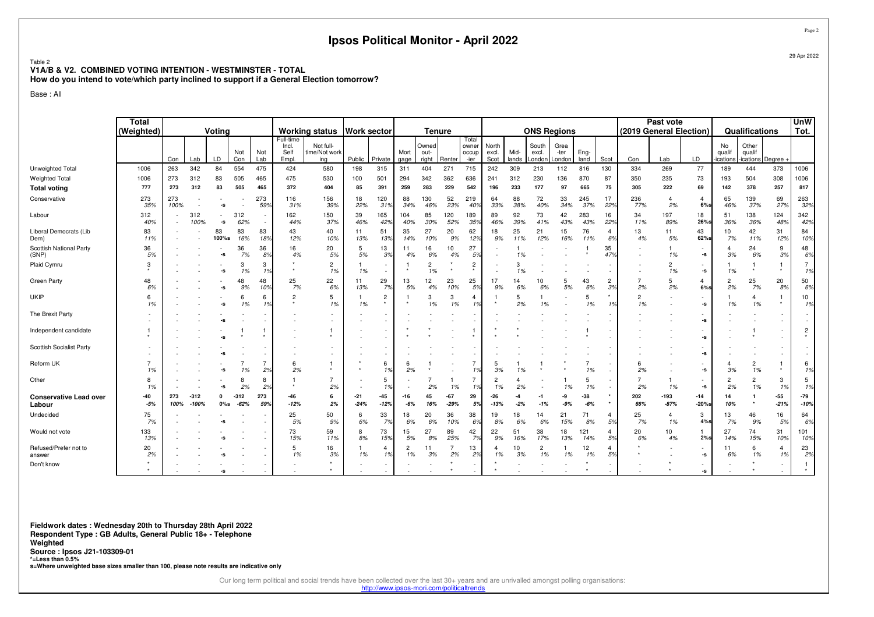#### Table 2**V1A/B & V2. COMBINED VOTING INTENTION - WESTMINSTER - TOTAL**

**How do you intend to vote/which party inclined to support if a General Election tomorrow?**

Base : All

|                                         | Total<br>(Weighted) |             |                   | Voting       |                  |                          |                                     | <b>Working status</b>             | <b>Work sector</b> |                           |                      | <b>Tenure</b>          |                 |                                 |                        |               | <b>ONS Regions</b>       |                        |                |                      |                      | Past vote      | (2019 General Election)          |                          | Qualifications                       |                 | <b>UnW</b><br>Tot.   |
|-----------------------------------------|---------------------|-------------|-------------------|--------------|------------------|--------------------------|-------------------------------------|-----------------------------------|--------------------|---------------------------|----------------------|------------------------|-----------------|---------------------------------|------------------------|---------------|--------------------------|------------------------|----------------|----------------------|----------------------|----------------|----------------------------------|--------------------------|--------------------------------------|-----------------|----------------------|
|                                         |                     | Con         | Lab               | LD           | Not<br>Con       | Not<br>Lab               | Full-time<br>Incl.<br>Self<br>Empl. | Not full-<br>time/Not work<br>ing | Public             | Private                   | Mort<br>gage         | Owned<br>out-<br>right | Renter          | Total<br>owner<br>occup<br>-ier | North<br>excl.<br>Scot | Mid-<br>lands | South<br>excl.<br>_ondon | Grea<br>-ter<br>London | Eng-<br>land   | Scot                 | Con                  | Lab            | LD                               | No<br>qualif<br>ications | Other<br>qualif<br>ications   Degree |                 |                      |
| Unweighted Total                        | 1006                | 263         | 342               | 84           | 554              | 475                      | 424                                 | 580                               | 198                | 315                       | 311                  | 404                    | 271             | 715                             | 242                    | 309           | 213                      | 112                    | 816            | 130                  | 334                  | 269            | 77                               | 189                      | 444                                  | 373             | 1006                 |
| Weighted Total                          | 1006                | 273         | 312               | 83           | 505              | 465                      | 475                                 | 530                               | 100                | 501                       | 294                  | 342                    | 362             | 636                             | 241                    | 312           | 230                      | 136                    | 870            | 87                   | 350                  | 235            | 73                               | 193                      | 504                                  | 308             | 1006                 |
| <b>Total voting</b>                     | 777                 | 273         | 312               | 83           | 505              | 465                      | 372                                 | 404                               | 85                 | 391                       | 259                  | 283                    | 229             | 542                             | 196                    | 233           | 177                      | 97                     | 665            | 75                   | 305                  | 222            | 69                               | 142                      | 378                                  | 257             | 817                  |
| Conservative                            | 273<br>35%          | 273<br>100% |                   | -S           |                  | 273<br>59%               | 116<br>31%                          | 156<br>39%                        | 18<br>22%          | 120<br>31%                | 88<br>34%            | 130<br>46%             | 52<br>23%       | 219<br>40%                      | 64<br>33%              | 88<br>38%     | 72<br>40%                | 33<br>34%              | 245<br>37%     | 17<br>22%            | 236<br>77%           | 4<br>2%        | 4<br>$6%$ s                      | 65<br>46%                | 139<br>37%                           | 69<br>27%       | 263<br>32%           |
| Labour                                  | 312<br>40%          |             | 312<br>100%       | -s           | 312<br>62%       | $\sim$<br>$\sim$         | 162<br>44%                          | 150<br>37%                        | 39<br>46%          | 165<br>42%                | 104<br>40%           | 85<br>30%              | 120<br>52%      | 189<br>35%                      | 89<br>46%              | 92<br>39%     | 73<br>41%                | 42<br>43%              | 283<br>43%     | 16<br>22%            | 34<br>11%            | 197<br>89%     | 18<br>26%s                       | 51<br>36%                | 138<br>36%                           | 124<br>48%      | 342<br>42%           |
| Liberal Democrats (Lib<br>Dem)          | 83<br>11%           |             |                   | 83<br>100%s  | 83<br>16%        | 83<br>18%                | 43<br>12%                           | 40<br>10%                         | 11<br>13%          | 51<br>13%                 | 35<br>14%            | 27<br>10%              | 20<br>9%        | 62<br>12%                       | 18<br>9%               | 25<br>11%     | 21<br>12%                | 15<br>16%              | 76<br>11%      | $\overline{4}$<br>6% | 13<br>4%             | 11<br>5%       | 43<br>62%s                       | 10<br>7%                 | 42<br>11%                            | 31<br>12%       | 84<br>10%            |
| Scottish National Party<br>(SNP)        | 36<br>5%            |             |                   | -S           | 36<br>7%         | 36<br>8%                 | 16<br>4%                            | 20<br>5%                          | 5<br>5%            | 13<br>3%                  | 11<br>4%             | 16<br>6%               | 10<br>4%        | 27<br>5%                        |                        | 1%            |                          |                        |                | 35<br>47%            |                      | 1%             | $\sim$<br>$-S$                   | 4<br>3%                  | 24<br>6%                             | 9<br>3%         | 48<br>6%             |
| Plaid Cymru                             | 3                   |             |                   |              | 3<br>1%          | 3<br>1%                  |                                     | $\overline{2}$<br>1%              | 1%                 | $\sim$                    |                      | $\overline{c}$<br>1%   |                 | $\overline{2}$                  |                        | 1%            |                          |                        |                |                      |                      | 2<br>1%        | $-S$                             | 1%                       |                                      |                 | $\overline{7}$<br>1% |
| Green Party                             | 48<br>6%            |             |                   |              | 48<br>9%         | 48<br>109                | 25<br>7%                            | 22<br>6%                          | 11<br>13%          | 29<br>7%                  | 13<br>5%             | 12<br>4%               | 23<br>10%       | 25<br>.5%                       | 17<br>9%               | 14<br>6%      | 10<br>6%                 | 5<br>5%                | 43<br>6%       | $\overline{c}$<br>39 | $\overline{7}$<br>2% | 5<br>2%        | 4<br>$6%$ s                      | $\overline{2}$<br>2%     | 25<br>7%                             | 20<br>8%        | 50<br>6%             |
| <b>UKIP</b>                             | հ<br>1%             |             |                   |              | 6<br>1%          | 6<br>1%                  | $\overline{c}$                      | 5<br>1%                           | 1%                 | $\overline{2}$<br>$\star$ |                      | 3<br>1%                | 3<br>1%         | 4<br>1%                         |                        | 5<br>2%       | 1%                       |                        | 5<br>1%        |                      | $\overline{2}$<br>1% |                | $\sim$<br>$-S$                   | 1%                       | 4<br>1%                              | $\star$         | 10<br>1%             |
| The Brexit Party                        |                     |             |                   |              |                  |                          |                                     |                                   |                    |                           |                      |                        |                 |                                 |                        |               |                          |                        |                |                      |                      |                | -s                               |                          |                                      |                 |                      |
| Independent candidate                   |                     |             |                   |              |                  |                          |                                     | 1                                 |                    |                           |                      |                        |                 |                                 |                        |               |                          |                        |                |                      |                      |                | $-S$                             |                          |                                      |                 | 2                    |
| Scottish Socialist Party                |                     |             |                   |              |                  |                          |                                     |                                   |                    |                           |                      |                        |                 |                                 |                        |               |                          |                        |                |                      |                      |                | -s                               |                          |                                      |                 |                      |
| Reform UK                               | 1%                  |             |                   |              | 1%               | $\overline{7}$<br>2%     | 6<br>2%                             |                                   |                    | 6<br>1%                   | 6<br>2%              |                        |                 | $\overline{7}$<br>1%            | -5<br>3%               | 1%            |                          |                        | 1%             |                      | 6<br>2%              |                | $-S$                             | 4<br>3%                  | $\overline{c}$<br>1%                 | $\star$         | 6<br>1%              |
| Other                                   | 8<br>1%             |             |                   | -S           | ε<br>2%          | 8<br>2%                  |                                     | 7<br>2%                           |                    | 5<br>1%                   |                      | 2%                     | 1%              | 1%                              | $\overline{2}$<br>1%   | 2%            |                          | 1%                     | 5<br>1%        |                      | 2%                   | 1%             | $-S$                             | 2<br>2%                  | 2<br>1%                              | 3<br>1%         | 5<br>1%              |
| <b>Conservative Lead over</b><br>Labour | $-40$<br>$-5%$      | 273<br>100% | $-312$<br>$-100%$ | 0<br>$0\%$ s | $-312$<br>$-62%$ | 273<br>59%               | $-46$<br>$-12%$                     | 6<br>2%                           | $-21$<br>$-24%$    | -45<br>$-12%$             | -16<br>$-6%$         | 45<br>16%              | $-67$<br>$-29%$ | 29<br>5%                        | $-26$<br>$-13%$        | -4<br>$-2%$   | -1<br>$-1%$              | -9<br>$-9%$            | $-38$<br>$-6%$ |                      | 202<br>66%           | -193<br>$-87%$ | $-14$<br>$-20%$ s                | 14<br>10%                |                                      | $-55$<br>$-21%$ | -79<br>$-10%$        |
| Undecided                               | 75<br>7%            |             |                   |              |                  | $\overline{\phantom{a}}$ | 25<br>5%                            | 50<br>9%                          | 6<br>6%            | 33<br>7%                  | 18<br>6%             | 20<br>6%               | 36<br>10%       | 38<br>6%                        | 19<br>8%               | 18<br>6%      | 14<br>6%                 | 21<br>15%              | 71<br>8%       | $\overline{4}$<br>5% | 25<br>7%             | 4<br>1%        | 3<br>4%s                         | 13<br>7%                 | 46<br>9%                             | 16<br>5%        | 64<br>6%             |
| Would not vote                          | 133<br>13%          |             |                   |              |                  |                          | 73<br>15%                           | 59<br>11%                         | 8<br>8%            | 73<br>15%                 | 15<br>5%             | 27<br>8%               | 89<br>25%       | 42<br>7%                        | 22<br>9%               | 51<br>16%     | 38<br>17%                | 18<br>13%              | 121<br>14%     | $\overline{4}$<br>5% | 20<br>6%             | 10<br>4%       | $2%$ s                           | 27<br>14%                | 74<br>15%                            | 31<br>10%       | 101<br>10%           |
| Refused/Prefer not to<br>answer         | 20<br>2%            |             |                   |              |                  |                          | 5<br>1%                             | 16<br>3%                          | 1%                 | 4<br>1%                   | $\overline{c}$<br>1% | 11<br>3%               | 2%              | 13<br>2%                        | -4<br>1%               | 10<br>3%      | $\overline{c}$<br>1%     | 1%                     | 12<br>1%       | 4<br>5%              |                      |                | $-S$                             | 11<br>6%                 | 6<br>1%                              | 4<br>1%         | 23<br>2%             |
| Don't know                              |                     |             |                   |              |                  |                          |                                     |                                   |                    |                           |                      |                        |                 |                                 |                        |               |                          |                        |                |                      |                      |                | $\overline{\phantom{a}}$<br>$-S$ |                          |                                      |                 |                      |

**Fieldwork dates : Wednesday 20th to Thursday 28th April 2022 Respondent Type : GB Adults, General Public 18+ - TelephoneWeighted Source : Ipsos J21-103309-01 \*=Less than 0.5%s=Where unweighted base sizes smaller than 100, please note results are indicative only**

Our long term political and social trends have been collected over the last 30+ years and are unrivalled amongst polling organisations:

http://www.ipsos-mori.com/politicaltrends

Page 2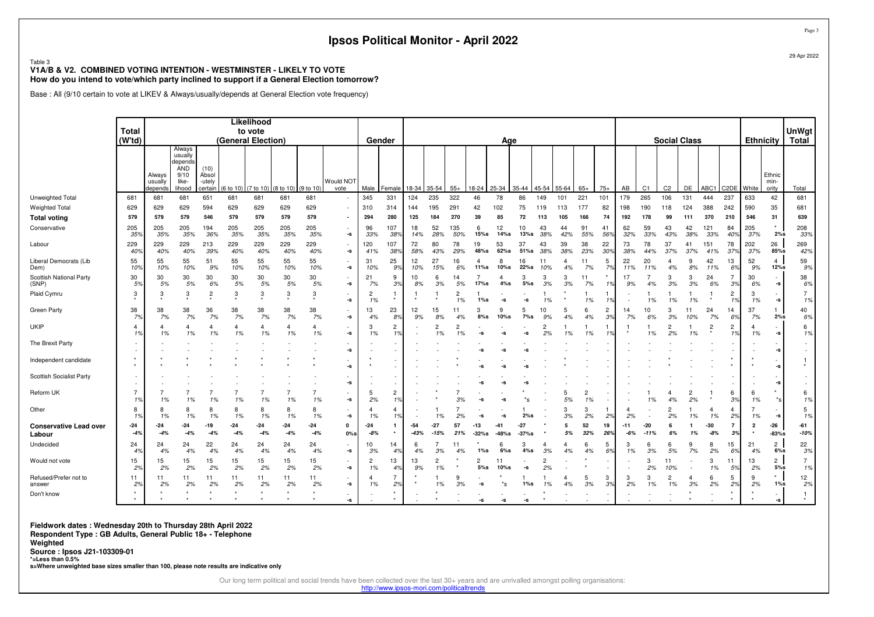#### Table 3 **V1A/B & V2. COMBINED VOTING INTENTION - WESTMINSTER - LIKELY TO VOTEHow do you intend to vote/which party inclined to support if a General Election tomorrow?**

Base : All (9/10 certain to vote at LIKEV & Always/usually/depends at General Election vote frequency)

|                                         | <b>Total</b>         |                              |                                                                |                                    |                    | Likelihood<br>to vote |                      |                      |                   |                      |                              |               |               |                      |                       |                |                |                      |           |                      |                          |              |                 |                     |           |                |                      |                         |                                                        | UnWgt                |
|-----------------------------------------|----------------------|------------------------------|----------------------------------------------------------------|------------------------------------|--------------------|-----------------------|----------------------|----------------------|-------------------|----------------------|------------------------------|---------------|---------------|----------------------|-----------------------|----------------|----------------|----------------------|-----------|----------------------|--------------------------|--------------|-----------------|---------------------|-----------|----------------|----------------------|-------------------------|--------------------------------------------------------|----------------------|
|                                         | $(W^{\dagger}td)$    |                              |                                                                |                                    | (General Election) |                       |                      |                      |                   |                      | Gender                       |               |               |                      |                       | Age            |                |                      |           |                      |                          |              |                 | <b>Social Class</b> |           |                |                      | <b>Ethnicity</b>        |                                                        | <b>Total</b>         |
|                                         |                      | Always<br>usually<br>depends | Always<br>usually<br>depends<br>AND<br>9/10<br>like-<br>lihood | (10)<br>Absol<br>-utely<br>certain | (6 to 10)          | (7 to 10)             | (8 to 10)            | (9 to 10)            | Would NOT<br>vote | Male                 | Female                       | 18-34         | 35-54         | $55+$                | 18-24                 | 25-34          | 35-44          | 45-54                | 55-64     | $65+$                | $75+$                    | AB           | C <sub>1</sub>  | C <sub>2</sub>      | DE        | ABC1           | C <sub>2</sub> DE    | White                   | Ethnic<br>min-<br>ority                                | Total                |
| Unweighted Total                        | 681                  | 681                          | 681                                                            | 651                                | 681                | 681                   | 681                  | 681                  | $\sim$            | 345                  | 331                          | 124           | 235           | 322                  | 46                    | 78             | 86             | 149                  | 101       | 221                  | 101                      | 179          | 265             | 106                 | 131       | 444            | 237                  | 633                     | 42                                                     | 681                  |
| <b>Weighted Total</b>                   | 629                  | 629                          | 629                                                            | 594                                | 629                | 629                   | 629                  | 629                  | $\sim$            | 310                  | 314                          | 144           | 195           | 291                  | 42                    | 102            | 75             | 119                  | 113       | 177                  | 82                       | 198          | 190             | 118                 | 124       | 388            | 242                  | 590                     | 35                                                     | 681                  |
| <b>Total voting</b>                     | 579                  | 579                          | 579                                                            | 546                                | 579                | 579                   | 579                  | 579                  | $\blacksquare$    | 294                  | 280                          | 125           | 184           | 270                  | 39                    | 85             | 72             | 113                  | 105       | 166                  | 74                       | 192          | 178             | 99                  | 111       | 370            | 210                  | 546                     | 31                                                     | 639                  |
| Conservative                            | 205<br>35%           | 205<br>35%                   | 205<br>35%                                                     | 194<br>36%                         | 205<br>35%         | 205<br>35%            | 205<br>35%           | 205<br>35%           | $\sim$<br>-s      | 96<br>33%            | 107<br>38%                   | 18<br>14%     | 52<br>28%     | 135<br>50%           | 6<br>15%s             | 12<br>14%s     | 10<br>13%s     | 43<br>38%            | 44<br>42% | 91<br>55%            | 41<br>569                | 62<br>32%    | 59<br>33%       | 43<br>43%           | 42<br>38% | 121<br>33%     | 84<br>40%            | 205<br>37%              | 2%s                                                    | 208<br>33%           |
| Labour                                  | 229<br>40%           | 229<br>40%                   | 229<br>40%                                                     | 213<br>39%                         | 229<br>40%         | 229<br>40%            | 229<br>40%           | 229<br>40%           | $\sim$<br>-s      | 120<br>41%           | 107<br>38%                   | 72<br>58%     | 80<br>43%     | 78<br>29%            | 19<br>48%s            | 53<br>$62\%$ s | 37<br>51%s     | 43<br>38%            | 39<br>38% | 38<br>23%            | 22<br>30%                | 73<br>38%    | 78<br>44%       | 37<br>37%           | 41<br>37% | 151<br>41%     | 78<br>379            | 202<br>37%              | 26<br>85%s                                             | 269<br>42%           |
| Liberal Democrats (Lib<br>Dem)          | 55<br>10%            | 55<br>10%                    | 55<br>10%                                                      | 51<br>9%                           | 55<br>10%          | 55<br>10%             | 55<br>10%            | 55<br>10%            | -S                | 31<br>10%            | 25<br>9%                     | 12<br>10%     | 27<br>15%     | 16<br>6%             | 11%s                  | 8<br>$10%$ s   | 16<br>22%s     | 11<br>10%            | 4<br>4%   | 11<br>7%             | 5<br>7%                  | 22<br>11%    | 20<br>11%       | 4%                  | 9<br>8%   | 42<br>11%      | 13<br>6%             | 52<br>9%                | $\overline{4}$<br>12%s                                 | 59<br>9%             |
| Scottish National Party<br>(SNP)        | 30<br>5%             | 30<br>5%                     | 30<br>5%                                                       | 30<br>6%                           | 30<br>5%           | 30<br>5%              | 30<br>5%             | 30<br>5%             | $\sim$<br>-s      | 21<br>7%             | 9<br>3%                      | 10<br>8%      | 6<br>3%       | 14<br>5%             | 17%s                  | $4\%s$         | 3<br>5%s       | 3<br>3%              | 3<br>3%   | 11<br>7%             | 1%                       | 17<br>9%     | 4%              | 3<br>3%             | 3<br>3%   | 24<br>6%       | 3%                   | 30<br>6%                | $\overline{\phantom{a}}$<br>$\textnormal{\texttt{-S}}$ | 38<br>6%             |
| Plaid Cymru                             | 3                    | -3                           | 3                                                              |                                    | 3                  | 3                     | 3                    | 3                    | -s                | $\overline{c}$<br>1% |                              |               |               | $\overline{2}$<br>1% | $1\%s$                | -S             | -S             | 1%                   |           | 1%                   | 1%                       |              | 1%              | 1%                  | 1%        |                | $\overline{c}$<br>1% | 3<br>1%                 | -s                                                     | $\overline{7}$<br>1% |
| <b>Green Party</b>                      | 38<br>7%             | 38<br>7%                     | 38<br>7%                                                       | 36<br>7%                           | 38<br>7%           | 38<br>7%              | 38<br>7%             | 38<br>7%             | $\sim$<br>-s      | 13<br>4%             | 23<br>8%                     | 12<br>9%      | 15<br>8%      | 11<br>4%             | 3<br>8%s              | 10%s           | 5<br>$7\%$ s   | 10<br>9%             | 5<br>4%   | 6<br>4%              | $\overline{c}$<br>3%     | 14<br>7%     | 10<br>6%        | 3%                  | 11<br>10% | 24<br>7%       | 14<br>6%             | 37<br>7%                | $\mathbf{1}$<br>2%s                                    | 40<br>6%             |
| <b>UKIP</b>                             | $\overline{4}$<br>1% | $\overline{4}$<br>1%         | $\overline{4}$<br>1%                                           | 1%                                 | 4<br>1%            | $\overline{4}$<br>1%  | $\overline{4}$<br>1% | $\overline{a}$<br>1% | $\sim$<br>-s      | 3<br>1%              | 2<br>1%                      |               | 2<br>1%       | $\overline{2}$<br>1% | -S                    |                | -S             | $\overline{c}$<br>2% | 1%        | 1%                   | 1%                       |              | 1%              | 2<br>2%             | 1%        | $\overline{c}$ | $\overline{c}$<br>1% | 4<br>1%                 | $\textnormal{\texttt{-S}}$                             | 6<br>1%              |
| The Brexit Party                        |                      |                              |                                                                |                                    |                    |                       |                      |                      | -s                |                      |                              |               |               |                      |                       |                |                |                      |           |                      |                          |              |                 |                     |           |                |                      |                         | -s                                                     |                      |
| Independent candidate                   |                      |                              |                                                                |                                    |                    |                       |                      |                      | -s                |                      |                              |               |               |                      |                       |                |                |                      |           |                      |                          |              |                 |                     |           |                |                      |                         | $\overline{\phantom{a}}$<br>-S                         |                      |
| <b>Scottish Socialist Party</b>         |                      |                              |                                                                |                                    |                    |                       |                      |                      | -S                |                      |                              |               |               |                      |                       |                |                |                      |           |                      |                          |              |                 |                     |           |                |                      |                         | -S                                                     |                      |
| Reform UK                               | $\overline{7}$<br>1% | 1%                           | 1%                                                             | 1%                                 | 1%                 | 1%                    | 1%                   | 1%                   | -S                | 5<br>2%              | $\overline{2}$<br>1%         |               |               |                      | -S                    |                |                |                      | 5<br>5%   | $\overline{c}$<br>1% |                          |              | 1%              | 4%                  | 2%        |                | 6<br>3%              | 6<br>1%                 | $\star$<br>$*_{\mathsf{S}}$                            | 6<br>1%              |
| Other                                   | 8<br>1%              | 8<br>1%                      | 8<br>1%                                                        | 1%                                 | 8<br>1%            | 8<br>1%               | 8<br>1%              | 8<br>1%              | $\sim$<br>-s      | 4<br>1%              | 4<br>1%                      |               |               | 2%                   |                       |                | 2%s            |                      | 3<br>3%   | 3<br>2%              | 2%                       | 2%           |                 | 2%                  | 1%        | 4<br>1%        | 4<br>2%              | 1%                      | $\textnormal{\texttt{-S}}$                             | 5<br>1%              |
| <b>Conservative Lead over</b><br>Labour | $-24$<br>$-4%$       | $-24$<br>$-4%$               | -24<br>$-4%$                                                   | $-19$<br>$-4%$                     | -24<br>$-4%$       | $-24$<br>$-4%$        | $-24$<br>$-4%$       | $-24$<br>$-4%$       | 0<br>$0\%$ s      | $-24$<br>$-8%$       | $\mathbf{1}$<br>$\pmb{\ast}$ | -54<br>$-439$ | -27<br>$-15%$ | 57<br>21%            | -13<br>$-32%s$        | -41<br>$-48%s$ | -27<br>$-37%s$ |                      | 5<br>5%   | 52<br>32%            | 19<br>26%                | $-11$<br>-6% | $-20$<br>$-119$ | 69                  | 1%        | -30<br>$-8%$   | 7<br>3%              | $\overline{\mathbf{2}}$ | $-26$<br>$-83%$ s                                      | -61<br>$-10%$        |
| Undecided                               | 24<br>4%             | 24<br>4%                     | 24<br>4%                                                       | 22<br>4%                           | 24<br>4%           | 24<br>4%              | 24<br>4%             | 24<br>4%             | $\sim$<br>-s      | 10<br>3%             | 14<br>4%                     | 6<br>4%       | 3%            | 11                   | $1\%$ s               | 6%s            | 3<br>4%s       | 4<br>3%              | 4<br>4%   | 6<br>4%              | 5<br>6%                  | 3<br>1%      | 6<br>3%         | -6<br>5%            | 9<br>7%   | 8<br>2%        | 15<br>6%             | 21<br>4%                | $\overline{c}$<br>6%s                                  | 22<br>3%             |
| Would not vote                          | 15<br>2%             | 15<br>2%                     | 15<br>2%                                                       | 15<br>2%                           | 15<br>2%           | 15<br>2%              | 15<br>2%             | 15<br>2%             | $\sim$<br>-s      | $\overline{c}$<br>1% | 13<br>4%                     | 13<br>9%      | 2<br>1%       |                      | $\overline{c}$<br>5%s | 11<br>$10\%$ s | -S             | $\overline{c}$<br>2% |           |                      | $\overline{\phantom{a}}$ |              | 3<br>2%         | 11<br>10%           |           | 3<br>1%        | 11<br>5%             | 13<br>2%                | $\overline{2}$<br>5%s                                  | $\overline{7}$<br>1% |
| Refused/Prefer not to<br>answer         | 11<br>2%             | 11<br>2%                     | 11<br>2%                                                       | 11<br>2%                           | 11<br>2%           | 11<br>2%              | 11<br>2%             | 11<br>2%             | $\sim$<br>-s      | 4<br>1%              | 7<br>2%                      |               | 1%            | 3%                   | -S                    | *s             | $1\%s$         |                      | 4<br>4%   | 5<br>3%              | 3<br>3%                  | 3<br>2%      | 3<br>1%         | 1%                  | 3%        | 6<br>2%        | 5<br>2%              | 9<br>2%                 | $\star$<br>$1\%s$                                      | 12<br>2%             |
| Don't know                              |                      |                              |                                                                |                                    |                    |                       |                      |                      | -s                |                      |                              |               |               |                      | -s                    | -S             | -5             |                      |           |                      |                          |              |                 |                     |           |                |                      |                         | $\sim$<br>-s                                           |                      |

**Fieldwork dates : Wednesday 20th to Thursday 28th April 2022** 

 **Respondent Type : GB Adults, General Public 18+ - TelephoneWeighted**

**Source : Ipsos J21-103309-01** 

**\*=Less than 0.5%**

**s=Where unweighted base sizes smaller than 100, please note results are indicative only**

Our long term political and social trends have been collected over the last 30+ years and are unrivalled amongst polling organisations:

http://www.ipsos-mori.com/politicaltrends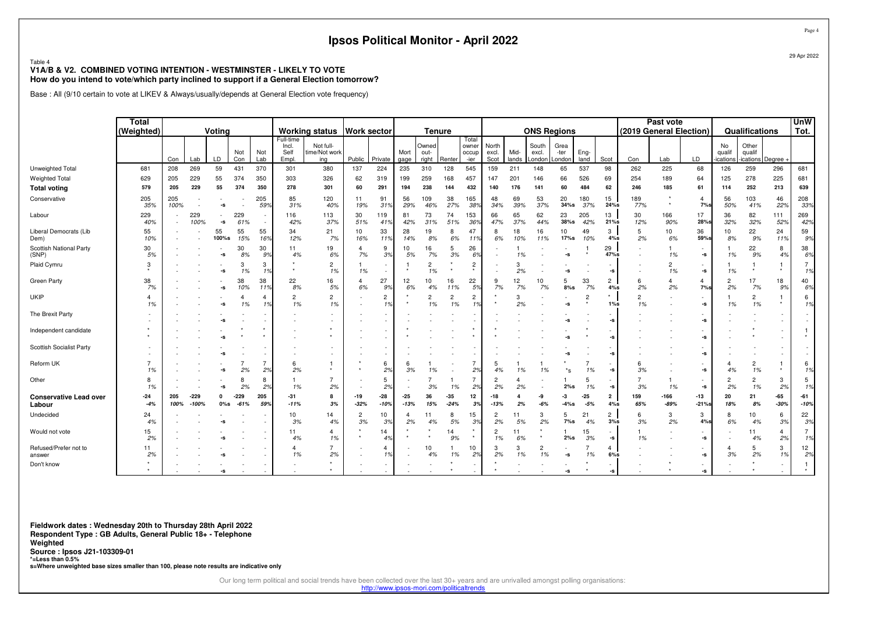#### Table 4 **V1A/B & V2. COMBINED VOTING INTENTION - WESTMINSTER - LIKELY TO VOTEHow do you intend to vote/which party inclined to support if a General Election tomorrow?**

Base : All (9/10 certain to vote at LIKEV & Always/usually/depends at General Election vote frequency)

|                                         | <b>Total</b><br>(Weighted) | Votina<br>Not<br>Not |                 |                     |                  | <b>Working status</b> | <b>Work sector</b>                 |                                   |                      | <b>Tenure</b>        |                 |                        |                      |                                 |                        | <b>ONS Regions</b> |                          |                        |                | Past vote<br>(2019 General Election) |                      |                | Qualifications                                         |                          | <b>UnW</b><br>Tot.          |                      |                      |
|-----------------------------------------|----------------------------|----------------------|-----------------|---------------------|------------------|-----------------------|------------------------------------|-----------------------------------|----------------------|----------------------|-----------------|------------------------|----------------------|---------------------------------|------------------------|--------------------|--------------------------|------------------------|----------------|--------------------------------------|----------------------|----------------|--------------------------------------------------------|--------------------------|-----------------------------|----------------------|----------------------|
|                                         |                            | Con                  | Lab             | LD                  | Con              | Lab                   | Full-time<br>Incl.<br>Self<br>Empl | Not full-<br>time/Not work<br>ing | Public               | Private              | Mort<br>gage    | Owned<br>out-<br>right | Renter               | Total<br>owner<br>occup<br>-ier | North<br>excl.<br>Scot | Mid-<br>lands      | South<br>excl.<br>.ondon | Grea<br>-ter<br>_ondon | Eng-<br>land   | Scot                                 | Con                  | Lab            | LD                                                     | No<br>qualif<br>ications | Other<br>qualif<br>ications | Degree               |                      |
| Unweighted Total                        | 681                        | 208                  | 269             | 59                  | 431              | 370                   | 301                                | 380                               | 137                  | 224                  | 235             | 310                    | 128                  | 545                             | 159                    | 211                | 148                      | 65                     | 537            | 98                                   | 262                  | 225            | 68                                                     | 126                      | 259                         | 296                  | 681                  |
| <b>Weighted Total</b>                   | 629                        | 205                  | 229             | 55                  | 374              | 350                   | 303                                | 326                               | 62                   | 319                  | 199             | 259                    | 168                  | 457                             | 147                    | 201                | 146                      | 66                     | 526            | 69                                   | 254                  | 189            | 64                                                     | 125                      | 278                         | 225                  | 681                  |
| <b>Total voting</b>                     | 579                        | 205                  | 229             | 55                  | 374              | 350                   | 278                                | 301                               | 60                   | 291                  | 194             | 238                    | 144                  | 432                             | 140                    | 176                | 141                      | 60                     | 484            | 62                                   | 246                  | 185            | 61                                                     | 114                      | 252                         | 213                  | 639                  |
| Conservative                            | 205<br>35%                 | 205<br>100%          |                 | -S                  |                  | 205<br>59%            | 85<br>31%                          | 120<br>40%                        | 11<br>19%            | 91<br>31%            | 56<br>29%       | 109<br>46%             | 38<br>27%            | 165<br>38%                      | 48<br>34%              | 69<br>39%          | 53<br>37%                | 20<br>$34%$ s          | 180<br>37%     | 15<br>24%s                           | 189<br>77%           | $\star$        | 4<br>7%s                                               | 56<br>50%                | 103<br>41%                  | 46<br>22%            | 208<br>33%           |
| Labour                                  | 229<br>40%                 |                      | 229<br>100%     | -S                  | 229<br>61%       |                       | 116<br>42%                         | 113<br>37%                        | 30<br>51%            | 119<br>41%           | 81<br>42%       | 73<br>31%              | 74<br>51%            | 153<br>36%                      | 66<br>47%              | 65<br>37%          | 62<br>44%                | 23<br>$38%$ s          | 205<br>42%     | 13<br>21%s                           | 30<br>12%            | 166<br>90%     | 17<br>28%s                                             | 36<br>32%                | 82<br>32%                   | 111<br>52%           | 269<br>42%           |
| Liberal Democrats (Lib<br>Dem)          | 55<br>10%                  |                      |                 | 55<br>100%s         | 55<br>15%        | 55<br>16%             | 34<br>12%                          | 21<br>7%                          | 10<br>16%            | 33<br>11%            | 28<br>14%       | 19<br>8%               | 6%                   | 47<br>11%                       | 8<br>6%                | 18<br>10%          | 16<br>11%                | 10<br>17%s             | 49<br>10%      | 3<br>4%s                             | 5<br>2%              | 10<br>6%       | 36<br>59%s                                             | 10<br>8%                 | 22<br>9%                    | 24<br>11%            | 59<br>9%             |
| Scottish National Party<br>(SNP)        | 30<br>5%                   |                      |                 | -S                  | 30<br>8%         | 30<br>9%              | 11<br>4%                           | 19<br>6%                          | 4<br>7%              | 9<br>3%              | 10<br>5%        | 16<br>7%               | 5<br>3%              | 26<br>6%                        |                        | 1%                 |                          | -s                     |                | 29<br>47%s                           |                      | 1%             | $\overline{\phantom{a}}$<br>-S                         | 1%                       | 22<br>9%                    | 8<br>4%              | 38<br>6%             |
| Plaid Cymru                             | 3                          |                      |                 | -S                  | 3<br>1%          | 3<br>1%               |                                    | $\overline{2}$<br>1%              | 1%                   |                      |                 | 2<br>1%                |                      | $\overline{2}$                  |                        | 2%                 |                          | -S                     |                | -S                                   |                      | 1%             | $\overline{\phantom{a}}$<br>-s                         | 1%                       |                             | $\star$              | $\overline{7}$<br>1% |
| <b>Green Party</b>                      | 38<br>7%                   |                      |                 | -s                  | 38<br>10%        | 38<br>11%             | 22<br>8%                           | 16<br>5%                          | 4<br>6%              | 27<br>9%             | 12<br>6%        | 10<br>4%               | 16<br>11%            | 22<br>5%                        | 9<br>7%                | 12<br>7%           | 10<br>7%                 | 8%s                    | 33<br>7%       | $\overline{c}$<br>4%s                | 6<br>2%              | 2%             | $\overline{4}$<br>7%s                                  | 2<br>2%                  | 17<br>7%                    | 18<br>9%             | 40<br>6%             |
| <b>UKIP</b>                             | 1%                         |                      |                 |                     | 1%               | 4                     | $\overline{2}$<br>1%               | $\overline{2}$<br>1%              |                      | $\overline{c}$<br>1% |                 | $\overline{c}$<br>1%   | $\overline{2}$<br>1% | $\overline{2}$                  |                        | 3<br>2%            |                          | -S                     | $\overline{c}$ |                                      | $\overline{2}$<br>1% |                | $\overline{\phantom{a}}$<br>$\textnormal{\texttt{-S}}$ | 1%                       | $\overline{c}$<br>1%        |                      | 6<br>1%              |
| The Brexit Party                        |                            |                      |                 |                     |                  |                       |                                    |                                   |                      |                      |                 |                        |                      |                                 |                        |                    |                          | -S                     |                |                                      |                      |                | $\overline{\phantom{a}}$<br>$\mathbf{-S}$              |                          |                             |                      |                      |
| Independent candidate                   |                            |                      |                 |                     |                  |                       |                                    |                                   |                      |                      |                 |                        |                      |                                 |                        |                    |                          | -S                     |                |                                      |                      |                | $\overline{\phantom{a}}$<br>$\textnormal{\texttt{-S}}$ |                          |                             |                      |                      |
| Scottish Socialist Party                |                            |                      |                 |                     |                  |                       |                                    |                                   |                      |                      |                 |                        |                      |                                 |                        |                    |                          |                        |                |                                      |                      |                | -S                                                     |                          |                             |                      |                      |
| Reform UK                               | 7<br>1%                    |                      |                 |                     | 2%               | $\overline{7}$<br>2%  | 6<br>2%                            |                                   |                      | 6<br>2%              | 6<br>3%         | 1%                     |                      | $\overline{7}$<br>2%            | 5<br>4%                | 1%                 | 1%                       | *s                     | 1%             |                                      | 6<br>3%              |                | ٠<br>-s                                                | 4<br>4%                  | $\overline{c}$<br>1%        | $\star$              | 6<br>1%              |
| Other                                   | 8<br>1%                    |                      |                 | -9                  | 8<br>2%          | 8<br>2%               | 1%                                 | 7<br>2%                           |                      | 5<br>2%              |                 | 3%                     | 1%                   | 7<br>2%                         | 2<br>2%                | 2%                 |                          | $2\%s$                 | 5<br>1%        | -S                                   | 3%                   | 1%             | $\textnormal{\texttt{-S}}$                             | 2<br>2%                  | $\overline{2}$<br>1%        | 3<br>2%              | 5<br>1%              |
| <b>Conservative Lead over</b><br>Labour | -24<br>$-4%$               | 205<br>100%          | -229<br>$-100%$ | $\Omega$<br>$0\%$ s | $-229$<br>$-61%$ | 205<br>59%            | $-31$<br>$-11%$                    | 8<br>3%                           | -19<br>$-32%$        | $-28$<br>$-10%$      | $-25$<br>$-13%$ | 36<br>15%              | $-35$<br>$-24%$      | 12<br>3%                        | -18<br>$-13%$          | 2%                 | -9<br>$-6%$              | -3<br>-4%s             | $-25$<br>$-5%$ | $\overline{2}$<br>4%s                | 159<br>65%           | -166<br>$-89%$ | -13<br>$-21%s$                                         | 20<br>18%                | 21<br>8%                    | -65<br>$-30%$        | $-61$<br>$-10%$      |
| Undecided                               | 24<br>4%                   |                      |                 |                     |                  |                       | 10<br>3%                           | 14<br>4%                          | $\overline{c}$<br>3% | 10<br>3%             | 4<br>2%         | 11<br>4%               | 8<br>5%              | 15<br>3%                        | $\overline{c}$<br>2%   | 11<br>5%           | 3<br>2%                  | 5<br>$7\%s$            | 21<br>4%       | $\overline{2}$<br>3%s                | 6<br>3%              | 3<br>2%        | 3<br>4%s                                               | 8<br>6%                  | 10<br>4%                    | 6<br>3%              | 22<br>3%             |
| Would not vote                          | 15<br>2%                   |                      |                 |                     |                  |                       | 11<br>4%                           | $\overline{4}$<br>1%              |                      | 14<br>4%             |                 |                        | 14<br>9%             | $\star$<br>$\star$              | $\overline{2}$<br>1%   | 11<br>6%           |                          | $2\%s$                 | 15<br>3%       | -S                                   | 1%                   |                | $\sim$<br>-S                                           |                          | 11<br>4%                    | $\overline{4}$<br>2% | $\overline{7}$<br>1% |
| Refused/Prefer not to<br>answer         | 11<br>2%                   |                      |                 |                     |                  |                       | 4<br>1%                            | $\overline{7}$<br>2%              |                      | $\overline{4}$<br>1% |                 | 10<br>4%               | 1%                   | 10<br>2%                        | 3<br>2%                | 3<br>1%            | $\overline{2}$<br>1%     | -s                     | 1%             | $\overline{4}$<br>$6%$ s             |                      |                | -s                                                     | 4<br>3%                  | 5<br>2%                     | 3<br>1%              | 12<br>2%             |
| Don't know                              |                            |                      |                 |                     |                  |                       |                                    |                                   |                      |                      |                 |                        |                      |                                 |                        |                    |                          | -S                     |                | -9                                   |                      |                | $\overline{\phantom{a}}$<br>-s                         |                          |                             | ٠                    |                      |

**Fieldwork dates : Wednesday 20th to Thursday 28th April 2022 Respondent Type : GB Adults, General Public 18+ - TelephoneWeighted Source : Ipsos J21-103309-01 \*=Less than 0.5%s=Where unweighted base sizes smaller than 100, please note results are indicative only**

Our long term political and social trends have been collected over the last 30+ years and are unrivalled amongst polling organisations:

http://www.ipsos-mori.com/politicaltrends

Page 4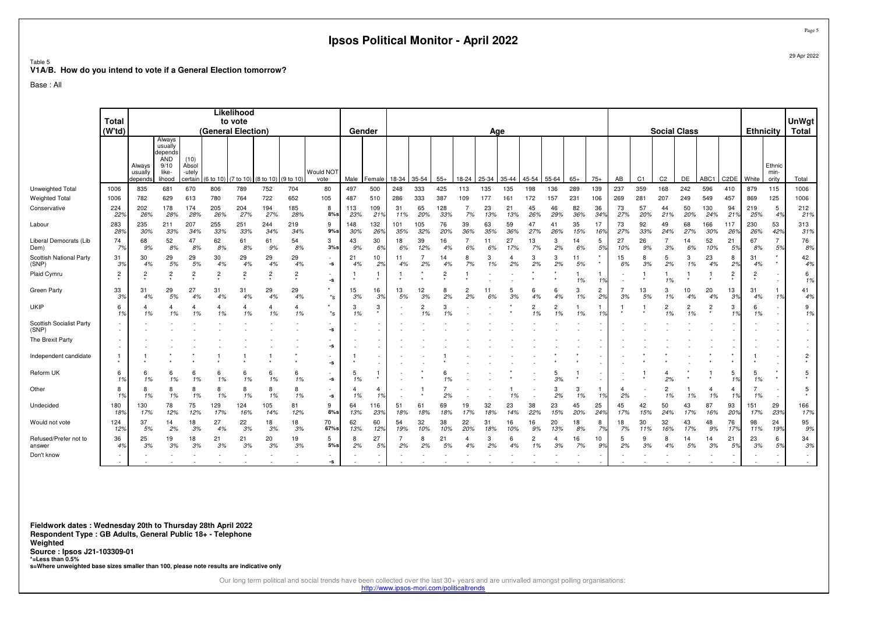|                                                                             |                     |                   |                                                      |                         |                    |                              |                         |                      |                                |                      |                      | Ipsos Political Monitor - April 2022 |                      |                |                      |              |                      |                      |                      |                    |              |                      |                       |                       |                      |                      |                          |                  |                                    | Page:            |
|-----------------------------------------------------------------------------|---------------------|-------------------|------------------------------------------------------|-------------------------|--------------------|------------------------------|-------------------------|----------------------|--------------------------------|----------------------|----------------------|--------------------------------------|----------------------|----------------|----------------------|--------------|----------------------|----------------------|----------------------|--------------------|--------------|----------------------|-----------------------|-----------------------|----------------------|----------------------|--------------------------|------------------|------------------------------------|------------------|
| Table 5<br>V1A/B. How do you intend to vote if a General Election tomorrow? |                     |                   |                                                      |                         |                    |                              |                         |                      |                                |                      |                      |                                      |                      |                |                      |              |                      |                      |                      |                    |              |                      |                       |                       |                      |                      |                          |                  |                                    | 29 Apr 2022      |
| Base : All                                                                  |                     |                   |                                                      |                         |                    |                              |                         |                      |                                |                      |                      |                                      |                      |                |                      |              |                      |                      |                      |                    |              |                      |                       |                       |                      |                      |                          |                  |                                    |                  |
|                                                                             | <b>Total</b>        |                   |                                                      |                         |                    | Likelihood<br>to vote        |                         |                      |                                |                      |                      |                                      |                      |                |                      |              |                      |                      |                      |                    |              |                      |                       |                       |                      |                      |                          |                  |                                    | <b>UnWgt</b>     |
|                                                                             | (W <sup>t</sup> td) | Always<br>usually | Always<br>usually<br>depends<br>AND<br>9/10<br>like- | (10)<br>Absol<br>-utely | (General Election) |                              |                         |                      | Would NOT                      | Gender               |                      |                                      |                      |                |                      | Age          |                      |                      |                      |                    |              |                      |                       | <b>Social Class</b>   |                      |                      |                          | <b>Ethnicity</b> | Ethnic<br>min-                     | <b>Total</b>     |
| Unweighted Total                                                            | 1006                | depends<br>835    | lihood<br>681                                        | certain<br>670          | (6 to 10)<br>806   | $(7 to 10)$ (8 to 10)<br>789 | 752                     | (9 to 10<br>704      | vote<br>80                     | Male<br>497          | Female<br>500        | 18-34<br>248                         | 35-54<br>333         | $55+$<br>425   | 18-24<br>113         | 25-34<br>135 | 35-44<br>135         | 45-54<br>198         | 55-64<br>136         | $65+$<br>289       | $75+$<br>139 | AB<br>237            | C <sub>1</sub><br>359 | C <sub>2</sub><br>168 | DE<br>242            | ABC1<br>596          | C <sub>2</sub> DE<br>410 | White<br>879     | ority<br>115                       | Total<br>1006    |
| Weighted Total                                                              | 1006                | 782               | 629                                                  | 613                     | 780                | 764                          | 722                     | 652                  | 105                            | 487                  | 510                  | 286                                  | 333                  | 387            | 109                  | 177          | 161                  | 172                  | 157                  | 231                | 106          | 269                  | 281                   | 207                   | 249                  | 549                  | 457                      | 869              | 125                                | 1006             |
| Conservative                                                                | 224<br>22%          | 202<br>26%        | 178<br>28%                                           | 174<br>28%              | 205<br>26%         | 204<br>27%                   | 194<br>27%              | 185<br>28%           | 8<br>$8%$ s                    | 113<br>23%           | 109<br>219           | 31<br>11%                            | 65<br>20%            | 128<br>33%     | 7<br>7%              | 23<br>13%    | 21<br>13%            | 45<br>26%            | 46<br>29%            | 82<br>36%          | 36<br>34%    | 73<br>27%            | 57<br>20%             | 44<br>21%             | 50<br>20%            | 130<br>24%           | 94<br>21 <sup>9</sup>    | 219<br>25%       | 5<br>4%                            | 212<br>21%       |
| Labour                                                                      | 283<br>28%          | 235<br>30%        | 211<br>33%                                           | 207<br>34%              | 255<br>33%         | 251<br>33%                   | 244<br>34%              | 219<br>34%           | 9<br>$9\%$ s                   | 148<br>30%           | 132<br>26%           | 101<br>35%                           | 105<br>32%           | 76<br>20%      | 39<br>36%            | 63<br>35%    | 59<br>36%            | 47<br>27%            | 41<br>26%            | 35<br>15%          | 17<br>16%    | 73<br>27%            | 92<br>33%             | 49<br>24%             | 68<br>27%            | 166<br>30%           | 117<br>26%               | 230<br>26%       | 53<br>42%                          | 313<br>31%       |
| Liberal Democrats (Lib<br>Dem)                                              | 74<br>7%            | 68<br>9%          | 52<br>8%                                             | 47<br>8%                | 62<br>8%           | 61<br>8%                     | 61<br>9%                | 54<br>8%             | 3<br>3%s                       | 43<br>9%             | 30<br>6%             | 18<br>6%                             | 39<br>12%            | 16<br>4%       | $\overline{7}$<br>6% | 11<br>6%     | 27<br>17%            | 13<br>7%             | 3<br>2%              | 14<br>6%           | 5<br>59      | 27<br>10%            | 26<br>9%              | $\overline{7}$<br>3%  | 14<br>6%             | 52<br>10%            | 21<br>5%                 | 67<br>8%         | $\overline{7}$<br>5%               | 76<br>8%         |
| Scottish National Party<br>(SNP)                                            | 31<br>3%            | 30<br>4%          | 29<br>5%                                             | 29<br>5%                | 30<br>4%           | 29<br>4%                     | 29<br>4%                | 29<br>4%             | -s                             | 21<br>4%             | 10<br>2%             | 11<br>4%                             | $\overline{7}$<br>2% | 14<br>4%       | 8<br>7%              | 3<br>1%      | $\overline{4}$<br>2% | 3<br>2%              | 3<br>2%              | 11<br>5%           |              | 15<br>6%             | 8<br>3%               | 5<br>2%               | 3<br>1%              | 23<br>4%             | 8<br>2%                  | 31<br>4%         | $\star$                            | 42<br>4%         |
| Plaid Cymru                                                                 | $\overline{c}$      | 2                 | $\overline{c}$                                       | $\overline{c}$          | 2                  | $\overline{c}$               | $\overline{\mathbf{c}}$ | $\overline{c}$       | ٠<br>-s                        | -1                   | $\mathbf{1}$         |                                      |                      | $\overline{2}$ |                      |              |                      |                      |                      | 1%                 | 1%           |                      | -1                    | 1<br>1%               | $\star$              |                      | $\overline{c}$           | $\overline{2}$   | $\sim$                             | 6<br>1%          |
| Green Party                                                                 | 33<br>3%            | 31<br>4%          | 29<br>5%                                             | 27<br>4%                | 31<br>4%           | 31<br>4%                     | 29<br>4%                | 29<br>4%             | $^{\star}$ s                   | 15<br>3%             | 16<br>3%             | 13<br>5%                             | 12<br>3%             | 8<br>2%        | $\overline{c}$<br>2% | 11<br>6%     | 5<br>3%              | 6<br>4%              | 6<br>4%              | 3<br>1%            | 2<br>2%      | $\overline{7}$<br>3% | 13<br>5%              | 3<br>1%               | 10<br>4%             | 20<br>4%             | 13<br>3%                 | 31<br>4%         | 1<br>1%                            | 41<br>4%         |
| UKIP                                                                        | 6<br>1%             | 1%                | 4<br>1%                                              | 4<br>1%                 | 4<br>1%            | 4<br>1%                      | $\overline{4}$<br>1%    | $\overline{4}$<br>1% | $^*$ s                         | 3<br>1%              | 3                    |                                      | $\overline{2}$<br>1% | 3<br>1%        |                      |              |                      | 2<br>1%              | $\overline{2}$<br>1% | $\mathbf{1}$<br>1% | -1.<br>1%    |                      |                       | $\overline{2}$<br>1%  | $\overline{2}$<br>1% | $\overline{c}$       | 3<br>1%                  | -6<br>1%         | $\sim$                             | 9<br>1%          |
| Scottish Socialist Party<br>(SNP)                                           | $\sim$              |                   |                                                      |                         |                    |                              |                         |                      | $\overline{\phantom{a}}$<br>-s |                      |                      |                                      |                      |                |                      |              |                      |                      |                      |                    |              |                      |                       |                       |                      |                      |                          |                  | $\overline{\phantom{a}}$           | $\sim$           |
| The Brexit Party                                                            |                     |                   |                                                      |                         |                    |                              |                         |                      | -s                             |                      |                      |                                      |                      |                |                      |              |                      |                      |                      |                    |              |                      |                       |                       |                      |                      |                          |                  | $\sim$                             |                  |
| Independent candidate                                                       | $\mathbf{1}$        |                   |                                                      |                         |                    | 1                            | -1                      |                      | -s                             |                      |                      |                                      |                      |                |                      |              |                      |                      |                      |                    |              |                      |                       |                       |                      |                      |                          |                  | $\sim$                             | $\overline{c}$   |
| Reform UK                                                                   | 6<br>1%             | 6<br>1%           | 6<br>1%                                              | 6<br>1%                 | 6<br>1%            | 6<br>1%                      | 6<br>1%                 | 6<br>1%              | ٠<br>-s                        | 5<br>1%              | 1                    |                                      |                      | 1%             |                      |              |                      |                      | 3%                   |                    |              |                      |                       | 4<br>2%               |                      |                      | 5<br>1%                  | -5<br>1%         | $\star$                            | 5                |
| Other                                                                       | 8<br>1%             | 8<br>1%           | 8<br>1%                                              | 8<br>1%                 | 8<br>1%            | 8<br>1%                      | 8<br>1%                 | 8<br>1%              | $\sim$<br>-s                   | $\overline{4}$<br>1% | $\overline{4}$<br>1% |                                      |                      | 7<br>2%        |                      |              | 1%                   |                      | 3<br>2%              | 3<br>1%            | -1.<br>1%    | $\overline{4}$<br>2% |                       | $\overline{2}$<br>1%  | 1%                   | $\overline{4}$<br>1% | 4<br>1%                  | 7<br>1%          | $\overline{\phantom{a}}$           | 5                |
| Undecided                                                                   | 180<br>18%          | 130<br>17%        | 78<br>12%                                            | 75<br>12%               | 129<br>17%         | 124<br>16%                   | 105<br>14%              | 81<br>12%            | 9<br>8%s                       | 64<br>13%            | 116<br>23%           | 51<br>18%                            | 61<br>18%            | 69<br>18%      | 19<br>17%            | 32<br>18%    | 23<br>14%            | 38<br>22%            | 23<br>15%            | 45<br>20%          | 25<br>24%    | 45<br>17%            | 42<br>15%             | 50<br>24%             | 43<br>17%            | 87<br>16%            | 93<br>20%                | 151<br>17%       | 29<br>23%                          | 166<br>17%       |
| Would not vote                                                              | 124<br>12%          | 37<br>5%          | 14<br>2%                                             | 18<br>3%                | 27<br>4%           | 22<br>3%                     | 18<br>3%                | 18<br>3%             | 70<br>67%s                     | 62<br>13%            | 60<br>12%            | 54<br>19%                            | 32<br>10%            | 38<br>10%      | 22<br>20%            | 31<br>18%    | 16<br>10%            | 16<br>9%             | 20<br>13%            | 18<br>8%           | 8<br>7%      | 18<br>7%             | 30<br>11%             | 32<br>16%             | 43<br>17%            | 48<br>9%             | 76<br>17%                | 98<br>11%        | 24<br>19%                          | 95<br>9%         |
| Refused/Prefer not to<br>answer                                             | 36<br>4%            | 25<br>3%          | 19<br>3%                                             | 18<br>3%                | 21<br>3%           | 21<br>3%                     | 20<br>3%                | 19<br>3%             | 5<br>$5%$ s                    | 8<br>2%              | 27<br>5%             | 2%                                   | 8<br>2%              | 21<br>5%       | 4<br>4%              | 3<br>2%      | 6<br>4%              | $\overline{2}$<br>1% | 4<br>3%              | 16<br>7%           | 10<br>99     | 5<br>2%              | 9<br>3%               | 8<br>4%               | 14<br>5%             | 14<br>3%             | 21<br>5%                 | 23<br>3%         | 6<br>5%                            | 34<br>3%         |
| Don't know                                                                  | $\sim$              |                   |                                                      |                         |                    |                              |                         |                      | -S                             |                      |                      |                                      |                      |                |                      |              |                      |                      |                      |                    |              |                      |                       |                       |                      |                      |                          |                  | $\overline{\phantom{a}}$<br>$\sim$ | $\sim$<br>$\sim$ |

**Fieldwork dates : Wednesday 20th to Thursday 28th April 2022 Respondent Type : GB Adults, General Public 18+ - Telephone Weighted Source : Ipsos J21-103309-01 \*=Less than 0.5%s=Where unweighted base sizes smaller than 100, please note results are indicative only**

Our long term political and social trends have been collected over the last 30+ years and are unrivalled amongst polling organisations:<br>http://www.ipsos-mori.com/politicaltrends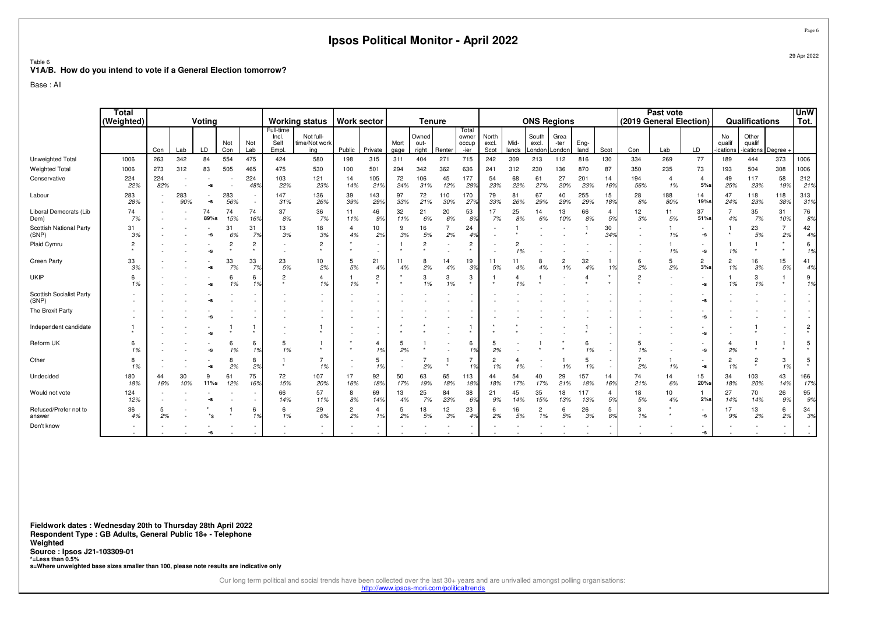|                                                                             |                            |            |            |              |                |                                                      |                                     |                                   | Ipsos Political Monitor - April 2022 |                      |              |                        |                           |                                 |                        |               |                          |                        |              |                      |                |                                      |                          |                          |                             |              | Page 6                             |
|-----------------------------------------------------------------------------|----------------------------|------------|------------|--------------|----------------|------------------------------------------------------|-------------------------------------|-----------------------------------|--------------------------------------|----------------------|--------------|------------------------|---------------------------|---------------------------------|------------------------|---------------|--------------------------|------------------------|--------------|----------------------|----------------|--------------------------------------|--------------------------|--------------------------|-----------------------------|--------------|------------------------------------|
| Table 6<br>V1A/B. How do you intend to vote if a General Election tomorrow? |                            |            |            |              |                |                                                      |                                     |                                   |                                      |                      |              |                        |                           |                                 |                        |               |                          |                        |              |                      |                |                                      |                          |                          |                             |              | 29 Apr 2022                        |
| Base: All                                                                   |                            |            |            |              |                |                                                      |                                     |                                   |                                      |                      |              |                        |                           |                                 |                        |               |                          |                        |              |                      |                |                                      |                          |                          |                             |              |                                    |
|                                                                             | <b>Total</b><br>(Weighted) |            |            | Votina       |                |                                                      |                                     | <b>Working status</b>             |                                      | <b>Work sector</b>   |              | <b>Tenure</b>          |                           |                                 |                        |               | <b>ONS Regions</b>       |                        |              |                      |                | Past vote<br>(2019 General Election) |                          |                          | Qualifications              |              | <b>UnW</b><br>Tot.                 |
|                                                                             |                            | Con        | Lab        | LD           | Not<br>Con     | Not<br>Lab                                           | Full-time<br>Incl.<br>Self<br>Empl. | Not full-<br>time/Not work<br>ina | Public                               | Private              | Mort<br>gage | Owned<br>out-<br>right | Renter                    | Total<br>owner<br>occup<br>-ier | North<br>excl.<br>Scot | Mid-<br>lands | South<br>excl.<br>.ondor | Grea<br>-ter<br>ondon. | Eng-<br>land | Scot                 | Con            | Lab                                  | LD                       | No<br>qualif<br>ications | Other<br>qualif<br>ications | Degree -     |                                    |
| Unweighted Total                                                            | 1006                       | 263        | 342        | 84           | 554            | 475                                                  | 424                                 | 580                               | 198                                  | 315                  | 311          | 404                    | 271                       | 715                             | 242                    | 309           | 213                      | 112                    | 816          | 130                  | 334            | 269                                  | 77                       | 189                      | 444                         | 373          | 1006                               |
| <b>Weighted Total</b>                                                       | 1006                       | 273        | 312        | 83           | 505            | 465                                                  | 475                                 | 530                               | 100                                  | 501                  | 294          | 342                    | 362                       | 636                             | 241                    | 312           | 230                      | 136                    | 870          | 87                   | 350            | 235                                  | 73                       | 193                      | 504                         | 308          | 1006                               |
| Conservative                                                                | 224<br>22%                 | 224<br>82% |            | ٠<br>-S      |                | 224<br>489                                           | 103<br>22%                          | 121<br>23%                        | 14<br>14%                            | 105<br>21%           | 72<br>24%    | 106<br>31%             | 45<br>12%                 | 177<br>28%                      | 54<br>23%              | 68<br>22%     | 61<br>27%                | 27<br>20%              | 201<br>23%   | 14<br>16%            | 194<br>56%     | $\overline{4}$<br>1%                 | $\overline{4}$<br>$5%$ s | 49<br>25%                | 117<br>23%                  | 58<br>19%    | 212<br>21%                         |
| Labour                                                                      | 283<br>28%                 |            | 283<br>90% | $\sim$<br>-s | 283<br>56%     | $\overline{\phantom{a}}$<br>$\overline{\phantom{a}}$ | 147<br>31%                          | 136<br>26%                        | 39<br>39%                            | 143<br>29%           | 97<br>33%    | 72<br>21%              | 110<br>30%                | 170<br>27 <sup>c</sup>          | 79<br>33%              | 81<br>26%     | 67<br>29%                | 40<br>29%              | 255<br>29%   | 15<br>18%            | 28<br>8%       | 188<br>80%                           | 14<br>19%s               | 47<br>24%                | 118<br>23%                  | 118<br>38%   | 313<br>31%                         |
| Liberal Democrats (Lib<br>Dem)                                              | 74<br>7%                   |            |            | 74<br>89%s   | 74<br>15%      | 74<br>169                                            | 37<br>8%                            | 36<br>7%                          | 11<br>11%                            | 46<br>9%             | 32<br>11%    | 21<br>6%               | 20<br>6%                  | 53<br>8%                        | 17<br>7%               | 25<br>8%      | 14<br>6%                 | 13<br>10%              | 66<br>8%     | $\overline{4}$<br>5% | 12<br>3%       | 11<br>5%                             | 37<br>51%s               | 7<br>4%                  | 35<br>7%                    | 31<br>10%    | 76<br>8%                           |
| Scottish National Party<br>(SNP)                                            | 31<br>3%                   |            |            | -s           | 31<br>6%       | 31<br>7%                                             | 13<br>3%                            | 18<br>3%                          | $\overline{4}$<br>4%                 | 10<br>2%             | 9<br>3%      | 16<br>5%               | 7<br>2%                   | 24<br>4 <sup>°</sup>            |                        |               |                          |                        |              | 30<br>34%            |                | 1%                                   | ۰.<br>-S                 |                          | 23<br>5%                    | 7<br>2%      | 42<br>4%                           |
| Plaid Cymru                                                                 | $\overline{c}$<br>$\star$  |            |            | -S           | $\overline{2}$ | 2<br>$\star$                                         |                                     | $\overline{c}$                    |                                      | ٠                    |              | $\overline{2}$         |                           | $\overline{2}$<br>$\star$       |                        | 2<br>1%       |                          |                        |              |                      |                | 1%                                   | ٠<br>-S                  | 1%                       | $\star$                     | $\star$      | 6<br>1%                            |
| Green Party                                                                 | 33<br>3%                   |            |            | -S           | 33<br>7%       | 33<br>7 <sup>o</sup>                                 | 23<br>5%                            | 10<br>2%                          | 5<br>5%                              | 21<br>4%             | 11<br>4%     | 8<br>2%                | 14<br>4%                  | 19<br>39                        | 11<br>5%               | 11<br>4%      | 8<br>4%                  | $\overline{2}$<br>1%   | 32<br>4%     | $\mathbf{1}$<br>1%   | 6<br>2%        | 5<br>2%                              | $\overline{2}$<br>3%s    | $\overline{2}$<br>1%     | 16<br>3%                    | 15<br>5%     | 41<br>4%                           |
| <b>UKIP</b>                                                                 | 6<br>1%                    |            |            | -S           | 6<br>1%        | 6<br>1%                                              | $\overline{2}$                      | 4<br>1%                           | 1%                                   | $\overline{c}$       |              | 3<br>1%                | 3<br>1%                   | 3<br>$\star$                    |                        | 1%            |                          |                        | 4            |                      | $\overline{2}$ |                                      | ٠<br>-S                  | 1%                       | 3<br>1%                     |              | 9<br>1%                            |
| Scottish Socialist Party<br>(SNP)                                           |                            |            |            |              |                |                                                      |                                     | $\sim$                            |                                      |                      |              |                        |                           |                                 |                        |               |                          |                        |              |                      |                |                                      | -s                       |                          |                             |              | $\overline{\phantom{a}}$           |
| The Brexit Party                                                            |                            |            |            |              |                |                                                      |                                     | $\sim$                            |                                      |                      |              |                        |                           |                                 |                        |               |                          |                        |              |                      |                |                                      | -s                       |                          |                             |              | $\bar{a}$                          |
| Independent candidate                                                       | $\mathbf 1$                |            |            |              |                |                                                      |                                     |                                   |                                      |                      |              |                        |                           | 1                               |                        |               |                          |                        |              |                      |                |                                      | ٠<br>-s                  |                          |                             |              | $\overline{c}$                     |
| Reform UK                                                                   | 6<br>1%                    |            |            | -S           | 6<br>1%        | 6<br>1%                                              | 5<br>1%                             |                                   |                                      | $\overline{4}$<br>1% | 5<br>2%      |                        |                           | 6<br>1%                         | 5<br>2%                |               |                          |                        | 6<br>1%      |                      | 5<br>1%        |                                      | -s                       | $\overline{4}$<br>2%     |                             | $\mathbf{1}$ | 5                                  |
| Other                                                                       | 8<br>1%                    |            |            | -S           | 8<br>2%        | 8<br>2%                                              | $\mathbf{1}$<br>$\star$             | $\overline{7}$<br>1%              |                                      | 5<br>1%              |              | $\overline{7}$<br>2%   | $\overline{1}$<br>$\star$ | $\overline{7}$<br>1%            | $\overline{c}$<br>1%   | 1%            |                          | 1%                     | 5<br>1%      |                      | 7<br>2%        | 1%                                   | $\sim$<br>-s             | 2<br>1%                  | $\overline{c}$<br>$\star$   | 3<br>1%      | 5                                  |
| Undecided                                                                   | 180<br>18%                 | 44<br>16%  | 30<br>10%  | 9<br>11%s    | 61<br>12%      | 75<br>169                                            | 72<br>15%                           | 107<br>20%                        | 17<br>16%                            | 92<br>18%            | 50<br>17%    | 63<br>19%              | 65<br>18%                 | 113<br>18%                      | 44<br>18%              | 54<br>17%     | 40<br>17%                | 29<br>21%              | 157<br>18%   | 14<br>16%            | 74<br>21%      | 14<br>6%                             | 15<br>20%s               | 34<br>18%                | 103<br>20%                  | 43<br>14%    | 166<br>17%                         |
| Would not vote                                                              | 124<br>12%                 |            |            |              |                | $\overline{\phantom{a}}$                             | 66<br>14%                           | 57<br>11%                         | 8<br>8%                              | 69<br>14%            | 13<br>4%     | 25<br>7%               | 84<br>23%                 | 38<br>6%                        | 21<br>9%               | 45<br>14%     | 35<br>15%                | 18<br>13%              | 117<br>13%   | $\overline{4}$<br>5% | 18<br>5%       | 10<br>4%                             | 2%s                      | 27<br>14%                | 70<br>14%                   | 26<br>9%     | 95<br>9%                           |
| Refused/Prefer not to<br>answer                                             | 36<br>4%                   | 2%         |            | *s           |                | 6<br>1%                                              | 6<br>1%                             | 29<br>6%                          | $\overline{2}$<br>2%                 | $\overline{4}$<br>1% | 5<br>2%      | 18<br>5%               | 12<br>3%                  | 23<br>4%                        | 6<br>2%                | 16<br>5%      | $\overline{c}$<br>1%     | 6<br>5%                | 26<br>3%     | 5<br>6%              | 3<br>1%        |                                      | $\sim$<br>-s             | 17<br>9%                 | 13<br>2%                    | 6<br>2%      | 34<br>3%                           |
| Don't know                                                                  |                            |            |            |              |                |                                                      |                                     |                                   |                                      |                      |              |                        |                           |                                 |                        |               |                          |                        |              |                      |                |                                      | ٠<br>-s                  |                          |                             |              | $\overline{\phantom{a}}$<br>$\sim$ |

**Fieldwork dates : Wednesday 20th to Thursday 28th April 2022 Respondent Type : GB Adults, General Public 18+ - TelephoneWeighted Source : Ipsos J21-103309-01 \*=Less than 0.5%s=Where unweighted base sizes smaller than 100, please note results are indicative only**

Our long term political and social trends have been collected over the last 30+ years and are unrivalled amongst polling organisations:<br>http://www.ipsos-mori.com/politicaltrends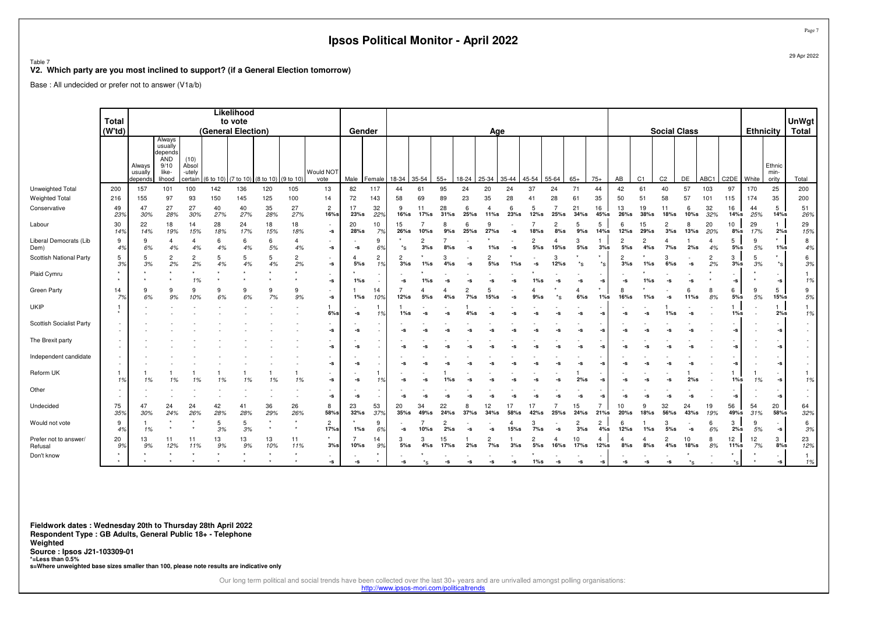Table 7

#### **V2. Which party are you most inclined to support? (if a General Election tomorrow)**

Base : All undecided or prefer not to answer (V1a/b)

|                                  | <b>Total</b>       |                              |                                                                |                                    |                    | Likelihood<br>to vote |                               |                      |                                |            |                       |                       |            |            |              |                       |           |              |           |                       |                  |                       |                          |                     |              |           |                   |                  |                                                        | <b>UnWgt</b>       |
|----------------------------------|--------------------|------------------------------|----------------------------------------------------------------|------------------------------------|--------------------|-----------------------|-------------------------------|----------------------|--------------------------------|------------|-----------------------|-----------------------|------------|------------|--------------|-----------------------|-----------|--------------|-----------|-----------------------|------------------|-----------------------|--------------------------|---------------------|--------------|-----------|-------------------|------------------|--------------------------------------------------------|--------------------|
|                                  | (Wtd)              |                              |                                                                |                                    | (General Election) |                       |                               |                      |                                | Gender     |                       |                       |            |            |              | Age                   |           |              |           |                       |                  |                       |                          | <b>Social Class</b> |              |           |                   | <b>Ethnicity</b> |                                                        | <b>Total</b>       |
|                                  |                    | Always<br>usually<br>depends | Always<br>usually<br>depends<br>AND<br>9/10<br>like-<br>lihood | (10)<br>Absol<br>-utely<br>certain | 6 to 10            |                       | (7 to 10) (8 to 10) (9 to 10) |                      | Would NOT<br>vote              | Male       | Female                | 18-34                 | 35-54      | $55+$      | 18-24        | 25-34                 | 35-44     | 45-54        | 55-64     | $65+$                 | $75+$            | AB                    | C1                       | C <sub>2</sub>      | DE           | ABC1      | C <sub>2</sub> DE | White            | Ethnic<br>min-<br>ority                                | Total              |
| Unweighted Total                 | 200                | 157                          | 101                                                            | 100                                | 142                | 136                   | 120                           | 105                  | 13                             | 82         | 117                   | 44                    | 61         | 95         | 24           | 20                    | 24        | 37           | 24        | 71                    | 44               | 42                    | 61                       | 40                  | 57           | 103       | 97                | 170              | 25                                                     | 200                |
| <b>Weighted Total</b>            | 216                | 155                          | 97                                                             | 93                                 | 150                | 145                   | 125                           | 100                  | 14                             | 72         | 143                   | 58                    | 69         | 89         | 23           | 35                    | 28        | 41           | 28        | 61                    | 35               | 50                    | 51                       | 58                  | 57           | 101       | 115               | 174              | 35                                                     | 200                |
| Conservative                     | 49<br>23%          | 47<br>30%                    | 27<br>28%                                                      | 27<br>30%                          | 40<br>27%          | 40<br>27%             | 35<br>28%                     | 27<br>27%            | $\overline{2}$<br>$16%$ s      | 17<br>23%s | 32<br>22%             | -9<br>$16%$ s         | 11<br>17%s | 28<br>31%s | 6<br>$25%$ s | 4<br>11%s             | 6<br>23%s | 5<br>12%s    | $25%$ s   | 21<br>34%s            | 16<br>45%s       | 13<br>$26%$ s         | 19<br>$38%$ s            | 11<br>18%s          | 6<br>$10%$ s | 32<br>32% | 16<br>14%s        | 44<br>25%        | 5<br>14%s                                              | 51<br>26%          |
| Labour                           | 30<br>14%          | 22<br>14%                    | 18<br>19%                                                      | 14<br>15%                          | 28<br>18%          | 24<br>17%             | 18<br>15%                     | 18<br>18%            | -s                             | 20<br>28%s | 10<br>7%              | 15<br>26%s            | $10%$ s    | 9%s        | 6<br>$25%$ s | 9<br>27%s             |           | 18%s         | 2<br>8%s  | 5<br>9%s              | 5<br>14%s        | 6<br>12%s             | 15<br>29%s               | 2<br>3%s            | 8<br>13%s    | 20<br>20% | 10<br>8%s         | 29<br>17%        | 1.<br>2%s                                              | 29<br>15%          |
| Liberal Democrats (Lib<br>Dem)   | 9<br>4%            | 9<br>6%                      | $\overline{4}$<br>4%                                           | 4%                                 | -6<br>4%           | 6<br>4%               | 6<br>5%                       | $\overline{4}$<br>4% | ٠<br>-s                        | -s         | 9<br>6%               | *s                    | 2<br>3%s   | 8%s        | -s           | $1\%$ s               | -s        | 2<br>5%s     | $15%$ s   | 3<br>5%s              | 3%s              | 2<br>5%s              | $\overline{c}$<br>$4\%s$ | 4<br>$7\%$ s        | 2%s          | 4<br>4%   | 5<br>5%s          | 9<br>5%          | $\star$<br>$1\%s$                                      | 8<br>4%            |
| Scottish National Party          | 5<br>3%            | -5<br>3%                     | $\overline{c}$<br>2%                                           | 2<br>2%                            | -5<br>4%           | 5<br>4%               | 5<br>4%                       | $\overline{2}$<br>2% | $\bar{a}$<br>-s                | 4<br>5%s   | $\overline{c}$<br>1%  | $\overline{2}$<br>3%s | 1%s        | 4%s        | -9           | $\overline{2}$<br>5%s |           | -s           | 3<br>12%s |                       | $*_{\mathbf{S}}$ | $\overline{c}$<br>3%s | 1%s                      | з<br>$6\%s$         | -5           | 2<br>2%   | 3<br>3%s          | -5<br>3%         | $\star$<br>$*_{\mathbf{S}}$                            | 6<br>3%            |
| Plaid Cymru                      |                    |                              |                                                                | 1%                                 |                    |                       |                               |                      | -s                             | $1\%s$     |                       | -s                    | l%s        |            |              |                       |           | $1\%$ s      | -s        | -S                    | -S               | -S                    | 1%s                      | -S                  |              |           | -S                |                  | -s                                                     | 1%                 |
| Green Party                      | 14<br>7%           | 6%                           | 9<br>9%                                                        | 9<br>10%                           | 9<br>6%            | 9<br>6%               | 9<br>7%                       | 9<br>9%              | $\overline{\phantom{a}}$<br>-s | $1\%s$     | 14<br>10 <sup>9</sup> | 12%s                  | 5%s        | $4\%s$     | 2<br>7%s     | 5<br>15%s             |           | 9%s          | *s        | $\overline{4}$<br>6%s | $\star$<br>l%s   | 8<br>$16%$ s          | l%s                      |                     | 6<br>11%s    | 8<br>8%   | 6<br>5%s          | 9<br>5%          | 5<br>15%s                                              | 9<br>5%            |
| <b>UKIP</b>                      | $\mathbf{1}$       |                              |                                                                |                                    |                    |                       |                               |                      | $6%$ s                         | -s         |                       | $1\%s$                | -9         |            |              |                       |           |              |           |                       |                  | -9                    |                          | 1%s                 |              |           | $1\%s$            |                  | $\mathbf{1}$<br>2%s                                    | $\mathbf{1}$<br>1% |
| Scottish Socialist Party         | $\sim$<br>$\sim$   |                              |                                                                |                                    |                    |                       |                               |                      | ٠<br>-s                        | -s         |                       | -s                    | -9         |            |              |                       |           | -s           | -s        | -5                    | -S               | -S                    |                          |                     |              |           | -S                |                  | $\overline{\phantom{a}}$<br>-s                         | $\sim$             |
| The Brexit party                 | ٠                  |                              |                                                                |                                    |                    |                       |                               |                      | -s                             | -s         |                       |                       |            |            |              |                       |           |              |           |                       |                  | -9                    |                          |                     |              |           | -s                |                  | -s                                                     |                    |
| Independent candidate            | $\sim$             |                              |                                                                |                                    |                    |                       |                               |                      | -s                             | -s         |                       |                       |            |            |              |                       |           |              |           |                       |                  |                       |                          |                     |              |           | -S                |                  | -s                                                     |                    |
| Reform UK                        | $\mathbf{1}$<br>1% | 1%                           | 1%                                                             | 1%                                 | 1%                 | 1%                    | 1%                            | 1%                   | $\sim$<br>-s                   | -s         |                       |                       |            |            |              |                       |           |              | $-S$      | 2%s                   |                  | -S                    |                          |                     | 2%s          |           | $1\%s$            | 1%               | $\overline{\phantom{a}}$<br>-s                         | $\mathbf{1}$<br>1% |
| Other                            |                    |                              |                                                                |                                    |                    |                       |                               |                      | -s                             | -s         |                       | -s                    | -9         |            |              |                       |           |              |           |                       |                  | -S                    |                          |                     |              |           | -S                |                  | -s                                                     | $\sim$             |
| Undecided                        | 75<br>35%          | 47<br>30%                    | 24<br>24%                                                      | 24<br>26%                          | 42<br>28%          | 41<br>28%             | 36<br>29%                     | 26<br>26%            | 8<br>58%s                      | 23<br>32%s | 53<br>37%             | 20<br>$35%$ s         | 34<br>49%s | 22<br>24%s | 8<br>$37%$ s | 12<br>$34\%$ s        | 58%s      | 17<br>42%s   | $25%$ s   | 15<br>24%s            | $21%$ s          | 10<br>20%s            | 9<br>$18%$ s             | 32<br>56%s          | 24<br>43%s   | 19<br>19% | 56<br>49%s        | 54<br>31%        | 20<br>58%s                                             | 64<br>32%          |
| Would not vote                   | 9<br>4%            | 1%                           |                                                                |                                    | 5<br>3%            | 5<br>3%               | $\star$                       | $\star$<br>$\star$   | 2<br>17%s                      | $1\%s$     | 9<br>6%               | -s                    | 10%s       | 2%s        | -5           |                       | 4<br>15%s | 3<br>7%s     | -s        | $\overline{c}$<br>3%s | 2<br>4%s         | 6<br>12%s             | $1\%s$                   | 3<br>5%s            | -5           | 6<br>6%   | 3<br>2%s          | 5%               | $\overline{\phantom{a}}$<br>$\textnormal{\texttt{-S}}$ | 6<br>3%            |
| Prefer not to answer/<br>Refusal | 20<br>9%           | 13<br>9%                     | 11<br>12%                                                      | 11<br>11%                          | 13<br>9%           | 13<br>9%              | 13<br>10%                     | 11<br>11%            | $\star$<br>3%s                 | 10%s       | 14<br>99              | 5%s                   | 3<br>4%s   | 15<br>17%s | 2%s          | $7\%$ s               | 3%s       | 2<br>$5\%$ s | 16%s      | 10<br>17%s            | 12%s             | $8%$ s                | 8%s                      | 4%s                 | 10<br>18%s   | 8<br>8%   | 12<br>11%s        | 12<br>7%         | 3<br>$8%$ s                                            | 23<br>12%          |
| Don't know                       |                    |                              |                                                                |                                    |                    |                       |                               |                      | $\sim$<br>-s                   | -s         |                       | -s                    | *s         | -s         | -S           | -s                    | -s        | $1\%s$       | -s        | -S                    | -s               | -S                    | -s                       | -S                  | *s           |           | *s                |                  | $\sim$<br>$-S$                                         | $\mathbf{1}$<br>1% |

**Fieldwork dates : Wednesday 20th to Thursday 28th April 2022 Respondent Type : GB Adults, General Public 18+ - TelephoneWeighted Source : Ipsos J21-103309-01 \*=Less than 0.5%s=Where unweighted base sizes smaller than 100, please note results are indicative only**

Our long term political and social trends have been collected over the last 30+ years and are unrivalled amongst polling organisations:

http://www.ipsos-mori.com/politicaltrends

Page 7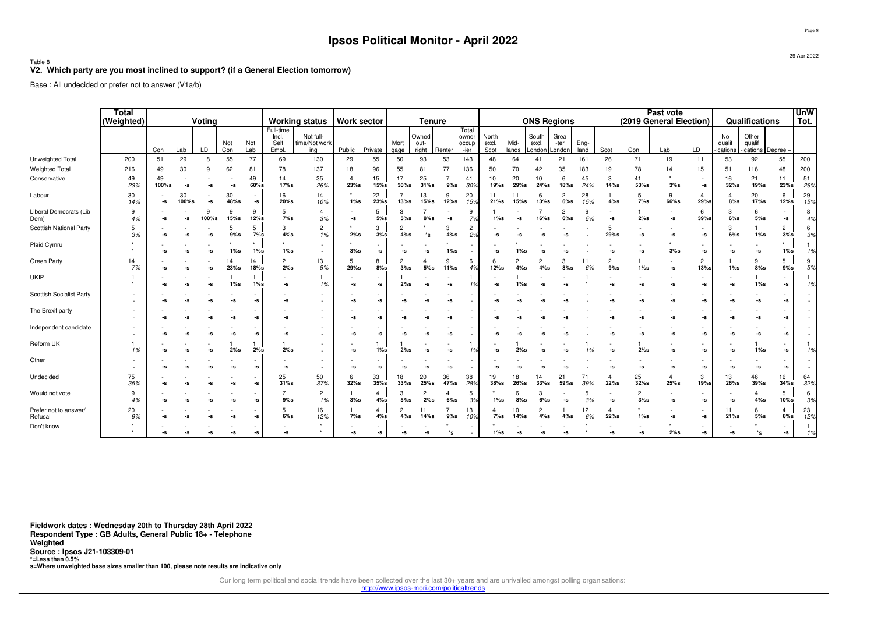#### Table 8

#### **V2. Which party are you most inclined to support? (if a General Election tomorrow)**

Base : All undecided or prefer not to answer (V1a/b)

|                                  | <b>Total</b><br>(Weighted) | Voting      |             |            |              |                                |                                     | <b>Working status</b>             | <b>Work sector</b>        |               |                       | <b>Tenure</b>          |                       |                                 |                        |                       |                          | <b>ONS Regions</b>       |              |                        | (2019 General Election) | Past vote    |                        |                          | Qualifications              |                       | UnW<br>Tot. |
|----------------------------------|----------------------------|-------------|-------------|------------|--------------|--------------------------------|-------------------------------------|-----------------------------------|---------------------------|---------------|-----------------------|------------------------|-----------------------|---------------------------------|------------------------|-----------------------|--------------------------|--------------------------|--------------|------------------------|-------------------------|--------------|------------------------|--------------------------|-----------------------------|-----------------------|-------------|
|                                  |                            | Con         | Lab         | LD.        | Not<br>Con   | Not<br>Lab                     | Full-time<br>Incl.<br>Self<br>Empl. | Not full-<br>time/Not work<br>ing | Public                    | Private       | Mort<br>gage          | Owned<br>out-<br>right | Renter                | Total<br>owner<br>occup<br>-ier | North<br>excl.<br>Scot | Mid-<br>lands         | South<br>excl.<br>Londor | Grea<br>-ter<br>Londor   | Eng-<br>land | Scot                   | Con                     | Lab          | LD                     | No<br>qualif<br>ications | Other<br>qualif<br>ications | Degree -              |             |
| Unweighted Total                 | 200                        | 51          | 29          | 8          | 55           | 77                             | 69                                  | 130                               | 29                        | 55            | 50                    | 93                     | 53                    | 143                             | 48                     | 64                    | 41                       | 21                       | 161          | 26                     | 71                      | 19           | 11                     | 53                       | 92                          | 55                    | 200         |
| <b>Weighted Total</b>            | 216                        | 49          | 30          | 9          | 62           | 81                             | 78                                  | 137                               | 18                        | 96            | 55                    | 81                     | 77                    | 136                             | 50                     | 70                    | 42                       | 35                       | 183          | 19                     | 78                      | 14           | 15                     | 51                       | 116                         | 48                    | 200         |
| Conservative                     | 49<br>23%                  | 49<br>100%s | ٠<br>-s     | -S         | -S           | 49<br>$60\%$ s                 | 14<br>17%s                          | 35<br>26%                         | $\overline{4}$<br>$23%$ s | 15<br>$15%$ s | 17<br>$30%$ s         | 25<br>$31%$ s          | $\overline{7}$<br>9%s | 41<br>30%                       | 10<br>19%s             | 20<br>29%s            | 10<br>24%s               | 6<br>18%s                | 45<br>24%    | 3<br>14%s              | 41<br>53%s              | 3%s          | $\sim$<br>-s           | 16<br>32%s               | 21<br>19%s                  | 11<br>23%s            | 51<br>26%   |
| Labour                           | 30<br>14%                  |             | 30<br>100%s | -S         | 30<br>48%s   | $\overline{\phantom{a}}$<br>-s | 16<br>20%s                          | 14<br>10%                         | $1\%$ s                   | 22<br>23%s    | 13%s                  | 13<br>15%s             | 9<br>12%s             | 20<br>15%                       | 11<br>21%s             | 11<br>$15%$ s         | 6<br>13%s                | $\overline{2}$<br>6%s    | 28<br>15%    | 1<br>4%s               | -5<br>$7\%s$            | 9<br>66%s    | $\overline{4}$<br>29%s | 4<br>8%s                 | 20<br>17%s                  | 6<br>12%s             | 29<br>15%   |
| Liberal Democrats (Lib<br>Dem)   | 9<br>4%                    |             | -S          | 9<br>100%s | 9<br>$15%$ s | 9<br>12%s                      | 5<br>7%s                            | $\overline{4}$<br>3%              | -S                        | 5<br>5%s      | 3<br>$5\%$ s          | $8%$ s                 | -S                    | 9<br>7%                         | $1\%s$                 | -s                    | 16%s                     | $\overline{2}$<br>$6\%s$ | -9<br>5%     | -S                     | 2%s                     | -s           | 6<br>39%               | $6\%s$                   | 6<br>5%s                    | -S                    | 8<br>4%     |
| Scottish National Party          | 5<br>3%                    |             | -S          | -S         | 5<br>9%s     | 5<br>7%s                       | 3<br>4%s                            | $\overline{2}$<br>1%              | 2%s                       | 3<br>3%s      | 4%s                   | *s                     | 3<br>4%s              | 2<br>2%                         | -9                     |                       |                          |                          |              | 5<br>29%s              | -S                      | -S           | $\sim$<br>-s           | 3<br>$6\%s$              | $1\%s$                      | 2<br>3%s              | 6<br>3%     |
| Plaid Cymru                      |                            |             | -S          | -9         |              | $1\%s$                         | 1%s                                 |                                   | 3%s                       | -S            | -S                    | -S                     | $1\%s$                |                                 | -S                     | $1\%$ s               | -5                       |                          |              | -9                     | -s                      | 3%s          | $\sim$<br>-s           | -S                       | -s                          | $1\%s$                | 1%          |
| Green Party                      | 14<br>7%                   |             | -S          | -S         | 14<br>23%s   | 14<br>$18%$ s                  | $\overline{2}$<br>2%s               | 13<br>9%                          | 5<br>29%s                 | 8<br>8%s      | $\overline{2}$<br>3%s | 5%s                    | 9<br>11%s             | 6<br>4%                         | -6<br>12%s             | $\overline{c}$<br>4%s | 2<br>4%s                 | 3<br>8%s                 | 11<br>6%     | $\overline{2}$<br>9%s  | $1\%s$                  | -s           | $\overline{c}$<br>13%s | $1\%s$                   | 9<br>8%s                    | 5<br>$9%$ s           | 9<br>5%     |
| UKIP                             |                            |             |             | -9         | 1%s          | $1\%s$                         | -S                                  | 1%                                | -s                        | -5            | 2%s                   | -S                     | -S                    |                                 | -S                     | $1\%s$                | -5                       |                          |              |                        | -S                      | -S           | -s                     | -S                       | $1\%s$                      | -S                    | 1%          |
| <b>Scottish Socialist Party</b>  |                            |             |             |            | -S           | -s                             | -S                                  |                                   | -S                        | -5            | -S                    | -9                     | -9                    |                                 |                        |                       |                          |                          |              |                        | -S                      | -S           | $\sim$<br>-s           | -s                       | -S                          | -S                    |             |
| The Brexit party                 |                            |             |             |            |              | -s                             | -S                                  |                                   | -S                        | -9            | $\sim$                |                        |                       |                                 |                        |                       |                          |                          |              |                        | -S                      | -S           | -s                     | -s                       | -S                          | -S                    |             |
| Independent candidate            |                            |             |             |            |              | -s                             | -S                                  |                                   | -S                        | -5            | $\sim$                |                        |                       |                                 |                        |                       |                          |                          |              |                        | -S                      | -S           | -s                     | -s                       | -S                          | -S                    |             |
| Reform UK                        | 1%                         |             |             |            | 2%s          | 2%s                            | 2%s                                 |                                   | -S                        | $1\%s$        | 2%s                   |                        |                       |                                 |                        |                       |                          |                          | 1%           |                        | 2%s                     | -S           | -s                     | -S                       | $1\%s$                      | -S                    | 1%          |
| Other                            |                            |             |             |            | -S           | -s                             | -S                                  |                                   | -S                        | -5            | -S                    |                        | -9                    |                                 |                        |                       |                          |                          |              |                        | -S                      | -S           | -s                     | -s                       | -s                          | -s                    |             |
| Undecided                        | 75<br>35%                  |             |             |            |              | -s                             | 25<br>31%s                          | 50<br>37%                         | 6<br>$32%$ s              | 33<br>35%s    | 18<br>$33%$ s         | 20<br>$25%$ s          | 36<br>47%s            | 38<br>28%                       | 19<br>$38%$ s          | 18<br>$26%$ s         | 14<br>$33%$ s            | 21<br>59%s               | 71<br>39%    | 4<br>22%s              | 25<br>$32%$ s           | 4<br>$25%$ s | 3<br>19%s              | 13<br>26%s               | 46<br>$39%$ s               | 16<br>$34%$ s         | 64<br>32%   |
| Would not vote                   | 9<br>4%                    |             | -9          |            | -S           | -s                             | 7<br>9%s                            | $\overline{c}$<br>1%              | 3%s                       | 4<br>4%s      | 3<br>$5\%s$           | $\overline{c}$<br>2%s  | 6%s                   | 5<br>3%                         | 1%s                    | 6<br>8%s              | 3<br>$6%$ s              | -S                       | 3%           | -s                     | $\overline{2}$<br>3%s   | -S           | $\sim$<br>-s           | -s                       | $4\%s$                      | 5<br>10%s             | 6<br>3%     |
| Prefer not to answer/<br>Refusal | 20<br>9%                   |             |             |            |              | -s                             | 5<br>6%s                            | 16<br>12%                         | $7\%s$                    | 4<br>4%s      | $4\%s$                | 14%s                   | 9%s                   | 13<br>10%                       | $7\%s$                 | 10<br>14%s            | 2<br>4%s                 | 4%s                      | 12<br>$6\%$  | $\overline{4}$<br>22%s | $1\%s$                  | -S           | $\sim$<br>-s           | 11<br>21%s               | 6<br>5%s                    | $\overline{4}$<br>8%s | 23<br>12%   |
| Don't know                       |                            |             | -S          | -9         | -S           |                                | -S                                  |                                   | -S                        | -5            | -S                    | -S                     | $^*$ s                |                                 | $1\%s$                 | -s                    | -S                       | -S                       |              | -5                     | -s                      | 2%s          | $\sim$<br>-s           | -s                       | $*_{\mathbf{S}}$            | -s                    | 1%          |

**Fieldwork dates : Wednesday 20th to Thursday 28th April 2022 Respondent Type : GB Adults, General Public 18+ - TelephoneWeighted Source : Ipsos J21-103309-01 \*=Less than 0.5%s=Where unweighted base sizes smaller than 100, please note results are indicative only**

Our long term political and social trends have been collected over the last 30+ years and are unrivalled amongst polling organisations:

http://www.ipsos-mori.com/politicaltrends

Page 8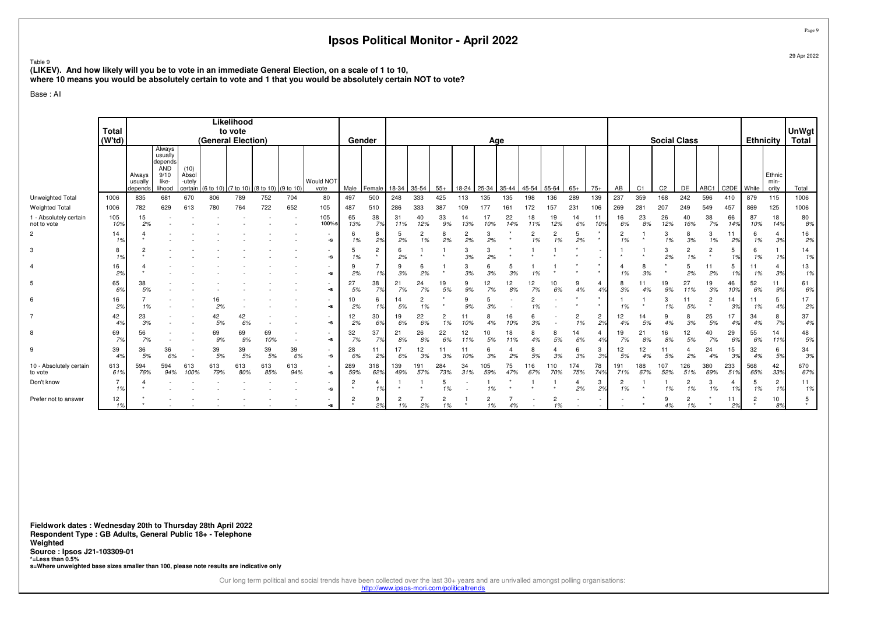Table 9

**(LIKEV). And how likely will you be to vote in an immediate General Election, on a scale of 1 to 10,**

**where 10 means you would be absolutely certain to vote and 1 that you would be absolutely certain NOT to vote?**

Base : All

|                                       | <b>Total</b>         |                              |                                                             |                                    |                    | Likelihood<br>to vote |                                  |            |                                                        |            |                           |            |            |            |                      |                      |           |            |                      |                      |                      |                      |                |                     |                      |                           |                   |                  |                         |                       |
|---------------------------------------|----------------------|------------------------------|-------------------------------------------------------------|------------------------------------|--------------------|-----------------------|----------------------------------|------------|--------------------------------------------------------|------------|---------------------------|------------|------------|------------|----------------------|----------------------|-----------|------------|----------------------|----------------------|----------------------|----------------------|----------------|---------------------|----------------------|---------------------------|-------------------|------------------|-------------------------|-----------------------|
|                                       | (W'td)               |                              |                                                             |                                    | (General Election) |                       |                                  |            |                                                        | Gender     |                           |            |            |            |                      | Age                  |           |            |                      |                      |                      |                      |                | <b>Social Class</b> |                      |                           |                   | <b>Ethnicity</b> |                         | <b>UnWgt</b><br>Total |
|                                       |                      |                              | Always                                                      |                                    |                    |                       |                                  |            |                                                        |            |                           |            |            |            |                      |                      |           |            |                      |                      |                      |                      |                |                     |                      |                           |                   |                  |                         |                       |
|                                       |                      | Always<br>usually<br>depends | usually<br>depends<br><b>AND</b><br>9/10<br>like-<br>lihood | (10)<br>Absol<br>-utely<br>certain | (6 to 10           |                       | )) (7 to 10) (8 to 10) (9 to 10) |            | Would NOT<br>vote                                      | Male       | Female                    | 18-34      | 35-54      | $55+$      | $18 - 24$            | 25-34                | 35-44     | 45-54      | 55-64                | $65+$                | $75+$                | AB                   | C <sub>1</sub> | C <sub>2</sub>      | DE                   | ABC1                      | C <sub>2</sub> DE | White            | Ethnic<br>min-<br>ority | Total                 |
| Unweighted Total                      | 1006                 | 835                          | 681                                                         | 670                                | 806                | 789                   | 752                              | 704        | 80                                                     | 497        | 500                       | 248        | 333        | 425        | 113                  | 135                  | 135       | 198        | 136                  | 289                  | 139                  | 237                  | 359            | 168                 | 242                  | 596                       | 410               | 879              | 115                     | 1006                  |
| <b>Weighted Total</b>                 | 1006                 | 782                          | 629                                                         | 613                                | 780                | 764                   | 722                              | 652        | 105                                                    | 487        | 510                       | 286        | 333        | 387        | 109                  | 177                  | 161       | 172        | 157                  | 231                  | 106                  | 269                  | 281            | 207                 | 249                  | 549                       | 457               | 869              | 125                     | 1006                  |
| 1 - Absolutely certain<br>not to vote | 105<br>10%           | 15<br>2%                     |                                                             |                                    |                    |                       |                                  |            | 105<br>100%s                                           | 65<br>13%  | 38<br>7%                  | 31<br>11%  | 40<br>12%  | 33<br>9%   | 14<br>13%            | 10%                  | 22<br>14% | 18<br>11%  | 19<br>12%            | 14<br>6%             | 11<br>10%            | 16<br>6%             | 23<br>8%       | 26<br>12%           | 40<br>16%            | 38<br>7%                  | 66<br>14%         | 87<br>10%        | 18<br>14%               | 80<br>8%              |
| $\overline{2}$                        | 14<br>1%             |                              |                                                             |                                    |                    |                       |                                  |            | $\overline{\phantom{a}}$<br>$\textbf{-S}$              | 6<br>1%    | 8<br>2%                   | 5<br>2%    | 2<br>1%    | 8<br>2%    | $\overline{2}$<br>2% | 3<br>2%              |           | 1%         | $\overline{c}$<br>1% | 5<br>2%              |                      | $\overline{c}$<br>1% |                | 3<br>1%             | 3%                   | 3<br>1%                   | 2%                | 6<br>1%          | 4<br>3%                 | 16<br>2%              |
| 3                                     | 8<br>1%              |                              |                                                             |                                    |                    |                       |                                  |            | $\overline{a}$<br>$\textbf{-S}$                        | 5<br>1%    | $\overline{c}$<br>$\star$ | 6<br>2%    |            |            | 3<br>3%              | 2%                   |           |            |                      |                      |                      |                      |                | 3<br>2%             | $\overline{2}$<br>1% | $\overline{2}$<br>$\star$ | -5<br>1%          | 6<br>1%          | 1%                      | 14<br>1%              |
| 4                                     | 16<br>2%             |                              |                                                             |                                    |                    |                       |                                  |            | $\overline{\phantom{a}}$<br>$\textnormal{\texttt{-S}}$ | 9<br>2%    |                           | 9<br>3%    | 6<br>2%    |            | 3<br>3%              | 3%                   | 3%        | 1%         |                      |                      |                      | 4<br>1%              | 3%             |                     | -5<br>2%             | 11<br>2%                  | -5<br>1%          | 11<br>1%         | $\overline{4}$<br>3%    | 13<br>1%              |
| 5                                     | 65<br>6%             | 38<br>5%                     |                                                             |                                    |                    |                       |                                  |            | $\overline{\phantom{a}}$<br>$\textbf{-S}$              | 27<br>5%   | 38<br>7%                  | 21<br>7%   | 24<br>7%   | 19<br>5%   | 9<br>9%              | 12<br>7%             | 12<br>8%  | 12<br>7%   | 10<br>6%             | 9<br>4%              | 4                    | 8<br>3%              | 11<br>4%       | 19<br>9%            | 27<br>11%            | 19<br>3%                  | 46<br>10%         | 52<br>6%         | 11<br>9%                | 61<br>6%              |
| 6                                     | 16<br>2%             | 1%                           |                                                             |                                    | 16<br>2%           |                       |                                  |            | $\overline{\phantom{a}}$<br>$\textbf{-S}$              | 10<br>2%   | 6                         | 14<br>5%   | 2<br>1%    |            | 9<br>9%              | 3%                   |           | 1%         |                      |                      |                      | 1%                   |                | 3<br>1%             | 11<br>5%             | 2                         | 14<br>3%          | -11<br>1%        | 5<br>4%                 | 17<br>2%              |
| 7                                     | 42<br>4%             | 23<br>3%                     |                                                             |                                    | 42<br>5%           | 42<br>6%              |                                  |            | $\overline{\phantom{a}}$<br>$\textnormal{\texttt{-S}}$ | 12<br>2%   | 30<br>6%                  | 19<br>6%   | 22<br>6%   | 2<br>1%    | 10%                  |                      | 16<br>10% | 3%         |                      | $\overline{2}$<br>1% | $\overline{c}$<br>2% | 12<br>4%             | 14<br>5%       | 9<br>4%             | 3%                   | 25<br>5%                  | 17<br>4%          | 34<br>4%         | 8<br>7%                 | 37<br>4%              |
| 8                                     | 69<br>7%             | 56<br>7%                     |                                                             |                                    | 69<br>9%           | 69<br>9%              | 69<br>10%                        |            | $\textnormal{\texttt{-S}}$                             | 32<br>7%   | 37<br>7%                  | 21<br>8%   | 26<br>8%   | 22<br>6%   | 12<br>11%            | 10<br>5%             | 18<br>11% | 4%         | 8<br>5%              | 14<br>6%             | 4<br>4%              | 19<br>7%             | 21<br>8%       | 16<br>8%            | 12<br>5%             | 40<br>7%                  | 29<br>6%          | 55<br>6%         | 14<br>11%               | 48<br>5%              |
| 9                                     | 39<br>4%             | 36<br>5%                     | 36<br>6%                                                    |                                    | 39<br>5%           | 39<br>5%              | 39<br>5%                         | 39<br>6%   | $\overline{\phantom{a}}$<br>-s                         | 28<br>6%   | 11<br>2%                  | 17<br>6%   | 12<br>3%   | 11<br>3%   | 11                   | 3%                   | 2%        | 5%         | 3%                   | 6<br>3%              | -3<br>3%             | 12<br>5%             | 12<br>4%       | 5%                  | 2%                   | 24<br>4%                  | 15<br>3%          | 32<br>4%         | 6<br>5%                 | 34<br>3%              |
| 10 - Absolutely certain<br>to vote    | 613<br>61%           | 594<br>76%                   | 594<br>94%                                                  | 613<br>100%                        | 613<br>79%         | 613<br>80%            | 613<br>85%                       | 613<br>94% | $\sim$<br>$\textbf{-S}$                                | 289<br>59% | 318<br>62%                | 139<br>49% | 191<br>57% | 284<br>73% | 34<br>31%            | 105<br>59%           | 75<br>47% | 116<br>67% | 110<br>70%           | 174<br>75%           | 78<br>74%            | 191<br>71%           | 188<br>67%     | 107<br>52%          | 126<br>51%           | 380<br>69%                | 233<br>51%        | 568<br>65%       | 42<br>33%               | 670<br>67%            |
| Don't know                            | $\overline{7}$<br>1% |                              |                                                             |                                    |                    |                       |                                  |            | $\overline{\phantom{a}}$<br>$\textbf{-S}$              | 2          |                           |            |            | 5<br>1%    |                      | 1%                   |           |            |                      | 2%                   | 3<br>2%              | 2<br>1%              |                | 1%                  | $\overline{2}$<br>1% | 3<br>1%                   | 1%                | 5<br>1%          | $\overline{c}$<br>1%    | 11<br>1%              |
| Prefer not to answer                  | 12<br>1%             |                              |                                                             |                                    |                    |                       |                                  |            | ٠<br>-s                                                | c          | 9<br>2%                   | 2<br>1%    | 2%         | 2<br>1%    | $\star$              | $\overline{2}$<br>1% | 4%        |            | 2<br>1%              |                      |                      |                      |                | 9<br>4%             | $\overline{2}$<br>1% |                           | 11<br>2%          | 2                | 10<br>8%                | 5<br>$\star$          |

**Fieldwork dates : Wednesday 20th to Thursday 28th April 2022 Respondent Type : GB Adults, General Public 18+ - TelephoneWeighted Source : Ipsos J21-103309-01 \*=Less than 0.5%s=Where unweighted base sizes smaller than 100, please note results are indicative only**

Our long term political and social trends have been collected over the last 30+ years and are unrivalled amongst polling organisations:

http://www.ipsos-mori.com/politicaltrends

Page 929 Apr 2022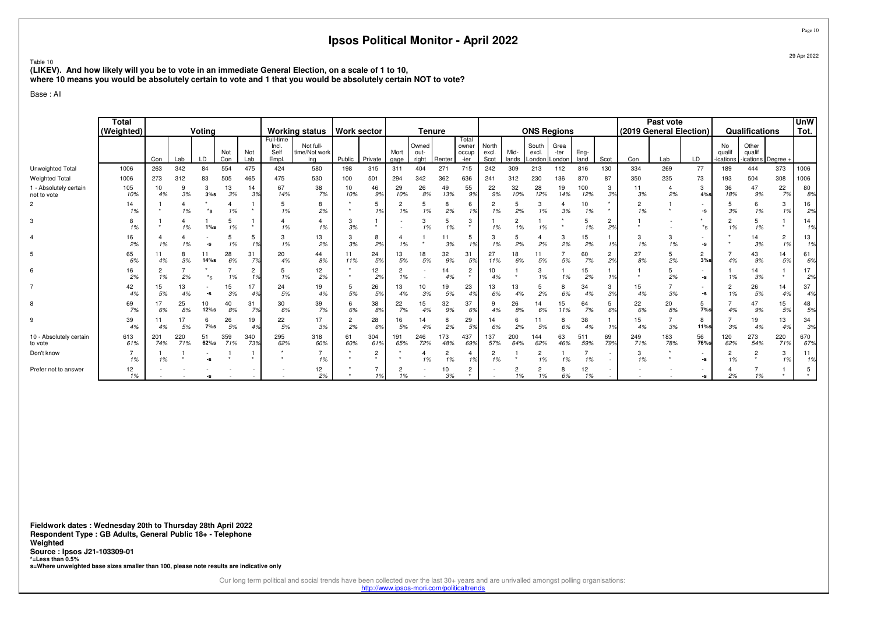Table 10

 **(LIKEV). And how likely will you be to vote in an immediate General Election, on a scale of 1 to 10,where 10 means you would be absolutely certain to vote and 1 that you would be absolutely certain NOT to vote?**

Base : All

|                                       | <b>Total</b><br>(Weighted) |            |            | Voting           |            |            |                                     | <b>Working status</b>             | <b>Work sector</b> |              |                      | <b>Tenure</b>          |                      |                                 |                        |                      | <b>ONS Regions</b>       |                        |              |           |            | Past vote<br>(2019 General Election) |                  |                           | <b>Qualifications</b>               |                      | <b>UnW</b><br>Tot.   |
|---------------------------------------|----------------------------|------------|------------|------------------|------------|------------|-------------------------------------|-----------------------------------|--------------------|--------------|----------------------|------------------------|----------------------|---------------------------------|------------------------|----------------------|--------------------------|------------------------|--------------|-----------|------------|--------------------------------------|------------------|---------------------------|-------------------------------------|----------------------|----------------------|
|                                       |                            | Con        | Lab        | LD               | Not<br>Con | Not<br>Lab | Full-time<br>Incl.<br>Self<br>Empl. | Not full-<br>time/Not work<br>ing | Public             | Private      | Mort<br>gage         | Owned<br>out-<br>right | Renter               | Total<br>owner<br>occup<br>-ier | North<br>excl.<br>Scot | Mid-<br>lands        | South<br>excl.<br>Londor | Grea<br>-ter<br>Londor | Eng-<br>land | Scot      | Con        | Lab                                  | <b>LD</b>        | No<br>qualit<br>-ications | Other<br>qualif<br>-ications Degree |                      |                      |
| Unweighted Total                      | 1006                       | 263        | 342        | 84               | 554        | 475        | 424                                 | 580                               | 198                | 315          | 311                  | 404                    | 271                  | 715                             | 242                    | 309                  | 213                      | 112                    | 816          | 130       | 334        | 269                                  | 77               | 189                       | 444                                 | 373                  | 1006                 |
| Weighted Total                        | 1006                       | 273        | 312        | 83               | 505        | 465        | 475                                 | 530                               | 100                | 501          | 294                  | 342                    | 362                  | 636                             | 241                    | 312                  | 230                      | 136                    | 870          | 87        | 350        | 235                                  | 73               | 193                       | 504                                 | 308                  | 1006                 |
| 1 - Absolutely certain<br>not to vote | 105<br>10%                 | 10<br>4%   | 9<br>3%    | 3<br>3%s         | 13<br>3%   | 14<br>3%   | 67<br>14%                           | 38<br>7%                          | 10<br>10%          | 46<br>9%     | 29<br>10%            | 26<br>8%               | 49<br>13%            | 55<br>9%                        | 22<br>9%               | 32<br>10%            | 28<br>12%                | 19<br>14%              | 100<br>12%   | 3<br>3%   | 11<br>3%   | 2%                                   | 3<br>4%s         | 36<br>18%                 | 47<br>9%                            | 22<br>7%             | 80<br>8%             |
| $\overline{2}$                        | 14<br>1%                   |            | 1%         | $^*$ s           | 1%         |            | 5<br>1%                             | 8<br>2%                           |                    | 5<br>1%      | 2<br>1%              | 5<br>1%                | 8<br>2%              | 6<br>1%                         | 1%                     | 5<br>2%              | 3<br>1%                  | 3%                     | 10<br>1%     | $\star$   | 1%         |                                      | -S               | 3%                        | 6<br>1%                             | 3<br>1%              | 16<br>2%             |
| 3                                     | 1%                         |            | 1%         | $1\%s$           | 1%         |            | 4<br>1%                             | 4<br>1%                           | 3<br>3%            | $\star$      |                      | 1%                     | 1%                   | 3                               | 1%                     | 2<br>1%              | 1%                       |                        | 1%           | 2<br>2%   |            |                                      | $*_{\mathbf{S}}$ | 2<br>1%                   | 1%                                  |                      | 14<br>1 <sup>c</sup> |
|                                       | 16<br>2%                   | 1%         | 1%         | -5               | 1%         | 10/        | 3<br>1%                             | 13<br>2%                          | 3<br>3%            | 8<br>2%      | 1%                   |                        | 3%                   | 5<br>1%                         | 3<br>1%                | 2%                   | 2%                       | 3<br>2%                | 15<br>2%     |           | 1%         | 3<br>1%                              | -s               |                           | 14<br>3%                            | $\overline{c}$<br>1% | 13<br>1%             |
| 5                                     | 65<br>6%                   |            | 3%         | 11<br>14%s       | 28<br>6%   | 31<br>7%   | 20<br>4%                            | 44<br>8%                          | 11<br>11%          | 24<br>5%     | 13<br>5%             | 18<br>5%               | 32<br>9%             | 31<br>5%                        | 27<br>11%              | 18<br>6%             | 11<br>5%                 | 5%                     | 60<br>7%     | 2<br>2%   | 27<br>8%   | 2%                                   | 2<br>3%s         | 4%                        | 43<br>9%                            | 14<br>5%             | 61<br>6%             |
| 6                                     | 16<br>2%                   | 1%         | 2%         | $*_{\mathbf{c}}$ | 1%         | 10         | 5<br>1%                             | 12<br>2%                          |                    | 12<br>2%     | 2<br>1%              |                        | 14<br>4%             | 2                               | 10<br>4%               |                      | 3<br>1%                  | 1%                     | 15<br>2%     |           |            | 2%                                   | -s               | 1%                        | 14<br>3%                            |                      | 2%                   |
|                                       | 42<br>4%                   | 15.<br>5%  | 13         | -S               | 15<br>3%   | 17<br>4%   | 24<br>5%                            | 19<br>4%                          | 5<br>5%            | 26<br>5%     | 13<br>4%             | 3%                     | 19<br>5%             | 23<br>4%                        | 13<br>6%               | 13<br>4%             | 5<br>2%                  | 8<br>6%                | 34<br>4%     | 3<br>3%   | 15<br>4%   | 3%                                   | -s               | 2<br>1%                   | 26<br>5%                            | 14<br>4%             | 37<br>4%             |
| 8                                     | 69<br>7%                   | 6%         | 25<br>8%   | 10<br>12%s       | 40<br>8%   | 31<br>7%   | 30<br>6%                            | 39<br>7%                          | 6<br>$6\%$         | 38<br>8%     | 22<br>7%             | 15<br>4%               | 32<br>9%             | 37<br>6%                        | 9<br>4%                | 26<br>8%             | 14<br>6%                 | 15<br>11%              | 64<br>7%     | 5<br>6%   | 22<br>6%   | 20<br>8%                             | 5<br>7%s         | 4%                        | 47<br>9%                            | 15<br>5%             | 48<br>5%             |
| 9                                     | 39<br>4%                   | 4%         | 17<br>5%   | 6<br>$7\%s$      | 26<br>5%   | 19<br>4%   | 22<br>5%                            | 17<br>3%                          | 2<br>2%            | 28<br>6%     | 16<br>5%             | 14<br>4%               | 8<br>2%              | 29<br>5%                        | 14<br>6%               | 6<br>2%              | 5%                       | 8<br>6%                | 38<br>4%     | 10/       | 15<br>4%   | 3%                                   | 8<br>11%s        | 3%                        | 19<br>4%                            | 13<br>4%             | 34<br>3%             |
| 10 - Absolutely certain<br>to vote    | 613<br>61%                 | 201<br>74% | 220<br>71% | 51<br>62%s       | 359<br>71% | 340<br>73% | 295<br>62%                          | 318<br>60%                        | 61<br>60%          | 304<br>61%   | 191<br>65%           | 246<br>72%             | 173<br>48%           | 437<br>69%                      | 137<br>57%             | 200<br>64%           | 144<br>62%               | 63<br>46%              | 511<br>59%   | 69<br>79% | 249<br>71% | 183<br>78%                           | 56<br>76%s       | 120<br>62%                | 273<br>54%                          | 220<br>71%           | 670<br>67%           |
| Don't know                            | 1%                         | 1%         |            |                  |            |            |                                     | 1%                                |                    | 2<br>$\star$ |                      | 1%                     | $\overline{c}$<br>1% | 1%                              | $\Omega$<br>∠<br>1%    |                      | $\overline{c}$<br>1%     | 1%                     | 1%           |           | 1%         |                                      | -s               | 2<br>1%                   | 2                                   | 3<br>1%              | 11<br>1%             |
| Prefer not to answer                  | 12<br>1%                   |            |            | -S               |            |            |                                     | 12<br>2%                          |                    | 1%           | $\overline{2}$<br>1% |                        | 10<br>3%             | 2                               |                        | $\overline{2}$<br>1% | 2<br>1%                  | 8<br>6%                | 12<br>1%     |           |            |                                      | -s               | 2%                        | 1%                                  |                      |                      |

**Fieldwork dates : Wednesday 20th to Thursday 28th April 2022 Respondent Type : GB Adults, General Public 18+ - TelephoneWeighted Source : Ipsos J21-103309-01 \*=Less than 0.5%s=Where unweighted base sizes smaller than 100, please note results are indicative only**

Our long term political and social trends have been collected over the last 30+ years and are unrivalled amongst polling organisations:

http://www.ipsos-mori.com/politicaltrends

Page 1029 Apr 2022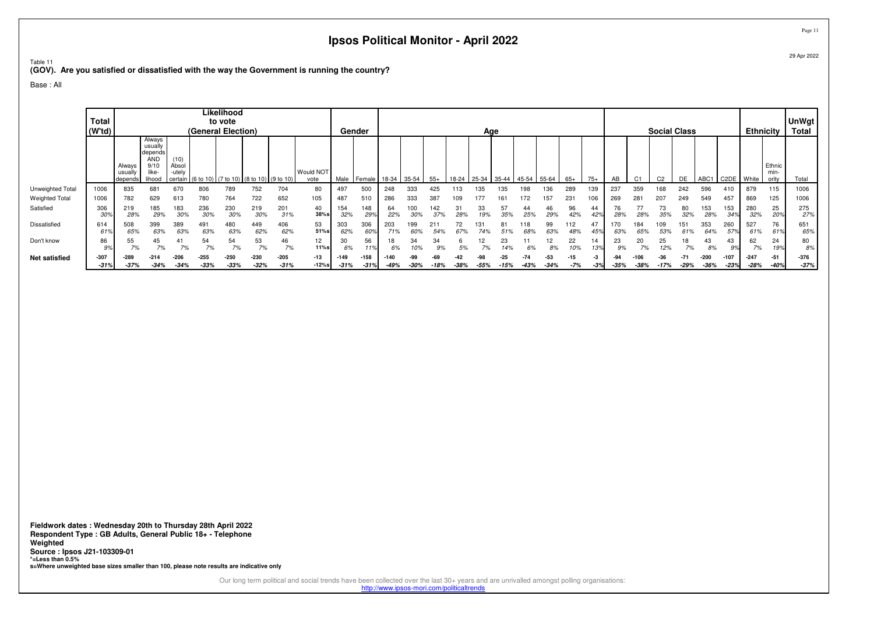Table 11 **(GOV). Are you satisfied or dissatisfied with the way the Government is running the country?**

Base : All

|                       | <b>Total</b><br>(Wtd) |                             |                                                                       |                                    | (General Election)           | Likelihood<br>to vote |                                          |                  |                          |                | Gender           |                  |               |               |           | Age           |                 |                 |               |              |                |           |             | <b>Social Class</b> |                 |                  |                   | <b>Ethnicity</b> |                         | UnWgt<br><b>Total</b> |
|-----------------------|-----------------------|-----------------------------|-----------------------------------------------------------------------|------------------------------------|------------------------------|-----------------------|------------------------------------------|------------------|--------------------------|----------------|------------------|------------------|---------------|---------------|-----------|---------------|-----------------|-----------------|---------------|--------------|----------------|-----------|-------------|---------------------|-----------------|------------------|-------------------|------------------|-------------------------|-----------------------|
|                       |                       | Always<br>usuall<br>depends | Always<br>usually<br>depends<br><b>AND</b><br>9/10<br>like-<br>lihood | (10)<br>Absol<br>-utely<br>certain | (6 to 10)                    |                       | $(7 \text{ to } 10)$ (8 to 10) (9 to 10) |                  | <b>Would NOT</b><br>vote | Male           | Female           | 18-34 35-54      |               | $55+$         | 18-24     | 25-34         | 35-44           | 45-54           | $55-64$       | $65+$        | $75+$          | AB        |             | C <sub>2</sub>      | DE              | ABC <sub>1</sub> | C <sub>2</sub> DE | White            | Ethnic<br>min-<br>ority | Total                 |
| Unweighted Total      | 1006                  | 835                         | 681                                                                   | 670                                | 806                          | 789                   | 752                                      | 704              | 80                       | 497            | 500              | 248              | 333           | 425           | 113       | 135           | 35              | 198             | 136           | 289          | 139            | 237       | 359         | 168                 | 242             | 596              | 410               | 879              | 115                     | 1006                  |
| <b>Weighted Total</b> | 1006                  | 782                         | 629                                                                   | 613                                | 780                          | 764                   | 722                                      | 652              | 105                      | 487            | 510              | 286              | 333           | 387           | 109       |               |                 | 172             | 157           | 231          | 106            | 269       | 281         | 207                 | 249             | 549              | 457               | 869              | 125                     | 1006                  |
| Satisfied             | 306<br>30%            | 219<br>28%                  | 185<br>29%                                                            | 183<br>30%                         | 236<br>30%                   | 230<br>30%            | 219<br>30%                               | 201<br>31%       | 40<br>38%s               | 154<br>32%     | 148<br>29°       | 64<br>22%        | 100<br>30%    | 142           | 31<br>28% | 33<br>19%     | 57<br>35%       | 44<br>25%       | 46<br>29%     | 96<br>42%    | 44<br>42%      | 76<br>28% | 77<br>28%   | 73<br>35%           | 80<br>32%       | 153<br>28%       | 153<br>34%        | 280<br>32%       | 25<br>20%               | 275<br>27%            |
| Dissatisfied          | 614<br>61%            | 508<br>65%                  | 399<br>63%                                                            | 389<br>63%                         | 491<br>63%                   | 480<br>63%            | 449<br>62%                               | 406<br>62%       | 53<br>51%s               | 303<br>62%     | 306<br>60°       | 203              | 199<br>60%    | 211<br>54%    |           |               |                 | 68%             | 99<br>63%     | 112<br>48%   | 4 <sub>1</sub> | 63%       | 184<br>65%  | 09<br>53%           | 151<br>61%      | 353<br>64%       | 260<br>579        | 527<br>61%       | 76                      | 651<br>65%            |
| Don't know            | 86<br>9%              | 55<br>70/<br>$1\%$          | 45<br>7%                                                              | 41<br>7%                           | 54<br>$\mathcal{F}$<br>$1\%$ | 54<br>7%              | 53<br>7%                                 | 46<br>7%         | 12<br>11%s               | 30<br>6%       | 56<br>11%        | 18<br>6%         | 34<br>10%     | 34<br>9%      | 5%        | 12<br>7%      | 23              | 6%              | 8%            | 22<br>10%    | 14<br>13%      | 23<br>9%  | 20<br>7%    | 25<br>12%           | 18<br>7%        | 43<br>8%         | 43<br>9%          | 62<br>7%         | 24<br>199               | 80<br>8%              |
| <b>Net satisfied</b>  | $-307$<br>$-31%$      | $-289$<br>$-37%$            | $-214$<br>$-34%$                                                      | $-206$<br>$-34%$                   | $-255$<br>$-33%$             | $-250$<br>$-33%$      | $-230$<br>$-32%$                         | $-205$<br>$-31%$ | $-13$<br>$-12%s$         | -149<br>$-31%$ | $-158$<br>$-31%$ | $-140$<br>$-49%$ | -99<br>$-30%$ | -69<br>$-18%$ | $-38%$    | -98<br>$-55%$ | $-25$<br>$-15%$ | $-74$<br>$-43%$ | -53<br>$-34%$ | $-15$<br>-7% | -3<br>$-3%$    | $-35%$    | 106<br>-38% | $-36$<br>$-17%$     | $-71$<br>$-29%$ | -200<br>$-36%$   | $-107$<br>$-23%$  | $-247$<br>$-28%$ | $-51$<br>$-40%$         | $-376$<br>$-37%$      |

**Fieldwork dates : Wednesday 20th to Thursday 28th April 2022 Respondent Type : GB Adults, General Public 18+ - TelephoneWeighted Source : Ipsos J21-103309-01 \*=Less than 0.5%s=Where unweighted base sizes smaller than 100, please note results are indicative only**

Our long term political and social trends have been collected over the last 30+ years and are unrivalled amongst polling organisations:<br>http://www.ipsos-mori.com/politicaltrends

Page 1129 Apr 2022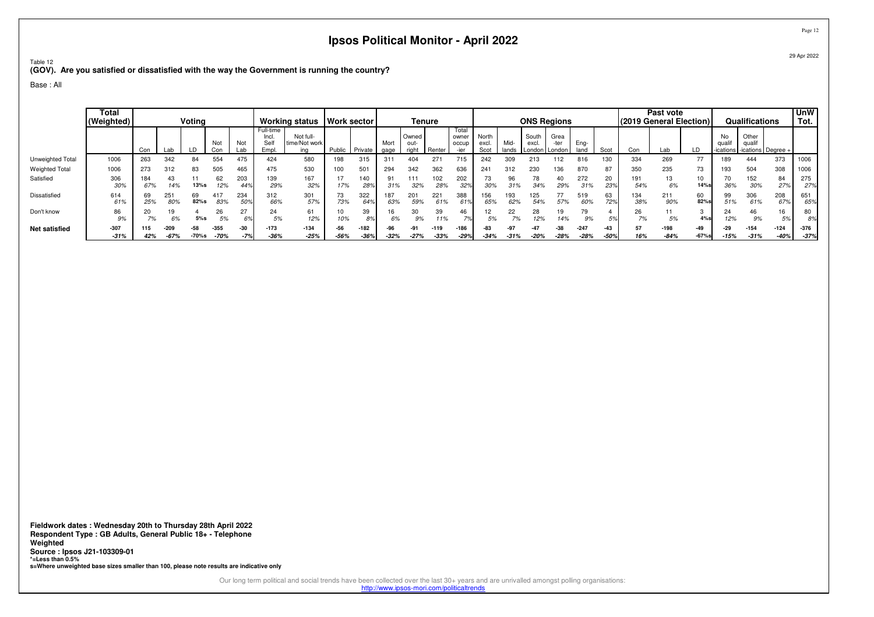Table 12

**(GOV). Are you satisfied or dissatisfied with the way the Government is running the country?**

Base : All

|                       | Total<br>(Weighted) |            |            | Voting         |            |            |                                    | <b>Working status</b>             | Work sector |                     |              | Tenure                 |            |                                 |                        |               | <b>ONS Regions</b> |                           |              |           | (2019 General Election) | Past vote  |            |                           | Qualifications                          |              | <b>UnW</b><br>Tot. |
|-----------------------|---------------------|------------|------------|----------------|------------|------------|------------------------------------|-----------------------------------|-------------|---------------------|--------------|------------------------|------------|---------------------------------|------------------------|---------------|--------------------|---------------------------|--------------|-----------|-------------------------|------------|------------|---------------------------|-----------------------------------------|--------------|--------------------|
|                       |                     | Con        | Lab        | $\overline{D}$ | Not<br>Con | Not<br>Lab | Full-time<br>Incl.<br>Self<br>Empl | Not full-<br>time/Not work<br>ina | Public      | Private             | Mort<br>gage | Owned<br>out-<br>right | Renter     | Total<br>owner<br>occup<br>-ier | North<br>excl.<br>Scot | Mid-<br>lands | South<br>excl.     | Grea<br>London I London I | Eng-<br>land | Scot      | Con                     | Lab        | LD         | No<br>qualif<br>-ications | Other<br>qualif<br>-ications   Degree - |              |                    |
| Unweighted Total      | 1006                | 263        | 342        | 84             | 554        | 475        | 424                                | 580                               | 198         | 315                 | 31           | 404                    | 271        | 715                             | 242                    | 309           | 213                | 112                       | 816          | 130       | 334                     | 269        | 77         | 89۱                       | 444                                     | 373          | 1006               |
| <b>Weighted Total</b> | 1006                | 273        | 312        | 83             | 505        | 465        | 475                                | 530                               | 100         | 50                  | 294          | 342                    | 362        | 636                             | 241                    | 312           | 230                | 136                       | 870          | 87        | 350                     | 235        | 73         | 193                       | 504                                     | 308          | 1006               |
| Satisfied             | 306<br>30%          | 184<br>67% | 43<br>14%  | 13%s           | 62<br>12%  | 203<br>44% | 39<br>29%                          | 167<br>32%                        | 17<br>17%   | 140<br>$28^{\circ}$ | 91<br>31%    | 111<br>32%             | 102<br>28% | 202<br>329                      | 73<br>30%              | 96            | 78<br>34%          | 40<br>29%                 | 272<br>31%   | 20<br>23% | 191<br>54%              | 13<br>6%   | 10<br>14%  | 70<br>36%                 | 152<br>30%                              | 84<br>27%    | 275<br>27%         |
| Dissatisfied          | 614<br>61%          | 69<br>25%  | 251<br>80% | 69<br>82%s     | 83%        | 234<br>50% | 312<br>66%                         | 301<br>57%                        | 73<br>73%   | 322                 | 187<br>63%   | 201<br>59%             | 221        | 388                             | 156<br>65%             | 193<br>62%    | 125<br>54%         | 57%                       | 519<br>60%   | 63<br>72% | 134<br>38%              | 211<br>90% | 60<br>82%s | 99<br>51%                 | 306<br>61%                              | 208<br>67%   | 651<br>65%         |
| Don't know            | 86<br>9%            | 20<br>7%   | 19<br>6%   | 5%s            | 26<br>5%   | 27         | 24<br>5%                           | 61<br>12%                         | 10%         | 39<br>8%            | 16           | 30<br>9%               | 39<br>11%  | 46<br>70                        | 12<br>5%               | 22<br>7%      | 28<br>12%          | 19<br>14%                 | 9%           | .5%       | 26<br>7%                | 5%         | 4%s        | 24<br>12%                 | 46                                      | 16<br>$\cup$ | 80<br>8%           |
| <b>Net satisfied</b>  | $-307$              | 115        | -209       | $-58$          | $-355$     | $-30$      | $-173$                             | $-134$                            | $-56$       | $-182$              | -96          | $-91$                  | $-119$     | $-186$                          | -83                    | -97           | -47                | $-38$                     | $-247$       | -43       | 57                      | $-198$     | $-49$      | -29                       | $-154$                                  | $-124$       | $-376$             |
|                       | $-31%$              | 42%        | $-67%$     | -70%s          | $-70%$     | $-7%$      | $-36%$                             | $-25%$                            | $-56%$      | $-369$              | $-32%$       | $-27%$                 | $-33%$     | $-29%$                          | $-34%$                 | $-31%$        | $-20%$             | $-28%$                    | $-28%$       | $-50%$    | 16%                     | $-84%$     | $-67%$ s   | $-15%$                    | $-31%$                                  | $-40%$       | $-37%$             |

**Fieldwork dates : Wednesday 20th to Thursday 28th April 2022 Respondent Type : GB Adults, General Public 18+ - TelephoneWeighted Source : Ipsos J21-103309-01 \*=Less than 0.5%s=Where unweighted base sizes smaller than 100, please note results are indicative only**

Our long term political and social trends have been collected over the last 30+ years and are unrivalled amongst polling organisations:<br>http://www.ipsos-mori.com/politicaltrends

Page 12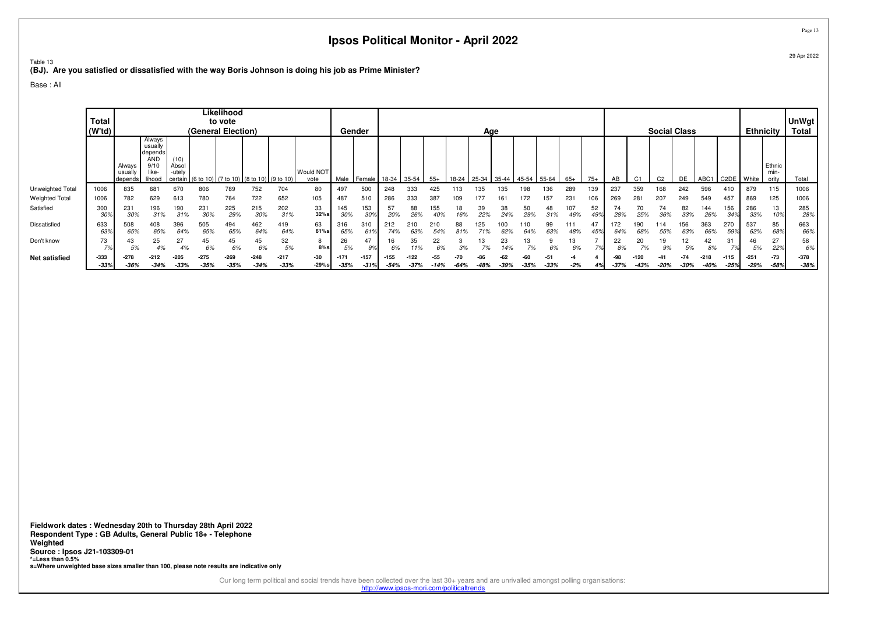Table 13

**(BJ). Are you satisfied or dissatisfied with the way Boris Johnson is doing his job as Prime Minister?**

Base : All

|                       |                   |                              |                                                                       |                                    |                      | Likelihood       |                                           |                  |                   |                 |                  |                  |                |             |               |       |             |               |               |            |                          |                |                |                |                     |                  |                  |                  |                         |                  |
|-----------------------|-------------------|------------------------------|-----------------------------------------------------------------------|------------------------------------|----------------------|------------------|-------------------------------------------|------------------|-------------------|-----------------|------------------|------------------|----------------|-------------|---------------|-------|-------------|---------------|---------------|------------|--------------------------|----------------|----------------|----------------|---------------------|------------------|------------------|------------------|-------------------------|------------------|
|                       | <b>Total</b>      |                              |                                                                       |                                    |                      | to vote          |                                           |                  |                   |                 |                  |                  |                |             |               |       |             |               |               |            |                          |                |                |                |                     |                  |                  |                  |                         | <b>UnWgt</b>     |
|                       | (W'td)            |                              |                                                                       |                                    | (General Election)   |                  |                                           |                  |                   | Gender          |                  |                  |                |             |               | Age   |             |               |               |            |                          |                |                |                | <b>Social Class</b> |                  |                  | <b>Ethnicity</b> |                         | <b>Total</b>     |
|                       |                   | Always<br>usually<br>depends | Always<br>usually<br>depends<br><b>AND</b><br>9/10<br>like-<br>lihood | (10)<br>Absol<br>-utely<br>certain | 1(6 to 10) (7 to 10) |                  | $(8 \text{ to } 10)$ $(9 \text{ to } 10)$ |                  | Would NOT<br>vote | Male            | Female           | 18-34 35-54      |                | $55+$       | 18-24         | 25-34 | 35-44 45-54 |               | 55-64         | $65+$      | $75+$                    | AB             |                | C <sub>2</sub> | DE                  | ABC1             | C2DE             | White            | Ethnic<br>min-<br>ority | Total            |
| Unweighted Total      | 1006              | 835                          | 68                                                                    | 670                                | 806                  | 789              | 752                                       | 704              | 80                | 497             | 500              | 248              | 333            | 425         |               | 135   | 135         | 198           | 36            | 289        | 139                      | 237            | 359            | 168            | 242                 | 596              | 410              | 879              | 115                     | 1006             |
| <b>Weighted Total</b> | 1006              | 782                          | 629                                                                   | 613                                | 780                  | 764              | 722                                       | 652              | 105               | 487             | 510              | 286              | 333            | 387         | 109           | 177   | 161         | 172           | 157           | 231        | 106                      | 269            | 28             | 207            | 249                 | 549              | 457              | 869              | 125                     | 1006             |
| Satisfied             | 300<br>30%        | 231                          | 196<br>31%                                                            | 190<br>31%                         | 231                  | 225<br>29%       | 215<br>309                                | 202<br>31%       | 33<br>32%s        | 145<br>30%      | 153<br>30°       | 57<br>20%        | 88<br>26%      | 155         | 18            | 39    | 38<br>24%   | 50<br>29%     | 48            | 107<br>46% | 52                       |                | 70             | 74<br>36%      | 82<br>33%           | 144<br>269       | 156<br>34%       | 286<br>33%       | 13                      | 285<br>28%       |
| Dissatisfied          | 633<br>63%        | 508<br>65%                   | 408<br>65%                                                            | 396<br>64%                         | 505<br>65%           | 494<br>65%       | 462<br>64%                                | 419<br>64%       | 63<br>61%s        | 316<br>65%      | 310<br>619       | 212<br>74%       | 210<br>63%     | 210<br>54%  | 88            | 125   | 00<br>62%   | 64%           | 99<br>63%     | 111<br>48% |                          | 64%            | 68%            | 14<br>55%      | 156<br>63%          | 363<br>66%       | 270<br>599       | 537<br>62%       | 85<br>68%               | 663<br>66%       |
| Don't know            | 73<br>70<br>1 7 c | 5%                           | 25<br>4%                                                              | 27<br>4%                           | 45<br>6%             | 45<br>6%         | 45<br>6%                                  | 32<br>5%         | $8\%$ s           | 26<br>5%        | 47<br>9%         | 16<br>6%         | 35<br>11%      | 22<br>6%    | 3%            | 13    | 23<br>14%   | 13            | 6%            | 13<br>6%   | $\overline{\phantom{a}}$ | 22<br>00<br>8% | 20             | 19<br>9%       | 12<br>5%            | 42<br>8%         | 70/              | 46<br>5%         | 27<br>22%               | 58<br>6%         |
| <b>Net satisfied</b>  | $-333$<br>$-33%$  | $-278$<br>$-36%$             | $-212$<br>$-34%$                                                      | $-205$<br>$-33%$                   | $-275$<br>$-35%$     | $-269$<br>$-35%$ | $-248$<br>$-34%$                          | $-217$<br>$-33%$ | -30<br>$-29%$ s   | $-17$<br>$-35%$ | $-157$<br>$-31%$ | $-155$<br>$-54%$ | -122<br>$-37%$ | -55<br>-14% | -70<br>$-64%$ |       | $-39%$      | -60<br>$-35%$ | -51<br>$-33%$ |            |                          | $-37%$         | -120<br>$-43%$ | $-20%$         | -74<br>$-30%$       | $-218$<br>$-40%$ | $-115$<br>$-25%$ | $-251$<br>$-29%$ | $-73$<br>$-58%$         | $-378$<br>$-38%$ |

**Fieldwork dates : Wednesday 20th to Thursday 28th April 2022 Respondent Type : GB Adults, General Public 18+ - TelephoneWeighted Source : Ipsos J21-103309-01 \*=Less than 0.5%s=Where unweighted base sizes smaller than 100, please note results are indicative only**

Our long term political and social trends have been collected over the last 30+ years and are unrivalled amongst polling organisations:<br>http://www.ipsos-mori.com/politicaltrends

Page 1329 Apr 2022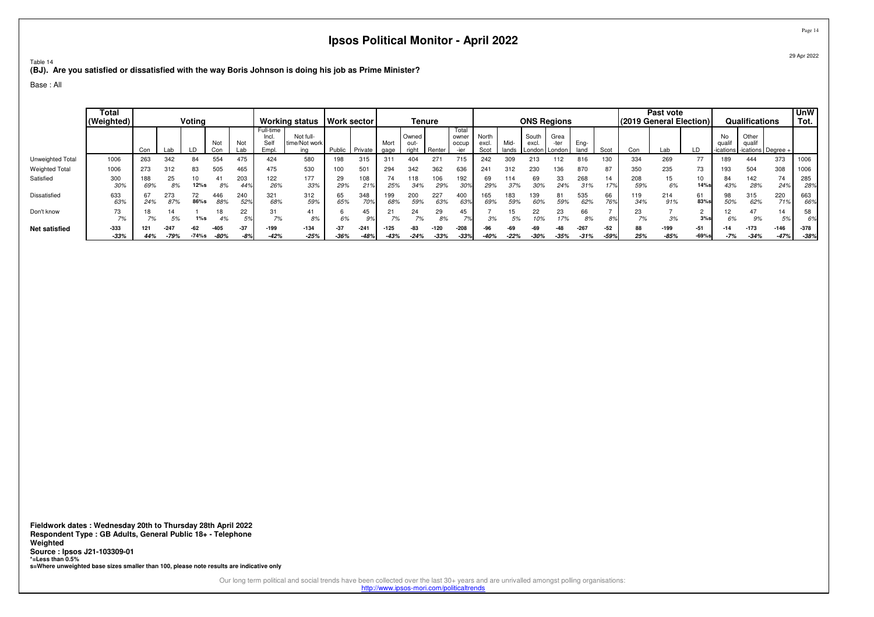Table 14**(BJ). Are you satisfied or dissatisfied with the way Boris Johnson is doing his job as Prime Minister?**

Base : All

|                       | Total<br>(Weighted) |            |            | Votina     |            |            |                                   | <b>Working status</b>             | Work sector |                 |              | Tenure                 |            |                                |                        |              | <b>ONS Regions</b>       |                            |              |           |                                | Past vote<br>(2019 General Election) |            |                          | Qualifications                      |            | <b>UnW</b><br>Tot. |
|-----------------------|---------------------|------------|------------|------------|------------|------------|-----------------------------------|-----------------------------------|-------------|-----------------|--------------|------------------------|------------|--------------------------------|------------------------|--------------|--------------------------|----------------------------|--------------|-----------|--------------------------------|--------------------------------------|------------|--------------------------|-------------------------------------|------------|--------------------|
|                       |                     | Con        | Lab        |            | Not<br>∩∩n | Not<br>.al | Full-time<br>Incl.<br>Sel<br>Empl | Not full-<br>time/Not work<br>ina | Public      | Private         | Mort<br>gage | Owned<br>out-<br>riaht | Renter     | Total<br>owner<br>occup        | North<br>excl.<br>Scot | Mid<br>lands | South<br>excl.<br>_ondon | Grea<br>-ter<br>ı I London | Eng-<br>land | Scot      | Con                            | Lab                                  |            | No<br>qua<br>-ications l | Other<br>qualif<br>-ications Degree |            |                    |
| Unweighted Total      | 1006                | 263        | 342        | 84         | 554        | 475        | 424                               | 580                               | 198         | 315             | 31           | 404                    | 271        | 715                            | 242                    | 309          | 213                      | 112                        | 816          | 130       | 334                            | 269                                  | 77         | '89                      | 444                                 | 373        | 1006               |
| <b>Weighted Total</b> | 1006                | 273        | 312        | 83         | 505        | 465        | 475                               | 530                               | 100         | 50 <sup>°</sup> | 294          | 342                    | 362        | 636                            | 241                    | 312          | 230                      | 36                         | 870          | 87        | 350                            | 235                                  | 73         | '93                      | 504                                 | 308        | 1006               |
| Satisfied             | 300<br>30%          | 188<br>69% | 25<br>8%   | 12%s       | 8%         | 203<br>449 | 122<br>26%                        | 177<br>33%                        | 29<br>29%   | 108             | 74<br>25%    | 118<br>34%             | 106<br>29% | 92<br>30%                      | 69<br>29%              | 114<br>37%   | 69<br>30%                | 33<br>24%                  | 268<br>31%   | 14<br>17% | 208<br>59%                     | 15<br>6%                             | 10<br>14%s | 84<br>43%                | 142<br>28%                          | 74<br>24%  | 285<br>28%         |
| Dissatisfied          | 633<br>63%          | 67<br>24%  | 273<br>87% | 72<br>86%s | 446<br>88% | 240<br>52% | 321<br>68%                        | 312<br>59%                        | 65<br>65%   | 348<br>70%      | 199<br>68%   | 200<br>59%             | 227<br>63% | 400<br>63%                     | 165<br>69%             | 183<br>59%   | 139<br>60%               | 81<br>59%                  | 535<br>62%   | 66<br>76% | 119<br>34%                     | 214<br>91%                           | 61<br>83%  | 98<br>50%                | 315<br>62%                          | 220<br>71% | 663<br>66%         |
| Don't know            | 73<br>7%            | 18         | 14         | 1%s        | 4%         | 22<br>EQ   | 31<br>7%                          | 41<br>8%                          | 6%          | 45<br>q         | 21<br>70/    | 24<br>7%               | 29<br>8%   | 45<br>$\overline{\phantom{a}}$ | 3%                     | 5%           | 22<br>10%                | 23<br>17%                  | 66<br>8%     |           | 23<br>$\overline{\phantom{a}}$ | 3%                                   | ∠<br>3%s   | ے ا<br>6%                | 47<br>9%                            | 14<br>5%   | 58<br>6%           |
| <b>Net satisfied</b>  | $-333$              | 121        | $-247$     | $-62$      | $-405$     | $-37$      | -199                              | $-134$                            | $-37$       | $-24$           | $-125$       | $-83$                  | -120       | $-208$                         | -96                    | -69          | -69                      | $-48$                      | $-267$       | $-52$     | 88                             | $-199$                               | $-51$      | $-14$                    | $-173$                              | $-146$     | $-378$             |
|                       | $-33%$              | 44%        | $-79%$     | $-74%s$    | $-80%$     | -8%        | $-42%$                            | $-25%$                            | $-36%$      | $-48%$          | $-43%$       | $-24%$                 | $-33%$     | $-33%$                         | $-40%$                 | $-22%$       | $-30%$                   | $-35%$                     | $-31%$       | $-59%$    | 25%                            | $-85%$                               | $-69%$ s   | -7%                      | $-34%$                              | $-47%$     | $-38%$             |

**Fieldwork dates : Wednesday 20th to Thursday 28th April 2022 Respondent Type : GB Adults, General Public 18+ - TelephoneWeighted Source : Ipsos J21-103309-01 \*=Less than 0.5%s=Where unweighted base sizes smaller than 100, please note results are indicative only**

Our long term political and social trends have been collected over the last 30+ years and are unrivalled amongst polling organisations:<br>http://www.ipsos-mori.com/politicaltrends

29 Apr 2022

Page 14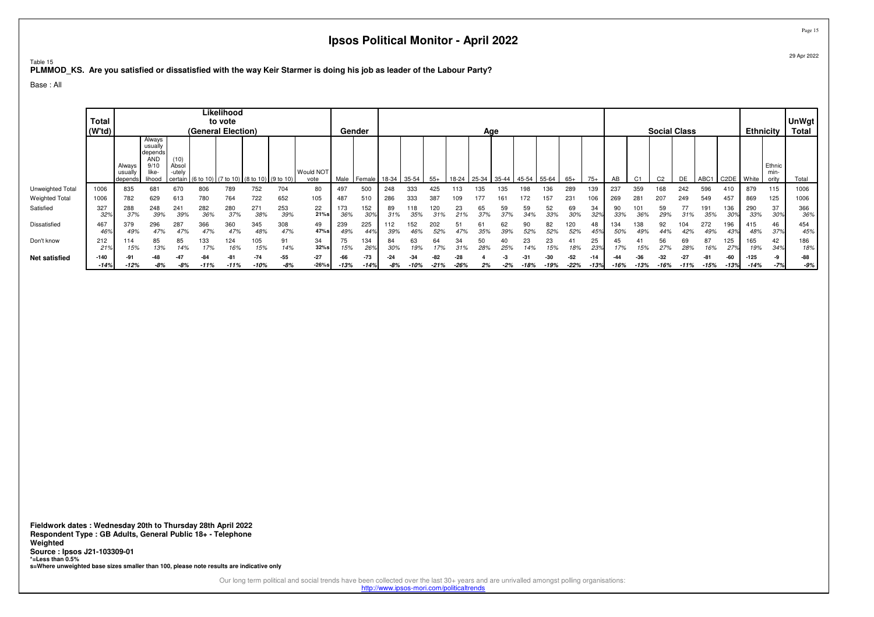Table 15**PLMMOD\_KS. Are you satisfied or dissatisfied with the way Keir Starmer is doing his job as leader of the Labour Party?**

Base : All

|                       | <b>Total</b><br>(W <sup>t</sup> d) |                              |                                                                       |                         | (General Election) | Likelihood<br>to vote |                                                 |              |                   |               | Gender        |              |            |            |            | Age       |           |                |             |            |                 |            |                |                | <b>Social Class</b> |                  |                   | <b>Ethnicity</b> |                        | <b>UnWgt</b><br><b>Total</b> |
|-----------------------|------------------------------------|------------------------------|-----------------------------------------------------------------------|-------------------------|--------------------|-----------------------|-------------------------------------------------|--------------|-------------------|---------------|---------------|--------------|------------|------------|------------|-----------|-----------|----------------|-------------|------------|-----------------|------------|----------------|----------------|---------------------|------------------|-------------------|------------------|------------------------|------------------------------|
|                       |                                    | Always<br>usually<br>depends | Always<br>usually<br>depends<br><b>AND</b><br>9/10<br>like-<br>lihood | (10)<br>Absol<br>-utely |                    |                       | certain (6 to 10) (7 to 10) (8 to 10) (9 to 10) |              | Would NOT<br>vote | Male          | I Female I    | 18-34        | 35-54      | $55+$      | 18-24      | 25-34     | 35-44     | $145-54$ 55-64 |             | $65+$      | $75+$           | AB         | C <sub>1</sub> | C <sub>2</sub> | DE                  | ABC <sub>1</sub> | C <sub>2</sub> DE | I White          | Ethnic<br>min<br>oritv | Total                        |
| Unweighted Total      | 1006                               | 835                          | 681                                                                   | 670                     | 806                | 789                   | 752                                             | 704          | 80                | 497           | 500           | 248          | 333        | 425        |            |           | 35        | 98             | 136         | 289        | 139             | 237        | 359            | 168            | 242                 | 596              | 410               | 879              | 115                    | 1006                         |
| <b>Weighted Total</b> | 1006                               | 782                          | 629                                                                   | 613                     | 780                | 764                   | 722                                             | 652          | 105               | 487           | 510           | 286          | 333        | 387        |            |           |           | 72             | 157         | 231        | 106             | 269        | $28 -$         | 207            | 249                 | 549              | 457               | 869              | 125                    | 1006                         |
| Satisfied             | 327<br>32%                         | 288<br>37%                   | 248<br>39%                                                            | 241<br>39%              | 282<br>36%         | 280<br>37%            | 271<br>38%                                      | 253<br>39%   | 22<br>21%s        | 173<br>36%    | 152<br>30%    | 89<br>.31%   | 118<br>35% | 120<br>31% | 23<br>21%  | 65<br>37% | 59<br>37% | 59<br>.34%     | 52<br>33%   | 69<br>30%  | 34<br>32%       | 90<br>33%  | 36%            | 59<br>29%      | 77<br>31%           | 191<br>35%       | 136<br>30%        | 290<br>33%       | 37<br>30%              | 366<br>36%                   |
| Dissatisfied          | 467<br>46%                         | 379<br>49%                   | 296<br>47%                                                            | 287<br>47%              | 366<br>47%         | 360<br>47%            | 345<br>48%                                      | 308<br>47%   | 49<br>47%s        | 239<br>49%    | 225<br>44%    | 112<br>39%   | 152        | 202<br>52% |            | 35%       | 62<br>39% | 52%            | 82<br>52%   | 120<br>52% | 48<br>45%       | 134<br>50% | 138            | 92<br>44%      | 04                  | 272<br>49%       | 196               | 415<br>48%       | 46<br>37%              | 454<br>45%                   |
| Don't know            | 212<br>21%                         | 114<br>15%                   | 85<br>13%                                                             | 85<br>14%               | 133<br>17%         | 124<br>16%            | 105<br>15%                                      | 91<br>14%    | 34<br>32%         | 75<br>15%     | 134<br>26%    | 84<br>30%    | 63<br>19%  | 64<br>17%  | 34<br>.31% | 50<br>28% | 25%       | 23             | 23<br>15%   | 41<br>18%  | 25<br>23%       | 17%        | -41<br>15%     | 56<br>27%      | 69<br>28%           | 87<br>16%        | 125<br>27%        | 165<br>19%       | 42<br>34%              | 186<br>18%                   |
| <b>Net satisfied</b>  | $-140$<br>$-14%$                   | -12%                         | ۰Δ۶<br>-8%                                                            | -4<br>-8%               | $-11%$             | $-81$<br>$-11%$       | $-74$<br>-10%                                   | $-55$<br>-8% | $-27$<br>$-26%s$  | -66<br>$-13%$ | -73<br>$-14%$ | $-24$<br>-8% | -10%       | -21%       | -26%       |           | -2%       | -18%           | -30<br>-19% | $-22\%$    | $-14$<br>$-13%$ | -16%       | $-13%$         | $-16%$         | $-11%$              | $-15%$           | $-60$<br>$-13%$   | $-125$<br>$-14%$ | -9<br>-7%              | -88<br>-9%                   |

**Fieldwork dates : Wednesday 20th to Thursday 28th April 2022 Respondent Type : GB Adults, General Public 18+ - TelephoneWeighted Source : Ipsos J21-103309-01 \*=Less than 0.5%s=Where unweighted base sizes smaller than 100, please note results are indicative only**

> Our long term political and social trends have been collected over the last 30+ years and are unrivalled amongst polling organisations: http://www.ipsos-mori.com/politicaltrends

Page 1529 Apr 2022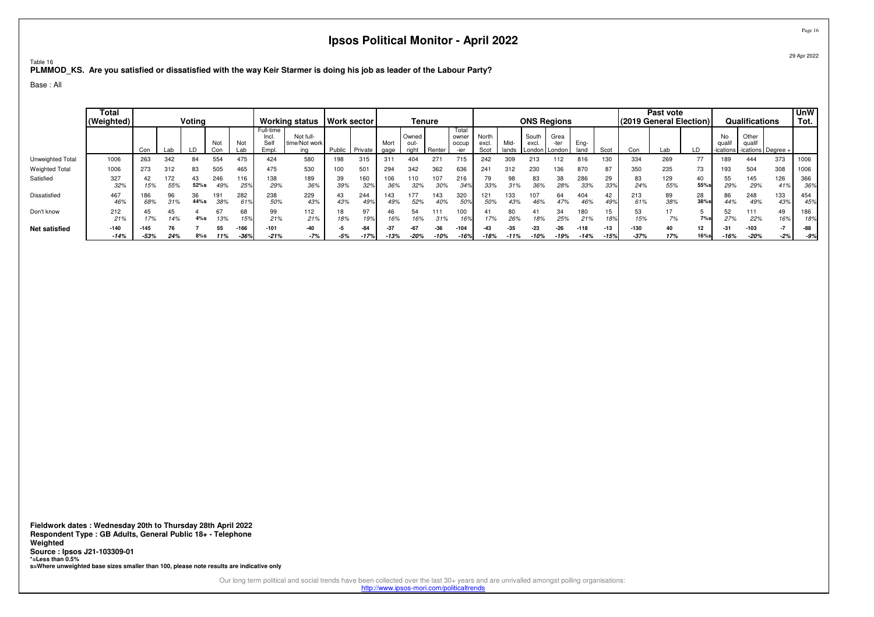Table 16**PLMMOD\_KS. Are you satisfied or dissatisfied with the way Keir Starmer is doing his job as leader of the Labour Party?**

Base : All

|                       | <b>Total</b><br>(Weighted) |            |            | Votina     |            |            |                                    | <b>Working status</b>             | <b>Work sector</b> |            |              | Tenure                |            |                         |                        |               | <b>ONS Regions</b>                         |              |              |           | (2019 General Election) | Past vote  |           |                          | Qualifications                     |                   | <b>UnW</b><br>Tot. |
|-----------------------|----------------------------|------------|------------|------------|------------|------------|------------------------------------|-----------------------------------|--------------------|------------|--------------|-----------------------|------------|-------------------------|------------------------|---------------|--------------------------------------------|--------------|--------------|-----------|-------------------------|------------|-----------|--------------------------|------------------------------------|-------------------|--------------------|
|                       |                            | Con        | Lab        |            | Noi<br>Con | Not<br>Lab | Full-time<br>Incl.<br>Sell<br>Empl | Not full-<br>time/Not work<br>ina | Public             | Private    | Mort<br>gage | Owned<br>out<br>riaht | Renter     | Total<br>owner<br>occup | North<br>excl.<br>Scot | Mid-<br>lands | South<br>excl.<br>London <b>I</b> London I | Grea<br>-ter | Ena-<br>lanc | Scot      | Con                     | Lab        |           | No<br>qua<br>-ications l | Other<br>quali<br>-ications Degree |                   |                    |
| Unweighted Total      | 1006                       | 263        | 342        | 84         | 554        | 475        | 424                                | 580                               | 198                | 315        | 311          | 404                   | 271        | 715                     | 242                    | 309           | 213                                        |              | 816          | 130       | 334                     | 269        | 77        | 89                       | 444                                | 373               | 1006               |
| <b>Weighted Total</b> | 1006                       | 273        | 312        | 83         | 505        | 465        | 475                                | 530                               | 100                | 50         | 294          | 342                   | 362        | 636                     | 241                    | 312           | 230                                        | 36           | 870          | 87        | 350                     | 235        | 73        | '93                      | 504                                | 308               | 1006               |
| Satisfied             | 327<br>32%                 | 42<br>15%  | 172<br>55% | 43<br>52%s | 246<br>49% | 116<br>25% | 138<br>29%                         | 189<br>36%                        | 39<br>39%          | 160<br>32% | 106<br>36%   | 110<br>32%            | 107<br>30% | 216<br>349              | 79<br>33%              | 98            | 83<br>36%                                  | 38<br>28%    | 286<br>33%   | 29<br>339 | 83<br>24%               | 129<br>55% | 55%s      | 55<br>29%                | 145<br>29%                         | 126<br>419        | 366<br>36%         |
| Dissatisfied          | 467<br>46%                 | 186<br>68% | 96<br>31%  | 36<br>44%s | 38%        | 282<br>619 | 238<br>50%                         | 229<br>43%                        | 43<br>43%          | 244<br>49% | 143<br>49%   | 177<br>52%            | 143<br>40% | 320<br>50%              | 121<br>50%             | 133<br>43%    | 107<br>46%                                 | 64<br>47%    | 404<br>46%   | 42<br>499 | 213<br>61%              | 89<br>38%  | 28<br>38% | 86<br>44%                | 248<br>49%                         | 133<br>$43^\circ$ | 454<br>45%         |
| Don't know            | 212<br>21%                 | 45<br>17%  | 45<br>14%  | 4%s        | 67<br>13%  | 68<br>159  | 99<br>21%                          | 112<br>21%                        | 18<br>18%          | 19%        | 46<br>16%    | 54                    | 111<br>31% | 00<br>16%               | 17%                    | 80<br>26%     | 41<br>18%                                  | 34<br>25%    | 180<br>21%   | 15<br>18% | 53<br>15%               | 7%         | 7%s       | 52<br>27%                | 111<br>22%                         | 49<br>16%         | 186<br>18%         |
| <b>Net satisfied</b>  | $-140$                     | $-145$     |            |            | 55         | $-166$     | $-101$                             | -40                               | -5                 | -84        | $-37$        |                       | $-36$      | $-104$                  |                        | $-35$         | $-23$                                      | $-26$        | $-118$       |           | $-130$                  | 40         | 12        | $-31$                    | $-103$                             | $-7$              | -88                |
|                       | $-14%$                     | $-53%$     | 24%        | $8%$ s     | 11%        | $-36%$     | $-21%$                             | $-7%$                             | $-5%$              | $-17%$     | $-13%$       | $-20%$                | $-10%$     | $-16%$                  | $-18%$                 | $-11%$        | 10%                                        | $-19%$       | $-14%$       | $-15%$    | $-37%$                  | 17%        | $16%$ s   | $-16%$                   | $-20%$                             | $-2%$             | $-9%$              |

**Fieldwork dates : Wednesday 20th to Thursday 28th April 2022 Respondent Type : GB Adults, General Public 18+ - TelephoneWeighted Source : Ipsos J21-103309-01 \*=Less than 0.5%s=Where unweighted base sizes smaller than 100, please note results are indicative only**

Our long term political and social trends have been collected over the last 30+ years and are unrivalled amongst polling organisations:

http://www.ipsos-mori.com/politicaltrends

Page 16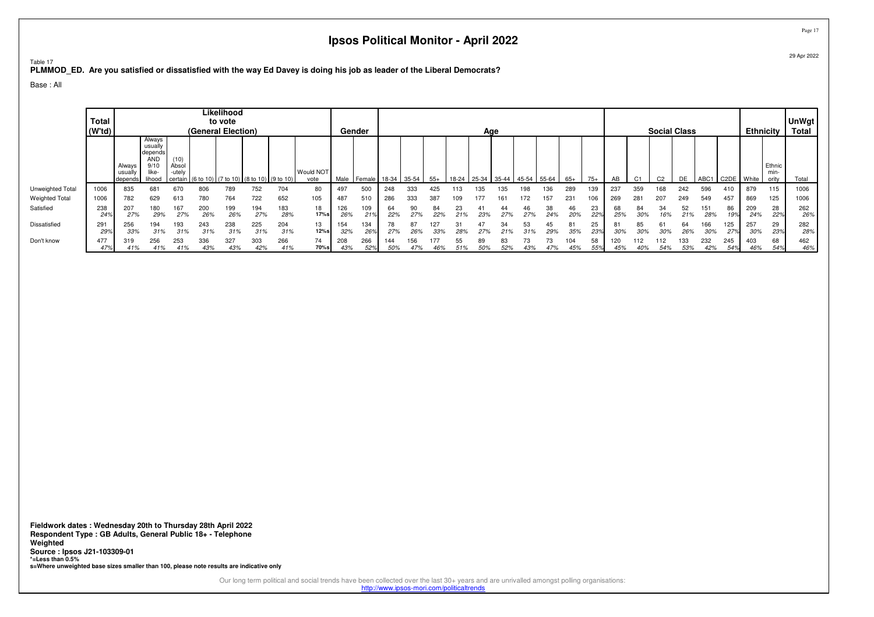™able 17<br><mark>PLMMOD\_ED. Are you satisfied or dissatisfied with the way Ed Davey is doing his job as leader of the Liberal Democrats?</mark>

Base : All

|                       | <b>Total</b><br>$ $ (W'td) $ $ |                              |                                                                       |                         | (General Election) | Likelihood<br>to vote |                                                 |            |                   |            | Gender         |            |           |            |           | Age   |           |           |           |           |           |            |                |                | <b>Social Class</b> |                  |                   | <b>Ethnicity</b> |                        | <b>UnWgt</b><br><b>Total</b> |
|-----------------------|--------------------------------|------------------------------|-----------------------------------------------------------------------|-------------------------|--------------------|-----------------------|-------------------------------------------------|------------|-------------------|------------|----------------|------------|-----------|------------|-----------|-------|-----------|-----------|-----------|-----------|-----------|------------|----------------|----------------|---------------------|------------------|-------------------|------------------|------------------------|------------------------------|
|                       |                                | Always<br>usually<br>depends | Always<br>usually<br>depends<br><b>AND</b><br>9/10<br>like-<br>lihood | (10)<br>Absol<br>-utely |                    |                       | certain (6 to 10) (7 to 10) (8 to 10) (9 to 10) |            | Would NOT<br>vote | Male       | $Female$ 18-34 |            | $35 - 54$ | $55+$      | 18-24     | 25-34 | $35-44$   | 45-54     | 55-64     | $65+$     | $75+$     | AB         | C <sub>1</sub> | C <sub>2</sub> | DE                  | ABC <sup>-</sup> | C <sub>2</sub> DE | White            | Ethnic<br>min<br>ority | Total                        |
| Unweighted Total      | 1006                           | 835                          | 681                                                                   | 670                     | 806                | 789                   | 752                                             | 704        | 80                | 497        | 500            | 248        | 333       | 425        |           | 135   | Зh        | 98        | 36        | 289       | 139       | 237        | 359            | 168            | 242                 | 596              | 410               | 879              | 115                    | 1006                         |
| <b>Weighted Total</b> | 1006                           | 782                          | 629                                                                   | 613                     | 780                | 764                   | 722                                             | 652        | 105               | 487        | 510            | 286        | 333       | 387        | 109       |       |           |           | 157       | 231       | 106       | 269        | 281            | 20             | 249                 | 549              | 457               | 869              | 125                    | 1006                         |
| Satisfied             | 238<br>24%                     | 207<br>27%                   | 180<br>29%                                                            | 167<br>27%              | 200<br>26%         | 199<br>26%            | 194<br>27%                                      | 183<br>28% | 18<br>17%s        | 126<br>26% | 109<br>219     | 64<br>22%  | 90<br>27% | 84<br>22%  | 23        | 41    | 44<br>27% | 46<br>27% | 38<br>24% | 46<br>20% | 23<br>22% | 68<br>25%  | 84             | 34<br>16%      | 52<br>21%           | 151<br>28%       | 86<br>199         | 209<br>24%       | 28<br>22%              | 262<br>26%                   |
| Dissatisfied          | 291<br>29%                     | 256<br>33%                   | 194<br>31%                                                            | 193<br>31%              | 243<br>31%         | 238<br>31%            | 225<br>31%                                      | 204<br>31% | 13<br>12%s        | 154<br>32% | 134<br>26%     | 78<br>27%  | 87<br>26% | 127<br>33% | 31<br>28% | 47    | 34        | 53        | 45<br>29% | 81<br>35% | 25<br>23% | 30%        | 85<br>30%      | 61<br>30%      | 64<br>26%           | 166<br>30%       | 125<br>27%        | 257<br>30%       | 29<br>23%              | 282<br>28%                   |
| Don't know            | 477<br>47%                     | 319<br>41%                   | 256<br>41%                                                            | 253<br>41%              | 336<br>43%         | 327<br>43%            | 303<br>42%                                      | 266<br>41% | 74<br>70%s        | 208<br>43% | 266<br>52%     | 144<br>50% | 156       | 177<br>46% | 55        | 89    | 83<br>52% |           | 73        | 104       | 58        | 120<br>45% | 40%            | 54%            | 133<br>53%          | 232<br>42%       | 245               | 403              | 68<br>54%              | 462<br>46%                   |

**Fieldwork dates : Wednesday 20th to Thursday 28th April 2022 Respondent Type : GB Adults, General Public 18+ - TelephoneWeighted Source : Ipsos J21-103309-01 \*=Less than 0.5%s=Where unweighted base sizes smaller than 100, please note results are indicative only**

> Our long term political and social trends have been collected over the last 30+ years and are unrivalled amongst polling organisations: http://www.ipsos-mori.com/politicaltrends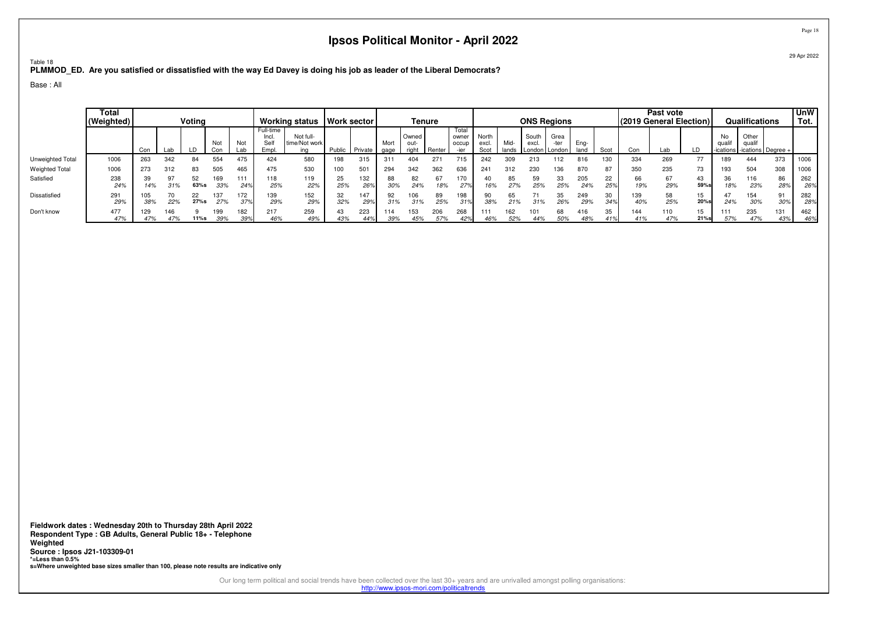™able 18<br><mark>PLMMOD\_ED. Are you satisfied or dissatisfied with the way Ed Davey is doing his job as leader of the Liberal Democrats?</mark>

Base : All

|                       | Total<br>(Weighted) |            |            | Votina     |             |            |                                     | <b>Working status</b>             | Work sector |            |              | Tenure                 |            |                                 |                        |               | <b>ONS Regions</b>                |              |              |           |            | Past vote<br>(2019 General Election) |            |            | Qualifications                                     |            | <b>UnW</b><br>Tot. |
|-----------------------|---------------------|------------|------------|------------|-------------|------------|-------------------------------------|-----------------------------------|-------------|------------|--------------|------------------------|------------|---------------------------------|------------------------|---------------|-----------------------------------|--------------|--------------|-----------|------------|--------------------------------------|------------|------------|----------------------------------------------------|------------|--------------------|
|                       |                     | Con        | Lab        | חו         | Not<br>.orٽ | Not<br>Lab | Full-time<br>Incl.<br>Sell<br>Empl. | Not full-<br>time/Not work<br>ina | Public      | Private    | Mort<br>gage | Owned<br>out-<br>riaht | I Renter'  | Total<br>owner<br>occup<br>-ier | North<br>excl.<br>Scot | Mid-<br>lands | South<br>excl.<br>London   London | Grea<br>-ter | Ena-<br>land | Scot      | Con        | Lab                                  |            | No<br>qual | Other<br>quali<br>-ications   -ications   Degree + |            |                    |
| Unweighted Total      | 1006                | 263        | 342        | 84         | 554         | 475        | 424                                 | 580                               | 198         | 315        | 311          | 404                    | $27 -$     | 715                             | 242                    | 309           | 213                               | 112          | 816          | 130       | 334        | 269                                  | 77         | 89         | 444                                                | 373        | 1006               |
| <b>Weighted Total</b> | 1006                | 273        | 312        | 83         | 505         | 465        | 475                                 | 530                               | 100         | 501        | 294          | 342                    | 362        | 636                             | 241                    | 312           | 230                               | 136          | 870          | 87        | 350        | 235                                  | 73         | '93        | 504                                                | 308        | 1006               |
| Satisfied             | 238<br>24%          | 39<br>14%  | n-<br>.31% | 52<br>63%s | 169<br>33%  | 111<br>249 | 118<br>25%                          | 119<br>22%                        | 25<br>25%   | 132<br>26% | 88<br>30%    | 82<br>24%              | 18%        | 170<br>27%                      | 16%                    | 85<br>27%     | 59<br>25%                         | 33<br>25%    | 205<br>24%   | 22<br>25% | 66<br>19%  | 67<br>29%                            | 43<br>59%  | 36<br>18%  | 116<br>23%                                         | 86<br>28%  | 262<br>26%         |
| Dissatisfied          | 291<br>29%          | 105<br>38% | 22%        | 22<br>27%s | 137<br>27%  | 172<br>37% | 139<br>29%                          | 152<br>29%                        | 32<br>32%   | 147<br>29% | 92<br>.31%   | 106<br>.31%            | 89<br>25%  | 198<br>31%                      | 38%                    | 65<br>21%     | 31%                               | 35<br>26%    | 249<br>29%   | 30<br>34% | 139<br>40% | 58<br>25%                            | 15<br>20%s | 24%        | 154<br>30%                                         | 91<br>30%  | 282<br>28%         |
| Don't know            | 477<br>47%          | 129<br>47% | 46<br>47%  | $11\%s$    | 199<br>39%  | 182<br>39° | 217<br>46%                          | 259<br>49%                        | 43<br>43%   | 223<br>44% | 114          | 153                    | 206<br>57% | 268                             | 111<br>46%             | 62<br>52%     | 44%                               | 68<br>50%    | 416          | 35        | 144<br>41% | 110<br>47%                           | 15<br>21%s | 57%        | 235<br>47%                                         | 131<br>43% | 462<br>46%         |

**Fieldwork dates : Wednesday 20th to Thursday 28th April 2022 Respondent Type : GB Adults, General Public 18+ - TelephoneWeighted Source : Ipsos J21-103309-01 \*=Less than 0.5%s=Where unweighted base sizes smaller than 100, please note results are indicative only**

> Our long term political and social trends have been collected over the last 30+ years and are unrivalled amongst polling organisations: http://www.ipsos-mori.com/politicaltrends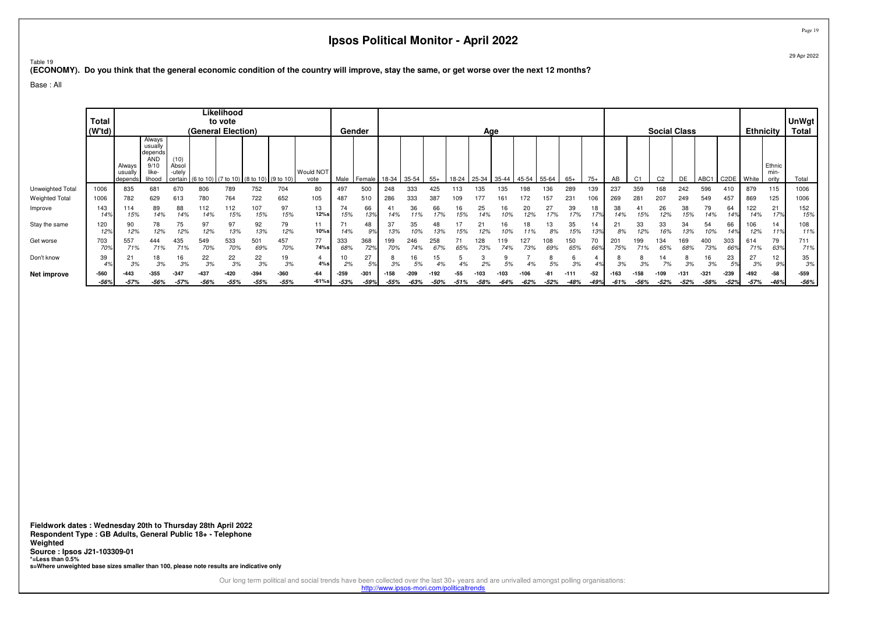## <sup>Table 19</sup><br>(ECONOMY). Do you think that the general economic condition of the country will improve, stay the same, or get worse over the next 12 months?

Base : All

|                       | <b>Total</b><br>(W'td) |                                                                                                                                                                                                                                                                  |                  |                 |               | Likelihood<br>to vote |                  |                  |                |                  | Gender           |                |                |            |        | Age            |        |                |            |             |                 |                     |               | <b>Social Class</b> |                |                  |                        | <b>Ethnicity</b> |                         | <b>UnWgt</b><br>Total |
|-----------------------|------------------------|------------------------------------------------------------------------------------------------------------------------------------------------------------------------------------------------------------------------------------------------------------------|------------------|-----------------|---------------|-----------------------|------------------|------------------|----------------|------------------|------------------|----------------|----------------|------------|--------|----------------|--------|----------------|------------|-------------|-----------------|---------------------|---------------|---------------------|----------------|------------------|------------------------|------------------|-------------------------|-----------------------|
|                       |                        | (General Election)<br>Always<br>usually<br>depends<br><b>AND</b><br>(10)<br>Always<br>9/1<br>Absol<br>Would NOT<br>like-<br>-utelv<br>usually<br>10) (7 to 10) (8 to 10) (9 to 10)<br>vote<br>lihood<br>depends<br>670<br>752<br>704<br>789<br>835<br>681<br>806 |                  |                 |               |                       |                  |                  |                | Male             | Female           | 18-34          | 35-54          | $55+$      | 18-24  | 25-34          | 35-44  | 45-54          | 55-64      | $65+$       | $75+$           | AB                  |               | C <sub>2</sub>      | DE             | ABC <sub>1</sub> | C2DE   White           |                  | Ethnic<br>min-<br>ority | Total                 |
| Unweighted Total      | 1006                   |                                                                                                                                                                                                                                                                  |                  |                 |               |                       |                  |                  | 80             | 497              | 500              | 248            | 333            | 425        |        | 135            | 35     | 98             | 136        | 289         | 139             | 237                 | 359           |                     | 242            | 596              | 410                    | 879              | 115                     | 1006                  |
| <b>Weighted Total</b> | 1006                   | 782                                                                                                                                                                                                                                                              | 629              | 613             | 780           | 764                   | 722              | 652              | 105            | 487              | 510              | 286            | 333            | 387        |        |                |        |                | 157        | 231         | 106             | 269                 | 281           | 207                 | 249            | 549              | 457                    | 869              | 125                     | 1006                  |
| Improve               | 143<br>14%             | 114<br>15%                                                                                                                                                                                                                                                       | 89<br>14%        | 88<br>14%       | 112<br>14%    | 112<br>15%            | 107<br>15%       | 97<br>15%        | 13<br>12%s     | 74<br>15%        | 66<br>13%        | 4.<br>14%      | 36             | 66         | 16     | 25             | 16     | 20<br>2%       | 27<br>17%  | 39<br>17%   | 179             | 38<br>4%            |               | 26                  | 38<br>15%      | 79               | 64<br>14%              | 122<br>14%       | 21<br>17%               | 152<br>15%            |
| Stay the same         | 120<br>12%             | 90<br>12%                                                                                                                                                                                                                                                        | 78<br>12%        | 75<br>12%       | 97<br>12%     | 97<br>13%             | 92<br>13%        | 79<br>12%        | 11<br>10%s     | 14%              | 48<br>9%         | 37<br>13%      | 35             | 48<br>13%  |        |                | 16     | 18             | Ι3<br>8%   | 35<br>15%   | 14<br>13%       | 8%                  | 33<br>12%     | 33<br>16%           | 34<br>13%      | 54<br>10%        | 66<br>14%              | 106<br>12%       | 14<br>11%               | 108<br>11%            |
| Get worse             | 703<br>70%             | 557<br>71%                                                                                                                                                                                                                                                       | 444<br>71%       | 435<br>71%      | 549           | 533<br>70%            | 501<br>69%       | 457<br>70%       | 77<br>74%s     | 333<br>68%       | 368<br>72%       | 199            | 246<br>74%     | 258<br>67% |        | 73%            | 19     | 73%            | 108<br>69% | 150<br>65%  | 70<br>669       | $20^{\circ}$<br>75% | 99<br>71%     | 34<br>65%           | 68%            | 400<br>73%       | 303<br>66 <sup>°</sup> | 614<br>71%       | 79<br>63%               | 711<br>71%            |
| Don't know            | 39<br>4%               | $2^{\cdot}$<br>3%                                                                                                                                                                                                                                                | 18<br>3%         | 16<br>3%        | 22<br>3%      | 22<br>3%              | 22<br>3%         | 19<br>3%         | 4%s            | 2%               | 27<br>5%         | 3%             | 16<br>5%       | 4%         |        | 0 <sup>0</sup> |        | $\overline{a}$ | 5%         | 3%          | 40,             | 3%                  | 20/           | 14<br>7%            | 3%             | 16<br>3%         | 23<br>5%               | 27<br>3%         | 12<br>9%                | 35<br>3%              |
| Net improve           | -560<br>$-56%$         | $-57%$                                                                                                                                                                                                                                                           | $-355$<br>$-56%$ | $-34$<br>$-57%$ | 437<br>$-56%$ | $-55%$                | $-394$<br>$-55%$ | $-360$<br>$-55%$ | -64<br>$-61%s$ | $-259$<br>$-53%$ | $-301$<br>$-59%$ | -158<br>$-55%$ | -209<br>$-63%$ | -50%       | $-51%$ | $-58%$         | $-64%$ | 106<br>$-62%$  | $-52%$     | -11<br>-48% | $-52$<br>$-49%$ | -61%                | 158<br>$-56%$ | 109<br>$-52%$       | -131<br>$-52%$ | $-321$<br>$-58%$ | $-239$<br>$-52%$       | $-492$<br>$-57%$ | $-58$<br>-46%           | $-559$<br>-56%        |

**Fieldwork dates : Wednesday 20th to Thursday 28th April 2022 Respondent Type : GB Adults, General Public 18+ - TelephoneWeighted Source : Ipsos J21-103309-01 \*=Less than 0.5%s=Where unweighted base sizes smaller than 100, please note results are indicative only**

> Our long term political and social trends have been collected over the last 30+ years and are unrivalled amongst polling organisations: http://www.ipsos-mori.com/politicaltrends

Page 1929 Apr 2022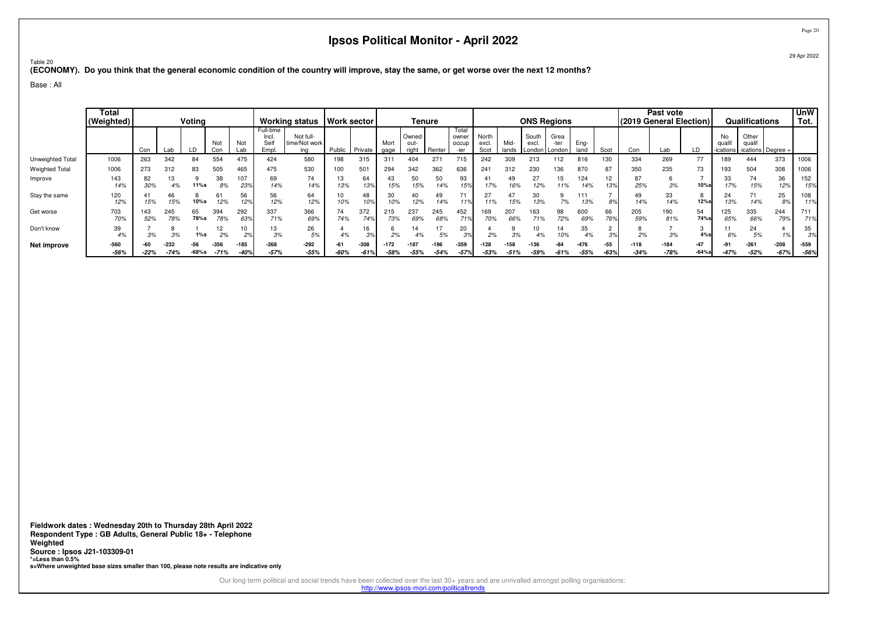29 Apr 2022

<sup>Table 20</sup><br>(ECONOMY). Do you think that the general economic condition of the country will improve, stay the same, or get worse over the next 12 months?

Base : All

|                       | <b>Total</b><br>(Weighted) |            |            | Voting     |                |            |                                     | Working status   Work sector      |           |                  |                  | Tenure                 |               |                         |                        |               |               | <b>ONS Regions</b>      |                  |                 |                  | Past vote<br>(2019 General Election) |                   |                        | Qualifications                          |                  | <b>UnW</b><br>Tot. |
|-----------------------|----------------------------|------------|------------|------------|----------------|------------|-------------------------------------|-----------------------------------|-----------|------------------|------------------|------------------------|---------------|-------------------------|------------------------|---------------|---------------|-------------------------|------------------|-----------------|------------------|--------------------------------------|-------------------|------------------------|-----------------------------------------|------------------|--------------------|
|                       |                            | Con        |            | LD         | Not<br>Con     | Not<br>Lab | Full-time<br>Incl.<br>Self<br>Empl. | Not full-<br>time/Not work<br>ina | Public    | Private          | Mort<br>gage     | Owned<br>out-<br>right | Renter        | Total<br>owner<br>occup | North<br>excl.<br>Scot | Mid-<br>lands | South<br>excl | Grea<br>London   London | Ena-<br>land     | Scot            | Con              | Lab                                  | LГ                | No<br>qua<br>-ications | Other<br>qualif<br>-ications   Degree + |                  |                    |
| Unweighted Total      | 1006                       | 263        | 342        | 84         | 554            | 475        | 424                                 | 580                               | 198       | 315              | 311              | 404                    | 271           | 715                     | 242                    | 309           | 213           |                         | 816              | 130             | 334              | 269                                  | 77                | 189                    | 444                                     | 373              | 1006               |
| <b>Weighted Total</b> | 1006                       | 273        | 312        | 83         | 505            | 465        | 475                                 | 530                               | 100       | 50 <sup>°</sup>  | 294              | 342                    | 362           | 636                     | 241                    | 312           | 230           | 136                     | 870              | 87              | 350              | 235                                  | 73                | 93                     | 504                                     | 308              | 1006               |
| Improve               | 143<br>14%                 | 82<br>30%  | 10         | 11%s       | 38<br>8%       | 107<br>23% | 69<br>14%                           | 74<br>14%                         | 13<br>13% | 64<br>13%        | 43<br>15%        | 50<br>15%              | 50<br>4%      | 93<br>15%               | 17%                    | 6%            | 27<br>12%     | 15<br>11%               | 124<br>14%       | 12<br>13%       | 87<br>25%        | 3%                                   | 10%               | 33<br>17%              | 74<br>15%                               | 36<br>12%        | 152<br>15%         |
| Stay the same         | 120<br>12%                 | 41<br>15%  | 46<br>15%  | 10%s       | 12%            | 56<br>12%  | 56<br>12%                           | 64<br>12%                         | 10%       | 48<br>10%        | 30<br>10%        | 40<br>12%              | 4%            | 71<br>11%               | 11%                    | 15%           | 13%           | 7%                      | 111<br>13%       | 8%              | 49<br>14%        | 33<br>14%                            | 12%s              | 24<br>13%              | 74<br>14%                               | 25<br>8º         | 108<br>11%         |
| Get worse             | 703<br>70%                 | 143<br>52% | 245<br>78% | 65<br>78%s | 394<br>78%     | 292<br>63% | 337<br>71%                          | 366<br>69%                        | 74<br>74% | 372<br>74%       | 215<br>73%       | 237<br>69%             | 245<br>68%    | 452<br>71%              | 169<br>70%             | 207<br>66%    | 163<br>71%    | 98<br>72%               | 600<br>69%       | 66<br>76%       | 205<br>59%       | 190<br>81%                           | 54<br>74%s        | 125<br>65%             | 335<br>66%                              | 244<br>79%       | 711<br>71%         |
| Don't know            | 39<br>4%                   | 3%         | 3%         | $1\%s$     | 12<br>2%       | 10<br>2%   | 13<br>3%                            | 26<br>5%                          | 4%        | 16<br>3%         | 2%               |                        | 5%            | 20<br>39                | 2%                     | 3%            |               | 14<br>10%               | 35<br>4%         | $\Omega$        | 2%               | 3%                                   | 4%                | 6%                     | 24<br>5%                                | 17               | 35<br>3%           |
| Net improve           | $-560$<br>$-56%$           | $-22%$     | $-74%$     | $-68%$ s   | -356<br>$-71%$ | $-185$     | $-268$<br>$-57%$                    | $-292$<br>$-55%$                  | $-60%$    | $-308$<br>$-61%$ | $-172$<br>$-58%$ | $-55%$                 | 196<br>$-54%$ | $-359$<br>$-57c$        | $-128$<br>$-53%$       | $-51°$        | 136<br>$-59%$ | $-61%$                  | $-476$<br>$-55%$ | $-55$<br>$-639$ | $-118$<br>$-34%$ | $-184$<br>$-78%$                     | $-47$<br>$-64%$ s | $-47%$                 | $-261$<br>$-52%$                        | $-208$<br>$-67%$ | $-559$<br>-56%     |

**Fieldwork dates : Wednesday 20th to Thursday 28th April 2022 Respondent Type : GB Adults, General Public 18+ - TelephoneWeighted Source : Ipsos J21-103309-01 \*=Less than 0.5%s=Where unweighted base sizes smaller than 100, please note results are indicative only**

Our long term political and social trends have been collected over the last 30+ years and are unrivalled amongst polling organisations:

http://www.ipsos-mori.com/politicaltrends

Page 20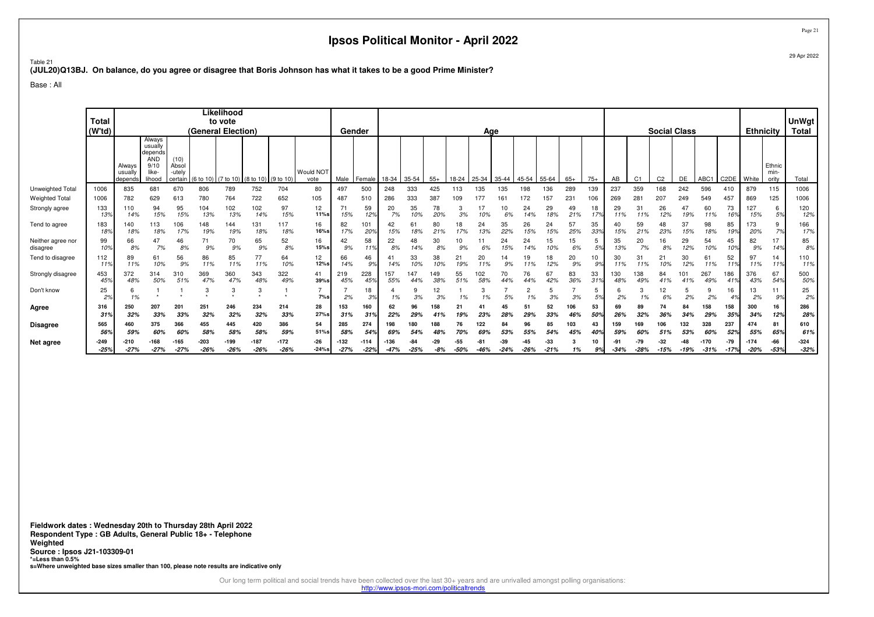Table 21**(JUL20)Q13BJ. On balance, do you agree or disagree that Boris Johnson has what it takes to be a good Prime Minister?**

Base : All

|                               | <b>Total</b><br>(W <sup>t</sup> d) |                              |                                                                       |                                    | (General Election) | Likelihood<br>to vote |                                         |                  |                   |                  | Gender         |                  |            |                |                 | Age        |                 |              |                 |            |           |           |                | <b>Social Class</b> |               |                  |                 | <b>Ethnicity</b> |                         | <b>UnWgt</b><br><b>Total</b> |
|-------------------------------|------------------------------------|------------------------------|-----------------------------------------------------------------------|------------------------------------|--------------------|-----------------------|-----------------------------------------|------------------|-------------------|------------------|----------------|------------------|------------|----------------|-----------------|------------|-----------------|--------------|-----------------|------------|-----------|-----------|----------------|---------------------|---------------|------------------|-----------------|------------------|-------------------------|------------------------------|
|                               |                                    | Always<br>usually<br>depends | Always<br>usually<br>depends<br><b>AND</b><br>9/10<br>like-<br>lihood | (10)<br>Absol<br>-utely<br>certain |                    |                       | (6 to 10) (7 to 10) (8 to 10) (9 to 10) |                  | Would NOT<br>vote | Male             | Female         | 18-34            | 35-54      | $55+$          | 18-24           | 25-34      | 35-44           | 45-54        | 55-64           | $65+$      | $75+$     | AB        | C <sub>1</sub> | C <sub>2</sub>      | DE            | ABC1             | C2DE   White    |                  | Ethnic<br>min-<br>ority | Total                        |
| Unweighted Total              | 1006                               | 835                          | 681                                                                   | 670                                | 806                | 789                   | 752                                     | 704              | 80                | 497              | 500            | 248              | 333        | 425            | 113             | 135        | 135             | 198          | 136             | 289        | 139       | 237       | 359            | 168                 | 242           | 596              | 410             | 879              | 115                     | 1006                         |
| <b>Weighted Total</b>         | 1006                               | 782                          | 629                                                                   | 613                                | 780                | 764                   | 722                                     | 652              | 105               | 487              | 510            | 286              | 333        | 387            | 109             | 177        | 16 <sup>°</sup> | 72           | 157             | 231        | 106       | 269       | 281            | 207                 | 249           | 549              | 457             | 869              | 125                     | 1006                         |
| Strongly agree                | 133<br>139                         | 110<br>14%                   | 94<br>15%                                                             | 95<br>15%                          | 104<br>13%         | 102<br>13%            | 102<br>14%                              | 97<br>15%        | 12<br>11%s        | 71<br>15%        | 59<br>12%      | 20<br>7%         | 35<br>10%  | 78<br>20%      | 3%              | 10%        | 10<br>6%        | 24<br>14%    | 29<br>18%       | 49<br>21%  | 18<br>17% | 29<br>11% | 31<br>11%      | 26<br>12%           | 47<br>19%     | 60<br>11%        | 73<br>16%       | 127<br>15%       | 6<br>5%                 | 120<br>12%                   |
| Tend to agree                 | 183<br>189                         | 140<br>18%                   | 13<br>18%                                                             | 106<br>17%                         | 148<br>19%         | 144<br>19%            | 131<br>18%                              | 117<br>18%       | 16<br>$16%$ s     | 82<br>17%        | 101<br>20%     | 42<br>15%        | 61<br>18%  | 80<br>21%      | 18<br>17%       | 24<br>13%  | 35<br>22%       | 26<br>15%    | 24<br>15%       | 57<br>25%  | 35<br>33% | 15%       | 59<br>21%      | 48<br>23%           | 37<br>15%     | 98<br>18%        | 85<br>19%       | 173<br>20%       | 9<br>7%                 | 166<br>17%                   |
| Neither agree nor<br>disagree | 99<br>10%                          | 66<br>8%                     | 47<br>7%                                                              | 46<br>8%                           | 71<br>9%           | 70<br>9%              | 65<br>9%                                | 52<br>8%         | 16<br>$15%$ s     | 42<br>9%         | 58<br>11%      | 22<br>8%         | 48<br>14%  | 30<br>8%       | 10<br>9%        | 6%         | 24<br>15%       | 24<br>14%    | 15<br>10%       | 15<br>6%   | 5<br>5%   | 35<br>13% | 20<br>7%       | 16<br>8%            | 29<br>12%     | 54<br>10%        | 45<br>10%       | 82<br>9%         | 17<br>14%               | 85<br>8%                     |
| Tend to disagree              | 112<br>119                         | 89<br>11%                    | 61<br>10%                                                             | 56<br>9%                           | 86<br>11%          | 85<br>11%             | 77<br>11%                               | 64<br>10%        | 12<br>12%s        | 66<br>14%        | 46<br>9%       | 41<br>14%        | 33<br>10%  | 38<br>10%      | 21<br>19%       | 20<br>11%  | 14<br>9%        | 19<br>11%    | 18<br>12%       | 20<br>9%   | 10<br>9%  | 30        | 31<br>11%      | 21<br>10%           | 30<br>12%     | 61<br>11%        | 52<br>11%       | 97<br>11%        | 14<br>11%               | 110<br>11%                   |
| Strongly disagree             | 453<br>45 <sup>o</sup>             | 372<br>48%                   | 314<br>50%                                                            | 310<br>51%                         | 369<br>47%         | 360<br>47%            | 343<br>48%                              | 322<br>49%       | 41<br>39%s        | 219<br>45%       | 228<br>45%     | 157<br>55%       | 147<br>44% | 149<br>38%     | 55<br>51%       | 102<br>58% | 70<br>44%       | 76<br>44%    | 67<br>42%       | 83<br>36%  | 33<br>31% | 48%       | 38<br>49%      | 84<br>41%           | 101           | 267<br>49%       | 186             | 376<br>43%       | 67<br>54%               | 500<br>50%                   |
| Don't know                    | 25<br>2 <sup>o</sup>               | 6<br>1%                      |                                                                       |                                    | 3                  | 3                     | 3                                       | $\star$          | $7\%s$            | 2%               | 18<br>3%       | 1%               | 3%         | 12<br>3%       | 1%              | 1%         | 5%              | 2<br>1%      | 3%              | 3%         | 5<br>5%   | 2%        | 3<br>1%        | 12<br>6%            | 2%            | 2%               | 16              | 13<br>2%         | 11<br>9%                | 25<br>2%                     |
| Agree                         | 316<br>31%                         | 250<br>32%                   | 207<br>33%                                                            | 201<br>33%                         | 251<br>32%         | 246<br>32%            | 234<br>32%                              | 214<br>33%       | 28<br>27%s        | 153<br>31%       | 160<br>31%     | 62<br>22%        | 96<br>29%  | 158<br>41%     | 21<br>19%       | 23%        | 45<br>28%       | 51<br>29%    | 52<br>33%       | 106<br>46% | 53<br>50% | 69<br>26% | 89<br>32%      | 74<br>36%           | 84<br>34%     | 158<br>29%       | 158<br>35%      | 300<br>34%       | 16<br>12%               | 286<br>28%                   |
| Disagree                      | 565                                | 460                          | 375                                                                   | 366                                | 455                | 445                   | 420                                     | 386              | 54                | 285              | 274            | 198              | 180        | 188            | 76              | 122        | 84              | 96           | 85              | 103        | 43        | 159       | 169            | 106                 | 132           | 328              | 237             | 474              | 81                      | 610                          |
|                               | 569                                | 59%                          |                                                                       | 60%                                | 58%                | 58%                   | 58%                                     | 59%              | 51%s              | 58%              | 54%            | 69%              |            | 48%            |                 |            | 53%             | 55%          | 54%             | 45%        | 40%       |           |                | 51%                 | 53%           | 60%              | 52%             | 55%              | 65%                     | 61%                          |
| Net agree                     | $-249$<br>$-25%$                   | $-210$<br>$-27%$             | $-168$<br>$-27%$                                                      | $-165$<br>$-27%$                   | $-203$<br>$-26%$   | -199<br>$-26%$        | $-187$<br>$-26%$                        | $-172$<br>$-26%$ | $-26$<br>$-24%s$  | $-132$<br>$-27%$ | -114<br>$-22%$ | $-136$<br>$-47%$ | $-25%$     | $-29$<br>$-8%$ | $-55$<br>$-50%$ | $-46%$     | -39<br>$-24%$   | 45<br>$-26%$ | $-33$<br>$-21%$ | 1%         | 10        |           | -79<br>$-28%$  | $-32$<br>$-15%$     | -48<br>$-19%$ | $-170$<br>$-31%$ | $-79$<br>$-17%$ | $-174$<br>$-20%$ | $-66$<br>$-53%$         | $-324$<br>$-32%$             |
|                               |                                    |                              |                                                                       |                                    |                    |                       |                                         |                  |                   |                  |                |                  |            |                |                 |            |                 |              |                 |            | 9%        | $-34%$    |                |                     |               |                  |                 |                  |                         |                              |

**Fieldwork dates : Wednesday 20th to Thursday 28th April 2022 Respondent Type : GB Adults, General Public 18+ - TelephoneWeighted Source : Ipsos J21-103309-01 \*=Less than 0.5%s=Where unweighted base sizes smaller than 100, please note results are indicative only**

Our long term political and social trends have been collected over the last 30+ years and are unrivalled amongst polling organisations:

http://www.ipsos-mori.com/politicaltrends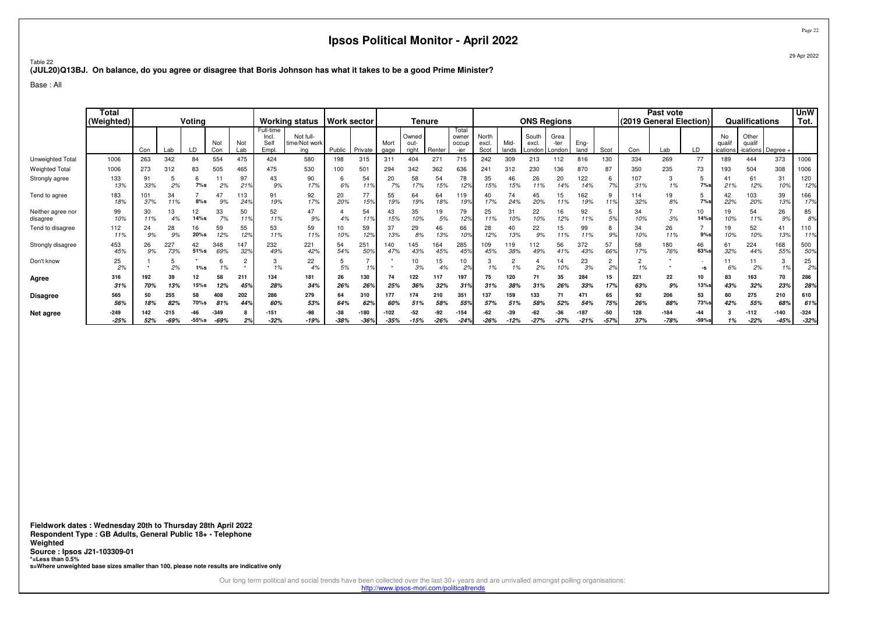Table 22**(JUL20)Q13BJ. On balance, do you agree or disagree that Boris Johnson has what it takes to be a good Prime Minister?**

Base : All

|                               | <b>Total</b><br>(Weighted) | Voting<br>Not<br>Not<br>Con<br>Lab<br>Con<br>∣ ah<br>475<br>554<br>263<br>84<br>342<br>83<br>505<br>465<br>273<br>312<br>97<br>91<br>O<br>33%<br>2%<br>7%s<br>2%<br>21 <sup>5</sup><br>34<br>47<br>101<br>113 |            |               |                | <b>Working status</b> |                                     | <b>Work sector</b>                |               | Tenure         |                |                        |               |                                 | <b>ONS Regions</b>     |               |                          |                          |                  | Past vote<br>(2019 General Election) |            |                  | Qualifications    |                       | <b>UnW</b><br>Tot.                 |                |                  |
|-------------------------------|----------------------------|---------------------------------------------------------------------------------------------------------------------------------------------------------------------------------------------------------------|------------|---------------|----------------|-----------------------|-------------------------------------|-----------------------------------|---------------|----------------|----------------|------------------------|---------------|---------------------------------|------------------------|---------------|--------------------------|--------------------------|------------------|--------------------------------------|------------|------------------|-------------------|-----------------------|------------------------------------|----------------|------------------|
|                               |                            |                                                                                                                                                                                                               |            |               |                |                       | Full-time<br>Incl.<br>Self<br>Empl. | Not full-<br>time/Not work<br>ina | Public        | Private        | Mort<br>gage   | Owned<br>out-<br>riaht | Renter        | Total<br>owner<br>occup<br>-ier | North<br>excl.<br>Scot | Mid-<br>lands | South<br>excl.<br>London | Grea<br>-ter<br>l Londor | Eng-<br>land     | Scot                                 | Con        | Lab              | LD                | No<br>qua<br>ications | Other<br>qualif<br>ications Degree |                |                  |
| Unweighted Total              | 1006                       |                                                                                                                                                                                                               |            |               |                |                       | 424                                 | 580                               | 198           | 315            | 311            | 404                    | $27 -$        | 715                             | 242                    | 309           | 213                      | 112                      | 816              | 130                                  | 334        | 269              | 77                | 189                   | 444                                | 373            | 1006             |
| <b>Weighted Total</b>         | 1006                       |                                                                                                                                                                                                               |            |               |                |                       | 475                                 | 530                               | 100           | 501            | 294            | 342                    | 362           | 636                             | 241                    | 312           | 230                      | 136                      | 870              | 87                                   | 350        | 235              | 73                | 193                   | 504                                | 308            | 1006             |
| Strongly agree                | 133<br>13%                 |                                                                                                                                                                                                               |            |               |                |                       | 43<br>9%                            | 90<br>17%                         | 6%            | 54<br>11%      | 20<br>7%       | 58<br>17%              | 54<br>15%     | 78<br>12%                       | 35<br>15%              | 5%            | 26<br>11%                | 20<br>14%                | 122<br>14%       | 6<br>70/                             | 107<br>31% | 3<br>1%          | э<br>7%s          | 21%                   | 61<br>12%                          | 31<br>10%      | 120<br>12%       |
| Tend to agree                 | 183<br>18%                 | 37%                                                                                                                                                                                                           | 11%        | $8%$ s        | 9%             | 24%                   | 91<br>19%                           | 92<br>17%                         | 20<br>20%     | 77<br>15%      | 55<br>19%      | 64<br>19%              | 64<br>18%     | 119<br>19%                      | 17%                    | 74<br>24%     | 45<br>20%                | 15<br>11%                | 62<br>19%        | 9<br>11%                             | 114<br>32% | 19<br>8%         | 5<br>7%s          | 42<br>22%             | 103<br>20%                         | 39<br>13%      | 166<br>17%       |
| Neither agree nor<br>disagree | 99<br>10%                  | 30<br>11%                                                                                                                                                                                                     | 13<br>4%   | 12<br>14%s    | 33<br>7%       | 50<br>119             | 52<br>11%                           | 47<br>9%                          | 4%            | 54<br>11%      | 43<br>15%      | 35<br>10%              | 19<br>5%      | 79<br>12%                       | 25<br>11%              | 31<br>10%     | 22<br>10%                | 16<br>12%                | 92<br>11%        | 5<br>5%                              | 34<br>10%  | 3%               | 10<br>14%s        | 19<br>10%             | 54<br>11%                          | 26<br>9%       | 85<br>8%         |
| Tend to disagree              | 112<br>11%                 | 24<br>9%                                                                                                                                                                                                      | 28<br>9%   | 16<br>$20%$ s | 59<br>12%      | 55<br>12%             | 53<br>11%                           | 59<br>11%                         | 10%           | 59<br>12%      | 37<br>13%      | 29<br>8%               | 46<br>13%     | 66<br>109                       | 28<br>12%              | 13%           | 22<br>9%                 | 15<br>11%                | 99<br>11%        | 8<br>9%                              | 34<br>10%  | 26<br>11%        | 9%s               | 19<br>10%             | 52<br>10%                          | 41<br>13%      | 110<br>119       |
| Strongly disagree             | 453<br>45%                 | 26<br>9%                                                                                                                                                                                                      | 227<br>73% | 42<br>51%s    | 348<br>69%     | 147<br>32%            | 232<br>49%                          | 221<br>42%                        | 54<br>54%     | 251<br>50%     | 140<br>47%     | 45<br>43%              | 164<br>45%    | 285<br>459                      | 109<br>45%             | 19<br>38%     | 112<br>49%               | 56<br>41%                | 372<br>43%       | 57<br>66%                            | 58<br>17%  | 180<br>76%       | 46<br>63%         | 61<br>32%             | 224<br>44%                         | 168<br>55%     | 500<br>50%       |
| Don't know                    | 25<br>2%                   |                                                                                                                                                                                                               | 2%         | $1\%$ s       | 1%             | ≘<br>$\star$          | 1%                                  | 22<br>4%                          | 5%            | 1%             |                | 10<br>3%               | 15<br>4%      | 10<br>2%                        | 1%                     | 1%            | 2%                       | 14<br>10%                | 23<br>3%         | $\overline{2}$<br>2%                 | 1%         |                  | -S                | 6%                    | 2%                                 | 3<br>1%        | 25<br>2%         |
| Agree                         | 316<br>31%                 | 192<br>70%                                                                                                                                                                                                    | 39<br>13%  | 12<br>$15%$ s | 58<br>12%      | 211<br>459            | 134<br>28%                          | 181<br>34%                        | 26<br>26%     | 130<br>26%     | 74<br>25%      | 122<br>36%             | 117<br>32%    | 197<br>319                      | 75<br>31%              | 120<br>38%    | 71<br>31%                | 35<br>26%                | 284<br>33%       | 15<br>17%                            | 221<br>63% | 22<br>9%         | 10<br><b>13%s</b> | 83<br>43%             | 163<br>32%                         | 70<br>23%      | 286<br>28%       |
| <b>Disagree</b>               | 565<br>56%                 | 50<br>18%                                                                                                                                                                                                     | 255<br>82% | 58<br>70%s    | 408<br>81%     | 202<br>44%            | 286<br>60%                          | 279<br>53%                        | 64<br>64%     | 62%            | 177<br>60%     | 174<br>51%             | 210<br>58%    | 351<br>55%                      | 137<br>57%             | 159<br>51%    | 133<br>58%               | 52%                      | 471<br>54%       | 65<br>75%                            | 92<br>26%  | 206<br>88%       | 53<br>73%s        | 80<br>42%             | 275<br>55%                         | 210<br>68%     | 610<br>61%       |
| Net agree                     | $-249$<br>$-25%$           | 52%                                                                                                                                                                                                           | -69%       | $-55%$ s      | -349<br>$-69%$ | 2%                    | -151<br>$-32%$                      | $-98$<br>-19%                     | -38<br>$-38%$ | -180<br>$-36%$ | -102<br>$-35%$ | -52<br>$-15%$          | -92<br>$-26%$ | $-154$<br>$-249$                | -62<br>$-26%$          | -39<br>$-12%$ | -62<br>$-27%$            | -36<br>$-27%$            | $-187$<br>$-21%$ | -50<br>$-57%$                        | 128<br>37% | $-184$<br>$-78%$ | -44<br>$-59%$ s   | 1%                    | $-112$<br>$-22%$                   | -140<br>$-45%$ | $-324$<br>$-32%$ |

**Fieldwork dates : Wednesday 20th to Thursday 28th April 2022 Respondent Type : GB Adults, General Public 18+ - TelephoneWeighted Source : Ipsos J21-103309-01 \*=Less than 0.5%s=Where unweighted base sizes smaller than 100, please note results are indicative only**

Our long term political and social trends have been collected over the last 30+ years and are unrivalled amongst polling organisations:

http://www.ipsos-mori.com/politicaltrends

Page 2229 Apr 2022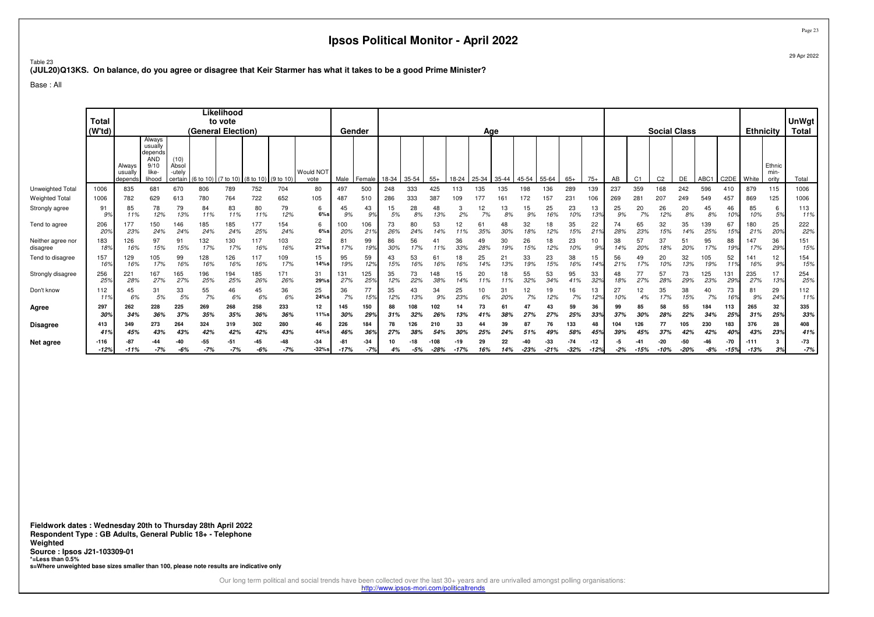Table 23**(JUL20)Q13KS. On balance, do you agree or disagree that Keir Starmer has what it takes to be a good Prime Minister?**

Base : All

|                               | <b>Total</b>           |                              |                                                                       |                                    |                    | Likelihood<br>to vote |                                         |              |                   |                       |                  |           |            |               |               |              |           |               |                 |                 |                 |           |                |                | <b>Social Class</b> |                |               |                      |                         | UnWgt          |
|-------------------------------|------------------------|------------------------------|-----------------------------------------------------------------------|------------------------------------|--------------------|-----------------------|-----------------------------------------|--------------|-------------------|-----------------------|------------------|-----------|------------|---------------|---------------|--------------|-----------|---------------|-----------------|-----------------|-----------------|-----------|----------------|----------------|---------------------|----------------|---------------|----------------------|-------------------------|----------------|
|                               | (W <sup>t</sup> d)     | Always<br>usually<br>depends | Always<br>usually<br>depends<br><b>AND</b><br>9/10<br>like-<br>lihood | (10)<br>Absol<br>-utelv<br>certain | (General Election) |                       | (6 to 10) (7 to 10) (8 to 10) (9 to 10) |              | Would NOT<br>vote | Male                  | Gender<br>Female | 18-34     | 35-54      | $55+$         | 18-24         | Age<br>25-34 | 35-44     | 45-54         | 55-64           | $65+$           | $75+$           | AB        | C <sub>1</sub> | C <sub>2</sub> | DE                  | ABC1           | C2DE   White  | <b>Ethnicity</b>     | Ethnic<br>min-<br>ority | Total<br>Total |
| Unweighted Total              | 1006                   | 835                          | 681                                                                   | 670                                | 806                | 789                   | 752                                     | 704          | 80                | 497                   | 500              | 248       | 333        | 425           | 113           | 135          | 135       | 198           | 136             | 289             | 139             | 237       | 359            | 168            | 242                 | 596            | 410           | 879                  | 115                     | 1006           |
| Weighted Total                | 1006                   | 782                          | 629                                                                   | 613                                | 780                | 764                   | 722                                     | 652          | 105               | 487                   | 510              | 286       | 333        | 387           | 109           | 177          | 161       | 72            | 157             | 231             | 106             | 269       | 281            | 207            | 249                 | 549            | 457           | 869                  | 125                     | 1006           |
| Strongly agree                | 91<br>99               | 85<br>11%                    | 78<br>12%                                                             | 79<br>13%                          | 84<br>11%          | 83<br>11%             | 80<br>11%                               | 79<br>12%    | 6<br>$6\%s$       | 45<br>9%              | 43<br>9%         | 15<br>5%  | 28<br>8%   | 48<br>13%     | 2%            | 12<br>7%     | 13<br>8%  | 15<br>9%      | 25<br>16%       | 23<br>10%       | 13<br>13%       | 25<br>9%  | 20<br>7%       | 26<br>12%      | 20<br>8%            | 45<br>8%       | 46<br>10%     | 85<br>10%            | 6<br>5%                 | 113<br>11%     |
| Tend to agree                 | 206<br>$20^{\circ}$    | 177<br>23%                   | 150<br>24%                                                            | 146<br>24%                         | 185<br>24%         | 185<br>24%            | 177<br>25%                              | 154<br>24%   | 6<br>$6\%s$       | 100<br>20%            | 106<br>219       | 73<br>26% | 80<br>24%  | 53<br>14%     | 12            | 61<br>35%    | 48<br>30% | 32<br>18%     | 18<br>12%       | 35<br>15%       | 22<br>21%       | 74<br>28% | 65<br>23%      | 32<br>15%      | 35<br>14%           | 139<br>25%     | 67<br>15%     | 180<br>21%           | 25<br>20%               | 222<br>22%     |
| Neither agree nor<br>disagree | 183<br>18 <sup>o</sup> | 126<br>16%                   | 97<br>15%                                                             | 91<br>15%                          | 132<br>17%         | 130<br>17%            | 117<br>16%                              | 103<br>16%   | 22<br>21%s        | 8 <sup>1</sup><br>17% | 99<br>19%        | 86<br>30% | 56<br>17%  | 41<br>11%     | 36<br>33%     | 49<br>28%    | 30<br>19% | 26<br>15%     | 18<br>12%       | 23<br>10%       | 10<br>9%        | 38<br>14% | 57<br>20%      | 37<br>18%      | 51<br>20%           | 95<br>17%      | 88<br>19%     | 147<br>17%           | 36<br>29%               | 151<br>15%     |
| Tend to disagree              | 157<br>16 <sup>o</sup> | 129<br>16%                   | 05<br>17%                                                             | 99<br>16%                          | 128<br>16%         | 126<br>16%            | 117<br>16%                              | 109<br>17%   | 15<br>14%s        | 95<br>19%             | 59<br>12%        | 43<br>15% | 53<br>16%  | 61<br>16%     | 18<br>16%     | 25<br>14%    | 21<br>13% | 33<br>19%     | 23<br>15%       | 38<br>16%       | 15<br>14%       | 56<br>21% | 49<br>17%      | 20<br>10%      | 32<br>13%           | 105<br>19%     | 52<br>11%     | 141<br>16%           | 12<br>9%                | 154<br>15%     |
| Strongly disagree             | 256<br>25 <sup>o</sup> | 221<br>28%                   | 167<br>27%                                                            | 165<br>27%                         | 196<br>25%         | 194<br>25%            | 185<br>26%                              | 171<br>26%   | 31<br>29%s        | 131<br>27%            | 125<br>25%       | 35<br>12% | 73<br>22%  | 148<br>38%    | 15<br>14%     | 20<br>11%    | 18<br>11% | 55<br>32%     | 53<br>34%       | 95<br>41%       | 33<br>32%       | 18%       | 27%            | 57<br>28%      | 73<br>29%           | 125<br>23%     | 131<br>29%    | 235<br>27%           | 17<br>13%               | 254<br>25%     |
| Don't know                    | 112                    | 45<br>6%                     | 31<br>5%                                                              | 33<br>5%                           | 55<br>7%           | 46<br>6%              | 45<br>6%                                | 36<br>6%     | 25<br>24%s        | 36<br>7%              | 77<br>15%        | 35<br>12% | 43<br>13%  | 34<br>9%      | 25<br>23%     | 10<br>6%     | 20%       | 12<br>7%      | 19<br>12%       | 16<br>7%        | 13<br>12%       | 27<br>10% | 12             | 35<br>17%      | 38<br>15%           | 40<br>7%       | 73<br>16%     | 8 <sup>1</sup><br>9% | 29<br>24%               | 112<br>11%     |
| Agree                         | 297<br>30°             | 262<br>34%                   | 228<br>36%                                                            | 225<br>37%                         | 269<br>35%         | 268<br>35%            | 258<br>36%                              | 233<br>36%   | 12<br>11%s        | 145<br>30%            | 150<br>29%       | 88<br>31% | 108<br>32% | 102<br>26%    | 14<br>13%     | 41%          | 38%       | 47<br>27%     | 43<br>27%       | 59<br>25%       | 36<br>33%       | 99<br>37% | 85<br>30%      | 58<br>28%      | 55<br>22%           | 184<br>34%     | 113<br>25%    | 265<br>31%           | 32<br>25%               | 335<br>33%     |
| Disagree                      | 413<br>41'             | 349<br>45%                   | 273<br>43%                                                            | 264<br>43%                         | 324<br>42%         | 319<br>42%            | 302<br>42%                              | 280<br>43%   | 46<br>44%s        | 226<br>469            | 184<br>36%       | 78<br>27% | 126        | 210<br>54%    | 33            |              | 39<br>24% | 87<br>51%     | 76              | 133<br>58%      | 48<br>45%       | 104       | 126            | 77<br>37%      | 105<br>42%          | 230<br>42%     | 183           | 376<br>43%           | 28<br>23%               | 408<br>41%     |
| Net agree                     | $-116$<br>$-12%$       | $-11%$                       | $-7%$                                                                 | -40<br>$-6%$                       | $-55$<br>$-7%$     | -51<br>$-7%$          | $-45$<br>$-6%$                          | -48<br>$-7%$ | $-34$<br>$-32%s$  | -8<br>$-17%$          | $-34$<br>$-7%$   | 4%        | $-5%$      | 108<br>$-28%$ | -19<br>$-17%$ | 29<br>16%    | 22<br>14% | -40<br>$-23%$ | $-33$<br>$-21%$ | $-74$<br>$-32%$ | $-12$<br>$-12%$ | $-2%$     | $-15%$         | -20<br>-10%    | $-50$<br>$-20%$     | $-46$<br>$-8%$ | -70<br>$-15%$ | $-111$<br>$-13%$     | 3%                      | -73<br>$-7%$   |

**Fieldwork dates : Wednesday 20th to Thursday 28th April 2022 Respondent Type : GB Adults, General Public 18+ - TelephoneWeighted Source : Ipsos J21-103309-01 \*=Less than 0.5%s=Where unweighted base sizes smaller than 100, please note results are indicative only**

Our long term political and social trends have been collected over the last 30+ years and are unrivalled amongst polling organisations:

http://www.ipsos-mori.com/politicaltrends

Page 2329 Apr 2022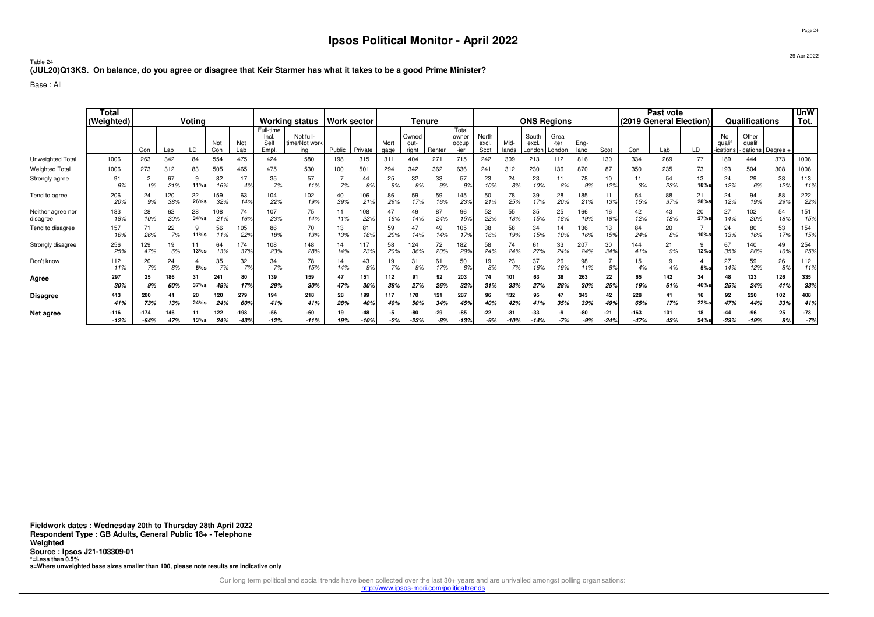Table 24**(JUL20)Q13KS. On balance, do you agree or disagree that Keir Starmer has what it takes to be a good Prime Minister?**

Base : All

|                               | <b>Total</b><br>(Weighted) | Voting<br>Not<br>Not<br>Con<br>Lab<br>Lab<br>Con<br>263<br>84<br>554<br>342<br>83<br>505<br>273<br>312<br>67<br>82<br>17<br>۷<br>16%<br>1%<br>21%<br>11%s<br>120<br>22<br>159<br>24<br>38%<br>26%s<br>32%<br>9%<br>62<br>28<br>28<br>108<br>20%<br>10%<br>34%s<br>21%<br>22<br>71<br>56<br>26%<br>7%<br>11%s<br>11% |            |               |            |                  | <b>Working status</b>              |                                   | <b>Work sector</b> |                        | Tenure       |                        |              |                                 |                        | <b>ONS Regions</b> |                                          |              |              |               | Past vote<br>(2019 General Election) |            |                   | Qualifications                       |                                    | <b>UnW</b><br>Tot. |                |
|-------------------------------|----------------------------|---------------------------------------------------------------------------------------------------------------------------------------------------------------------------------------------------------------------------------------------------------------------------------------------------------------------|------------|---------------|------------|------------------|------------------------------------|-----------------------------------|--------------------|------------------------|--------------|------------------------|--------------|---------------------------------|------------------------|--------------------|------------------------------------------|--------------|--------------|---------------|--------------------------------------|------------|-------------------|--------------------------------------|------------------------------------|--------------------|----------------|
|                               |                            |                                                                                                                                                                                                                                                                                                                     |            |               |            |                  | Full-time<br>Incl.<br>Sel<br>Empl. | Not full-<br>time/Not work<br>ing | Public             | Private                | Mort<br>gage | Owned<br>out-<br>right | Renter       | Total<br>owner<br>occup<br>-ier | North<br>excl.<br>Scot | Mid-<br>lands      | South<br>excl.<br>London <b>I</b> Londor | Grea<br>-ter | Eng-<br>land | Scot          | Con                                  | Lab        | LD                | No<br>quali<br>ications <sup>.</sup> | Other<br>qualit<br>ications Degree |                    |                |
| Unweighted Total              | 1006                       |                                                                                                                                                                                                                                                                                                                     |            |               |            | 475              | 424                                | 580                               | 198                | 315                    | 311          | 404                    | $27 -$       | 715                             | 242                    | 309                | 213                                      | 112          | 816          | 130           | 334                                  | 269        | 77                | 89                                   | 444                                | 373                | 1006           |
| <b>Weighted Total</b>         | 1006                       |                                                                                                                                                                                                                                                                                                                     |            |               |            | 465              | 475                                | 530                               | 100                | 501                    | 294          | 342                    | 362          | 636                             | 241                    | 312                | 230                                      | 136          | 870          | 87            | 350                                  | 235        | 73                | 193                                  | 504                                | 308                | 1006           |
| Strongly agree                | 91<br>9%                   |                                                                                                                                                                                                                                                                                                                     |            |               |            | 4%               | 35<br>7%                           | 57<br>11%                         | 7%                 | 44<br>9%               | 25<br>9%     | 32<br>9%               | 33<br>9%     | 57<br>9%                        | 23<br>10%              | 24<br>8%           | 23<br>10%                                | 8%           | 78<br>9%     | 10<br>12%     | 11<br>3%                             | 54<br>23%  | 13<br>18%         | 24<br>12%                            | 29<br>6%                           | 38<br>12%          | 113<br>11%     |
| Tend to agree                 | 206<br>20%                 |                                                                                                                                                                                                                                                                                                                     |            |               |            | 63<br>14%        | 104<br>22%                         | 102<br>19%                        | 40<br>39%          | 106<br>21 <sup>9</sup> | 86<br>29%    | 59<br>17%              | 59<br>16%    | 145<br>239                      | 50<br>21%              | 78<br>25%          | 39<br>17%                                | 28<br>20%    | 185<br>21%   | 13%           | 54<br>15%                            | 88<br>37%  | 21<br>28%s        | 24<br>12%                            | 94<br>19%                          | 88<br>29%          | 222<br>22%     |
| Neither agree nor<br>disagree | 183<br>18%                 |                                                                                                                                                                                                                                                                                                                     |            |               |            | 74<br>16%        | 107<br>23%                         | 75<br>14%                         | 11%                | 108<br>22%             | 47<br>16%    | 49<br>14%              | 87<br>24%    | 96<br>15%                       | 52<br>22%              | 55<br>18%          | 35<br>15%                                | 25<br>18%    | 166<br>19%   | 16<br>18%     | 42<br>12%                            | 43<br>18%  | 20<br><b>27%s</b> | 27<br>14%                            | 102<br>20%                         | 54<br>18%          | 151<br>15%     |
| Tend to disagree              | 157<br>16%                 |                                                                                                                                                                                                                                                                                                                     |            |               |            | 105<br>22%       | 86<br>18%                          | 70<br>13%                         | 13<br>13%          | 81<br>16%              | 59<br>20%    | 47<br>14%              | 49<br>14%    | 105<br>17 <sup>°</sup>          | 38<br>16%              | 58<br>19%          | 34<br>15%                                | 10%          | 136<br>16%   | 13<br>15%     | 84<br>24%                            | 20<br>8%   | $10%$ s           | 24<br>13%                            | 80<br>16%                          | 53<br>17%          | 154<br>15%     |
| Strongly disagree             | 256<br>25%                 | 129<br>47%                                                                                                                                                                                                                                                                                                          | 19<br>6%   | 13%s          | 64<br>13%  | 174<br>37%       | 801<br>23%                         | 148<br>28%                        | 14<br>14%          | 117<br>23%             | 58<br>20%    | 124<br>36%             | 72<br>20%    | 182<br>299                      | 58<br>24%              | 74<br>24%          | 61<br>27%                                | 33<br>24%    | 207<br>24%   | 30<br>34%     | 144<br>41%                           | 21<br>9%   | 9<br>12%s         | 67<br>35%                            | 140<br>28%                         | 49<br>16%          | 254<br>25%     |
| Don't know                    | 112<br>11%                 | 20<br>7%                                                                                                                                                                                                                                                                                                            | 24<br>8%   | 5%s           | 35<br>7%   | 32<br>7%         | 34<br>7%                           | 78<br>15%                         | 14%                | 43<br>9%               | 7%           | 31<br>9%               | 61<br>17%    | 50<br>8%                        | 19<br>8%               | 23<br>7%           | 37<br>16%                                | 26<br>19%    | 98<br>11%    | 8%            | 15<br>4%                             | 4%         | 5%s               | 27<br>14%                            | 59<br>12%                          | 26<br>8%           | 112<br>11%     |
| Agree                         | 297<br>30%                 | 25<br>9%                                                                                                                                                                                                                                                                                                            | 186<br>60% | 31<br>$37%$ s | 241<br>48% | 80<br>17%        | 139<br>29%                         | 159<br>30%                        | 47<br>47%          | 151<br>30%             | 112<br>38%   | 91<br>27%              | 92<br>26%    | 203<br>329                      | 74<br>31%              | 101<br>339         | 63<br>27%                                | 38<br>28%    | 263<br>30%   | 22<br>259     | 65<br>19%                            | 142<br>61% | 34<br>46%         | 48<br>25%                            | 123<br>24%                         | 126<br>41%         | 335<br>33%     |
| <b>Disagree</b>               | 413<br>41%                 | 200<br>73%                                                                                                                                                                                                                                                                                                          | 13%        | 20<br>24%s    | 120<br>24% | 279<br>60%       | 194<br>41%                         | 218<br>41%                        | 28<br>28%          | 199<br>40%             | 117<br>40%   | 170<br>50%             | 121<br>34%   | 287<br>45%                      | 96<br>40%              | 132<br>42%         | 95<br>41%                                | 35%          | 343<br>39%   | 42<br>49%     | 228<br>65%                           | 41<br>17%  | 16<br>22%         | 92<br>47%                            | 220<br>44%                         | 102<br>33%         | 408<br>41%     |
| Net agree                     | $-116$<br>$-12%$           | -174<br>$-64%$                                                                                                                                                                                                                                                                                                      | 47%        | 13%s          | 122<br>24% | $-198$<br>$-43%$ | -56<br>$-12%$                      | -60<br>$-11%$                     | 19<br>19%          | -48<br>-10%            | $-2%$        | $-23%$                 | -29<br>$-8%$ | -85<br>$-13%$                   | -22<br>-9%             |                    | -33<br>-14%                              | $-7%$        | $-9%$        | -21<br>$-249$ | $-163$<br>$-47%$                     | 101<br>43% | 18<br>24%s        | $-23%$                               | -96<br>$-19%$                      | 25<br>8%           | $-73$<br>$-7%$ |

**Fieldwork dates : Wednesday 20th to Thursday 28th April 2022 Respondent Type : GB Adults, General Public 18+ - TelephoneWeighted Source : Ipsos J21-103309-01 \*=Less than 0.5%s=Where unweighted base sizes smaller than 100, please note results are indicative only**

Our long term political and social trends have been collected over the last 30+ years and are unrivalled amongst polling organisations:

http://www.ipsos-mori.com/politicaltrends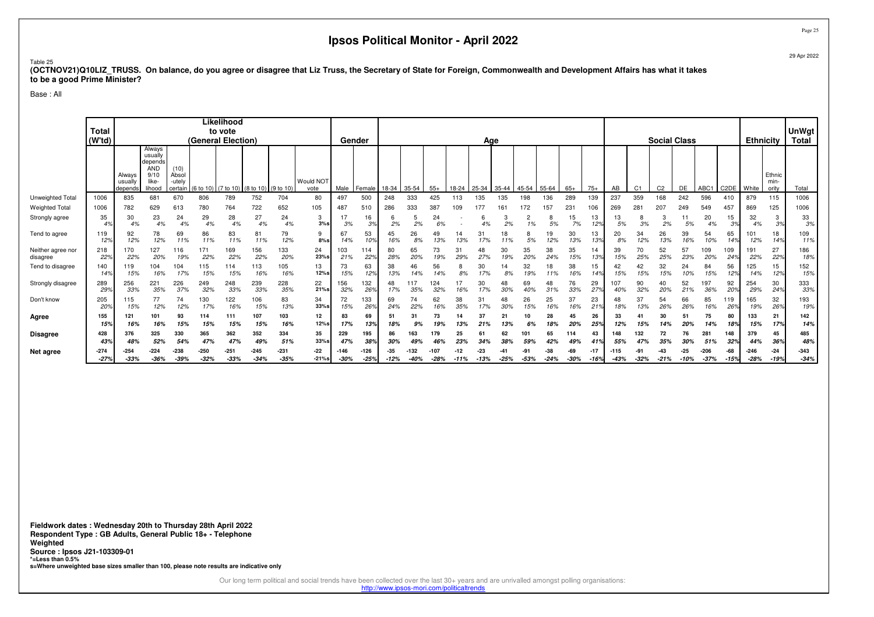#### Table 25

 **(OCTNOV21)Q10LIZ\_TRUSS. On balance, do you agree or disagree that Liz Truss, the Secretary of State for Foreign, Commonwealth and Development Affairs has what it takesto be a good Prime Minister?**

Base : All

|                               | <b>Total</b><br>(W'td) |                              |                                                                       |                                    | (General Election) | Likelihood<br>to vote |                                |                  |                          | Gender           |                  |                 |                  |                |               | Age             |           |                |                 |               |                 |            |                | <b>Social Class</b> |                 |                  |               | <b>Ethnicity</b> |                         | <b>UnWgt</b><br><b>Total</b> |
|-------------------------------|------------------------|------------------------------|-----------------------------------------------------------------------|------------------------------------|--------------------|-----------------------|--------------------------------|------------------|--------------------------|------------------|------------------|-----------------|------------------|----------------|---------------|-----------------|-----------|----------------|-----------------|---------------|-----------------|------------|----------------|---------------------|-----------------|------------------|---------------|------------------|-------------------------|------------------------------|
|                               |                        | Always<br>usually<br>depends | Always<br>usually<br>depends<br><b>AND</b><br>9/10<br>like-<br>lihood | (10)<br>Absol<br>-utelv<br>certain | (6 to 10)          | (7 to 10)             | $(8 \text{ to } 10)$ (9 to 10) |                  | <b>Would NOT</b><br>vote | Male             | Female           | 18-34           | 35-54            | $55+$          | 18-24         | 25-34           | 35-44     | 45-54          | 55-64           | $65+$         | $75+$           | AB         | C <sub>1</sub> | C <sub>2</sub>      | DE              | ABC1             | C2DE   White  |                  | Ethnic<br>min-<br>ority | Total                        |
| Unweighted Total              | 1006                   | 835                          | 681                                                                   | 670                                | 806                | 789                   | 752                            | 704              | 80                       | 497              | 500              | 248             | 333              | 425            | 113           | 135             | 135       | 98             | 136             | 289           | 139             | 237        | 359            | 168                 | 242             | 596              | 410           | 879              | 115                     | 1006                         |
| <b>Weighted Total</b>         | 1006                   | 782                          | 629                                                                   | 613                                | 780                | 764                   | 722                            | 652              | 105                      | 487              | 510              | 286             | 333              | 387            | 109           | 177             | 161       | 72             | 157             | 231           | 106             | 269        | 281            | 207                 | 249             | 549              | 457           | 869              | 125                     | 1006                         |
| Strongly agree                | 35                     | 30<br>4%                     | 23                                                                    | 24<br>4%                           | 29<br>4%           | 28<br>4%              | 27<br>4%                       | 24<br>4%         | 3<br>3%s                 | 3%               | 16<br>3%         | 2%              | 2%               | 24<br>6%       |               | ь<br>4%         | 2%        | $\Omega$<br>1% | 8<br>5%         | 15<br>7%      | 13<br>12%       | 13<br>5%   | 8<br>3%        | 3<br>2%             | 5%              | 20<br>4%         | 15<br>3%      | 32<br>4%         | 3<br>3%                 | 33<br>3%                     |
| Tend to agree                 | 119<br>12%             | 92<br>12%                    | 78<br>12%                                                             | 69<br>11%                          | 86<br>11%          | 83<br>11%             | 81<br>11%                      | 79<br>12%        | 9<br>8%s                 | 67<br>14%        | 53<br>10%        | 45<br>16%       | 26<br>8%         | 13%            | 13%           | 31<br>17%       | 18<br>11% | 8<br>5%        | 19<br>12%       | 30<br>13%     | 13<br>13%       | 20<br>8%   | 34<br>12%      | 26<br>13%           | 39<br>16%       | 54<br>10%        | 65<br>14%     | 12%              | 18<br>14%               | 109<br>11%                   |
| Neither agree nor<br>disagree | 218<br>22%             | 170<br>22%                   | 127<br>20%                                                            | 116<br>19%                         | 171<br>22%         | 169<br>22%            | 156<br>22%                     | 133<br>20%       | 24<br>23%s               | 103<br>21%       | 114<br>22%       | 80<br>28%       | 65<br>20%        | 73<br>19%      | 31<br>29%     | 48<br>27%       | 30<br>19% | 35<br>20%      | 38<br>24%       | 35<br>15%     | 14<br>13%       | 39<br>15%  | 70<br>25%      | 52<br>25%           | 57<br>23%       | 109<br>20%       | 109<br>24%    | 191<br>22%       | 27<br>22%               | 186<br>18%                   |
| Tend to disagree              | 140<br>149             | 119<br>15%                   | 104<br>16%                                                            | 104<br>17%                         | 115<br>15%         | 114<br>15%            | 113<br>16%                     | 105<br>16%       | 13<br>12%s               | 73<br>15%        | 63<br>12%        | 38<br>13%       | 46<br>14%        | 56<br>14%      | 8%            | 30<br>17%       | 14<br>8%  | 32<br>19%      | 18<br>11%       | 38<br>16%     | 15<br>14%       | 15%        | 42<br>15%      | 32<br>15%           | 24<br>10%       | 84<br>15%        | 56<br>12%     | 125<br>14%       | 15<br>12%               | 152<br>15%                   |
| Strongly disagree             | 289<br>299             | 256<br>33%                   | 221<br>35%                                                            | 226<br>37%                         | 249<br>32%         | 248<br>33%            | 239<br>33%                     | 228<br>35%       | 22<br>21%s               | 156<br>32%       | 132<br>26%       | 48<br>17%       | 117<br>35%       | 124<br>32%     | 17<br>16%     | 30<br>17%       | 48<br>30% | 69<br>40%      | 48<br>31%       | 76<br>33%     | 29<br>27%       | 107<br>40% | 90<br>32%      | 40<br>20%           | 52<br>21%       | 197<br>36%       | 92<br>20%     | 254<br>29%       | 30<br>24%               | 333<br>33%                   |
| Don't know                    | 205<br>20 <sub>2</sub> | 115<br>15%                   | 77<br>12%                                                             | 74<br>12%                          | 130<br>17%         | 122<br>16%            | 106<br>15%                     | 83<br>13%        | 34<br>33%s               | 72<br>15%        | 133<br>26%       | 69<br>24%       | 74<br>22%        | 62<br>16%      | 38<br>35%     | 31<br>17%       | 48<br>30% | 26<br>15%      | 25<br>16%       | 37<br>16%     | 23<br>21%       | 18%        | 37<br>13%      | 54<br>26%           | 66<br>26%       | 85<br>16%        | 119<br>26%    | 165<br>19%       | 32<br>26%               | 193<br>19%                   |
| Agree                         | 155<br>159             | 121<br>16%                   | 101<br>16%                                                            | 93<br>15%                          | 114<br>15%         | 111<br>15%            | 107<br>15%                     | 103<br>16%       | 12<br>12%s               | 83<br>17%        | 69<br>13%        | 51<br>18%       | 31<br>9%         | 73<br>19%      | 13%           | 37<br>21%       | 21<br>13% | 10<br>6%       | 28<br>18%       | 45<br>20%     | 26<br>25%       | 33<br>12%  | 15%            | 30<br>14%           | 51<br>20%       | 75<br>14%        | 80<br>18%     | 133<br>15%       | 21<br>17%               | 142<br>14%                   |
| <b>Disagree</b>               | 428<br>439             | 376<br>48%                   | 325<br>52%                                                            | 330<br>54%                         | 365<br>47%         | 362<br>47%            | 352<br>49%                     | 334<br>51%       | 35<br>33%s               | 229              | 195<br>38%       | 86<br>30%       | 163              | 179<br>46%     | 25<br>23%     | 34%             | 62<br>38% | 101<br>59%     | 65<br>42%       | 114<br>49%    | 43<br>41%       | 55%        | 132            | 72<br>35%           | 76<br>30%       | 281<br>51%       | 148<br>32%    | 379<br>44%       | 45<br>36%               | 485<br>48%                   |
| Net agree                     | $-274$<br>$-27%$       | $-254$<br>$-33%$             | $-224$<br>$-36%$                                                      | $-238$<br>$-39%$                   | $-250$<br>$-32%$   | $-251$<br>$-33%$      | $-245$<br>$-34%$               | $-231$<br>$-35%$ | $-22$<br>$-21%s$         | $-146$<br>$-30%$ | $-126$<br>$-25%$ | $-35$<br>$-12%$ | $-132$<br>$-40%$ | -107<br>$-28%$ | -12<br>$-11%$ | $-23$<br>$-13%$ | $-25%$    | -91<br>$-53%$  | $-38$<br>$-24%$ | -69<br>$-30%$ | $-17$<br>$-16%$ | $-43%$     | $-32%$         | -43<br>$-21%$       | $-25$<br>$-10%$ | $-206$<br>$-37%$ | -68<br>$-15%$ | $-246$<br>$-28%$ | $-24$<br>$-19%$         | $-343$<br>$-34%$             |

**Fieldwork dates : Wednesday 20th to Thursday 28th April 2022 Respondent Type : GB Adults, General Public 18+ - TelephoneWeighted Source : Ipsos J21-103309-01 \*=Less than 0.5%s=Where unweighted base sizes smaller than 100, please note results are indicative only**

Our long term political and social trends have been collected over the last 30+ years and are unrivalled amongst polling organisations:

http://www.ipsos-mori.com/politicaltrends

Page 25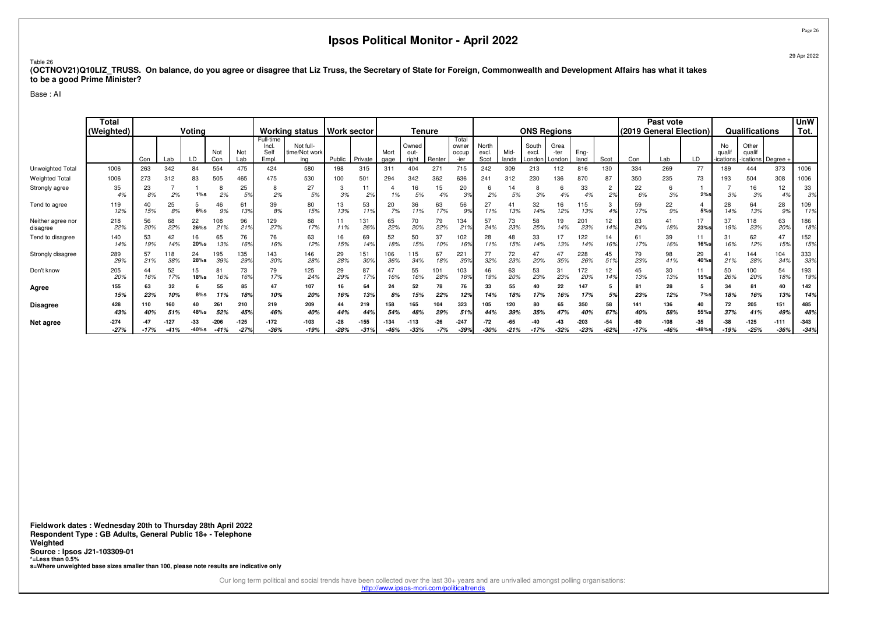#### Table 26

 **(OCTNOV21)Q10LIZ\_TRUSS. On balance, do you agree or disagree that Liz Truss, the Secretary of State for Foreign, Commonwealth and Development Affairs has what it takesto be a good Prime Minister?**

Base : All

|                               | <b>Total</b><br>(Weighted) | Voting<br>Not<br>Not |             |                  |                |                  | <b>Working status</b>                      | <b>Work sector</b>                |                       |                  | <b>Tenure</b>    |                        |              |                                 |                        | <b>ONS Regions</b> |                          |                        |                |                 | Past vote<br>(2019 General Election) |                |                   | Qualifications           |                                    | <b>UnW</b><br>Tot. |                  |
|-------------------------------|----------------------------|----------------------|-------------|------------------|----------------|------------------|--------------------------------------------|-----------------------------------|-----------------------|------------------|------------------|------------------------|--------------|---------------------------------|------------------------|--------------------|--------------------------|------------------------|----------------|-----------------|--------------------------------------|----------------|-------------------|--------------------------|------------------------------------|--------------------|------------------|
|                               |                            | Con                  | Lab         | LD               | Con            | Lab              | Full-time<br><b>Incl.</b><br>Sell<br>Empl. | Not full-<br>time/Not work<br>ina | Public                | Private          | Mort<br>gage     | Owned<br>out-<br>right | Renter       | Total<br>owner<br>occup<br>-ier | North<br>excl.<br>Scot | Mid-<br>lands      | South<br>excl.<br>London | Grea<br>-ter<br>London | Eng-<br>land   | Scot            | Con                                  | Lab            | LD                | No<br>auali<br>-ications | Other<br>qualif<br>ications Degree |                    |                  |
| Unweighted Total              | 1006                       | 263                  | 342         | 84               | 554            | 475              | 424                                        | 580                               | 198                   | 315              | 311              | 404                    | 271          | 715                             | 242                    | 309                | 213                      | 112                    | 816            | 130             | 334                                  | 269            | 77                | 189                      | 444                                | 373                | 1006             |
| <b>Weighted Total</b>         | 1006                       | 273                  | 312         | 83               | 505            | 465              | 475                                        | 530                               | 100                   | 501              | 294              | 342                    | 362          | 636                             | 241                    | 312                | 230                      | 136                    | 870            | 87              | 350                                  | 235            | 73                | 193                      | 504                                | 308                | 1006             |
| Strongly agree                | 35<br>4%                   | 23<br>8%             | 2%          | $1\%s$           | 2%             | 25<br>5%         | 2%                                         | 27<br>5%                          | 3%                    | 11<br>2%         | 1%               | 16<br>5%               | 15<br>4%     | 20<br>3%                        | 2%                     | 5%                 | 3%                       | 4%                     | 33<br>4%       | 2%              | 22<br>6%                             | 3%             | 2%s               | 3%                       | 16<br>3%                           | 12<br>4%           | 33<br>3%         |
| Tend to agree                 | 119<br>12%                 | 40<br>15%            | 25<br>8%    | $6\%s$           | 46<br>9%       | 61<br>13%        | 39<br>8%                                   | 80<br>15%                         | 13<br>13%             | 53<br>11%        | 20<br>7%         | 36                     | 63<br>17%    | 56<br>9%                        | 27<br>11%              | 41<br>13%          | 32<br>14%                | 16<br>12%              | 115<br>13%     | 3<br>4%         | 59<br>17%                            | 22<br>9%       | 5%s               | 28<br>14%                | 64<br>13%                          | 28<br>9%           | 109<br>11%       |
| Neither agree nor<br>disagree | 218<br>22%                 | 56<br>20%            | 68<br>22%   | 22<br>26%s       | 108<br>21%     | 96<br>21%        | 129<br>27%                                 | 88<br>17%                         | 11<br>11%             | 131<br>269       | 65<br>22%        | 70<br>20%              | 79<br>22%    | 134<br>21%                      | 57<br>24%              | 73<br>23%          | 58<br>25%                | 19<br>14%              | 201<br>23%     | 12<br>14%       | 83<br>24%                            | 41<br>18%      | 17<br>23%s        | 37<br>19%                | 118<br>23%                         | 63<br>20%          | 186<br>18%       |
| Tend to disagree              | 140<br>14%                 | 53<br>19%            | 42<br>14%   | 16<br>20%s       | 65<br>13%      | 76<br>16%        | 76<br>16%                                  | 63<br>12%                         | 16<br>15%             | 69<br>14%        | 52<br>18%        | 50<br>15%              | 37<br>10%    | 102<br>169                      | 28<br>11%              | 48<br>15%          | 33<br>14%                | 13%                    | 122<br>14%     | 14<br>16%       | 61<br>17%                            | 39<br>16%      | 11<br><b>16%s</b> | 31<br>16%                | 62<br>12%                          | 47<br>15%          | 152<br>15%       |
| Strongly disagree             | 289<br>29%                 | 57<br>21%            | ' 18<br>38% | 24<br>28%s       | 195<br>39%     | 135<br>29%       | 143<br>30%                                 | 146<br>28%                        | 29<br>28%             | 151<br>30%       | 106<br>36%       | 115<br>34%             | 67<br>18%    | 221<br>359                      | 77<br>32%              | 72<br>23%          | 47<br>20%                | 47<br>35%              | 228<br>26%     | 45<br>51%       | 79<br>23%                            | 98<br>41%      | 29<br>40%         | 41<br>21%                | 144<br>28%                         | 104<br>34%         | 333<br>33%       |
| Don't know                    | 205<br>20%                 | 44<br>16%            | 52<br>17%   | 15<br>18%s       | 81<br>16%      | 73<br>16%        | 79<br>17%                                  | 125<br>24%                        | 29<br>29%             | 87<br>17%        | 47<br>16%        | 55<br>16%              | 101<br>28%   | 103<br>169                      | 46<br>19%              | 63<br>20%          | 53<br>23%                | 31<br>23%              | 172<br>20%     | 12<br>14%       | 45<br>13%                            | 30<br>13%      | $15%$ s           | 50<br>26%                | 100<br>20%                         | 54<br>18%          | 193<br>19%       |
| Agree                         | 155<br>15%                 | 63<br>23%            | 32<br>10%   | $8\%$ s          | 55<br>11%      | 85               | 47<br>10%                                  | 107<br>20%                        | 16%                   | 64<br>13%        | 24<br>8%         | 52<br>15%              | 78<br>22%    | 76<br>12%                       | 33<br>14%              | 55<br>18%          | 40<br>17%                | 22<br>16%              | 147<br>17%     | 5%              | 81<br>23%                            | 28<br>12%      | 5<br>7%s          | 34<br>18%                | 81<br>16%                          | 40<br>13%          | 142<br>14%       |
| <b>Disagree</b>               | 428<br>43%                 | 110<br>40%           | 160<br>51%  | 40<br>48%s       | 261<br>52%     | 210<br>459       | 219<br>46%                                 | 209<br>40%                        | $\Delta\Delta$<br>44% | 219<br>449       | 158<br>54%       | 165<br>48%             | 104<br>29%   | 323<br>519                      | 105<br>44%             | 120<br>39%         | 80<br>35%                | 65<br>47%              | 350<br>40%     | 58<br>67%       | 141<br>40%                           | 136<br>58%     | 40<br>55%         | 72<br>37%                | 205<br>41%                         | 151<br>49%         | 485<br>48%       |
| Net agree                     | $-274$<br>$-27%$           | $-17%$               | $-41%$      | -33<br>$-40\%$ s | -206<br>$-41%$ | $-125$<br>$-27%$ | $-172$<br>$-36%$                           | $-103$<br>$-19%$                  | $-28$<br>$-28%$       | $-155$<br>$-31%$ | $-134$<br>$-46%$ | $-113$<br>$-33%$       | -26<br>$-7%$ | $-247$<br>$-39%$                | $-72$<br>$-30%$        | $-21%$             | $-17%$                   | $-32%$                 | -203<br>$-23%$ | $-54$<br>$-62%$ | -60<br>$-17%$                        | $-108$<br>-46% | -35<br>$-48%$ s   | -38<br>$-19%$            | $-125$<br>$-25%$                   | $-111$<br>$-36%$   | $-343$<br>$-34%$ |

**Fieldwork dates : Wednesday 20th to Thursday 28th April 2022 Respondent Type : GB Adults, General Public 18+ - TelephoneWeighted Source : Ipsos J21-103309-01 \*=Less than 0.5%s=Where unweighted base sizes smaller than 100, please note results are indicative only**

Our long term political and social trends have been collected over the last 30+ years and are unrivalled amongst polling organisations:

http://www.ipsos-mori.com/politicaltrends

Page 2629 Apr 2022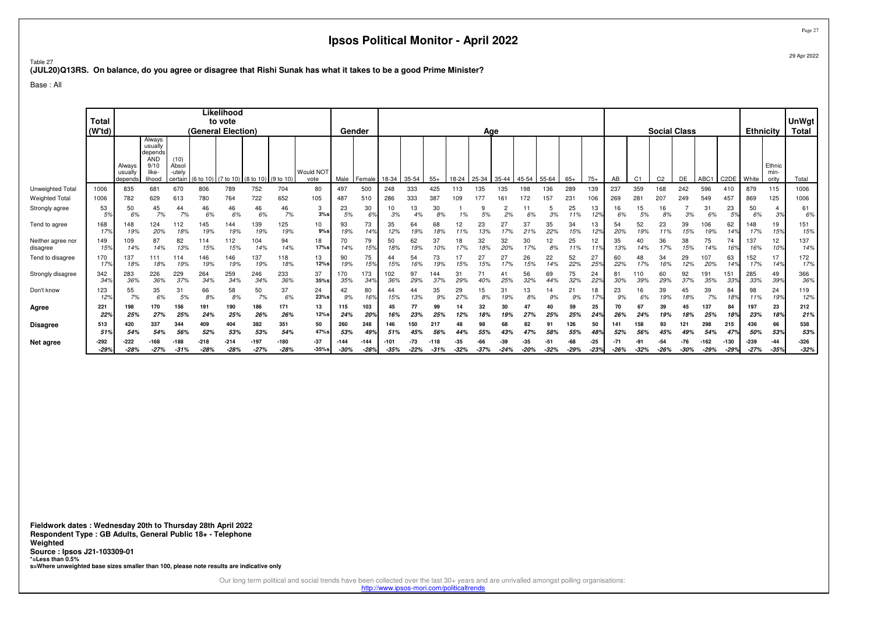Table 27**(JUL20)Q13RS. On balance, do you agree or disagree that Rishi Sunak has what it takes to be a good Prime Minister?**

Base : All

|                               | <b>Total</b><br>(W <sup>t</sup> d) |                              |                                                                       |                                    | (General Election) | Likelihood<br>to vote |                                         |                  |                         |                | Gender           |                |                 |            |               | Age           |               |               |                 |                   |                 |                 |                | <b>Social Class</b> |                 |                  |                   | <b>Ethnicity</b> |                         | <b>UnWgt</b><br><b>Total</b> |
|-------------------------------|------------------------------------|------------------------------|-----------------------------------------------------------------------|------------------------------------|--------------------|-----------------------|-----------------------------------------|------------------|-------------------------|----------------|------------------|----------------|-----------------|------------|---------------|---------------|---------------|---------------|-----------------|-------------------|-----------------|-----------------|----------------|---------------------|-----------------|------------------|-------------------|------------------|-------------------------|------------------------------|
|                               |                                    | Always<br>usually<br>depends | Always<br>usually<br>depends<br><b>AND</b><br>9/10<br>like-<br>lihood | (10)<br>Absol<br>-utely<br>certain |                    |                       | (6 to 10) (7 to 10) (8 to 10) (9 to 10) |                  | Would NOT<br>vote       | Male           | Female           | 18-34          | 35-54           | $55+$      | 18-24         | 25-34         | 35-44         | 45-54         | 55-64           | $65+$             | $75+$           | AB              | C <sub>1</sub> | C <sub>2</sub>      | DE              | ABC1             | C <sub>2</sub> DE | White            | Ethnic<br>min-<br>ority | Total                        |
| Unweighted Total              | 1006                               | 835                          | 681                                                                   | 670                                | 806                | 789                   | 752                                     | 704              | 80                      | 497            | 500              | 248            | 333             | 425        | 113           | 135           | 135           | 98            | 136             | 289               | 139             | 237             | 359            | 168                 | 242             | 596              | 410               | 879              | 115                     | 1006                         |
| <b>Weighted Total</b>         | 1006                               | 782                          | 629                                                                   | 613                                | 780                | 764                   | 722                                     | 652              | 105                     | 487            | 510              | 286            | 333             | 387        | 109           | 177           | 161           | 172           | 157             | 231               | 106             | 269             | 281            | 207                 | 249             | 549              | 457               | 869              | 125                     | 1006                         |
| Strongly agree                | 53<br>5%                           | 50<br>6%                     | 45<br>7%                                                              | 44<br>7%                           | 46<br>6%           | 46<br>6%              | 46<br>6%                                | 46<br>7%         | 3<br>3%s                | 23<br>5%       | 30<br>6%         | 10<br>3%       | 13<br>4%        | 30<br>8%   | 1%            | 5%            | 2<br>2%       | 11<br>6%      | 5<br>3%         | 25<br>11%         | 13<br>12%       | 16<br>6%        | 15<br>5%       | 16<br>8%            | 3%              | 31<br>6%         | 23<br>5%          | 50<br>6%         | 3%                      | 61<br>6%                     |
| Tend to agree                 | 168<br>179                         | 148<br>19%                   | 124<br>20%                                                            | 112<br>18%                         | 145<br>19%         | 144<br>19%            | 139<br>19%                              | 125<br>19%       | 10 <sup>10</sup><br>9%s | 93<br>19%      | 73<br>14%        | 35<br>12%      | 64<br>19%       | 68<br>18%  | 12<br>11%     | 23<br>13%     | 27<br>17%     | 37<br>21%     | 35<br>22%       | 34<br>15%         | 13<br>12%       | 54<br>20%       | 52<br>19%      | 23<br>11%           | 39<br>15%       | 106<br>19%       | 62<br>14%         | 148<br>17%       | 19<br>15%               | 151<br>15%                   |
| Neither agree nor<br>disagree | 149<br>159                         | 109<br>14%                   | 87<br>14%                                                             | 82<br>13%                          | 114<br>15%         | 112<br>15%            | 104<br>14%                              | 94<br>14%        | 18<br>17%s              | 70<br>14%      | 79<br>15%        | 50<br>18%      | 62<br>19%       | 37<br>10%  | 18<br>17%     | 32<br>18%     | 32<br>20%     | 30<br>17%     | 12<br>8%        | 25<br>11%         | 12<br>11%       | 35<br>13%       | 40<br>14%      | 36<br>17%           | 38<br>15%       | 75<br>14%        | 74<br>16%         | 137<br>16%       | 12<br>10%               | 137<br>14%                   |
| Tend to disagree              | 170<br>17%                         | 137<br>18%                   | 111<br>18%                                                            | 114<br>19%                         | 146<br>19%         | 146<br>19%            | 137<br>19%                              | 118<br>18%       | 13<br>12%s              | 90<br>19%      | 75<br>15%        | 44<br>15%      | 54              | 73<br>19%  | 15%           | 27<br>15%     | 27<br>17%     | 26<br>15%     | 22<br>14%       | 52<br>22%         | 27<br>25%       | 60<br>22%       | 48<br>17%      | 34<br>16%           | 29<br>12%       | 107<br>20%       | 63<br>14%         | 152<br>17%       | 17<br>14%               | 172<br>17%                   |
| Strongly disagree             | 342<br>34 <sup>°</sup>             | 283<br>36%                   | 226<br>36%                                                            | 229<br>37%                         | 264<br>34%         | 259<br>34%            | 246<br>34%                              | 233<br>36%       | 37<br>$35%$ s           | 170<br>35%     | 173<br>34%       | 102<br>36%     | 97<br>29%       | 144<br>37% | 31<br>29%     |               | 25%           | 56<br>32%     | 69<br>44%       | 75<br>32%         | 24<br>22%       | 81<br>30%       | 110<br>39%     | 60<br>29%           | 92<br>37%       | 191<br>35%       | 151<br>33%        | 285<br>33%       | 49<br>39%               | 366<br>36%                   |
| Don't know                    | 123<br>12%                         | 55<br>7%                     | 35<br>6%                                                              | 31<br>5%                           | 66<br>8%           | 58<br>8%              | 50<br>7%                                | 37<br>6%         | 24<br>23%s              | 42<br>9%       | 80<br>16%        | 15%            | 13%             | 35<br>9%   | 29<br>27%     | 15<br>8%      | 31<br>19%     | 13<br>8%      | 9%              | $2^{\cdot}$<br>9% | 18<br>17%       | 23<br>9%        | 16<br>6%       | 39<br>19%           | 45<br>18%       | 39<br>7%         | 84<br>18%         | 98<br>11%        | 24<br>19%               | 119<br>12%                   |
| Agree                         | 221<br>229                         | 198<br>25%                   | 170<br>27%                                                            | 156<br>25%                         | 191<br>24%         | 190<br>25%            | 186<br>26%                              | 171<br>26%       | 13<br>12%s              | 115<br>24%     | 103<br>20%       | 45<br>16%      | 77<br>23%       | 99<br>25%  | 14<br>12%     | 32<br>18%     | 30<br>19%     | 47<br>27%     | 40<br>25%       | 59<br>25%         | 25<br>24%       | 26%             | 24%            | 39<br>19%           | 45<br>18%       | 137<br>25%       | 84<br>18%         | 197<br>23%       | 23<br>18%               | 212<br>21%                   |
| Disagree                      | 513                                | 420                          | 337                                                                   | 344                                | 409                | 404                   | 382                                     | 351              | 50                      | 260            | 248              | 146            | 150             | 217        |               |               | 68            | 82            | 91              | 126               | 50              | 141             | 158            | 93                  | 121             | 298              | 215               | 436              | 66                      | 538                          |
|                               | 519                                | 54%                          | 54%                                                                   | 56%                                | 52%                | 53%                   | 53%                                     | 54%              | 47%s                    | 53%            | 49%              | 51%            |                 | 56%        |               |               |               | 47%           | 58%             | 55%               | 48%             | 52%             | 56%            | 45%                 |                 | 54%              | 47%               | 50%              | 53%                     | 53%                          |
| Net agree                     | $-292$<br>$-29%$                   | -222<br>$-28%$               | $-168$<br>$-27%$                                                      | $-188$<br>$-31%$                   | $-218$<br>$-28%$   | $-214$<br>$-28%$      | $-197$<br>$-27%$                        | $-180$<br>$-28%$ | $-37$<br>$-35%s$        | -144<br>$-30%$ | $-144$<br>$-28%$ | -101<br>$-35%$ | $-73$<br>$-22%$ | $-31%$     | -35<br>$-32%$ | -66<br>$-37%$ | -39<br>$-24%$ | -35<br>$-20%$ | $-51$<br>$-32%$ | -68<br>$-29%$     | $-25$<br>$-23%$ | $-71$<br>$-26%$ | $-32%$         | -54<br>$-26%$       | $-76$<br>$-30%$ | $-162$<br>$-29%$ | $-130$<br>$-29%$  | $-239$<br>$-27%$ | $-44$<br>$-35%$         | $-326$<br>$-32%$             |

**Fieldwork dates : Wednesday 20th to Thursday 28th April 2022 Respondent Type : GB Adults, General Public 18+ - TelephoneWeighted Source : Ipsos J21-103309-01 \*=Less than 0.5%s=Where unweighted base sizes smaller than 100, please note results are indicative only**

Our long term political and social trends have been collected over the last 30+ years and are unrivalled amongst polling organisations:<br>http://www.ipsos-mori.com/politicaltrends

Page 2729 Apr 2022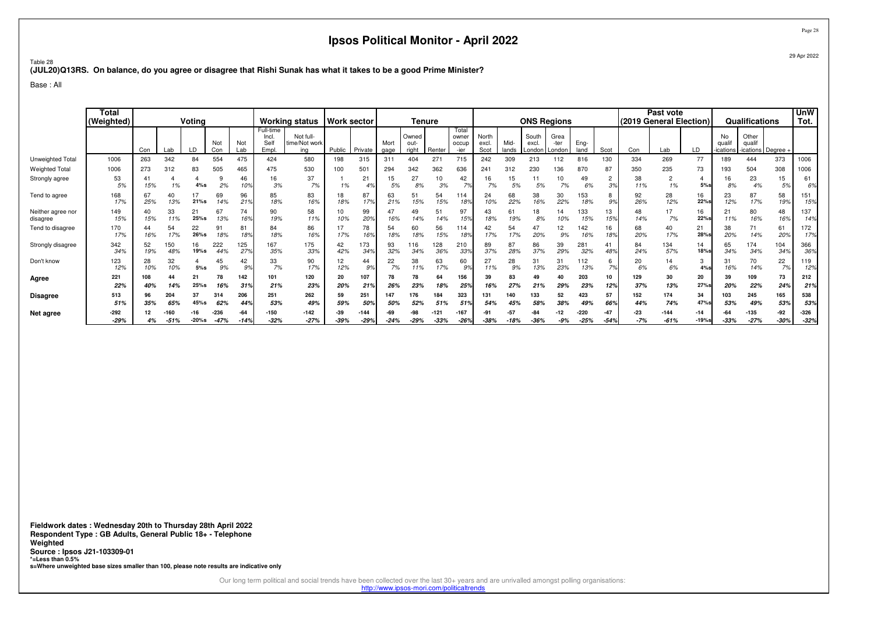Table 28**(JUL20)Q13RS. On balance, do you agree or disagree that Rishi Sunak has what it takes to be a good Prime Minister?**

Base : All

|                               | <b>Total</b><br>(Weighted) | Votina<br>Not<br>Not<br>Con<br>LD<br>Lab<br>Lab<br>Con |            |               |                  |                                |                                    | <b>Working status</b>             | Work sector   |                  |              | Tenure                 |                  |                                 |                        |               | <b>ONS Regions</b>          |                        |                  |                      |                | Past vote<br>(2019 General Election) |                  |                          | Qualifications                        |               | <b>UnW</b><br>Tot. |
|-------------------------------|----------------------------|--------------------------------------------------------|------------|---------------|------------------|--------------------------------|------------------------------------|-----------------------------------|---------------|------------------|--------------|------------------------|------------------|---------------------------------|------------------------|---------------|-----------------------------|------------------------|------------------|----------------------|----------------|--------------------------------------|------------------|--------------------------|---------------------------------------|---------------|--------------------|
|                               |                            |                                                        |            |               |                  |                                | Full-time<br>Incl.<br>Sell<br>Empl | Not full-<br>time/Not work<br>ing | Public        | Private          | Mort<br>gage | Owned<br>out-<br>riaht | Renter           | Total<br>owner<br>occup<br>-ier | North<br>excl.<br>Scot | Mid-<br>lands | South<br>excl.<br>London II | Grea<br>-ter<br>London | Eng-<br>land     | Scot                 | Con            | Lab                                  | LD               | No<br>quali<br>-ications | Other<br>qualif<br>-ications Degree - |               |                    |
| Unweighted Total              | 1006                       | 263                                                    | 342        | 84            | 554              | 475                            | 424                                | 580                               | 198           | 315              | 311          | 404                    | 271              | 715                             | 242                    | 309           | 213                         | 112                    | 816              | 130                  | 334            | 269                                  | 77               | 189                      | 444                                   | 373           | 1006               |
| <b>Weighted Total</b>         | 1006                       | 273                                                    | 312        | 83            | 505              | 465                            |                                    | 530                               | 100           | 501              | 294          | 342                    | 362              | 636                             | 241                    | 312           | 230                         | 136                    | 870              | 87                   | 350            | 235                                  | 73               | 193                      | 504                                   | 308           | 1006               |
| Strongly agree                | 53<br>5%                   | 15%                                                    | 1%         | 4%s           | 2%               | 46<br>10%                      | 16<br>3%                           | 37<br>7%                          | 1%            | 21<br>4%         | 15<br>5%     | 27<br>8%               | 10<br>3%         | 42<br>7%                        | 16<br>7%               | 15<br>5%      | 11<br>5%                    | 7%                     | 49<br>6%         | $\overline{c}$<br>3% | 38<br>11%      | $\overline{2}$<br>1%                 | 5%s              | 16<br>8%                 | 23<br>4%                              | 15<br>5%      | 61<br>6%           |
| Tend to agree                 | 168<br>17%                 | 67<br>25%                                              | 40<br>13%  | 21%s          | 69<br>14%        | 96<br>21 <sup>9</sup>          | 85<br>18%                          | 83<br>16%                         | 18<br>18%     | 87<br>17%        | 63<br>21%    | 51<br>15%              | 54<br>15%        | 114<br>18%                      | 24<br>10%              | 68<br>22%     | 38<br>16%                   | 30<br>22%              | 153<br>18%       | 8<br>9%              | 92<br>26%      | 28<br>12%                            | 16<br>22%s       | 23<br>12%                | 87<br>17%                             | 58<br>19%     | 151<br>15%         |
| Neither agree nor<br>disagree | 149<br>15%                 | 40<br>15%                                              | 33<br>11%  | 21<br>25%s    | 67<br>13%        | 74<br>16%                      | 90<br>19%                          | 58<br>11%                         | 10<br>10%     | 99<br>20%        | 47<br>16%    | 49<br>14%              | 51<br>14%        | 97<br>15%                       | 43<br>18%              | 61<br>19%     | 18<br>8%                    | 14<br>10%              | 133<br>15%       | 13<br>15%            | 48<br>14%      | 17<br>7%                             | 16<br>22%        | 21<br>11%                | 80<br>16%                             | 48<br>16%     | 137<br>14%         |
| Tend to disagree              | 170<br>17%                 | 44<br>16%                                              | 54<br>17%  | 22<br>26%s    | 91<br>18%        | $8^{\circ}$<br>18 <sup>9</sup> | 84<br>18%                          | 86<br>16%                         | 17%           | 78<br>16%        | 54<br>18%    | 60<br>18%              | 56<br>15%        | 114<br>18%                      | 42<br>17%              | 54            | 47<br>20%                   | 12<br>9%               | 142<br>16%       | 16<br>189            | 68<br>20%      | 40<br>17%                            | 21<br>28%        | 38<br>20%                | 71<br>14%                             | 61<br>20%     | 172<br>17%         |
| Strongly disagree             | 342<br>34%                 | 52<br>19%                                              | 150<br>48% | 16<br>19%s    | 222<br>44%       | 125<br>27%                     | 167<br>35%                         | 175<br>33%                        | 42<br>42%     | 173<br>34%       | 93<br>32%    | 116<br>34%             | 128<br>36%       | 210<br>33%                      | 89<br>37%              | 87<br>28%     | 86<br>37%                   | 39<br>29%              | 281<br>32%       | 41<br>48%            | 84<br>24%      | 134<br>57%                           | 14<br>18%        | 65<br>34%                | 174<br>34%                            | 104<br>34%    | 366<br>36%         |
| Don't know                    | 123<br>12%                 | 28<br>10%                                              | 32<br>10%  | 5%s           | 45<br>9%         | 42<br>9%                       | 33<br>7%                           | 90<br>17%                         | 12<br>12%     | 44<br>9%         | 22<br>7%     | 38<br>11%              | 63<br>17%        | 60<br>.9%                       | 27<br>11%              | 28<br>9%      | 31<br>13%                   | 31<br>23%              | 112<br>13%       | 6<br>7%              | 20<br>6%       | 14<br>6%                             | 3<br>4%s         | 31<br>16%                | 70<br>14%                             | 22<br>7%      | 119<br>12%         |
| Agree                         | 221<br>22%                 | 108<br>40%                                             | 44<br>14%  | 21<br>$25%$ s | 78<br>16%        | 142<br>319                     | 101<br>21%                         | 120<br>23%                        | 20<br>20%     | 107<br>21%       | 78<br>26%    | 78<br>23%              | 64<br>18%        | 156<br>259                      | 39<br>16%              | 83<br>27%     | 49<br>21%                   | 29%                    | 203<br>23%       | 10<br>12%            | 129<br>37%     | 30<br>13%                            | 20<br>27%        | 39<br>20%                | 109<br>22%                            | 73<br>24%     | 212<br>21%         |
| <b>Disagree</b>               | 513<br>51%                 | 96<br>35%                                              | 204<br>65% | 45%s          | 314<br>62%       | 206<br>44%                     | 251<br>53%                         | 262<br>49%                        | 59<br>59%     | 251<br>50%       | 147<br>50%   | 176<br>52%             | 184<br>51%       | 323<br>519                      | 131<br>54%             | 140<br>45%    | 133<br>58%                  | 52<br>38%              | 423<br>49%       | 57<br>66%            | 152<br>44%     | 174<br>74%                           | 34<br>47%        | 103<br>53%               | 245<br>49%                            | 165<br>53%    | 538<br>53%         |
| Net agree                     | -292<br>$-29%$             | 4%                                                     | $-51%$     | $-20%s$       | $-236$<br>$-47%$ | -64<br>$-14%$                  | -150<br>$-32%$                     | $-142$<br>$-27%$                  | -39<br>$-39%$ | $-144$<br>$-29%$ | $-24%$       | $-29%$                 | $-121$<br>$-33%$ | -167<br>$-26%$                  | $-38%$                 | -51<br>-18%   | -84<br>$-36%$               | $-12$<br>$-9%$         | $-220$<br>$-25%$ | -47<br>$-54%$        | $-23$<br>$-7%$ | $-144$<br>$-61%$                     | $-14$<br>$-19%s$ | $-33%$                   | $-135$<br>$-27%$                      | -92<br>$-30%$ | $-326$<br>$-32%$   |

**Fieldwork dates : Wednesday 20th to Thursday 28th April 2022 Respondent Type : GB Adults, General Public 18+ - TelephoneWeighted Source : Ipsos J21-103309-01 \*=Less than 0.5%s=Where unweighted base sizes smaller than 100, please note results are indicative only**

Our long term political and social trends have been collected over the last 30+ years and are unrivalled amongst polling organisations:

http://www.ipsos-mori.com/politicaltrends

Page 28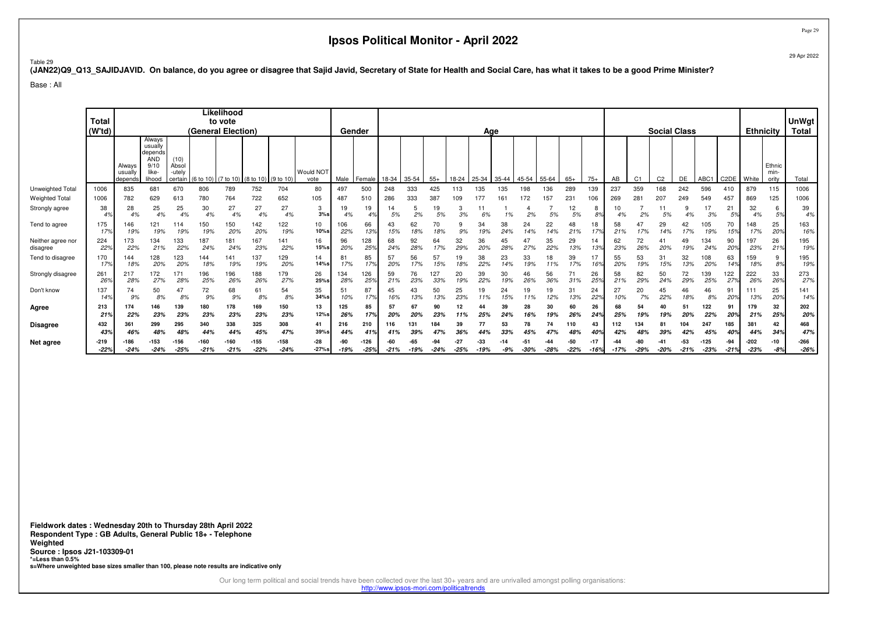29 Apr 2022

Page 29

#### Table 29

**(JAN22)Q9\_Q13\_SAJIDJAVID. On balance, do you agree or disagree that Sajid Javid, Secretary of State for Health and Social Care, has what it takes to be a good Prime Minister?**

Base : All

|                               | <b>Total</b><br>(Wtd) |                              |                                                                       |                                    |            | Likelihood<br>to vote<br>(General Election) |                                           |                  |                          |               | Gender           |               |           |              |               | Age           |              |               |           |                   |               |           |                | <b>Social Class</b> |               |                  |                   | <b>Ethnicity</b> |                         | <b>UnWgt</b><br><b>Total</b> |
|-------------------------------|-----------------------|------------------------------|-----------------------------------------------------------------------|------------------------------------|------------|---------------------------------------------|-------------------------------------------|------------------|--------------------------|---------------|------------------|---------------|-----------|--------------|---------------|---------------|--------------|---------------|-----------|-------------------|---------------|-----------|----------------|---------------------|---------------|------------------|-------------------|------------------|-------------------------|------------------------------|
|                               |                       | Always<br>usually<br>depends | Always<br>usually<br>depends<br><b>AND</b><br>9/10<br>like-<br>lihood | (10)<br>Absol<br>-utelv<br>certain |            |                                             | $(6 to 10)$ (7 to 10) (8 to 10) (9 to 10) |                  | <b>Would NOT</b><br>vote | Male          | l Female         | 18-34         | 35-54     | $55+$        | 18-24         | 25-34         | 35-44        | 45-54         | 55-64     | $65+$             | $75+$         | AB        | C <sub>1</sub> | C <sub>2</sub>      | DE            | ABC1             | C <sub>2</sub> DE | White            | Ethnic<br>min-<br>ority | Total                        |
| Unweighted Total              | 1006                  | 835                          | 681                                                                   | 670                                | 806        | 789                                         | 752                                       | 704              | 80                       | 497           | 500              | 248           | 333       | 425          | 113           | 135           | 135          | 198           | 136       | 289               | 139           | 237       | 359            | 168                 | 242           | 596              | 410               | 879              | 115                     | 1006                         |
| <b>Weighted Total</b>         | 1006                  | 782                          | 629                                                                   | 613                                | 780        | 764                                         | 722                                       | 652              | 105                      | 487           | 510              | 286           | 333       | 387          | 109           | 177           | 161          | 172           | 157       | 231               | 106           | 269       | 28             | 207                 | 249           | 549              | 457               | 869              | 125                     | 1006                         |
| Strongly agree                | 38<br>4%              | 28<br>4%                     | 25<br>4%                                                              | 25<br>4%                           | 30<br>4%   | 27<br>4%                                    | 27<br>4%                                  | 27<br>4%         | 3<br>3%s                 | 19<br>4%      | 19<br>4%         | 14<br>5%      | 2%        | 19<br>5%     | 3<br>3%       | 6%            | 1%           | 2%            | 5%        | 12<br>5%          | 8<br>8%       | 10<br>4%  | 2%             | 5%                  | 4%            | 3%               | 21<br>5%          | 32<br>4%         | 6<br>5%                 | 39<br>4%                     |
| Tend to agree                 | 175<br>17%            | 146<br>19%                   | 121<br>19%                                                            | 114<br>19%                         | 150<br>19% | 150<br>20%                                  | 42<br>20%                                 | 122<br>19%       | 10<br>10%s               | 06<br>22%     | 66<br>13%        | 43<br>15%     | 62<br>18% | 70<br>18%    | 9<br>9%       | 34<br>19%     | 38<br>24%    | 24<br>14%     | 22<br>14% | 48<br>21%         | 18<br>17%     | 58<br>21% | 47             | 29<br>14%           | 42<br>17%     | 105<br>19%       | 70<br>15%         | 148<br>17%       | 25<br>20%               | 163<br>16%                   |
| Neither agree nor<br>disagree | 224<br>22%            | 173<br>22%                   | 134<br>21%                                                            | 133<br>22%                         | 187<br>24% | 181<br>24%                                  | 167<br>23%                                | 141<br>22%       | 16<br>15%s               | 96<br>20%     | 128<br>25%       | 68<br>24%     | 92<br>28% | 64<br>17%    | 32<br>29%     | 36<br>20%     | 45<br>28%    | 47<br>27%     | 35<br>22% | 29<br>13%         | 14<br>13%     | 62<br>23% | 72<br>26%      | 41<br>20%           | 49<br>19%     | 134<br>24%       | 90<br>20%         | 197<br>23%       | 26<br>21%               | 195<br>19%                   |
| Tend to disagree              | 170<br>17%            | 144<br>18%                   | 128<br>20%                                                            | 123<br>20%                         | 44<br>18%  | 141<br>19%                                  | 137<br>19%                                | 129<br>20%       | 14<br>14%s               | 81<br>17%     | 85<br>179        | 57<br>20%     | 56<br>17% | 57<br>15%    | 19<br>18%     | 38            | 23<br>14%    | 33<br>19%     | 18<br>11% | 39<br>17%         | 17<br>16%     | 55<br>20% | 53<br>19%      | 31<br>15%           | 32<br>13%     | 108<br>20%       | 63<br>14%         | 159<br>18%       | 9<br>8%                 | 195<br>19%                   |
| Strongly disagree             | 261<br>26%            | 217<br>28%                   | 172<br>27%                                                            | 171<br>28%                         | 96<br>25%  | 196<br>26%                                  | 188<br>26%                                | 179<br>27%       | 26<br>25%s               | 134<br>28%    | 126<br>25%       | 59<br>21%     | 76<br>23% | 27<br>33%    | 20<br>19%     | 39<br>22%     | 30<br>19%    | 46<br>26%     | 56<br>36% | $\sqrt{1}$<br>31% | 26<br>25%     | 58<br>21% | 82<br>29%      | 50<br>24%           | 72<br>29%     | 139<br>25%       | 122<br>27%        | 222<br>26%       | 33<br>26%               | 273<br>27%                   |
| Don't know                    | 137<br>14%            | 74<br>9%                     | 50<br>8%                                                              | 47<br>8%                           | 72<br>9%   | 68<br>9%                                    | 61<br>8%                                  | 54<br>8%         | 35<br>34%s               | 51<br>10%     | 87<br>17%        | 45<br>16%     | 43<br>13% | 50<br>13%    | 25<br>23%     | 19<br>11%     | 24<br>15%    | 19<br>11%     | 19<br>12% | 31<br>13%         | 24<br>22%     | 27<br>10% | 20<br>7%       | 45<br>22%           | 46<br>18%     | 46<br>8%         | 91<br>20%         | 111<br>13%       | 25<br>20%               | 141<br>14%                   |
| Agree                         | 213<br>21%            | 174<br>22%                   | 146<br>23%                                                            | 139<br>23%                         | 180<br>23% | 178<br>23%                                  | 169<br>23%                                | 150<br>23%       | 13<br>12%s               | 125<br>26%    | 85<br>17%        | 57<br>20%     | 67<br>20% | 90<br>23%    | 12            | 44<br>25%     | 39<br>24%    | 28<br>16%     | 30<br>19% | 60<br>26%         | 26<br>24%     | 68<br>25% | 54<br>19%      | 40<br>19%           | 51<br>20%     | 122<br>22%       | 91<br>20%         | 179<br>21%       | 32<br>25%               | 202<br>20%                   |
| <b>Disagree</b>               | 432                   | 361                          | 299                                                                   | 295                                | 340        | 338                                         | 325                                       | 308              | 41                       | 216           | 210              | 116           | 131       |              | 39            | 77            | 53           | 78            | 74        |                   | 43            | 112       | 134            | 81                  | 104           | 247              | 185               | 381              | 42                      | 468                          |
|                               | 43%                   | 46%                          | 48%                                                                   | 48%                                |            | 44%                                         | 459                                       | 47%              | 39%s                     |               | 41°              |               | 39%       | 47%          | 36            |               |              |               |           | 48%               | 40%           | 42%       | 48%            | 39%                 |               | 45%              | 40%               | 44%              | 34%                     | 47%                          |
| Net agree                     | -219<br>$-22%$        | $-186$<br>$-24%$             | $-153$<br>$-24%$                                                      | $-25%$                             | $-21%$     | -160<br>$-21%$                              | $-155$<br>$-22%$                          | $-158$<br>$-24%$ | -28<br>$-27%s$           | -90<br>$-19%$ | $-126$<br>$-25%$ | -60<br>$-21%$ | $-19%$    | ،۹<br>$-24%$ | -27<br>$-25%$ | -33<br>$-19%$ | -14<br>$-9%$ | -51<br>$-30%$ | $-28%$    | -50<br>$-22%$     | -17<br>$-16%$ | $-17%$    | $-29%$         | $-20%$              | -53<br>$-21%$ | $-125$<br>$-23%$ | -94<br>$-21%$     | -202<br>$-23%$   | $-10$<br>$-8%$          | $-266$<br>$-26%$             |

**Fieldwork dates : Wednesday 20th to Thursday 28th April 2022 Respondent Type : GB Adults, General Public 18+ - TelephoneWeighted Source : Ipsos J21-103309-01 \*=Less than 0.5%s=Where unweighted base sizes smaller than 100, please note results are indicative only**

Our long term political and social trends have been collected over the last 30+ years and are unrivalled amongst polling organisations:

http://www.ipsos-mori.com/politicaltrends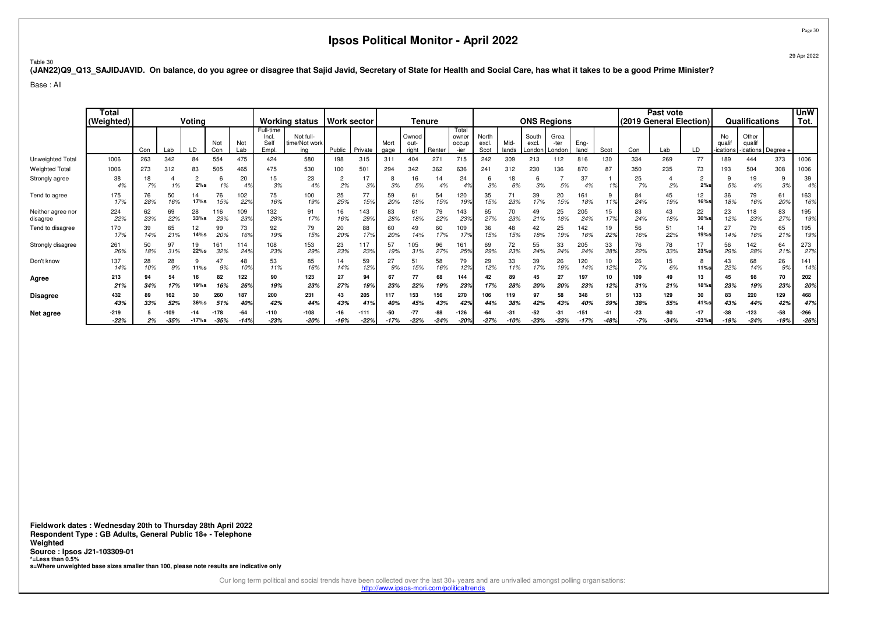Page 30

#### Table 30**(JAN22)Q9\_Q13\_SAJIDJAVID. On balance, do you agree or disagree that Sajid Javid, Secretary of State for Health and Social Care, has what it takes to be a good Prime Minister?**

Base : All

|                               | Total<br>(Weighted) | Voting<br>Not<br>Not<br>Lab<br>Con<br>Lab<br>LD<br>Con |           |                   |                  |               | <b>Working status</b>              |                                   | Work sector          |                  | Tenure        |                        |               |                                 |                        | <b>ONS Regions</b> |                          |                        |                  |           | Past vote<br>(2019 General Election) |               |                   | Qualifications         |                                    | <b>UnW</b><br>Tot. |                  |
|-------------------------------|---------------------|--------------------------------------------------------|-----------|-------------------|------------------|---------------|------------------------------------|-----------------------------------|----------------------|------------------|---------------|------------------------|---------------|---------------------------------|------------------------|--------------------|--------------------------|------------------------|------------------|-----------|--------------------------------------|---------------|-------------------|------------------------|------------------------------------|--------------------|------------------|
|                               |                     |                                                        |           |                   |                  |               | Full-time<br>Incl.<br>Sel<br>Empl. | Not full-<br>time/Not work<br>ina | Public               | Private          | Mort<br>gage  | Owned<br>out-<br>right | Renter        | Total<br>owner<br>occup<br>-ier | North<br>excl.<br>Scot | Mid-<br>lands      | South<br>excl.<br>_ondon | Grea<br>-ter<br>Londor | Eng-<br>land     | Scot      | Con                                  | Lab           | LD                | No<br>qual<br>ications | Other<br>qualif<br>ications Degree |                    |                  |
| Unweighted Total              | 1006                | 263                                                    | 342       | 84                | 554              | 475           | 424                                | 580                               | 198                  | 315              | 311           | 404                    | 271           | 715                             | 242                    | 309                | 213                      | 112                    | 816              | 130       | 334                                  | 269           | 77                | 189                    | 444                                | 373                | 1006             |
| <b>Weighted Total</b>         | 1006                | 273                                                    | 312       | 83                | 505              | 465           | 475                                | 530                               | 100                  | 501              | 294           | 342                    | 362           | 636                             | 241                    | 312                | 230                      | 36                     | 870              | 87        | 350                                  | 235           | 73                | 193                    | 504                                | 308                | 1006             |
| Strongly agree                | 38<br>4%            | 18<br>7%                                               | 1%        | $\epsilon$<br>2%s | 1%               | 20            | 15<br>3%                           | 23<br>4%                          | $\overline{2}$<br>2% | 17<br>3%         | ö<br>3%       | 16<br>5%               | 14<br>4%      | 24                              | 6<br>3%                | ١8<br>6%           | 3%                       | 5%                     | 37<br>4%         |           | 25<br>7%                             | 2%            | 2<br>2%s          | 5%                     | 19<br>4%                           | 9<br>3%            | 39<br>4%         |
| Tend to agree                 | 175<br>17%          | 76<br>28%                                              | 50<br>16% | 17%s              | 76<br>15%        | 102<br>22%    | 75<br>16%                          | 100<br>19%                        | 25<br>25%            | 77<br>15%        | 59<br>20%     | 61<br>18%              | 54<br>15%     | 120<br>19%                      | 35<br>15%              | 71<br>23%          | 39<br>17%                | 20<br>15%              | 161<br>18%       | 11%       | 84<br>24%                            | 45<br>19%     | 12<br>16%s        | 36<br>18%              | 79<br>16%                          | 61<br>20%          | 163<br>16%       |
| Neither agree nor<br>disagree | 224<br>22%          | 62<br>23%                                              | 69<br>22% | 28<br>$33%$ s     | 116<br>23%       | 109<br>23%    | 132<br>28%                         | 91<br>17%                         | 16<br>16%            | 143<br>29%       | 83<br>28%     | 61<br>18%              | 79<br>22%     | 143<br>23%                      | 65<br>27%              | 70<br>23%          | 49<br>21%                | 25<br>18%              | 205<br>24%       | 15<br>17% | 83<br>24%                            | 43<br>18%     | 22<br>30%s        | 23<br>12%              | 118<br>23%                         | 83<br>27%          | 195<br>19%       |
| Tend to disagree              | 170<br>17%          | 39<br>14%                                              | 65<br>21% | 12<br>14%s        | 99<br>20%        | 73<br>169     | 92<br>19%                          | 79<br>15%                         | 20<br>20%            | 88<br>179        | 60<br>20%     | 49                     | 60<br>17%     | 109<br>17 <sup>o</sup>          | 36<br>15%              | 48<br>15%          | 42<br>18%                | 25<br>19%              | 142<br>16%       | 19<br>229 | 56<br>16%                            | 51<br>22%     | 14<br>19%s        | 27<br>14%              | 79<br>16%                          | 65<br>21%          | 195<br>199       |
| Strongly disagree             | 261<br>26%          | 50<br>18%                                              | 97<br>31% | 19<br>22%s        | 161<br>32%       | 114<br>24%    | 108<br>23%                         | 153<br>29%                        | 23<br>23%            | 117<br>23%       | 57<br>19%     | 105<br>31%             | 96<br>27%     | 161<br>259                      | 69<br>29%              | 72<br>23%          | 55<br>24%                | 33<br>24%              | 205<br>24%       | 33<br>38% | 76<br>22%                            | 78<br>33%     | 17<br>23%         | 56<br>29%              | 142<br>28%                         | 64<br>21%          | 273<br>27%       |
| Don't know                    | 137<br>14%          | 28<br>10%                                              | 28<br>9%  | 9<br>11%s         | 47<br>9%         | 48<br>10%     | 53<br>11%                          | 85<br>16%                         | 14<br>14%            | 59<br>12%        | 27<br>9%      | 51<br>15%              | 58<br>16%     | 79<br>12%                       | 29<br>12%              | 33<br>11%          | 39<br>17%                | 26<br>19%              | 120<br>14%       | 10<br>12% | 26<br>7%                             | 15<br>6%      | 8<br>11%s         | 43<br>22%              | 68<br>14%                          | 26<br>9%           | 141<br>14%       |
| Agree                         | 213<br>21%          | 94<br>34%                                              | 54<br>17% | 16<br>19%s        | 82<br>16%        | 122<br>269    | 90<br>19%                          | 123<br>23%                        | 27<br>27%            | 94<br>199        | 67<br>23%     | 77<br>22%              | 68<br>19%     | 144<br>239                      | 42<br>17%              | 89<br>28%          | 45<br>20%                | 27<br>20%              | 197<br>23%       | 10<br>12% | 109<br>31%                           | 49<br>21%     | 13<br>18%s        | 45<br>23%              | 98<br>19%                          | 70<br>23%          | 202<br>20%       |
| <b>Disagree</b>               | 432<br>43%          | 89<br>33%                                              | 52%       | 30<br>$36%$ s     | 260<br>51%       | 187<br>40%    | 200<br>42%                         | 231<br>44%                        | 43<br>43%            | 205<br>419       | 117<br>40%    | 153<br>45%             | 156<br>43%    | 270<br>42%                      | 106<br>44%             | 119<br>38%         | 97<br>42%                | 58<br>43%              | 348<br>40%       | 59%       | 133<br>38%                           | 129<br>55%    | 30<br>41%s        | 83<br>43%              | 220<br>44%                         | 129<br>42%         | 468<br>47%       |
| Net agree                     | $-219$<br>$-22%$    | 2%                                                     | $-35%$    | $-17%s$           | $-178$<br>$-35%$ | -64<br>$-14%$ | $-110$<br>$-23%$                   | $-108$<br>$-20%$                  | $-16$<br>$-16%$      | $-111$<br>$-229$ | -50<br>$-17%$ | $-77$<br>$-22%$        | -88<br>$-24%$ | $-126$<br>-209                  | $-64$<br>$-27%$        | -31<br>-10%        | $-52$<br>$-23%$          | -3<br>$-23%$           | $-151$<br>$-17%$ | -48%      | -23<br>$-7%$                         | -80<br>$-34%$ | $-17$<br>$-23%$ s | -38<br>$-19%$          | $-123$<br>$-24%$                   | $-58$<br>$-19%$    | $-266$<br>$-269$ |

**Fieldwork dates : Wednesday 20th to Thursday 28th April 2022 Respondent Type : GB Adults, General Public 18+ - TelephoneWeighted Source : Ipsos J21-103309-01 \*=Less than 0.5%s=Where unweighted base sizes smaller than 100, please note results are indicative only**

Our long term political and social trends have been collected over the last 30+ years and are unrivalled amongst polling organisations:

http://www.ipsos-mori.com/politicaltrends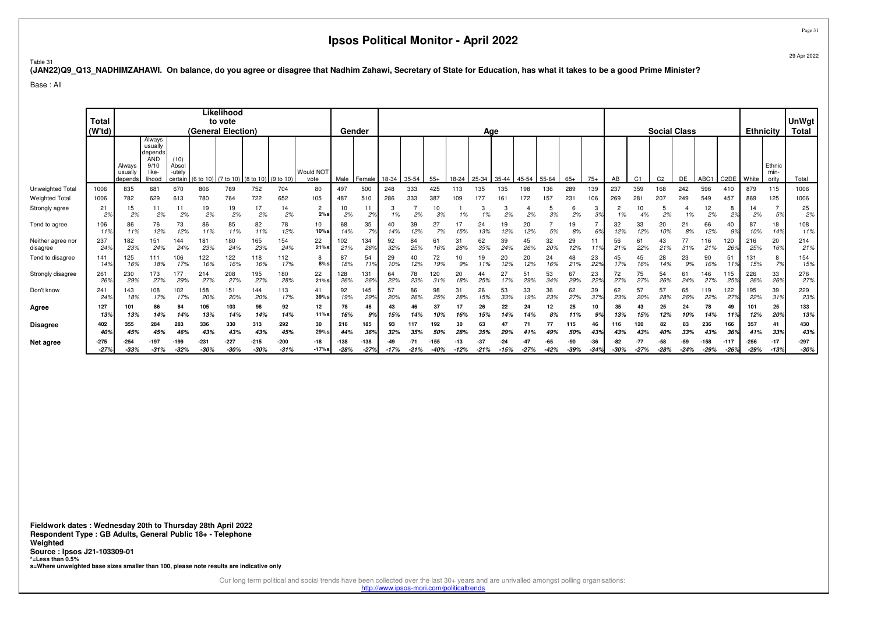Page 31

#### Table 31**(JAN22)Q9\_Q13\_NADHIMZAHAWI. On balance, do you agree or disagree that Nadhim Zahawi, Secretary of State for Education, has what it takes to be a good Prime Minister?**

Base : All

|                               | Total<br>(W'td)  |                              |                                                                       |                                    |                  | Likelihood<br>to vote<br>(General Election) |                                         |                  |                       |                | Gender           |           |           |            |                 | Age           |                 |           |               |              |               |           |                | <b>Social Class</b> |               |                  |                   | <b>Ethnicity</b> |                         | <b>UnWgt</b><br>Total |
|-------------------------------|------------------|------------------------------|-----------------------------------------------------------------------|------------------------------------|------------------|---------------------------------------------|-----------------------------------------|------------------|-----------------------|----------------|------------------|-----------|-----------|------------|-----------------|---------------|-----------------|-----------|---------------|--------------|---------------|-----------|----------------|---------------------|---------------|------------------|-------------------|------------------|-------------------------|-----------------------|
|                               |                  | Always<br>usually<br>depends | Always<br>usually<br>depends<br><b>AND</b><br>9/10<br>like-<br>lihood | (10)<br>Absol<br>-utely<br>certain |                  |                                             | (6 to 10) (7 to 10) (8 to 10) (9 to 10) |                  | Would NOT<br>vote     | Male           | Female           | 18-34     | 35-54     | $55+$      | 18-24           | 25-34         | 35-44           | 45-54     | 55-64         | $65+$        | $75+$         | AB        | C <sub>1</sub> | C <sub>2</sub>      | DE            | ABC1             | C <sub>2</sub> DE | White            | Ethnic<br>min-<br>ority | Total                 |
| Unweighted Total              | 1006             | 835                          | 681                                                                   | 670                                | 806              | 789                                         | 752                                     | 704              | 80                    | 497            | 500              | 248       | 333       | 425        | 113             | 135           | 135             | 198       | 136           | 289          | 139           | 237       | 359            | 168                 | 242           | 596              | 410               | 879              | 115                     | 1006                  |
| <b>Weighted Total</b>         | 1006             | 782                          | 629                                                                   | 613                                | 780              | 764                                         | 722                                     | 652              | 105                   | 487            | 510              | 286       | 333       | 387        | 109             |               | 161             | 172       | 157           | $23 -$       | 106           | 269       | $28 -$         | 207                 | 249           | 549              | 457               | 869              | 125                     | 1006                  |
| Strongly agree                | 21<br>2%         | 15<br>2%                     | 11<br>2%                                                              | 2%                                 | 19<br>2%         | 19<br>2%                                    | 17<br>2%                                | 14<br>2%         | $\overline{2}$<br>2%s | 10<br>2%       | 11<br>2%         | 3<br>1%   | 2%        | 10<br>3%   |                 | 3             | 3<br>2%         | 2%        | 5<br>3%       | 6<br>2%      | 3<br>3%       | 2<br>1%   | 10             | 5<br>2%             | 1%            | 12<br>2%         | 8<br>2%           | 14<br>2%         | 5%                      | 25<br>2%              |
| Tend to agree                 | 106<br>11%       | 86<br>11%                    | 76<br>12%                                                             | 73<br>12%                          | 86<br>11%        | 85<br>11%                                   | 82<br>11%                               | 78<br>12%        | 10<br>10%s            | 68<br>14%      | 35<br>7%         | 40<br>14% | 39<br>12% | 27<br>7%   |                 | 24            | 19<br>12%       | 20<br>12% | 5%            | 19<br>8%     | 6%            | 32<br>12% | 33<br>12%      | 20<br>10%           | 21<br>8%      | 66<br>12%        | 40<br>9%          | 87<br>10%        | 18<br>14%               | 108<br>11%            |
| Neither agree nor<br>disagree | 237<br>24%       | 182<br>23%                   | 151<br>24%                                                            | 144<br>24%                         | 181<br>23%       | 180<br>24%                                  | 165<br>23%                              | 154<br>24%       | 22<br>$21%$ s         | 02<br>21%      | 134<br>26%       | 92<br>32% | 84<br>25% | 61<br>16%  | 31<br>28%       | 62<br>35%     | 39<br>24%       | 45<br>26% | 32<br>20%     | 29<br>12%    | 119           | 56<br>21% | 6<br>22%       | 43<br>21%           | 77<br>31%     | 116<br>21%       | 120<br>26%        | 216<br>25%       | 20<br>16%               | 214<br>21%            |
| Tend to disagree              | 141<br>14%       | 125<br>16%                   | 111<br>18%                                                            | 106<br>17%                         | 122<br>16%       | 122<br>16%                                  | 118<br>16 <sup>°</sup>                  | 112<br>17%       | 8<br>$8%$ s           | 87<br>18%      | 54<br>11%        | 29<br>10% | 40<br>12% | 72<br>19%  | 10<br>9%        | 19            | 20<br>12%       | 20<br>12% | 24<br>16%     | 48<br>21%    | 23<br>22%     | 45<br>17% | 45<br>16%      | 28<br>14%           | 23<br>9%      | 90<br>16%        | 51<br>11%         | 131<br>15%       | 8<br>7%                 | 154<br>15%            |
| Strongly disagree             | 261<br>26%       | 230<br>29%                   | 173<br>27%                                                            | 177<br>29%                         | 214<br>27%       | 208<br>27%                                  | 195<br>27%                              | 180<br>28%       | 22<br>21%s            | 128<br>26%     | 131<br>26%       | 64<br>22% | 78<br>23% | 120<br>31% | 20<br>18%       | 44<br>25%     | 27<br>17%       | 51<br>29% | 53<br>34%     | 67<br>29%    | 23<br>22%     | 72<br>27% | 75<br>27%      | 54<br>26%           | 61<br>24%     | 146<br>27%       | 115<br>25%        | 226<br>26%       | 33<br>26%               | 276<br>27%            |
| Don't know                    | 241<br>24%       | 143<br>18%                   | 108<br>17%                                                            | 102<br>17%                         | 158<br>20%       | 151<br>20%                                  | 144<br>20%                              | 113<br>17%       | 41<br>39%s            | 92<br>19%      | 145<br>29%       | 57<br>20% | 86<br>26% | 98<br>25%  | 31<br>28%       | 26<br>15%     | 53<br>33%       | 33<br>19% | 36<br>23%     | 62<br>27%    | 39<br>37%     | 62<br>23% | 57<br>20%      | 57<br>28%           | 65<br>26%     | 119<br>22%       | 122<br>27%        | 195<br>22%       | 39<br>31%               | 229<br>23%            |
| Agree                         | 127<br>13%       | 101<br>13%                   | 86<br>14%                                                             | 84<br>14%                          | 105<br>13%       | 103<br>14%                                  | 98<br>14%                               | 92<br>14%        | 12<br>11%s            | 78<br>16%      | 46<br>9%         | 15%       | 46        | 37<br>10%  | 16%             | 26<br>15%     | 22<br>14%       | 24        | 12<br>8%      | 25<br>11%    | 10<br>9%      | 35<br>13% | 43<br>15%      | 25<br>12%           | 24            | 78<br>14%        | 49<br>11%         | 101<br>12%       | 25<br>20%               | 133<br>13%            |
| <b>Disagree</b>               | 402              | 355                          | 284                                                                   | 283                                | 336              | 330                                         | 313                                     | 292              | 30                    | 216            | 185              | 93        |           | 192        | 30              | 63            | 47              |           |               | 115          | 46            | 116       | 120            | 82                  | 83            | 236              | 166               | 357              | 41                      | 430                   |
|                               | 40%              | 45%                          | 45%                                                                   | 46%                                | 439              | 43%                                         | 439                                     | 45%              | 29%s                  | 44%            | 369              | 32%       | 359       | 50°        | 28              |               |                 |           |               | 50%          | 439           | 43%       | 43%            | 40°                 | 33%           |                  | 36%               | 41%              | 33%                     | 43%                   |
| Net agree                     | $-275$<br>$-27%$ | $-254$<br>$-33%$             | -197<br>$-31%$                                                        | -199<br>$-32%$                     | $-231$<br>$-30%$ | $-227$<br>$-30%$                            | $-215$<br>$-30%$                        | $-200$<br>$-31%$ | $-18$<br>$-17%s$      | -138<br>$-28%$ | $-138$<br>$-27%$ | $-17%$    | $-21%$    | $-40%$     | $-13$<br>$-12%$ | -37<br>$-21%$ | $-24$<br>$-15%$ | $-27%$    | -65<br>$-42%$ | 90<br>$-39%$ | -36<br>$-34%$ | $-30%$    |                | -58<br>$-28%$       | -59<br>$-24%$ | $-158$<br>$-29%$ | $-117$<br>$-26%$  | $-256$<br>$-29%$ | $-17$<br>$-13%$         | $-297$<br>$-30%$      |

**Fieldwork dates : Wednesday 20th to Thursday 28th April 2022 Respondent Type : GB Adults, General Public 18+ - TelephoneWeighted Source : Ipsos J21-103309-01 \*=Less than 0.5%s=Where unweighted base sizes smaller than 100, please note results are indicative only**

Our long term political and social trends have been collected over the last 30+ years and are unrivalled amongst polling organisations:

http://www.ipsos-mori.com/politicaltrends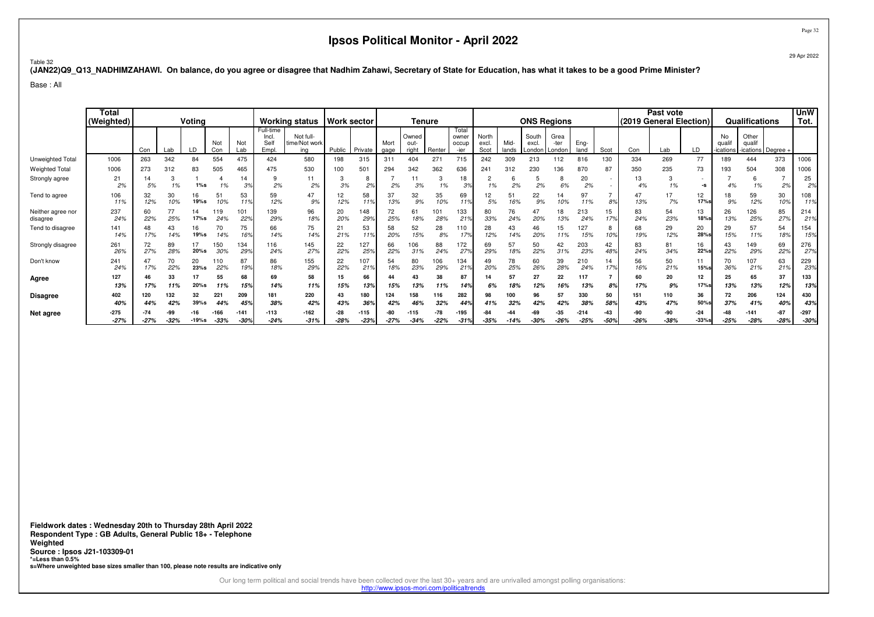29 Apr 2022

Table 32**(JAN22)Q9\_Q13\_NADHIMZAHAWI. On balance, do you agree or disagree that Nadhim Zahawi, Secretary of State for Education, has what it takes to be a good Prime Minister?**

Base : All

|                               | Total<br>(Weighted) | Voting<br>Not<br>Not<br>Con<br>LD<br>Lab<br>Lab<br>Con |           |            |            | <b>Working status</b> | <b>Work sector</b>                 |                                   |           | Tenure     |              |                        |            |                                 |                        | <b>ONS Regions</b> |                          |                        |              | Past vote<br>(2019 General Election) |           |           | <b>Qualifications</b> |                        | <b>UnW</b><br>Tot.                  |                 |            |
|-------------------------------|---------------------|--------------------------------------------------------|-----------|------------|------------|-----------------------|------------------------------------|-----------------------------------|-----------|------------|--------------|------------------------|------------|---------------------------------|------------------------|--------------------|--------------------------|------------------------|--------------|--------------------------------------|-----------|-----------|-----------------------|------------------------|-------------------------------------|-----------------|------------|
|                               |                     |                                                        |           |            |            |                       | Full-time<br>Incl.<br>Sell<br>Empl | Not full-<br>time/Not work<br>ina | Public    | Private    | Mort<br>gage | Owned<br>out-<br>right | Renter     | Total<br>owner<br>occup<br>-ier | North<br>excl.<br>Scot | Mid-<br>lands      | South<br>excl.<br>Londor | Grea<br>-ter<br>Londor | Eng-<br>land | Scot                                 | Con       | Lab       | LD                    | No<br>qual<br>ications | Other<br>qualif<br>-ications Degree |                 |            |
| Unweighted Total              | 1006                | 263                                                    | 342       | 84         | 554        | 475                   | 424                                | 580                               | 198       | 315        | 311          | 404                    | $27 -$     | 715                             | 242                    | 309                | 213                      | 112                    | 816          | 130                                  | 334       | 269       | 77                    | 189                    | 444                                 | 373             | 1006       |
| <b>Weighted Total</b>         | 1006                | 273                                                    | 312       | 83         | 505        | 465                   | 475                                | 530                               | 100       | 501        | 294          | 342                    | 362        | 636                             | 241                    | 312                | 230                      | 136                    | 870          | 87                                   | 350       | 235       | 73                    | 193                    | 504                                 | 308             | 1006       |
| Strongly agree                | 21<br>2%            | 14<br>5%                                               | 3<br>1%   | $1\%s$     | 1%         | 14<br>3%              | 2%                                 | 2%                                | 3<br>3%   | 8<br>2%    | 2%           | 3%                     | 3<br>1%    | 18<br>3%                        | 1%                     | 2%                 | 5<br>2%                  | 6%                     | 20<br>2%     |                                      | 13<br>4%  | 3<br>1%   | -s                    | 4%                     | 6<br>1%                             | 2%              | 25<br>2%   |
| Tend to agree                 | 106<br>11%          | 32<br>12%                                              | 30<br>10% | 16<br>19%s | 51<br>10%  | 53<br>119             | 59<br>12%                          | 47<br>9%                          | 12%       | 58<br>11%  | 37<br>13%    | 32<br>9%               | 35<br>10%  | 69<br>11%                       | 12<br>5%               | 51<br>16%          | 22<br>9%                 | 14<br>10%              | 97<br>11%    | 8%                                   | 47<br>13% | 17<br>7%  | 12<br>17%s            | 18<br>9%               | 59<br>12%                           | 30<br>10%       | 108<br>11% |
| Neither agree nor<br>disagree | 237<br>24%          | 60<br>22%                                              | 77<br>25% | 14<br>17%s | 119<br>24% | 101<br>22%            | 139<br>29%                         | 96<br>18%                         | 20<br>20% | 148<br>29% | 72<br>25%    | 61<br>18%              | 101<br>28% | 133<br>219                      | 80<br>33%              | 76<br>24%          | 47<br>20%                | 18<br>13%              | 213<br>24%   | 15<br>17%                            | 83<br>24% | 54<br>23% | 13<br><b>18%s</b>     | 26<br>13%              | 126<br>25%                          | 85<br>27%       | 214<br>21% |
| Tend to disagree              | 141<br>14%          | 48<br>17%                                              | 43<br>14% | 16<br>19%s | 70<br>14%  | 75<br>16%             | 66<br>14%                          | 75<br>14%                         | 21<br>21% | 53<br>11%  | 58<br>20%    | 52<br>15%              | 28<br>8%   | 110<br>179                      | 28<br>12%              | 43                 | 46<br>20%                | 15<br>11%              | 127<br>15%   | 8<br>10%                             | 68<br>19% | 29<br>12% | 20<br>28%s            | 29<br>15%              | 57<br>11%                           | 54<br>18%       | 154<br>15% |
| Strongly disagree             | 261<br>26%          | 72<br>27%                                              | 89<br>28% | 17<br>20%s | 150<br>30% | 134<br>299            | 116<br>24%                         | 145<br>27%                        | 22<br>22% | 127<br>25% | 66<br>22%    | 06<br>31%              | 88<br>24%  | 172<br>279                      | 69<br>29%              | 57<br>18%          | 50<br>22%                | 42<br>31%              | 203<br>23%   | 42<br>48%                            | 83<br>24% | 81<br>34% | 16<br>22%             | 43<br>22%              | 149<br>29%                          | 69<br>22%       | 276<br>27% |
| Don't know                    | 241<br>24%          | 47<br>17%                                              | 70<br>22% | 20<br>23%s | 110<br>22% | 87<br>19%             | 86<br>18%                          | 155<br>29%                        | 22<br>22% | 107<br>21% | 54<br>18%    | 80<br>23%              | 106<br>29% | 134<br>21 <sup>c</sup>          | 49<br>20%              | 78<br>25%          | 60<br>26%                | 39<br>28%              | 210<br>24%   | 14<br>17%                            | 56<br>16% | 50<br>21% | $15%$ s               | 70<br>36%              | 107<br>21%                          | 63<br>21%       | 229<br>23% |
| Agree                         | 127<br>13%          | 46<br>17%                                              | 33<br>11% | 17<br>20%s | 55<br>11%  | 68<br>159             | 69<br>14%                          | 58<br>11%                         | 15<br>15% | 66<br>13%  | 44<br>15%    | 43<br>13%              | 38<br>11%  | 87<br>14%                       | 6%                     | 57                 | 27<br>12%                | 22<br>16%              | 117<br>13%   | 8%                                   | 60<br>17% | 20<br>9%  | 12<br>17%             | 25<br>13%              | 65<br>13%                           | 37<br>12%       | 133<br>13% |
| <b>Disagree</b>               | 402                 | 120                                                    | 132       | 32         | 221        | 209                   | 181                                | 220                               | 43        | 180        | 124          | 158                    | 116        | 282                             | 98                     | 100                | 96                       | 57                     | 330          | 50                                   | 151       | 110       | 36                    | 72                     | 206                                 | 124             | 430        |
|                               | 40%                 | 44%                                                    | 42%       | $39%$ s    | 44%        | 459                   | 38%                                | 42%                               | 43%       | 36%        | 42%          | 46%                    | 32%        | 44%                             | 41%                    | 32%                | 42%                      | 42%                    | 38%          | 58%                                  | 43%       | 47%       | 50%s                  | 37%                    | 41%                                 | 40 <sup>o</sup> | 43%        |
| Net agree                     | $-275$              |                                                        |           | 16.        | -166       | $-141$                | -113                               | $-162$                            | -28       | -115       |              | $-115$                 | $-78$      | -195                            | -84                    |                    | -69                      | $-35$                  | $-214$       | $-43$                                | -90       | -90       | $-24$                 |                        | $-141$                              | -87             | $-297$     |
|                               | $-27%$              | $-27%$                                                 | $-32%$    | $-19%s$    | $-33%$     | $-30^{\circ}$         | $-24%$                             | $-31%$                            | $-28%$    | $-23%$     | $-27%$       | $-34%$                 | $-22%$     | $-31°$                          | $-35%$                 |                    | $-30%$                   | $-26%$                 | $-25%$       | $-50%$                               | $-26%$    | $-38%$    | $-33%s$               | $-25%$                 | $-28%$                              | $-28%$          | $-30%$     |

**Fieldwork dates : Wednesday 20th to Thursday 28th April 2022 Respondent Type : GB Adults, General Public 18+ - TelephoneWeighted Source : Ipsos J21-103309-01 \*=Less than 0.5%s=Where unweighted base sizes smaller than 100, please note results are indicative only**

Our long term political and social trends have been collected over the last 30+ years and are unrivalled amongst polling organisations:

http://www.ipsos-mori.com/politicaltrends

Page 32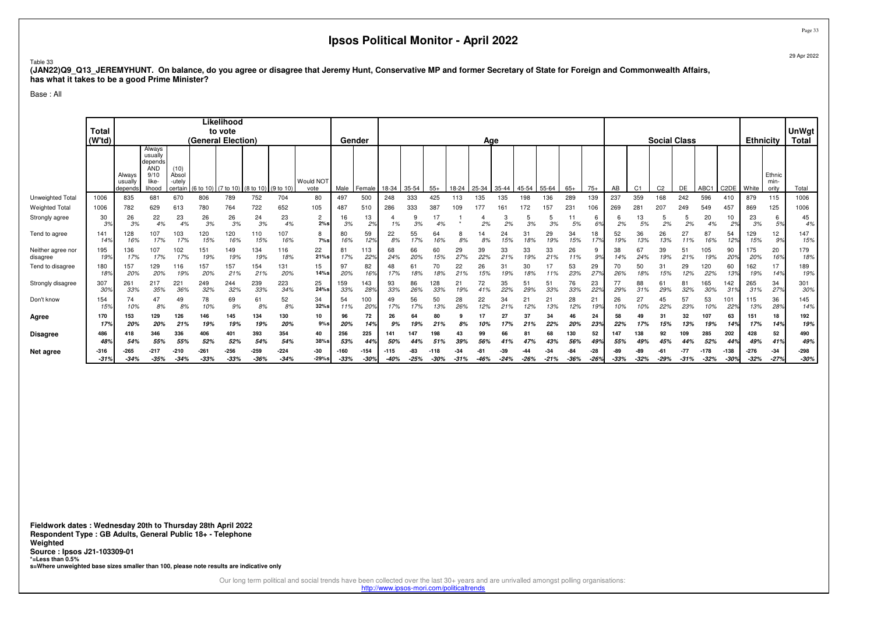Table 33

 **(JAN22)Q9\_Q13\_JEREMYHUNT. On balance, do you agree or disagree that Jeremy Hunt, Conservative MP and former Secretary of State for Foreign and Commonwealth Affairs,has what it takes to be a good Prime Minister?**

Base : All

|                               | <b>Total</b><br>(W <sup>t</sup> d) |                              |                                                                       |                                    | (General Election) | Likelihood<br>to vote |                                  |                  |                       |                       | Gender           |                  |               |            |               | Age       |               |               |                 |               |               |            |                | <b>Social Class</b> |                 |                  |                   | <b>Ethnicity</b> |                         | <b>UnWgt</b><br><b>Total</b> |
|-------------------------------|------------------------------------|------------------------------|-----------------------------------------------------------------------|------------------------------------|--------------------|-----------------------|----------------------------------|------------------|-----------------------|-----------------------|------------------|------------------|---------------|------------|---------------|-----------|---------------|---------------|-----------------|---------------|---------------|------------|----------------|---------------------|-----------------|------------------|-------------------|------------------|-------------------------|------------------------------|
|                               |                                    | Always<br>usually<br>depends | Always<br>usually<br>depends<br><b>AND</b><br>9/10<br>like-<br>lihood | (10)<br>Absol<br>-utelv<br>certain | (6 to 10           |                       | 0) (7 to 10) (8 to 10) (9 to 10) |                  | Would NOT<br>vote     | Male                  | Female           | 18-34            | 35-54         | $55+$      | 18-24         | 25-34     | 35-44         | 45-54         | 55-64           | $65+$         | $75+$         | AB         | C <sub>1</sub> | C <sub>2</sub>      | DE              | ABC1             | C <sub>2</sub> DE | White            | Ethnic<br>min-<br>ority | Total                        |
| Unweighted Total              | 1006                               | 835                          | 681                                                                   | 670                                | 806                | 789                   | 752                              | 704              | 80                    | 497                   | 500              | 248              | 333           | 425        | 113           | 135       | 135           | 198           | 136             | 289           | 139           | 237        | 359            | 168                 | 242             | 596              | 410               | 879              | 115                     | 1006                         |
| <b>Weighted Total</b>         | 1006                               | 782                          | 629                                                                   | 613                                | 780                | 764                   | 722                              | 652              | 105                   | 487                   | 510              | 286              | 333           | 387        | 109           | 177       | 161           | 172           | 157             | 231           | 106           | 269        | 281            | 207                 | 249             | 549              | 457               | 869              | 125                     | 1006                         |
| Strongly agree                | 30<br>3%                           | 26<br>3%                     | 22<br>4%                                                              | 23<br>4%                           | 26<br>3%           | 26<br>3%              | 24<br>3%                         | 23<br>4%         | $\overline{2}$<br>2%s | 16<br>3%              | 13<br>2%         | 1%               | 3%            | 17<br>4%   |               | 2%        | 2%            | 3%            | 3%              | 5%            | 6<br>6%       | 2%         | 13<br>5%       | 5<br>2%             | 2%              | 20<br>4%         | 10<br>2%          | 23<br>3%         | 6<br>5%                 | 45<br>4%                     |
| Tend to agree                 | 141<br>149                         | 128<br>16%                   | 107<br>17%                                                            | 103<br>17%                         | 120<br>15%         | 120<br>16%            | 110<br>15%                       | 107<br>16%       | 8<br>$7\%s$           | 80<br>16%             | 59<br>12%        | 22<br>8%         | 55<br>17%     | 64<br>16%  | 8%            | ١4<br>8%  | 24<br>15%     | 31<br>18%     | 29<br>19%       | 34<br>15%     | 18<br>17%     | 52<br>19%  | 36<br>13%      | 26<br>13%           | 27<br>11%       | 87<br>16%        | 54<br>12%         | 129<br>15%       | 12<br>9%                | 147<br>15%                   |
| Neither agree nor<br>disagree | 195<br>199                         | 136<br>17%                   | 107<br>17%                                                            | 102<br>17%                         | 151<br>19%         | 149<br>19%            | 134<br>19%                       | 116<br>18%       | 22<br>21%s            | 8 <sup>1</sup><br>17% | 113<br>22%       | 68<br>24%        | 66<br>20%     | 60<br>15%  | 29<br>27%     | 39<br>22% | 33<br>21%     | 33<br>19%     | 33<br>21%       | 26<br>11%     | 9<br>9%       |            | 67<br>24%      | 39<br>19%           | 51<br>21%       | 105<br>19%       | 90<br>20%         | 175<br>20%       | 20<br>16%               | 179<br>18%                   |
| Tend to disagree              | 180<br>18 <sup>o</sup>             | 157<br>20%                   | 129<br>20%                                                            | 116<br>19%                         | 157<br>20%         | 157<br>21%            | 154<br>21%                       | 131<br>20%       | 15<br>14%s            | 97<br>20%             | 82<br>16%        | 48<br>17%        | 61<br>18%     | 18%        | 22<br>21%     | 26<br>15% | 19%           | 30<br>18%     | 17<br>11%       | 53<br>23%     | 29<br>27%     | 70<br>26%  | 50<br>18%      | 31<br>15%           | 29<br>12%       | 120<br>22%       | 60<br>13%         | 162<br>19%       | 17<br>14%               | 189<br>19%                   |
| Strongly disagree             | 307<br>30°                         | 261<br>33%                   | 217<br>35%                                                            | 221<br>36%                         | 249<br>32%         | 244<br>32%            | 239<br>33%                       | 223<br>34%       | 25<br>24%s            | 159<br>33%            | 143<br>28%       | 93<br>33%        | 86<br>26%     | 128<br>33% | 21<br>19%     | 72<br>41% | 35<br>22%     | 51<br>29%     | 51<br>33%       | 76<br>33%     | 23<br>22%     | 77<br>29%  | 88<br>31%      | 61<br>29%           | 81<br>32%       | 165<br>30%       | 142<br>31%        | 265<br>31%       | 34<br>27%               | 301<br>30%                   |
| Don't know                    | 154<br>159                         | 74<br>10%                    | 47<br>8%                                                              | 49<br>8%                           | 78<br>10%          | 69<br>9%              | 61<br>8%                         | 52<br>8%         | 34<br>$32%$ s         | 54<br>11%             | 100<br>20%       | 49<br>17%        | 56<br>17%     | 50<br>13%  | 28<br>26%     | 22<br>12% | 34<br>21%     | 21<br>12%     | 21<br>13%       | 28<br>12%     | 21<br>19%     | 26<br>10%  | 27<br>10%      | 45<br>22%           | 57<br>23%       | 53<br>10%        | 101<br>229        | 115<br>13%       | 36<br>28%               | 145<br>14%                   |
| Agree                         | 170<br>17%                         | 153<br>20%                   | 129<br>20%                                                            | 126<br>21%                         | 146<br>19%         | 145<br>19%            | 134<br>19%                       | 130<br>20%       | 10<br>9%s             | 96<br>20%             | 72<br>14%        | 26<br>9%         | 64<br>19%     | 80<br>21%  | 8%            | 10%       | 27<br>17%     | 37<br>21%     | 34<br>22%       | 46<br>20%     | 24<br>23%     | 58<br>22%  | 49<br>17%      | 31<br>15%           | 32<br>13%       | 107<br>19%       | 63<br>14%         | 151<br>17%       | 18<br>14%               | 192<br>19%                   |
| Disagree                      | 486<br>489                         | 418<br>54%                   | 346<br>55%                                                            | 336<br>55%                         | 406<br>52%         | 401<br>52%            | 393<br>54%                       | 354<br>54%       | 40<br>$38%$ s         | 256<br>53%            | 225<br>44%       | 141<br>50%       | 147           | 198<br>51% | 43            | 99        | 66            | 81<br>47%     | 68<br>43%       | 130<br>56%    | 52<br>49%     | 147<br>55% | 138<br>49%     | 92<br>45%           | 109<br>44%      | 285<br>52%       | 202<br>44%        | 428<br>49%       | 52<br>41%               | 490<br>49%                   |
| Net agree                     | $-316$<br>$-31%$                   | $-265$<br>$-34%$             | $-217$<br>$-35%$                                                      | $-210$<br>$-34%$                   | $-261$<br>$-33%$   | $-256$<br>$-33%$      | $-259$<br>$-36%$                 | $-224$<br>$-34%$ | -30<br>$-29%s$        | -160<br>$-33%$        | $-154$<br>$-30%$ | $-115$<br>$-40%$ | -83<br>$-25%$ | $-30%$     | -34<br>$-31%$ | $-46%$    | -39<br>$-24%$ | -44<br>$-26%$ | $-34$<br>$-21%$ | -84<br>$-36%$ | -28<br>$-26%$ | $-33%$     | $-32%$         | $-29%$              | $-77$<br>$-31%$ | $-178$<br>$-32%$ | $-138$<br>$-30%$  | $-276$<br>$-32%$ | $-34$<br>$-27%$         | $-298$<br>$-30%$             |

**Fieldwork dates : Wednesday 20th to Thursday 28th April 2022 Respondent Type : GB Adults, General Public 18+ - TelephoneWeighted Source : Ipsos J21-103309-01 \*=Less than 0.5%s=Where unweighted base sizes smaller than 100, please note results are indicative only**

Our long term political and social trends have been collected over the last 30+ years and are unrivalled amongst polling organisations:

http://www.ipsos-mori.com/politicaltrends

Page 3329 Apr 2022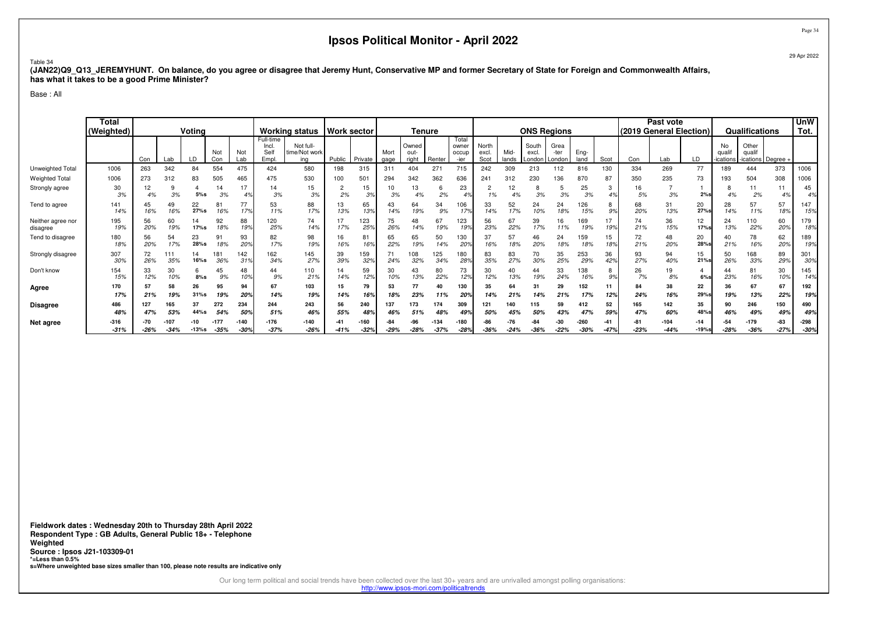#### Table 34

 **(JAN22)Q9\_Q13\_JEREMYHUNT. On balance, do you agree or disagree that Jeremy Hunt, Conservative MP and former Secretary of State for Foreign and Commonwealth Affairs, has what it takes to be a good Prime Minister?**

Base : All

|                               | Total<br>(Weighted) | Voting<br>Not<br>Con<br>LD<br>Lab<br>Con<br>263<br>342<br>554<br>84 |           |               |                |                        | <b>Working status</b>               | <b>Work sector</b>                |                 |               | <b>Tenure</b> |                        |                |                                 |                        | <b>ONS Regions</b> |                          |                        |                |           | Past vote     | (2019 General Election) |                | <b>Qualifications</b>    |                                    | <b>UnW</b><br>Tot. |                |
|-------------------------------|---------------------|---------------------------------------------------------------------|-----------|---------------|----------------|------------------------|-------------------------------------|-----------------------------------|-----------------|---------------|---------------|------------------------|----------------|---------------------------------|------------------------|--------------------|--------------------------|------------------------|----------------|-----------|---------------|-------------------------|----------------|--------------------------|------------------------------------|--------------------|----------------|
|                               |                     |                                                                     |           |               |                | Not<br>Lab             | Full-time<br>Incl.<br>Self<br>Empl. | Not full-<br>time/Not work<br>ina | Public          | Private       | Mort<br>gage  | Owned<br>out-<br>right | Renter         | Total<br>owner<br>occup<br>-ier | North<br>excl.<br>Scot | Mid-<br>lands      | South<br>excl.<br>London | Grea<br>-ter<br>London | Eng-<br>land   | Scot      | Con           | Lab                     | LD             | No<br>quali<br>-ications | Other<br>qualif<br>ications Degree |                    |                |
| Unweighted Total              | 1006                |                                                                     |           |               |                | 475                    | 424                                 | 580                               | 198             | 315           | 311           | 404                    | 271            | 715                             | 242                    | 309                | 213                      | 112                    | 816            | 130       | 334           | 269                     | 77             | 189                      | 444                                | 373                | 1006           |
| <b>Weighted Total</b>         | 1006                | 273                                                                 | 312       | 83            | 505            | 465                    | 475                                 | 530                               | 100             | 501           | 294           | 342                    | 362            | 636                             | 241                    | 312                | 230                      | 136                    | 870            |           | 350           | 235                     | 73             | 193                      | 504                                | 308                | 1006           |
| Strongly agree                | 30<br>3%            | 4%                                                                  | 3%        | 5%s           | 3%             | 17<br>4 <sup>°</sup>   | 3%                                  | 15<br>3%                          | 2%              | 15<br>3%      | 10<br>3%      | 4%                     | b<br>2%        | 23<br>4°                        | 1%                     |                    | 3%                       | 3%                     | 25<br>3%       |           | 16<br>5%      | 3%                      | 2%s            | 4%                       | 11<br>2%                           | 4%                 | 45<br>4%       |
| Tend to agree                 | 141<br>14%          | 45<br>16%                                                           | 49<br>16% | 22<br>27%s    | 81<br>16%      | 77<br>17%              | 53<br>11%                           | 88<br>17%                         | 13<br>13%       | 65<br>13%     | 43<br>14%     | 64<br>19%              | 34<br>9%       | 106<br>17%                      | 33<br>14%              | 52<br>17%          | 24<br>10%                | 24<br>18%              | 126<br>15%     | 9%        | 68<br>20%     | 31<br>13%               | 20<br>27%      | 28<br>14%                | 57<br>11%                          | 57<br>18%          | 147<br>15%     |
| Neither agree nor<br>disagree | 195<br>19%          | 56<br>20%                                                           | 60<br>19% | 14<br>17%s    | 92<br>18%      | 88<br>19%              | 120<br>25%                          | 74<br>14%                         | 17<br>17%       | 123<br>25%    | 75<br>26%     | 48<br>14%              | 67<br>19%      | 123<br>199                      | 56<br>23%              | 67<br>22%          | 39<br>17%                | 16<br>11%              | 169<br>19%     | 199       | 74<br>21%     | 36<br>15%               | 12<br>17%s     | 24<br>13%                | 110<br>22%                         | 60<br>20%          | 179<br>18%     |
| Tend to disagree              | 180<br>18%          | 56<br>20%                                                           | 54<br>17% | 23<br>28%s    | 91<br>18%      | 93<br>20 <sup>°</sup>  | 82<br>17%                           | 98<br>19%                         | 16<br>16%       | 81<br>169     | 65<br>22%     | 65<br>19%              | 50<br>14%      | 130<br>20 <sup>°</sup>          | 37<br>16%              | 57<br>18%          | 46<br>20%                | 24<br>18%              | 159<br>18%     | 15<br>18% | 72<br>21%     | 48<br>20%               | 20<br>28%s     | 40<br>21%                | 78<br>16%                          | 62<br>20%          | 189<br>19%     |
| Strongly disagree             | 307<br>30%          | 72<br>26%                                                           | 35%       | 14<br>16%s    | 181<br>36%     | 142<br>31 <sup>9</sup> | 162<br>34%                          | 145<br>27%                        | 39<br>39%       | 159<br>32%    | 71<br>24%     | 08<br>32%              | 125<br>.34%    | 180<br>289                      | 83<br>35%              | 83<br>27%          | 70<br>30%                | 35<br>25%              | 253<br>29%     | 36<br>42% | 93<br>27%     | 94<br>40%               | 15<br>$21%$ s  | 50<br>26%                | 168<br>33%                         | 89<br>29%          | 301<br>30%     |
| Don't know                    | 154<br>15%          | 33<br>12%                                                           | 30<br>10% | 6<br>$8%$ s   | 45<br>9%       | 48<br>10 <sub>9</sub>  | 44<br>9%                            | 110<br>21%                        | 14%             | 59<br>12%     | 30<br>10%     | 43<br>13%              | 80<br>22%      | 73<br>12%                       | 30<br>12%              | 40<br>13%          | 44<br>19%                | 33<br>24%              | 138<br>16%     | 9%        | 26<br>7%      | 19<br>8%                | 6%s            | 44<br>23%                | 81<br>16%                          | 30<br>10%          | 145<br>14%     |
| Agree                         | 170<br>17%          | 57<br>21%                                                           | 58<br>19% | 26<br>$31%$ s | 95<br>19%      | 94<br><b>20°</b>       | 67<br>14%                           | 103<br>19%                        | 15<br>14%       | 79<br>16%     | 53<br>18%     | 77<br>23%              | 40<br>11%      | 130<br><b>20%</b>               | 35<br>14%              |                    | 31<br>14%                | 29<br>21%              | 152<br>17%     | 12%       | 84<br>24%     | 38<br>16%               | 22<br>29%      | 36<br>19%                | 67<br>13%                          | 67<br>22%          | 192<br>19%     |
| <b>Disagree</b>               | 486                 | 127                                                                 | 165       | 37            | 272            | 234                    | 244                                 | 243                               | 56              | 240           | 137           | 173                    | 174            | 309                             | 121                    | 140                | 115                      | 59                     | 412            | 52        | 165           | 142                     | 35             | 90                       | 246                                | 150                | 490            |
|                               | 48%                 | 47%                                                                 | 53%       | 44%s          | 54%            | 50%                    | 51%                                 | 46%                               | 55%             | 48%           | 46%           | 51%                    | 48%            | 49%                             | 50%                    | 45%                | 50%                      | 43%                    | 47%            | 59%       | 47%           | 60%                     | 48%s           | 46%                      | 49%                                | 49%                | 49%            |
| Net agree                     | $-316$<br>$-31%$    | $-26%$                                                              | $-34%$    | $-13%s$       | -177<br>$-35%$ | $-140$<br>-309         | $-37%$                              | $-140$<br>$-26%$                  | $-41$<br>$-41%$ | 160<br>$-329$ | $-29%$        | $-28%$                 | -134<br>$-37%$ | -180<br>$-289$                  | -86<br>$-36%$          | $-24%$             | $-36%$                   | $-22\%$                | -260<br>$-30%$ |           | -81<br>$-23%$ | $-104$<br>$-44%$        | -14<br>$-19%s$ | $-28%$                   | $-179$<br>$-36%$                   | $-83$<br>$-27%$    | $-298$<br>-30% |

**Fieldwork dates : Wednesday 20th to Thursday 28th April 2022 Respondent Type : GB Adults, General Public 18+ - TelephoneWeighted Source : Ipsos J21-103309-01 \*=Less than 0.5%s=Where unweighted base sizes smaller than 100, please note results are indicative only**

Our long term political and social trends have been collected over the last 30+ years and are unrivalled amongst polling organisations:

http://www.ipsos-mori.com/politicaltrends

Page 34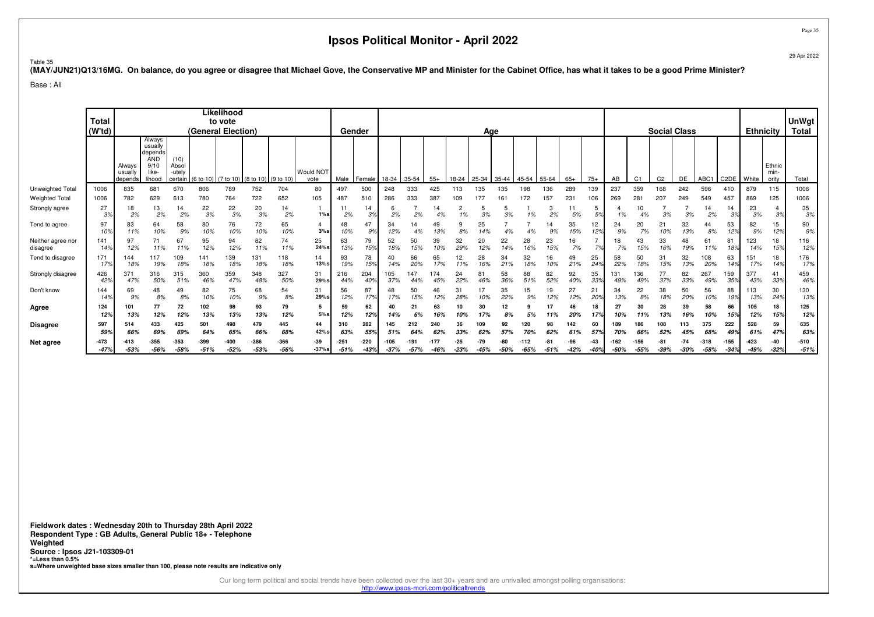29 Apr 2022

Page 35

#### Table 35

**(MAY/JUN21)Q13/16MG. On balance, do you agree or disagree that Michael Gove, the Conservative MP and Minister for the Cabinet Office, has what it takes to be a good Prime Minister?**

Base : All

|                               | Total<br>(W'td)  |                              |                                                                       |                                    |                | Likelihood<br>to vote<br>(General Election) |                                           |                |                   |                  | Gender           |                |            |            |                 | Age         |             |           |           |               |                       |             |                | <b>Social Class</b> |                 |                  |                   | <b>Ethnicity</b>       |                         | <b>UnWgt</b><br>Total |
|-------------------------------|------------------|------------------------------|-----------------------------------------------------------------------|------------------------------------|----------------|---------------------------------------------|-------------------------------------------|----------------|-------------------|------------------|------------------|----------------|------------|------------|-----------------|-------------|-------------|-----------|-----------|---------------|-----------------------|-------------|----------------|---------------------|-----------------|------------------|-------------------|------------------------|-------------------------|-----------------------|
|                               |                  | Always<br>usually<br>depends | Always<br>usually<br>depends<br><b>AND</b><br>9/10<br>like-<br>lihood | (10)<br>Absol<br>-utely<br>certain |                |                                             | $(6 to 10)$ (7 to 10) (8 to 10) (9 to 10) |                | Would NOT<br>vote | Male             | Female           | 18-34          | 35-54      | $55+$      | 18-24           | 25-34       | 35-44       | 45-54     | 55-64     | $65+$         | $75+$                 | AB          | C <sub>1</sub> | C <sub>2</sub>      | DE              | ABC1             | C <sub>2</sub> DE | White                  | Ethnic<br>min-<br>ority | Total                 |
| Unweighted Total              | 1006             | 835                          | 681                                                                   | 670                                | 806            | 789                                         | 752                                       | 704            | 80                | 497              | 500              | 248            | 333        | 425        | 113             | 135         | 135         | 198       | 136       | 289           | 139                   | 237         | 359            | 168                 | 242             | 596              | 410               | 879                    | 115                     | 1006                  |
| <b>Weighted Total</b>         | 1006             | 782                          | 629                                                                   | 613                                | 780            | 764                                         | 722                                       | 652            | 105               | 487              | 510              | 286            | 333        | 387        | 109             |             | 161         | 172       | 157       | $23 -$        | 106                   | 269         | $28 -$         | 207                 | 249             | 549              | 457               | 869                    | 125                     | 1006                  |
| Strongly agree                | 27<br>3%         | 18<br>2%                     | 13<br>2%                                                              | 14<br>2%                           | 22<br>3%       | 22<br>3%                                    | 20<br>3%                                  | 14<br>2%       | $1\%$ s           | 2%               | 14<br>3%         | ь<br>2%        | 2%         | 14<br>4%   | 2               | 5<br>3%     | 5<br>3%     | 1%        | 3<br>2%   | 5%            | 5<br>5%               | 1%          | 10             | 3%                  | 3%              | 14<br>2%         | 14<br>3%          | 23<br>3%               | 3%                      | 35<br>3%              |
| Tend to agree                 | 97<br>10%        | 83<br>11%                    | 64<br>10%                                                             | 58<br>9%                           | 80<br>10%      | 76<br>10%                                   | 72<br>10%                                 | 65<br>10%      | $3%$ s            | 48<br>10%        | 47<br>9%         | 34<br>12%      | 14         | 49<br>13%  | 9<br>8%         | 25          |             | 4%        | 9%        | 35<br>15%     | 12<br>12%             | 24<br>9%    | 20<br>7%       | 21<br>10%           | 32<br>13%       | 8%               | 53<br>12%         | 82<br>9%               | 15<br>12%               | 90<br>9%              |
| Neither agree nor<br>disagree | 141<br>14%       | 97<br>12%                    | 71<br>11%                                                             | 67<br>11%                          | 95<br>12%      | 94<br>12%                                   | 82<br>11%                                 | 74<br>11%      | 25<br>24%s        | 63<br>13%        | 79<br>15%        | 52<br>18%      | 50<br>15%  | 39<br>10%  | 32<br>29%       | 20<br>12%   | 22<br>14%   | 28<br>16% | 23<br>15% | 16<br>7%      | 7%                    | 18<br>7%    | 43<br>15%      | 33<br>16%           | 48<br>19%       | 61<br>11%        | 81<br>18%         | 123<br>14%             | 18<br>15%               | 116<br>12%            |
| Tend to disagree              | 171<br>17%       | 144<br>18%                   | 117<br>19%                                                            | 109<br>18%                         | 141<br>189     | 139<br>18%                                  | 131<br>18%                                | 118<br>18%     | 14<br>13%s        | 93<br>19%        | 78<br>15%        | 40<br>14%      | 66<br>20%  | 65<br>17%  | 12<br>11%       | 28<br>16%   | 34<br>21%   | 32<br>18% | 16<br>10% | 49<br>21%     | 25<br>24 <sup>°</sup> | 58<br>22%   | 50<br>18%      | 31<br>15%           | 32<br>13%       | 108<br>20%       | 63<br>14%         | 15 <sup>1</sup><br>17% | 18<br>149               | 176<br>17%            |
| Strongly disagree             | 426<br>42%       | 371<br>47%                   | 316<br>50%                                                            | 315<br>51%                         | 360<br>46%     | 359<br>47%                                  | 348<br>48%                                | 327<br>50%     | 31<br>29%s        | 216<br>44%       | 204<br>40%       | 105<br>37%     | 147<br>44% | 174<br>45% | 24<br>22%       | 81<br>46%   | 58<br>36%   | 88<br>51% | 82<br>52% | 92<br>40%     | 35<br>33%             | 131<br>49%  | 136<br>49%     | 77<br>37%           | 82<br>33%       | 267<br>49%       | 159<br>35%        | 377<br>43%             | 41<br>33%               | 459<br>46%            |
| Don't know                    | 144<br>14%       | 69<br>9%                     | 48<br>8%                                                              | 49<br>8%                           | 82<br>10%      | 75<br>10%                                   | 68<br>9%                                  | 54<br>8%       | 31<br>29%s        | 56<br>12%        | 87<br>17%        | 48<br>17%      | 50<br>15%  | 46<br>12%  | 31<br>28%       | 17<br>10%   | 35<br>22%   | 15<br>9%  | 19<br>12% | 27<br>12%     | 21<br>20%             | 34<br>13%   | 22<br>8%       | 38<br>18%           | 50<br>20%       | 56<br>10%        | 88<br>19%         | 113<br>13%             | 30<br>24%               | 130<br>13%            |
| Agree                         | 124<br>12%       | 101<br>13%                   | 77<br>12%                                                             | 72<br>12%                          | 102<br>13%     | 98<br>13%                                   | 93<br>13%                                 | 79<br>12%      | 5<br>$5\%$ s      | 59<br>12%        | 62<br>12%        | 40<br>14%      | 21<br>6%   | 63<br>16%  | 10%             | 30          | 12<br>8%    | 5%        | 11%       | 46<br>20%     | 18<br>17%             | 27<br>10%   | 30<br>11%      | 28<br>13%           | 39<br>16%       | 58<br>10%        | 66<br>15%         | 105<br>12%             | 18<br>15%               | 125<br>12%            |
| <b>Disagree</b>               | 597              | 514                          | 433                                                                   | 425                                | 501            | 498                                         | 479                                       | 445            | 44                | 310              | 282              | 145            | 212        | 240        | 36              | 109         | 92          | 120       | 98        | 142           | 60                    | 189         | 186            | 108                 | 113             | 375              | 222               | 528                    | 59                      | 635                   |
|                               | 59%              | 669                          | 69%                                                                   | 69%                                | 64°            | 65%                                         | 669                                       | 68%            | 42%s              | 63%              | 559              | 51%            |            | 62%        | 339             |             |             |           |           | 61%           | 579                   | 70%         | 66%            | 52%                 |                 |                  | 49%               | 61%                    | 47%                     | 63%                   |
| Net agree                     | $-473$<br>$-47%$ | $-413$<br>$-53%$             | $-355$<br>-56%                                                        | -353<br>$-58%$                     | -399<br>$-51%$ | -400<br>$-52%$                              | $-53%$                                    | -366<br>$-56%$ | -39<br>$-37%$ s   | $-251$<br>$-51%$ | $-220$<br>$-43%$ | -105<br>$-37%$ | $-57%$     | $-46%$     | $-25$<br>$-23%$ | -79<br>-45% | -80<br>-50% | $-65%$    | $-51%$    | .96<br>$-42%$ | -43<br>$-40%$         | 162<br>-60% | -55%           | $-39%$              | $-74$<br>$-30%$ | $-318$<br>$-58%$ | $-155$<br>$-34%$  | -423<br>$-49%$         | $-40$<br>$-32%$         | $-510$<br>$-51%$      |

**Fieldwork dates : Wednesday 20th to Thursday 28th April 2022 Respondent Type : GB Adults, General Public 18+ - TelephoneWeighted Source : Ipsos J21-103309-01 \*=Less than 0.5%s=Where unweighted base sizes smaller than 100, please note results are indicative only**

Our long term political and social trends have been collected over the last 30+ years and are unrivalled amongst polling organisations:

http://www.ipsos-mori.com/politicaltrends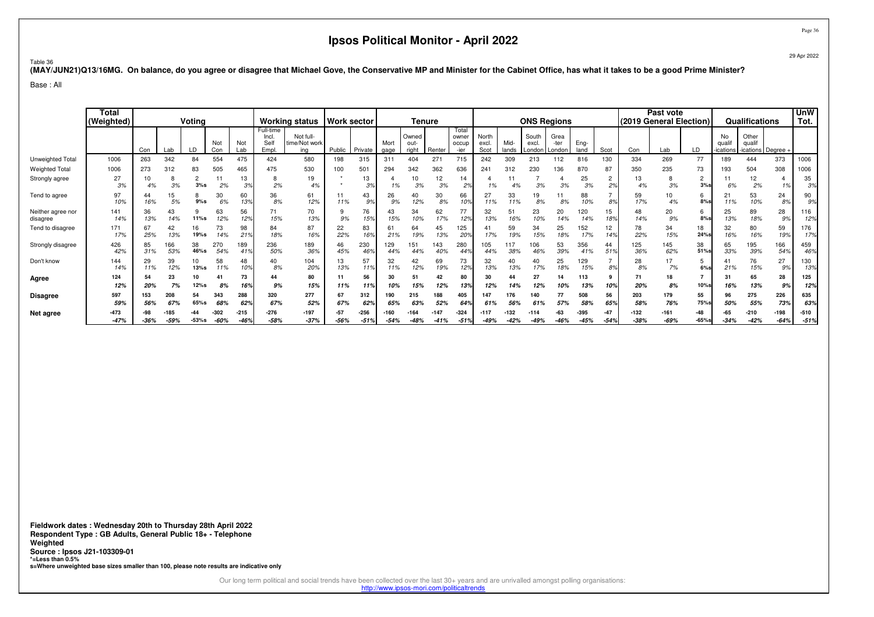29 Apr 2022

Table 36**(MAY/JUN21)Q13/16MG. On balance, do you agree or disagree that Michael Gove, the Conservative MP and Minister for the Cabinet Office, has what it takes to be a good Prime Minister?**

Base : All

|                               | Total<br>(Weighted) | Voting     |            |            |              | <b>Working status</b> |                                    | <b>Work sector</b>                |                 | Tenure         |                |                        |                |                                 | <b>ONS Regions</b>     |               |                          |                        |              | Past vote   | (2019 General Election) |                  | Qualifications           |                                           | <b>UnW</b><br>Tot.                |                |                  |
|-------------------------------|---------------------|------------|------------|------------|--------------|-----------------------|------------------------------------|-----------------------------------|-----------------|----------------|----------------|------------------------|----------------|---------------------------------|------------------------|---------------|--------------------------|------------------------|--------------|-------------|-------------------------|------------------|--------------------------|-------------------------------------------|-----------------------------------|----------------|------------------|
|                               |                     | Con        | Lab        | LD         | Not<br>Con   | Not<br>Lab            | Full-time<br>Incl.<br>Sell<br>Empl | Not full-<br>time/Not work<br>ina | Public          | Private        | Mort<br>gage   | Owned<br>out-<br>right | Renter         | Total<br>owner<br>occup<br>-ier | North<br>excl.<br>Scot | Mid-<br>lands | South<br>excl.<br>Londor | Grea<br>-ter<br>Londor | Eng-<br>land | Scot        | Con                     | Lab              | LD                       | <b>No</b><br>qua<br>ications <sup>.</sup> | Other<br>quali<br>ications Degree |                |                  |
| Unweighted Total              | 1006                | 263        | 342        | 84         | 554          | 475                   | 424                                | 580                               | 198             | 315            | 311            | 404                    | 271            | 715                             | 242                    | 309           | 213                      | 112                    | 816          | 130         | 334                     | 269              | 77                       | 189                                       | 444                               | 373            | 1006             |
| <b>Weighted Total</b>         | 1006                | 273        | 312        | 83         | 505          | 465                   | 475                                | 530                               | 100             | 501            | 294            | 342                    | 362            | 636                             | 241                    | 312           | 230                      | 136                    | 870          | 87          | 350                     | 235              | 73                       | 193                                       | 504                               | 308            | 1006             |
| Strongly agree                | 27<br>3%            | 10<br>4%   | 8<br>3%    | 2<br>3%s   | 11<br>2%     | 13<br>3%              | 8<br>2%                            | 19<br>4%                          |                 | 13<br>3%       | 1%             | 10<br>3%               | 12<br>3%       | 14<br>2%                        | 1%                     |               | 3%                       | 3%                     | 25<br>3%     | 2%          | 13<br>4%                | 8<br>3%          | $\overline{2}$<br>$3%$ s | 11<br>6%                                  | 12<br>2%                          | 1%             | 35<br>3%         |
| Tend to agree                 | 97<br>10%           | 44<br>16%  | 15<br>5%   | 8<br>9%s   | 30<br>6%     | 60<br>13%             | 36<br>8%                           | 61<br>12%                         | 11%             | 43<br>9%       | 26<br>9%       | 40<br>12%              | 30<br>8%       | 66<br>10%                       | 27<br>11%              | 33<br>11%     | 19<br>8%                 | 8%                     | 88<br>10%    | $8^{\circ}$ | 59<br>17%               | 10<br>4%         | 6<br>8%s                 | 21<br>11%                                 | 53<br>10%                         | 24<br>8%       | 90<br>9%         |
| Neither agree nor<br>disagree | 141<br>14%          | 36<br>13%  | 43<br>14%  | 9<br>11%s  | 63<br>12%    | 56<br>12%             | 71<br>15%                          | 70<br>13%                         | 9%              | 76<br>15%      | 43<br>15%      | 34<br>10%              | 62<br>17%      | 77<br>12%                       | 32<br>13%              | 51<br>16%     | 23<br>10%                | 20<br>14%              | 120<br>14%   | 15<br>18%   | 48<br>14%               | 20<br>9%         | 6<br>8%s                 | 25<br>13%                                 | 89<br>18%                         | 28<br>9%       | 116<br>12%       |
| Tend to disagree              | 171<br>17%          | 67<br>25%  | 42<br>13%  | 16<br>19%s | 73<br>14%    | 98<br>21 <sup>9</sup> | 84<br>18%                          | 87<br>16%                         | 22<br>22%       | 83<br>16%      | 61<br>21%      | 64<br>19%              | 45<br>13%      | 125<br>$20^{\circ}$             | 17%                    | 59            | 34<br>15%                | 25<br>18%              | 152<br>17%   | 12<br>149   | 78<br>22%               | 34<br>15%        | 18<br>24%s               | 32<br>16%                                 | 80<br>16%                         | 59<br>19%      | 176<br>17%       |
| Strongly disagree             | 426<br>42%          | 85<br>31%  | 66<br>53%  | 38<br>46%s | 270<br>54%   | 189<br>419            | 236<br>50%                         | 189<br>36%                        | 46<br>45%       | 230<br>46%     | 129<br>44%     | 151<br>44%             | 143<br>40%     | 280<br>449                      | 105<br>44%             | 117<br>38%    | 06<br>46%                | 53<br>39%              | 356<br>41%   | 44<br>51%   | 125<br>36%              | 145<br>62%       | 38<br>51%s               | 65<br>33%                                 | 195<br>39%                        | 166<br>54%     | 459<br>46%       |
| Don't know                    | 144<br>14%          | 29<br>11%  | 39<br>12%  | 10<br>13%s | 58<br>11%    | 48<br>10%             | 40<br>8%                           | 104<br>20%                        | 13<br>13%       | 57<br>11%      | 32<br>11%      | 42<br>12%              | 69<br>19%      | 73<br>12%                       | 32<br>13%              | 40<br>13%     | 40<br>17%                | 25<br>18%              | 129<br>15%   | 8%          | 28<br>8%                | 17<br>7%         | 5<br>6%s                 | 41<br>21%                                 | 76<br>15%                         | 27<br>9%       | 130<br>13%       |
| Agree                         | 124<br>12%          | 54<br>20%  | 23<br>7%   | 10<br>12%s | 41<br>8%     | 73<br>169             | 44<br>9%                           | 80<br>15%                         | 11%             | 56<br>11%      | 30<br>10%      | 51<br>15%              | 42<br>12%      | 80<br>13%                       | 30<br>12%              | 14%           | 27<br>12%                | 14<br>10%              | 113<br>13%   | 10%         | 71<br>20%               | 18<br>8%         | 10%s                     | 31<br>16%                                 | 65<br>13%                         | 28<br>9%       | 125<br>12%       |
| <b>Disagree</b>               | 597<br>59%          | 153<br>56% | 208<br>67% | 54<br>65%s | 343<br>68%   | 288<br>629            | 320<br>67%                         | 277<br>52%                        | 67<br>67%       | 312<br>62%     | 190<br>65%     | 215<br>63%             | 188<br>52%     | 405<br>649                      | 147<br>61%             | 176<br>56%    | 140<br>61%               | 57%                    | 508<br>58%   | 56<br>65%   | 203<br>58%              | 179<br>76%       | 55<br>75%s               | 96<br>50%                                 | 275<br>55%                        | 226<br>73%     | 635<br>63%       |
| Net agree                     | $-473$<br>$-47%$    | $-36%$     | $-59%$     | $-53%s$    | -302<br>-60% | $-215$                | -276<br>$-58%$                     | $-197$<br>$-37%$                  | $-57$<br>$-56%$ | -256<br>$-51%$ | -160<br>$-54%$ | 164<br>$-48%$          | -147<br>$-41%$ | $-324$<br>$-519$                | -117<br>$-49%$         | 132<br>$-42%$ | $-114$<br>$-49%$         | -63<br>$-46%$          | -395<br>-45% | $-54%$      | $-132$<br>$-38%$        | $-161$<br>$-69%$ | -48<br>$-65%$ s          | -65<br>$-34%$                             | $-210$<br>$-42%$                  | -198<br>$-64%$ | $-510$<br>$-51%$ |

**Fieldwork dates : Wednesday 20th to Thursday 28th April 2022 Respondent Type : GB Adults, General Public 18+ - TelephoneWeighted Source : Ipsos J21-103309-01 \*=Less than 0.5%s=Where unweighted base sizes smaller than 100, please note results are indicative only**

Our long term political and social trends have been collected over the last 30+ years and are unrivalled amongst polling organisations:

http://www.ipsos-mori.com/politicaltrends

Page 36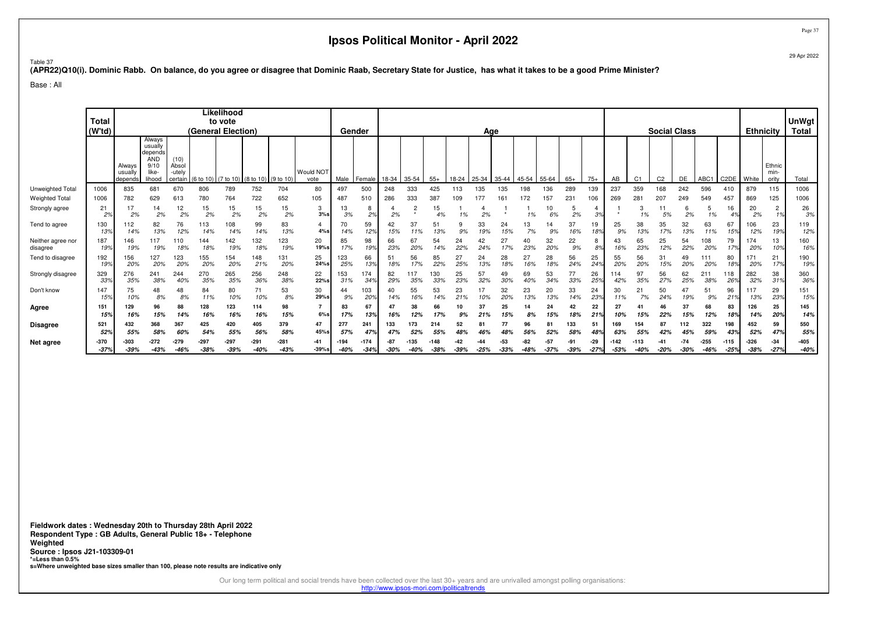Table 37

#### **(APR22)Q10(i). Dominic Rabb. On balance, do you agree or disagree that Dominic Raab, Secretary State for Justice, has what it takes to be a good Prime Minister?**

Base : All

|                               | Total<br>(W'td)        |                             |                                                                       |                                    | (General Election) | Likelihood<br>to vote |                                         |                  |                   |           | Gender           |                 |                           |                  |               | Age       |               |               |                 |           |                 |           |                   | <b>Social Class</b> |                 |                  |                   | <b>Ethnicity</b>       |                         | <b>UnWgt</b><br><b>Total</b> |
|-------------------------------|------------------------|-----------------------------|-----------------------------------------------------------------------|------------------------------------|--------------------|-----------------------|-----------------------------------------|------------------|-------------------|-----------|------------------|-----------------|---------------------------|------------------|---------------|-----------|---------------|---------------|-----------------|-----------|-----------------|-----------|-------------------|---------------------|-----------------|------------------|-------------------|------------------------|-------------------------|------------------------------|
|                               |                        | Always<br>usuall<br>depend: | Always<br>usually<br>depends<br><b>AND</b><br>9/10<br>like-<br>lihood | (10)<br>Absol<br>-utely<br>certain |                    |                       | (6 to 10) (7 to 10) (8 to 10) (9 to 10) |                  | Would NOT<br>vote | Male      | Female           | 18-34           | 35-54                     | $55+$            | 18-24         | 25-34     | 35-44         | $45 - 54$     | 55-64           | $65+$     | $75+$           | AB        | C <sub>1</sub>    | C <sub>2</sub>      | DE              | ABC <sub>1</sub> | C <sub>2</sub> DE | White                  | Ethnic<br>min-<br>ority | Total                        |
| Unweighted Total              | 1006                   | 835                         | 681                                                                   | 670                                | 806                | 789                   | 752                                     | 704              | 80                | 497       | 500              | 248             | 333                       | 425              | 113           | 135       | 135           | 198           | 136             | 289       | 139             | 237       | 359               | 168                 | 242             | 596              | 410               | 879                    | 115                     | 1006                         |
| <b>Weighted Total</b>         | 1006                   | 782                         | 629                                                                   | 613                                | 780                | 764                   | 722                                     | 652              | 105               | 487       | 510              | 286             | 333                       | 387              | 109           | 177       | 161           | 172           | 157             | 231       | 106             | 269       | $28 -$            | 207                 | 249             | 549              | 457               | 869                    | 125                     | 1006                         |
| Strongly agree                | 21<br>2%               | 17<br>2%                    | 14<br>2%                                                              | 12<br>2%                           | 15<br>2%           | 15<br>2%              | 15<br>2%                                | 15<br>2%         | 3<br>3%s          | 13<br>3%  | 8<br>2%          | 2%              | $\overline{c}$<br>$\star$ | 15<br>4%         | 1%            | 2%        |               | 1%            | 10<br>6%        | 5<br>2%   | 3%              |           | 3<br>1%           | 5%                  | 2%              | 5<br>1%          | 16<br>4%          | 20<br>2%               | $\overline{2}$<br>1%    | 26<br>3%                     |
| Tend to agree                 | 130<br>139             | 112<br>14%                  | 82<br>13%                                                             | 76<br>12%                          | 113<br>14%         | 108<br>14%            | 99<br>14%                               | 83<br>13%        | 4%s               | 14%       | 59<br>12%        | 42<br>15%       | 37<br>11%                 | 51<br>13%        | 9%            | 33<br>19% | 24<br>15%     | 13<br>7%      | 9%              | 37<br>16% | 19<br>18%       | 25<br>9%  | 38<br>13%         | 35<br>17%           | 32<br>13%       | 63<br>11%        | 67<br>15%         | 106<br>12%             | 23<br>19%               | 119<br>12%                   |
| Neither agree nor<br>disagree | 187<br>199             | 146<br>19%                  | 117<br>19%                                                            | 110<br>18%                         | 144<br>18%         | 142<br>19%            | 132<br>18%                              | 123<br>19%       | 20<br>19%s        | 85<br>17% | 98<br>19%        | 66<br>23%       | 67<br>20%                 | 54<br>14%        | 24<br>22%     | 42<br>24% | 27<br>17%     | 40<br>23%     | 32<br>20%       | 22<br>9%  | 8<br>8%         | 43        | 65<br>23%         | 25<br>12%           | 54<br>22%       | 108<br>20%       | 79<br>17%         | 174<br>20%             | 13<br>10%               | 160<br>16%                   |
| Tend to disagree              | 192<br>19 <sup>o</sup> | 156<br>20%                  | 127<br>20%                                                            | 123<br>20%                         | 155<br>20%         | 154<br>20%            | 148<br>21%                              | 131<br>20%       | 25<br>$24%$ s     | 23<br>25% | 66<br>13%        | 51<br>18%       | 56<br>17%                 | 85<br>22%        | 27<br>25%     | 24<br>13% | 28<br>18%     | 27<br>16%     | 28<br>18%       | 56<br>24% | 25<br>24%       | 55<br>20% | 56<br>20%         | 31<br>15%           | 49<br>20%       | 111<br>20%       | 80<br>18%         | 17 <sup>1</sup><br>20% | 21<br>17%               | 190<br>19%                   |
| Strongly disagree             | 329<br>339             | 276<br>35%                  | 241<br>38%                                                            | 244<br>40%                         | 270<br>35%         | 265<br>35%            | 256<br>36%                              | 248<br>38%       | 22<br>22%s        | 53<br>31% | 174<br>34%       | 82<br>29%       | 117<br>35%                | 130<br>33%       | 25<br>23%     | 57<br>32% | 49<br>30%     | 69<br>40%     | 53<br>34%       | 33%       | 26<br>25%       | 14<br>42% | 97<br>35%         | 56<br>27%           | 62<br>25%       | 211<br>38%       | 118<br>26%        | 282<br>32%             | 38<br>31%               | 360<br>36%                   |
| Don't know                    | 147<br>159             | 75<br>10%                   | 48<br>8%                                                              | 48<br>8%                           | 84<br>11%          | 80<br>10%             | 71<br>10%                               | 53<br>8%         | 30<br>29%s        | 9%        | 03<br>20%        | 40<br>14%       | 55<br>16%                 | 53<br>14%        | 23<br>21%     |           | 32<br>20%     | 23<br>13%     | 20<br>13%       | 33<br>14% | 24<br>23%       | 30<br>11% | $2^{\cdot}$<br>7% | 50<br>24%           | 47<br>19%       | 51<br>9%         | 96<br>219         | 117<br>13%             | 29<br>23%               | 151<br>15%                   |
| Agree                         | 151<br>15%             | 129<br>16%                  | 96<br>15%                                                             | 88<br>14%                          | 128<br>16%         | 123<br>16%            | 114<br>16%                              | 98<br>15%        | 7<br>$6\%$ s      | 83<br>17% | 67<br>13%        | 47<br>16%       | 38<br>12%                 | 66<br>17%        | 10<br>9%      | 21%       | 25<br>15%     | 14<br>8%      | 24<br>15%       | 42<br>18% | 22<br>21%       | 27        | 15%               | 46<br>22%           | 37<br>15%       | 68<br>12%        | 83<br>18%         | 126<br>14%             | 25<br>20%               | 145<br>14%                   |
| Disagree                      | 521                    | 432                         | 368                                                                   | 367                                | 425                | 420                   | 405                                     | 379              | 47                | 277       | 241              | 133             | 173                       | 214              | 52            |           | 77            | 96            | 81              | 133       | 51              | 169       |                   | 87                  | 112             | 322              | 198               | 452                    | 59                      | 550                          |
|                               | 529                    | 55%                         | 58%                                                                   | 60%                                | 54%                | 55%                   | 56%                                     | 58%              | 45%s              | 57%       | 479              |                 |                           | 55%              | 48°           |           |               |               |                 | 58%       | 48°             | 63%       |                   | 42%                 |                 | 59%              | 439               | 52%                    | 479                     | 55%                          |
| Net agree                     | $-370$<br>$-37%$       | -303<br>$-39%$              | $-272$<br>-43%                                                        | $-279$<br>-46%                     | $-297$<br>$-38%$   | $-297$<br>$-39%$      | $-291$<br>$-40%$                        | $-281$<br>$-43%$ | $-41$<br>$-39%$ s | $-40%$    | $-174$<br>$-34%$ | $-87$<br>$-30%$ | 135                       | $-148$<br>$-38%$ | -42<br>$-39%$ | $-25%$    | -53<br>$-33%$ | -82<br>$-48%$ | $-57$<br>$-37%$ | $-39%$    | $-29$<br>$-27%$ | $-53%$    | -40%              | $-20%$              | $-74$<br>$-30%$ | $-255$<br>$-46%$ | $-115$<br>$-25%$  | $-326$<br>$-38%$       | $-34$<br>$-27%$         | -405<br>$-40%$               |

**Fieldwork dates : Wednesday 20th to Thursday 28th April 2022 Respondent Type : GB Adults, General Public 18+ - TelephoneWeighted Source : Ipsos J21-103309-01 \*=Less than 0.5%s=Where unweighted base sizes smaller than 100, please note results are indicative only**

Our long term political and social trends have been collected over the last 30+ years and are unrivalled amongst polling organisations:

http://www.ipsos-mori.com/politicaltrends

Page 37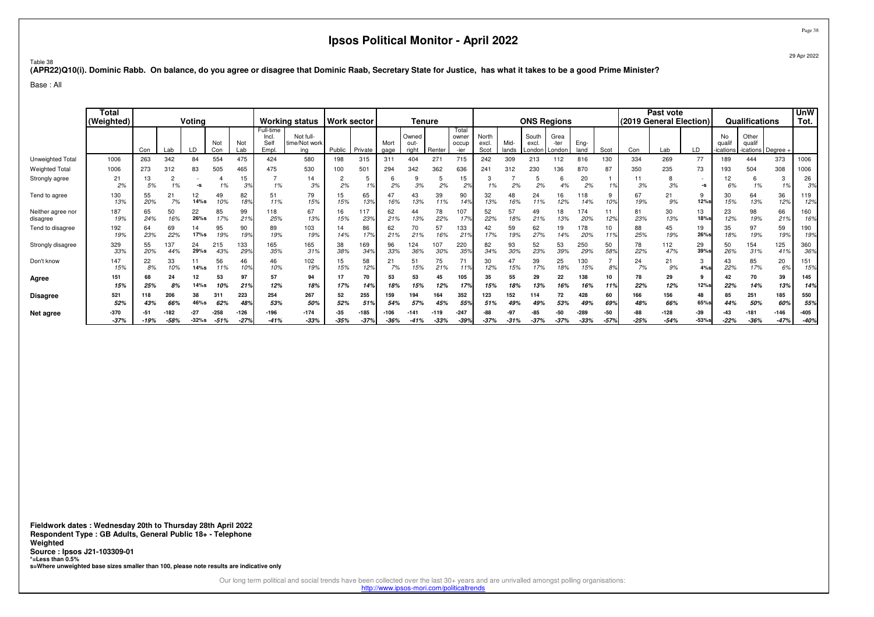29 Apr 2022

Table 38**(APR22)Q10(i). Dominic Rabb. On balance, do you agree or disagree that Dominic Raab, Secretary State for Justice, has what it takes to be a good Prime Minister?**

Base : All

|                               | <b>Total</b><br>(Weighted) | Voting<br>Not<br>Not<br>Con<br>LD<br>Lab<br>Lab<br>Con<br>554<br>475<br>263<br>342<br>84<br>273<br>505<br>465<br>312<br>83<br>$\overline{2}$<br>15<br>13<br>5%<br>1%<br>3%<br>1%<br>-9 |            |            |                | <b>Working status</b> |                                    | <b>Work sector</b>                |                 | Tenure           |              |                        |               |                                 | <b>ONS Regions</b>     |               |                          |                        |                  | Past vote<br>(2019 General Election) |               |                  | <b>Qualifications</b> |                        | <b>UnW</b><br>Tot.                  |                       |                  |
|-------------------------------|----------------------------|----------------------------------------------------------------------------------------------------------------------------------------------------------------------------------------|------------|------------|----------------|-----------------------|------------------------------------|-----------------------------------|-----------------|------------------|--------------|------------------------|---------------|---------------------------------|------------------------|---------------|--------------------------|------------------------|------------------|--------------------------------------|---------------|------------------|-----------------------|------------------------|-------------------------------------|-----------------------|------------------|
|                               |                            |                                                                                                                                                                                        |            |            |                |                       | Full-time<br>Incl.<br>Sell<br>Empl | Not full-<br>time/Not work<br>ina | Public          | Private          | Mort<br>gage | Owned<br>out-<br>right | Renter        | Total<br>owner<br>occup<br>-ier | North<br>excl.<br>Scot | Mid-<br>lands | South<br>excl.<br>Londor | Grea<br>-ter<br>Londor | Eng-<br>land     | Scot                                 | Con           | Lab              | LD                    | No<br>qual<br>ications | Other<br>qualif<br>-ications Degree |                       |                  |
| Unweighted Total              | 1006                       |                                                                                                                                                                                        |            |            |                |                       | 424                                | 580                               | 198             | 315              | 311          | 404                    | $27 -$        | 715                             | 242                    | 309           | 213                      | 112                    | 816              | 130                                  | 334           | 269              | 77                    | 189                    | 444                                 | 373                   | 1006             |
| <b>Weighted Total</b>         | 1006                       |                                                                                                                                                                                        |            |            |                |                       | 475                                | 530                               | 100             | 501              | 294          | 342                    | 362           | 636                             | 241                    | 312           | 230                      | 136                    | 870              | 87                                   | 350           | 235              | 73                    | 193                    | 504                                 | 308                   | 1006             |
| Strongly agree                | 21<br>2%                   |                                                                                                                                                                                        |            |            |                |                       | 1%                                 | 14<br>3%                          | 2%              | 1%               | n<br>2%      | 3%                     | 5<br>2%       | 15<br>2%                        | 1%                     | 2%            | 5<br>2%                  | ь<br>4%                | 20<br>2%         | 10                                   | 11<br>3%      | 8<br>3%          | -S                    | 12<br>6%               | 6<br>1%                             | 1%                    | 26<br>3%         |
| Tend to agree                 | 130<br>13%                 | 55<br>20%                                                                                                                                                                              | 21<br>7%   | 12<br>14%s | 49<br>10%      | 82<br>18%             | 51<br>11%                          | 79<br>15%                         | 15<br>15%       | 65<br>13%        | 47<br>16%    | 43<br>13%              | 39<br>11%     | 90<br>14%                       | 32<br>13%              | 48<br>16%     | 24<br>11%                | 16<br>12%              | 118<br>14%       | 9<br>10%                             | 67<br>19%     | 21<br>9%         | 9<br>12%s             | 30<br>15%              | 64<br>13%                           | 36<br>12%             | 119<br>12%       |
| Neither agree nor<br>disagree | 187<br>19%                 | 65<br>24%                                                                                                                                                                              | 50<br>16%  | 22<br>26%s | 85<br>17%      | 99<br>219             | 118<br>25%                         | 67<br>13%                         | 15%             | 117<br>23%       | 62<br>21%    | 44<br>13%              | 78<br>22%     | 107<br>17%                      | 52<br>22%              | 57<br>18%     | 49<br>21%                | 18<br>13%              | 174<br>20%       | 12%                                  | 81<br>23%     | 30<br>13%        | 13<br><b>18%s</b>     | 23<br>12%              | 98<br>19%                           | 66<br>21%             | 160<br>16%       |
| Tend to disagree              | 192<br>19%                 | 64<br>23%                                                                                                                                                                              | 69<br>22%  | 14<br>17%s | 95<br>19%      | 90<br>19%             | 89<br>19%                          | 103<br>19%                        | 14%             | 86<br>17%        | 62<br>21%    | 70<br>21%              | 57<br>16%     | 133<br>21'                      | 42<br>17%              | 59<br>19%     | 62<br>27%                | 19<br>14%              | 178<br>20%       | 10<br>119                            | 88<br>25%     | 45<br>19%        | 19<br>26%s            | 35<br>18%              | 97<br>19%                           | 59<br>19 <sub>2</sub> | 190<br>19%       |
| Strongly disagree             | 329<br>33%                 | 55<br>20%                                                                                                                                                                              | 37<br>44%  | 24<br>29%s | 215<br>43%     | 133<br>299            | 165<br>35%                         | 165<br>31%                        | 38<br>38%       | 169<br>34%       | 96<br>33%    | 124<br>36%             | 107<br>30%    | 220<br>359                      | 82<br>34%              | 93<br>30%     | 52<br>23%                | 53<br>39%              | 250<br>29%       | 50<br>58%                            | 78<br>22%     | 112<br>47%       | 29<br>39%             | 50<br>26%              | 154<br>31%                          | 125<br>419            | 360<br>36%       |
| Don't know                    | 147<br>15%                 | 22<br>8%                                                                                                                                                                               | 33<br>10%  | 14%s       | 56<br>11%      | 46<br>10°             | 46<br>10%                          | 102<br>19%                        | 15<br>15%       | 58<br>12%        | 21<br>7%     | 51<br>15%              | 75<br>21%     | 71<br>119                       | 30<br>12%              | 47<br>15%     | 39<br>17%                | 25<br>18%              | 130<br>15%       | 8%                                   | 24<br>7%      | 21<br>9%         | 3<br>4%s              | 43<br>22%              | 85<br>17%                           | 20<br>6%              | 151<br>15%       |
| Agree                         | 151<br>15%                 | 68<br>25%                                                                                                                                                                              | 24<br>8%   | 12<br>14%s | 53<br>10%      | 97<br>219             | 57<br>12%                          | 94<br>18%                         | 17<br>17%       | 70<br>14%        | 53<br>18%    | 53<br>15%              | 45<br>12%     | 105<br>17%                      | 35<br>15%              | 55            | 29<br>13%                | 22<br>16%              | 138<br>16%       | 10<br>119                            | 78<br>22%     | 29<br>12%        | 12%s                  | 42<br>22%              | 70<br>14%                           | 39<br>13%             | 145<br>14%       |
| <b>Disagree</b>               | 521<br>52%                 | 118<br>43%                                                                                                                                                                             | 206<br>66% | 38<br>46%s | 311<br>62%     | 223<br>489            | 254<br>53%                         | 267<br>50%                        | 52<br>52%       | 255<br>51%       | 159<br>54%   | 194<br>57%             | 164<br>45%    | 352<br>559                      | 123<br>51%             | 152<br>49%    | 114<br>49%               | 72<br>53%              | 428<br>49%       | 60<br>69%                            | 166<br>48%    | 156<br>66%       | 48<br>65%             | 85<br>44%              | 251<br>50%                          | 185<br>60%            | 550<br>559       |
| Net agree                     | $-370$<br>$-37%$           | -5<br>$-19%$                                                                                                                                                                           | $-58%$     | $-32%s$    | -258<br>$-51%$ | $-126$<br>$-27%$      | $-41%$                             | $-174$<br>$-33%$                  | $-35$<br>$-35%$ | $-185$<br>$-37%$ | $-36%$       | $-141$<br>$-41%$       | 119<br>$-33%$ | $-247$<br>$-39%$                | -88<br>$-37%$          | -9<br>$-31%$  | -85<br>$-37%$            | -50<br>$-37%$          | $-289$<br>$-33%$ | -50<br>$-579$                        | -88<br>$-25%$ | $-128$<br>$-54%$ | -39<br>$-53%$ s       | $-22%$                 | $-181$<br>$-36%$                    | $-146$<br>$-47%$      | $-405$<br>$-40%$ |

**Fieldwork dates : Wednesday 20th to Thursday 28th April 2022 Respondent Type : GB Adults, General Public 18+ - TelephoneWeighted Source : Ipsos J21-103309-01 \*=Less than 0.5%s=Where unweighted base sizes smaller than 100, please note results are indicative only**

http://www.ipsos-mori.com/politicaltrends

Page 38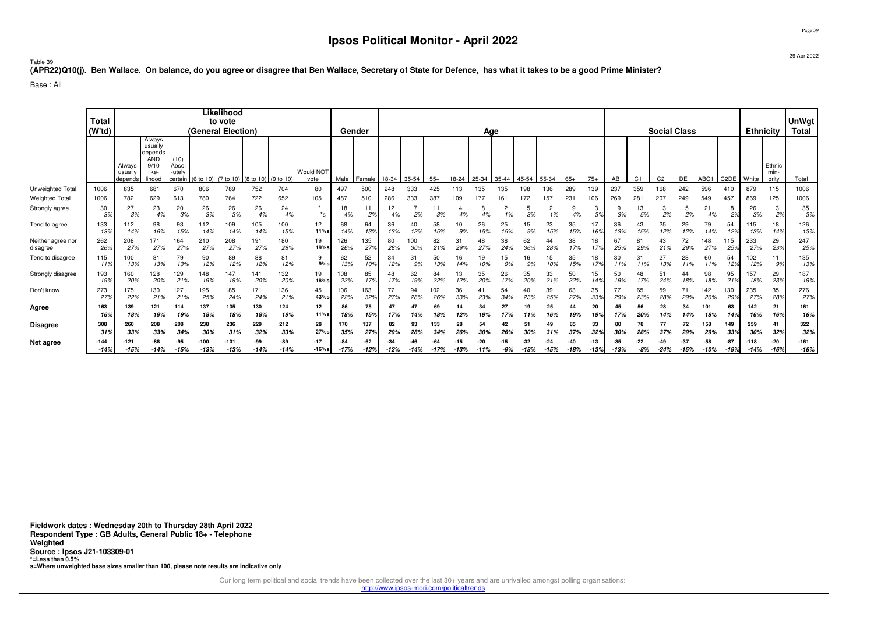Table 39

#### **(APR22)Q10(j). Ben Wallace. On balance, do you agree or disagree that Ben Wallace, Secretary of State for Defence, has what it takes to be a good Prime Minister?**

Base : All

|                               | <b>Total</b><br>(W'td) |                              |                                                                       |                                    | (General Election) | Likelihood<br>to vote |               |               |                          |                 | Gender                |                 |                      |            |            | Age           |              |               |                 |               |               |                 |                |                | <b>Social Class</b> |                  |                   | <b>Ethnicity</b> |                         | <b>UnWgt</b><br><b>Total</b> |
|-------------------------------|------------------------|------------------------------|-----------------------------------------------------------------------|------------------------------------|--------------------|-----------------------|---------------|---------------|--------------------------|-----------------|-----------------------|-----------------|----------------------|------------|------------|---------------|--------------|---------------|-----------------|---------------|---------------|-----------------|----------------|----------------|---------------------|------------------|-------------------|------------------|-------------------------|------------------------------|
|                               |                        | Always<br>usually<br>depends | Always<br>usually<br>depends<br><b>AND</b><br>9/10<br>like-<br>lihood | (10)<br>Absol<br>-utely<br>certain | (6 to 10)          | (7 to 10)             | (8 to 10)     | (9 to 10)     | <b>Would NOT</b><br>vote | Male            | Female                | 18-34           | 35-54                | $55+$      | 18-24      | 25-34         | 35-44        | 45-54         | 55-64           | $65+$         | $75+$         | AB              | C <sub>1</sub> | C <sub>2</sub> | DE                  | ABC <sub>1</sub> | C <sub>2</sub> DE | White            | Ethnic<br>min-<br>ority | Total                        |
| Unweighted Total              | 1006                   | 835                          | 681                                                                   | 670                                | 806                | 789                   | 752           | 704           | 80                       | 497             | 500                   | 248             | 333                  | 425        | 113        | 135           | 135          | 198           | 136             | 289           | 139           | 237             | 359            | 168            | 242                 | 596              | 410               | 879              | 115                     | 1006                         |
| <b>Weighted Total</b>         | 1006                   | 782                          | 629                                                                   | 613                                | 780                | 764                   | 722           | 652           | 105                      | 487             | 510                   | 286             | 333                  | 387        | 109        | 177           |              | 72            | 157             | 231           | 106           | 269             | 28             | 207            | 249                 | 549              | 457               | 869              | 125                     | 1006                         |
| Strongly agree                | 30<br>3%               | 27<br>3%                     | 23<br>4%                                                              | 20<br>3%                           | 26<br>3%           | 26<br>3%              | 26<br>4%      | 24<br>4%      | $\star$<br>$^*$ s        | 18<br>4%        | 2%                    | 12<br>4%        | 2%                   | 11<br>3%   |            | 8             | ۷            | 3%            | ۷<br>1%         | 4%            | 3<br>3%       | 3%              | 13<br>5%       | 3<br>2%        | 2%                  | 21<br>4%         | 8<br>2%           | 26<br>3%         | 3<br>2%                 | 35<br>3%                     |
| Tend to agree                 | 133<br>13%             | 112<br>14%                   | 98<br>16%                                                             | 93<br>15%                          | 112<br>14%         | 109<br>14%            | 105<br>14%    | 100<br>15%    | 12<br>11%s               | 68<br>14%       | 64<br>13%             | 36<br>13%       | 12%                  | 58<br>15%  | 10<br>9%   | 26<br>15%     | 25<br>15%    | 15<br>9%      | 23<br>15%       | 35<br>15%     | 17<br>16%     | 36<br>13%       | 43<br>15%      | 25<br>12%      | 29<br>12%           | 79<br>14%        | 54<br>12%         | 115<br>13%       | 18<br>14%               | 126<br>13%                   |
| Neither agree nor<br>disagree | 262<br>26 <sup>°</sup> | 208<br>27%                   | 171<br>27%                                                            | 164<br>27%                         | 210<br>27%         | 208<br>27%            | 191<br>27%    | 180<br>28%    | 19<br>19%s               | 126<br>26%      | 135<br>27%            | 80<br>28%       | 100<br>30%           | 82<br>21%  | 31<br>29%  | 48<br>27%     | 38<br>24%    | 62<br>36%     | 44<br>28%       | 38<br>17%     | 18<br>179     | 67<br>25%       | 29%            | 43<br>21%      | 72<br>29%           | 148<br>27%       | 115<br>25%        | 233<br>27%       | 29<br>23%               | 247<br>25%                   |
| Tend to disagree              | 115<br>11%             | 100<br>13%                   | 81<br>13%                                                             | 79<br>13%                          | 90<br>12%          | 89<br>12%             | 88<br>12%     | 81<br>12%     | 9<br>$9%$ s              | 62<br>13%       | 52<br>10 <sub>9</sub> | 34<br>12%       | 3 <sup>1</sup><br>9% | 50<br>13%  | 16<br>14%  | 19            | 15<br>9%     | 16<br>9%      | 15<br>10%       | 35<br>15%     | 18<br>179     | 30<br>11%       |                | 27<br>13%      | 28<br>11%           | 60<br>11%        | 54<br>12%         | 02<br>12%        | 11<br>9%                | 135<br>13%                   |
| Strongly disagree             | 193<br>19%             | 160<br>20%                   | 128<br>20%                                                            | 129<br>21%                         | 148<br>19%         | 147<br>19%            | 141<br>20%    | 132<br>20%    | 19<br>18%s               | 08<br>22%       | 85<br>17%             | 48<br>17%       | 62<br>19%            | 84<br>22%  | 13<br>12%  | 35<br>20%     | 26<br>17%    | 35<br>20%     | 33<br>21%       | 50<br>22%     | 15<br>14%     | 50<br>19%       | 48<br>17%      | 51<br>24%      | 44<br>18%           | 98<br>18%        | 95<br>21%         | 157<br>18%       | 29<br>23%               | 187<br>19%                   |
| Don't know                    | 273<br>27%             | 175<br>22%                   | 130<br>21%                                                            | 127<br>21%                         | 195<br>25%         | 185<br>24%            | 171<br>24%    | 136<br>21%    | 45<br>43%s               | 106<br>22%      | 163<br>32%            | 77<br>27%       | 94<br>28%            | 102<br>26% | 36<br>33%  | 41<br>23%     | 54<br>34%    | 40<br>23%     | 39<br>25%       | 63<br>27%     | 35<br>33%     | 77<br>29%       | 65<br>23%      | 59<br>28%      | 71<br>29%           | 142<br>26%       | 130<br>29%        | 235<br>27%       | 35<br>28%               | 276<br>27%                   |
| Agree                         | 163<br>16%             | 139<br>18%                   | 121<br>19%                                                            | 114<br>19%                         | 137<br>18%         | 135<br>18%            | 130<br>18%    | 124<br>19%    | 12<br>11%s               | 86<br>18%       | 75<br>15%             | 47<br>17%       | 14%                  | 69<br>18%  | 12%        | 34            | 27<br>17%    | 19<br>11%     | 25<br>16%       | 44<br>19%     | 20<br>19%     | 17%             | 56<br>20%      | 28<br>14%      | 34                  | 101<br>18%       | 63<br>14%         | 142<br>16%       | 21<br>16%               | 161<br>16%                   |
| <b>Disagree</b>               | 308                    | 260                          | 208                                                                   | 208                                | 238                | 236                   | 229           | 212           | 28                       | 170             | 137                   | 82              | 93                   | 133        | 28         | 54            | 42           | 51            |                 | 85            | 33            | 80              | 78             | 77             | 72                  | 158              | 149               | 259              | 41                      | 322                          |
|                               | 319                    | 33%                          | 33%                                                                   | 34%                                | 30%                | 31%                   | 32%           | 33%           | 27%s                     | 35%             | 27%                   | 299             | 28%                  | 34%        | <b>26°</b> |               | 26'          |               | 31%             | 37%           | 32%           | 30%             | 28%            | 37%            | 29%                 | 29%              | 33%               | 30%              | 32%                     | 32%                          |
| Net agree                     | -144<br>$-14%$         | -121<br>$-15%$               | -88<br>-14%                                                           | -95<br>$-15%$                      | $-100$<br>$-13%$   | $-101$<br>$-13%$      | -99<br>$-14%$ | -89<br>$-14%$ | $-17$<br>$-16%$ s        | $-84$<br>$-17%$ | $-62$<br>$-12%$       | $-34$<br>$-12%$ | $-14%$               | $-17%$     | $-13%$     | -20<br>$-11%$ | -15<br>$-9%$ | -32<br>$-18%$ | $-24$<br>$-15%$ | -40<br>$-18%$ | -13<br>$-13%$ | $-35$<br>$-13%$ | -22<br>-8%     | -49<br>$-24%$  | -37<br>$-15%$       | $-58$<br>$-10%$  | $-87$             | $-118$<br>$-14%$ | $-20$<br>$-16%$         | $-161$<br>$-16%$             |

**Fieldwork dates : Wednesday 20th to Thursday 28th April 2022 Respondent Type : GB Adults, General Public 18+ - TelephoneWeighted Source : Ipsos J21-103309-01 \*=Less than 0.5%s=Where unweighted base sizes smaller than 100, please note results are indicative only**

Our long term political and social trends have been collected over the last 30+ years and are unrivalled amongst polling organisations:

http://www.ipsos-mori.com/politicaltrends

Page 39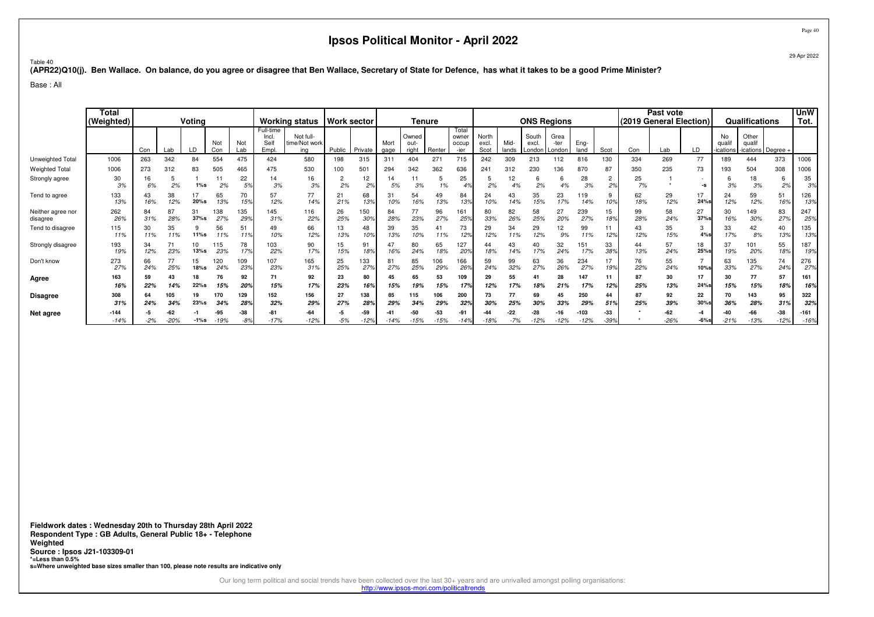Page 40

Table 40**(APR22)Q10(j). Ben Wallace. On balance, do you agree or disagree that Ben Wallace, Secretary of State for Defence, has what it takes to be a good Prime Minister?**

Base : All

|                               | Total<br>(Weighted) | Voting<br>Not<br>Not<br>Con<br>Lab<br>LD<br>Lab<br>Con |            |               |               | <b>Working status</b> |                                   | <b>Work sector</b>                |             | Tenure        |                 |                        |            |                                 | <b>ONS Regions</b>     |               |                         |                        |                  | Past vote<br>(2019 General Election) |           |               | Qualifications |                        | <b>UnW</b><br>Tot.                 |                 |                  |
|-------------------------------|---------------------|--------------------------------------------------------|------------|---------------|---------------|-----------------------|-----------------------------------|-----------------------------------|-------------|---------------|-----------------|------------------------|------------|---------------------------------|------------------------|---------------|-------------------------|------------------------|------------------|--------------------------------------|-----------|---------------|----------------|------------------------|------------------------------------|-----------------|------------------|
|                               |                     |                                                        |            |               |               |                       | Full-time<br>Incl.<br>Sel<br>Empl | Not full-<br>time/Not work<br>ina | Public      | Private       | Mort<br>gage    | Owned<br>out-<br>right | Renter     | Total<br>owner<br>occup<br>-ier | North<br>excl.<br>Scot | Mid-<br>lands | South<br>excl<br>Londor | Grea<br>-ter<br>Londor | Eng-<br>land     | Scot                                 | Con       | Lab           | LD             | No<br>qual<br>ications | Other<br>qualif<br>ications Degree |                 |                  |
| Unweighted Total              | 1006                | 263                                                    | 342        | 84            | 554           | 475                   | 424                               | 580                               | 198         | 315           | 311             | 404                    | 271        | 715                             | 242                    | 309           | 213                     | 112                    | 816              | 130                                  | 334       | 269           | 77             | 189                    | 444                                | 373             | 1006             |
| <b>Weighted Total</b>         | 1006                | 273                                                    | 312        | 83            | 505           | 465                   | 475                               | 530                               | 100         | 501           | 294             | 342                    | 362        | 636                             | 241                    | 312           | 230                     | 136                    | 870              | 87                                   | 350       | 235           | 73             | 193                    | 504                                | 308             | 1006             |
| Strongly agree                | 30<br>3%            | 16<br>6%                                               | 2%         | $1\%s$        | 11<br>2%      | 22<br>5%              | 14<br>3%                          | 16<br>3%                          | 2<br>2%     | 12<br>2%      | 14<br>5%        | 3%                     | 5<br>1%    | 25                              | 2%                     | ١2<br>4%      | O<br>2%                 | 6<br>4%                | 28<br>3%         | $\overline{2}$<br>2%                 | 25<br>7%  |               | -S             | 3%                     | 18<br>3%                           | 6<br>2%         | 35<br>3%         |
| Tend to agree                 | 133<br>13%          | 43<br>16%                                              | 38<br>12%  | 20%s          | 65<br>13%     | 70<br>15%             | 57<br>12%                         | 77<br>14%                         | 21<br>21%   | 68<br>13%     | 31<br>10%       | 54<br>16%              | 49<br>13%  | 84<br>13%                       | 24<br>10%              | 43            | 35<br>15%               | 23<br>17%              | 119<br>14%       | 9<br>10%                             | 62<br>18% | 29<br>12%     | 17<br>24%s     | 24<br>12%              | 59<br>12%                          | 51<br>16%       | 126<br>13%       |
| Neither agree nor<br>disagree | 262<br>26%          | 84<br>31%                                              | 87<br>28%  | 31<br>$37%$ s | 138<br>27%    | 135<br>29%            | 145<br>31%                        | 116<br>22%                        | 26<br>25%   | 150<br>30%    | 84<br>28%       | 77<br>23%              | 96<br>27%  | 161<br>25%                      | 80<br>33%              | 82<br>26%     | 58<br>25%               | 27<br>20%              | 239<br>27%       | 15<br>18%                            | 99<br>28% | 58<br>24%     | 27<br>37%      | 30<br>16%              | 149<br>30%                         | 83<br>27%       | 247<br>25%       |
| Tend to disagree              | 115<br>11%          | 30<br>11%                                              | 35<br>11%  | 9<br>11%s     | 56<br>11%     | 51<br>119             | 49<br>10%                         | 66<br>12%                         | 13<br>13%   | 48<br>10%     | 39<br>13%       | 35<br>10%              | 41<br>11%  | 73<br>129                       | 29<br>12%              | 34<br>11%     | 29<br>12%               | 12<br>9%               | 99<br>11%        | 12%                                  | 43<br>12% | 35<br>15%     | 3<br>4%s       | 33<br>17%              | 42<br>8%                           | 40<br>13%       | 135<br>13%       |
| Strongly disagree             | 193<br>19%          | 34<br>12%                                              | 71<br>23%  | 10<br>13%s    | 115<br>23%    | 78<br>17%             | 103<br>22%                        | 90<br>17%                         | 15<br>15%   | 91<br>18%     | 47<br>16%       | 80<br>24%              | 65<br>18%  | 127<br>20%                      | 44<br>18%              | 43<br>14%     | 40<br>17%               | 32<br>24%              | 151<br>17%       | 33<br>38%                            | 44<br>13% | 57<br>24%     | 18<br>25%      | 37<br>19%              | 101<br>20%                         | 55<br>18%       | 187<br>19%       |
| Don't know                    | 273<br>27%          | 66<br>24%                                              | 77<br>25%  | 15<br>18%s    | 120<br>24%    | 109<br>23%            | 107<br>23%                        | 165<br>31%                        | 25<br>25%   | 133<br>27%    | 81<br>27%       | 85<br>25%              | 106<br>29% | 166<br><b>269</b>               | 59<br>24%              | 99<br>32%     | 63<br>27%               | 36<br>26%              | 234<br>27%       | 17<br>19%                            | 76<br>22% | 55<br>24%     | 10%s           | 63<br>33%              | 135<br>27%                         | 74<br>24%       | 276<br>27%       |
| Agree                         | 163<br>16%          | 59<br>22%                                              | 43<br>14%  | 18<br>22%s    | 76<br>15%     | 92<br>20%             | 71<br>15%                         | 92<br>17%                         | 23<br>23%   | 80<br>16%     | 45<br>15%       | 65                     | 53<br>15%  | 109<br>17%                      | 29<br>12%              | 55            | 41<br>18%               | 28<br>21%              | 147<br>17%       | 11<br>12%                            | 87<br>25% | 30<br>13%     | 17<br>24%      | 30<br>15%              | 77<br>15%                          | 57<br>18%       | 161<br>16%       |
| <b>Disagree</b>               | 308<br>31%          | 64<br>24%                                              | 105<br>34% | 19<br>23%s    | 170<br>34%    | 129<br>28%            | 152<br>32%                        | 156<br>29%                        | 27<br>27%   | 138<br>28%    | 85<br>29%       | 115<br>34%             | 106<br>29% | 200<br>32%                      | 73<br>30%              | 77<br>25%     | 69<br>30%               | 45<br>33%              | 250<br>29%       | 44<br>51%                            | 87<br>25% | 92<br>39%     | 22<br>30%s     | 70<br>36%              | 143<br>28%                         | 95<br>31%       | 322<br>32%       |
| Net agree                     | $-144$<br>$-14%$    | $-2%$                                                  | $-20%$     | $-1\%s$       | -95<br>$-19%$ | -38<br>-89            | $-81$<br>$-17%$                   | $-64$<br>$-12%$                   | -5<br>$-5%$ | -59<br>$-12%$ | $-42$<br>$-14%$ | -50<br>15%             | -53<br>15% | -91<br>$-149$                   | $-18%$                 | $-7%$         | -28<br>$-12%$           | $-12%$                 | $-103$<br>$-12%$ | -33<br>$-39%$                        |           | -62<br>$-26%$ | -4<br>$-6%$ s  | -40<br>$-21%$          | $-13%$                             | $-38$<br>$-12%$ | $-161$<br>$-169$ |

**Fieldwork dates : Wednesday 20th to Thursday 28th April 2022 Respondent Type : GB Adults, General Public 18+ - TelephoneWeighted Source : Ipsos J21-103309-01 \*=Less than 0.5%s=Where unweighted base sizes smaller than 100, please note results are indicative only**

Our long term political and social trends have been collected over the last 30+ years and are unrivalled amongst polling organisations:

http://www.ipsos-mori.com/politicaltrends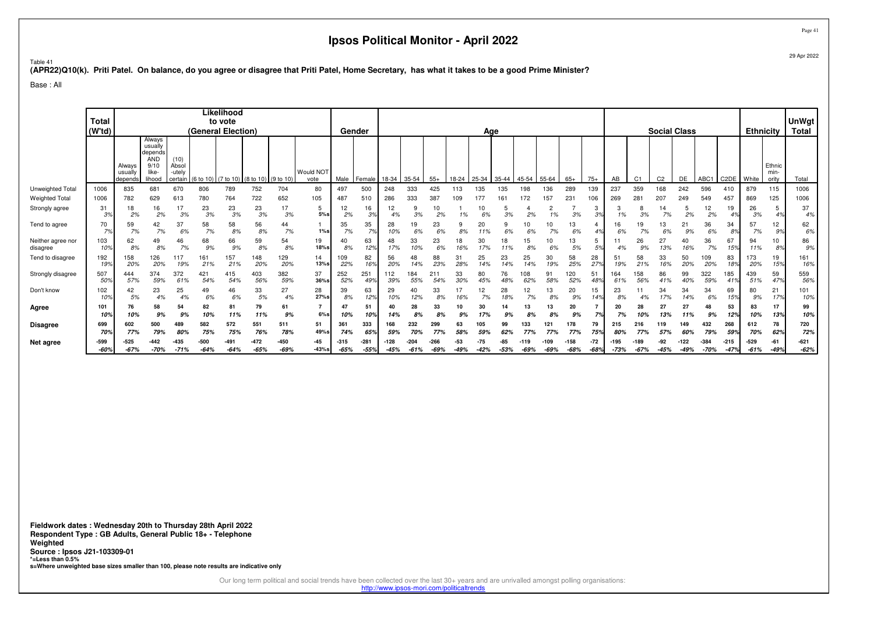# <sup>Table 41</sup><br>(APR22)Q10(k). Priti Patel. On balance, do you agree or disagree that Priti Patel, Home Secretary, has what it takes to be a good Prime Minister?<br>.

Base : All

|                               | <b>Total</b><br>(W'td) |                              |                                                                       |                                    |                  | Likelihood<br>to vote<br>(General Election) |                                         |                |                   |                  | Gender                |               |             |                |             | Age       |               |           |               |                  |                 |           |                | <b>Social Class</b> |              |                  |                   | <b>Ethnicity</b> |                         | UnWgt<br><b>Total</b> |
|-------------------------------|------------------------|------------------------------|-----------------------------------------------------------------------|------------------------------------|------------------|---------------------------------------------|-----------------------------------------|----------------|-------------------|------------------|-----------------------|---------------|-------------|----------------|-------------|-----------|---------------|-----------|---------------|------------------|-----------------|-----------|----------------|---------------------|--------------|------------------|-------------------|------------------|-------------------------|-----------------------|
|                               |                        | Always<br>usually<br>depends | Always<br>usually<br>depends<br><b>AND</b><br>9/10<br>like-<br>lihood | (10)<br>Absol<br>-utely<br>certair |                  |                                             | (6 to 10) (7 to 10) (8 to 10) (9 to 10) |                | Would NOT<br>vote | Male             | Female                | 18-34         | 35-54       | $55+$          | 18-24       | 25-34     | 35-44         | $45 - 54$ | 55-64         | $65+$            | $75+$           | AB        | C <sub>1</sub> | C <sub>2</sub>      | <b>DE</b>    | ABC <sub>1</sub> | C <sub>2</sub> DE | I White          | Ethnic<br>min-<br>ority | Total                 |
| Unweighted Total              | 1006                   | 835                          | 681                                                                   | 670                                | 806              | 789                                         | 752                                     | 704            | 80                | 497              | 500                   | 248           | 333         | 425            | 113         | 135       | 135           | 98        | 136           | 289              | 139             | 237       | 359            | 168                 | 242          | 596              | 410               | 879              | 115                     | 1006                  |
| <b>Weighted Total</b>         | 1006                   | 782                          | 629                                                                   | 613                                | 780              | 764                                         | 722                                     | 652            | 105               | 487              | 510                   | 286           | 333         | 387            | 109         | 177       | 161           | 72        | 157           | $23 -$           | 106             | 269       | $28 -$         | 207                 | 249          | 549              | 457               | 869              | 125                     | 1006                  |
| Strongly agree                | 31<br>3%               | 18<br>2%                     | 16<br>2%                                                              | 17<br>3%                           | 23<br>3%         | 23<br>3%                                    | 23<br>3%                                | 17<br>3%       | 5<br>5%           | 12<br>2%         | 16<br>3%              | 12<br>4%      | g<br>3%     | 10<br>2%       | 1%          |           | 3%            | 2%        | 2<br>1%       | 3%               | 3<br>3%         |           | 8<br>3%        | 14<br>7%            | 2%           | 12<br>2%         | 19                | 26<br>3%         | 5<br>4%                 | 37<br>4%              |
| Tend to agree                 | 70<br>7%               | 59<br>7%                     | 42<br>7%                                                              | 37<br>6%                           | 58<br>7%         | 58<br>8%                                    | 56<br>8%                                | 44<br>7%       | $1\%s$            | 35<br>7%         | 35<br>7%              | 28<br>10%     | 19<br>6%    | 23<br>6%       | 8%          | 20        | 6%            | 10<br>6%  | 10<br>7%      | 13<br>6%         | 4%              | 6%        | 19<br>7%       | 13<br>6%            | 21<br>9%     | 36<br>6%         | 34<br>8%          | 57<br>7%         | 12<br>9%                | 62<br>6%              |
| Neither agree nor<br>disagree | 103<br>109             | 62<br>8%                     | 49<br>8%                                                              | 46<br>7%                           | 68<br>9%         | 66<br>9%                                    | 59<br>8%                                | 54<br>8%       | 19<br>18%s        | 40<br>8%         | 63<br>12%             | 48<br>17%     | 33<br>10%   | 23<br>6%       | 18<br>16%   | 30<br>17% | 18<br>11%     | 15<br>8%  | 10<br>6%      | 13<br>5%         | 5<br>5%         | 4%        | 26<br>9%       | 27<br>13%           | 40<br>16%    | 36<br>7%         | 67<br>15%         | 94<br>11%        | 10<br>8%                | 86<br>9%              |
| Tend to disagree              | 192<br>199             | 158<br>20%                   | 126<br>20%                                                            | 117<br>19%                         | 161<br>21%       | 157<br>21%                                  | 148<br>20%                              | 129<br>20%     | 14<br>13%s        | 09<br>22%        | 82<br>16 <sup>°</sup> | 56<br>20%     | 48          | 88<br>23%      | 31<br>28%   | 25<br>14% | 23            | 25<br>14% | 30<br>19%     | 58<br>25%        | 28<br>27%       | 51<br>19% | 58<br>21%      | 33<br>16%           | 50<br>20%    | 109<br>20%       | 83<br>18%         | 173<br>20%       | 19<br>15%               | 161<br>16%            |
| Strongly disagree             | 507<br>50%             | 444<br>57%                   | 374<br>59%                                                            | 372<br>61%                         | 421<br>54%       | 415<br>54%                                  | 403<br>56%                              | 382<br>59%     | 37<br>36%s        | 252<br>52%       | 251<br>49%            | 12<br>39%     | 184<br>55%  | 21'<br>54%     | 33<br>30%   | 80<br>45% | 76<br>48%     | 08<br>62% | 91<br>58%     | 120<br>52%       | 51<br>48%       | 64<br>61% | 158<br>56%     | 86<br>41%           | 99<br>40%    | 322<br>59%       | 185<br>41%        | 439<br>51%       | 59<br>47%               | 559<br>56%            |
| Don't know                    | 102<br>10 <sup>o</sup> | 42<br>5%                     | 23<br>4%                                                              | 25<br>4%                           | 49<br>6%         | 46<br>6%                                    | 33<br>5%                                | 27<br>4%       | 28<br>27%         | 39<br>8%         | 63<br>12%             | 29<br>10%     | 40<br>12%   | 33<br>8%       | 16%         | 12<br>7%  | 28<br>18%     | 12<br>7%  | 13<br>8%      | 20<br>9%         | 15<br>14%       | 23<br>8%  |                | 34<br>17%           | 34<br>14%    | 34<br>6%         | 69<br>15%         | 80<br>9%         | 21<br>17%               | 101<br>10%            |
| Agree                         | 101<br>10%             | 76<br>10%                    | 58<br>9%                                                              | 54<br>9%                           | 82<br>10%        | 81<br>11%                                   | 79<br>11%                               | 61<br>9%       | $6\%$ s           | 47<br>10%        | 51<br>10%             | 40<br>14%     | 28<br>8%    | 33<br>8%       | 9%          | 30<br>17% | 14            | 13        | 13<br>8%      | 20<br>9%         | 7%              | 20        | 28<br>0%       | 27<br>13%           | 27           | 48<br>9%         | 53<br>12%         | 83<br>10%        | 17<br>13%               | 99<br>10%             |
| Disagree                      | 699                    | 602                          | 500                                                                   | 489                                | 582              | 572                                         | 551                                     | 511            | 51                | 361              | 333                   | 168           | 232         | 299            | 63          |           | 99            | 133       | 121           | 178              | 79              | 215       | 216            | 119                 | 149          | 432              | 268               | 612              | 78                      | 720                   |
|                               | <b>70%</b>             | 77%                          | 79%                                                                   | 80%                                | 75%              | 75%                                         | 76%                                     | 78%            | 49%s              | 74%              | 659                   | 599           |             | 77%            | 589         |           |               |           |               | 77%              | 75%             | 80%       |                | 57%                 | 60%          | 79%              | 59%               | 70%              | 62%                     | 72%                   |
| Net agree                     | $-599$<br>$-60%$       | -525<br>$-67%$               | -442<br>$-70%$                                                        | -435<br>$-71%$                     | $-500$<br>$-64%$ | $-491$<br>$-64%$                            | $-472$<br>$-65%$                        | -450<br>$-69%$ | $-45$<br>$-43%$ s | $-315$<br>$-65%$ | -281<br>$-55%$        | 128<br>$-45%$ | .2በ<br>-61% | -266<br>$-69%$ | -53<br>-49% | $-42%$    | -85<br>$-53%$ | $-69%$    | 109<br>$-69%$ | $-158$<br>$-68%$ | $-72$<br>$-68%$ | $-73%$    | $-67%$         | -92<br>-45%         | -122<br>-49% | $-384$<br>-70%   | $-215$<br>$-47%$  | $-529$<br>$-61%$ | $-61$<br>$-49%$         | $-621$<br>$-62%$      |

**Fieldwork dates : Wednesday 20th to Thursday 28th April 2022 Respondent Type : GB Adults, General Public 18+ - TelephoneWeighted Source : Ipsos J21-103309-01 \*=Less than 0.5%s=Where unweighted base sizes smaller than 100, please note results are indicative only**

Our long term political and social trends have been collected over the last 30+ years and are unrivalled amongst polling organisations:

http://www.ipsos-mori.com/politicaltrends

Page 4129 Apr 2022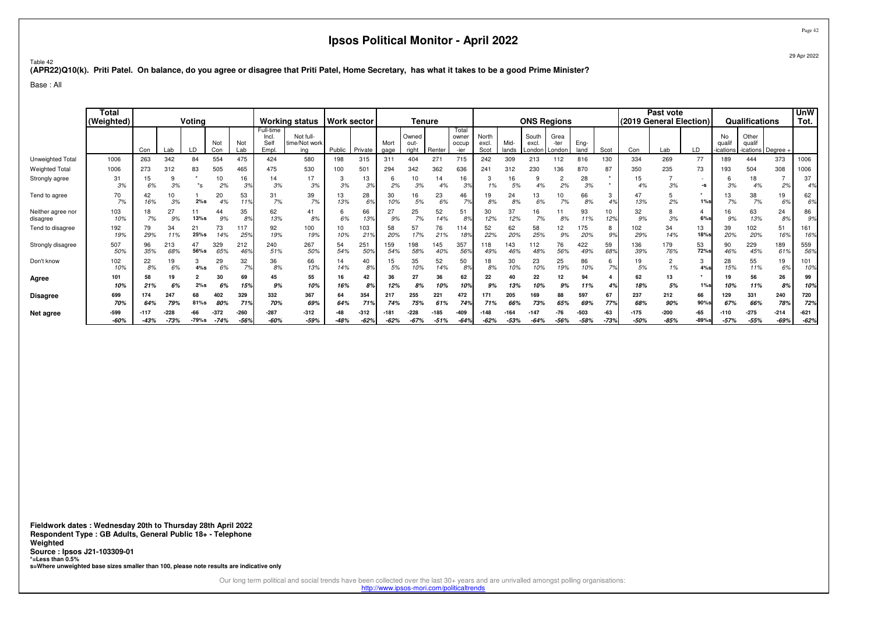Table 42

**(APR22)Q10(k). Priti Patel. On balance, do you agree or disagree that Priti Patel, Home Secretary, has what it takes to be a good Prime Minister?**

Base : All

|                               | <b>Total</b><br>(Weighted) |                  |                  | Votina        |                  |                        |                                    | <b>Working status</b>             | <b>Work sector</b> |                        |              | Tenure                 |                |                                 |                        |               | <b>ONS Regions</b>      |                        |                  |                     |                  | Past vote<br>(2019 General Election) |                 |                         | Qualifications                          |                  | <b>UnW</b><br>Tot. |
|-------------------------------|----------------------------|------------------|------------------|---------------|------------------|------------------------|------------------------------------|-----------------------------------|--------------------|------------------------|--------------|------------------------|----------------|---------------------------------|------------------------|---------------|-------------------------|------------------------|------------------|---------------------|------------------|--------------------------------------|-----------------|-------------------------|-----------------------------------------|------------------|--------------------|
|                               |                            | Con              | Lab              |               | Not<br>Con       | Not<br>Lab             | Full-time<br>Incl.<br>Self<br>Empl | Not full-<br>time/Not work<br>ing | Public             | Private                | Mort<br>gage | Owned<br>out-<br>right | Renter         | Total<br>owner<br>occup<br>-ier | North<br>excl.<br>Scot | Mid-<br>lands | South<br>excl<br>London | Grea<br>-ter<br>Londor | Eng-<br>land     | Scot                | Con              | Lab                                  | LD              | No<br>qual<br>-ications | Other<br>qualif<br>-ications   Degree - |                  |                    |
| Unweighted Total              | 1006                       | 263              | 342              | 84            | 554              | 475                    | 424                                | 580                               | 198                | 315                    | 311          | 404                    | 271            | 715                             | 242                    | 309           | 213                     | 112                    | 816              | 130                 | 334              | 269                                  | 77              | 189                     | 444                                     | 373              | 1006               |
| <b>Weighted Total</b>         | 1006                       | 273              | 312              | 83            | 505              | 465                    | 475                                | 530                               | 100                | 501                    | 294          | 342                    | 362            | 636                             | 241                    | 312           | 230                     | 136                    | 870              | 87                  | 350              | 235                                  | 73              | 193                     | 504                                     | 308              | 1006               |
| Strongly agree                | 31<br>3%                   | 15<br>6%         | 9<br>3%          | $^*s$         | 10<br>2%         | 16<br>3%               | 14<br>3%                           | 17<br>3%                          | -3<br>3%           | 13<br>3%               | ь<br>2%      | 3%                     | 14<br>4%       | 16<br>3%                        | 1%                     | 16<br>5%      | 4%                      | ۷<br>2%                | 28<br>3%         | $\star$             | 15<br>4%         | 3%                                   | -S              | 3%                      | 18<br>4%                                | 2%               | 37<br>4%           |
| Tend to agree                 | 70<br>7%                   | 42<br>16%        | 3%               | 2%s           | 20<br>4%         | 53<br>119              | 31<br>7%                           | 39<br>7%                          | 13<br>13%          | 28<br>6%               | 30<br>10%    | 16<br>5%               | 23<br>6%       | 46<br>7%                        | 19<br>8%               | 24<br>8%      | 13<br>6%                | 7%                     | 66<br>8%         | ٿ<br>4 <sup>°</sup> | 47<br>13%        | 2%                                   | $1\%s$          | 13<br>7%                | 38<br>7%                                | 19<br>6%         | 62<br>6%           |
| Neither agree nor<br>disagree | 103<br>10%                 | 18<br>7%         | 27<br>9%         | 13%s          | 44<br>9%         | 35<br>8%               | 62<br>13%                          | 41<br>8%                          | 6<br>6%            | 66<br>13%              | 27<br>9%     | 25<br>7%               | 52<br>14%      | 51<br>8%                        | 30<br>12%              | 37<br>12%     | 16<br>7%                | 8%                     | 93<br>11%        | 10<br>12%           | 32<br>9%         | 8<br>3%                              | 4<br>$6%$ s     | 16<br>9%                | 63<br>13%                               | 24<br>8%         | 86<br>9%           |
| Tend to disagree              | 192<br>19%                 | 79<br>29%        | 34<br>11%        | 21<br>$25%$ s | 73<br>14%        | 117<br>25 <sup>s</sup> | 92<br>19%                          | 100<br>19%                        | 10<br>10%          | 103<br>21 <sup>°</sup> | 58<br>20%    | 57<br>17%              | 76<br>21%      | 114<br>18%                      | 52<br>22%              | 62<br>20%     | 58<br>25%               | 12<br>9%               | 175<br>20%       | 8<br>9%             | 102<br>29%       | 34<br>14%                            | 13<br>18%       | 39<br>20%               | 102<br>20%                              | 51<br>16%        | 161<br>16%         |
| Strongly disagree             | 507<br>50%                 | 96<br>35%        | 213<br>68%       | 47<br>56%s    | 329<br>65%       | 212<br>469             | 240<br>51%                         | 267<br>50%                        | 54<br>54%          | 251<br>50%             | 159<br>54%   | 198<br>58%             | 145<br>40%     | 357<br>56%                      | 118<br>49%             | 143<br>46%    | 112<br>48%              | 76<br>56%              | 422<br>49%       | 59<br>68%           | 136<br>39%       | 179<br>76%                           | 53<br>72%       | 90<br>46%               | 229<br>45%                              | 189<br>619       | 559<br>56%         |
| Don't know                    | 102<br>10%                 | 22<br>8%         | 19<br>6%         | 4%s           | 29<br>6%         | 32<br>7°               | 36<br>8%                           | 66<br>13%                         | 14<br>14%          | 40<br>8%               | 15<br>5%     | 35<br>10%              | 52<br>14%      | 50<br>8%                        | 18<br>8%               | 30<br>10%     | 23<br>10%               | 25<br>19%              | 86<br>10%        | 6<br>7%             | 19<br>5%         | $\overline{c}$<br>1%                 | 3<br>4%s        | 28<br>15%               | 55<br>11%                               | 19<br>6%         | 101<br>10%         |
| Agree                         | 101<br>10%                 | 58<br>21%        | 19<br>6%         | 2%s           | 30<br>6%         | 69<br>15%              | 45<br>9%                           | 55<br>10%                         | 16<br>16%          | 42<br>8%               | 36<br>12%    | 27<br>8%               | 36<br>10%      | 62<br>10%                       | 22<br>9%               | 13%           | 22<br>10%               | 12<br>9%               | 94<br>11%        | 4%                  | 62<br>18%        | 13<br>5%                             | $1\%$ s         | 19<br>10%               | 56<br>11%                               | 26<br>8%         | 99<br>10%          |
| <b>Disagree</b>               | 699<br>70%                 | 174<br>64%       | 247<br>79%       | 68<br>81%s    | 402<br>80%       | 329<br>719             | 332<br>70%                         | 367<br>69%                        | 64<br>64%          | 354                    | 217<br>74%   | 255<br>75%             | 221<br>61%     | 472<br>74%                      | 171<br>71%             | 205<br>669    | 169<br>73%              | 88<br>65%              | 597<br>69%       | 67<br>779           | 237<br>68%       | 212<br>90%                           | 66<br>90%       | 129<br>67%              | 331<br>66%                              | 240<br>78%       | 720<br>72%         |
| Net agree                     | -599<br>$-60%$             | $-117$<br>$-43%$ | $-228$<br>$-73%$ | $-79%s$       | $-372$<br>$-74%$ | $-260$<br>$-56%$       | -287<br>$-60%$                     | $-312$<br>$-59%$                  | $-48$<br>$-48%$    | $-312$<br>$-62%$       | $-62%$       | $-228$<br>$-67%$       | -185<br>$-51%$ | -409<br>$-64%$                  | $-148$<br>$-62%$       | $-53%$        | $-64%$                  | $-76$<br>$-56%$        | $-503$<br>$-58%$ | -63<br>$-73%$       | $-175$<br>$-50%$ | $-200$<br>$-85%$                     | -65<br>$-89%$ s | $-110$<br>$-57%$        | $-275$<br>$-55%$                        | $-214$<br>$-69%$ | $-621$<br>$-62%$   |

**Fieldwork dates : Wednesday 20th to Thursday 28th April 2022 Respondent Type : GB Adults, General Public 18+ - TelephoneWeighted Source : Ipsos J21-103309-01 \*=Less than 0.5%s=Where unweighted base sizes smaller than 100, please note results are indicative only**

Our long term political and social trends have been collected over the last 30+ years and are unrivalled amongst polling organisations:

http://www.ipsos-mori.com/politicaltrends

Page 42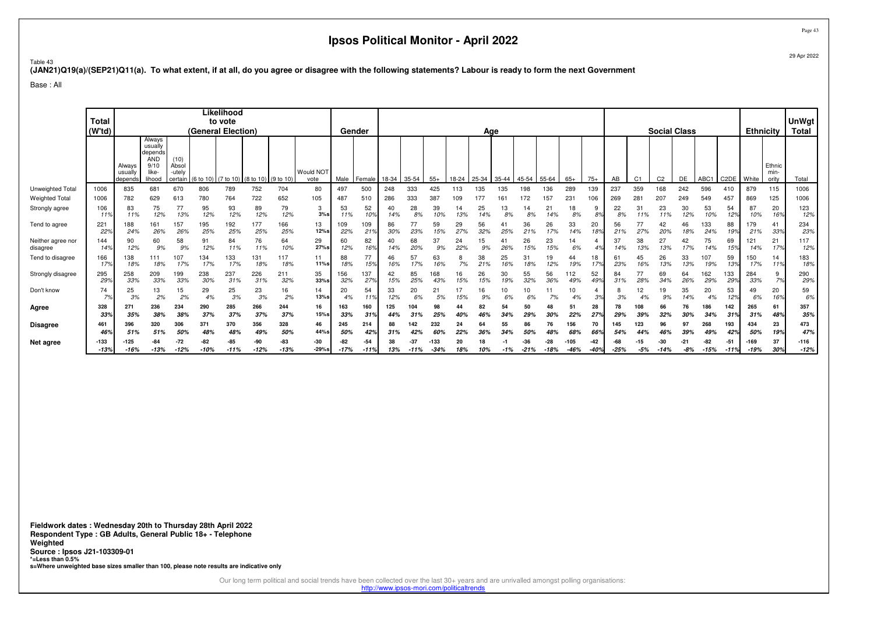Page 43

#### Table 43**(JAN21)Q19(a)/(SEP21)Q11(a). To what extent, if at all, do you agree or disagree with the following statements? Labour is ready to form the next Government**

Base : All

|                               | <b>Total</b><br>(W'td) |                              |                                                                       |                                    | (General Election)      | Likelihood<br>to vote |                                |               |                   | Gender          |                       |            |              |                  | Age       |           |           |               |                 |                |               |            | <b>Social Class</b> |                |                |                 | <b>Ethnicity</b>  |                | UnWgt<br><b>Total</b>   |                  |
|-------------------------------|------------------------|------------------------------|-----------------------------------------------------------------------|------------------------------------|-------------------------|-----------------------|--------------------------------|---------------|-------------------|-----------------|-----------------------|------------|--------------|------------------|-----------|-----------|-----------|---------------|-----------------|----------------|---------------|------------|---------------------|----------------|----------------|-----------------|-------------------|----------------|-------------------------|------------------|
|                               |                        | Always<br>usually<br>depends | Always<br>usually<br>depends<br><b>AND</b><br>9/10<br>like-<br>lihood | (10)<br>Absol<br>-utely<br>certain | $(6 to 10)$ $(7 to 10)$ |                       | $(8 \text{ to } 10)$ (9 to 10) |               | Would NOT<br>vote | Male            | Female                | 18-34      | 35-54        | $55+$            | 18-24     | 25-34     | 35-44     | 45-54         | 55-64           | $65+$          | $75+$         | AB         | C <sub>1</sub>      | C <sub>2</sub> | DE             | ABC1            | C <sub>2</sub> DE | White          | Ethnic<br>min-<br>ority | Total            |
| Unweighted Total              | 1006                   | 835                          | 681                                                                   | 670                                | 806                     | 789                   | 752                            | 704           | 80                | 497             | 500                   | 248        | 333          | 425              | 113       | 135       | 135       | 198           | 136             | 289            | 139           | 237        | 359                 | 168            | 242            | 596             | 410               | 879            | 115                     | 1006             |
| <b>Weighted Total</b>         | 1006                   | 782                          | 629                                                                   | 613                                | 780                     | 764                   | 722                            | 652           | 105               | 487             | 51C                   | 286        | 333          | 387              | 109       | 177       |           | 172           | 157             | 231            | 106           | 269        | $28 -$              | 207            | 249            | 549             | 457               | 869            | 125                     | 1006             |
| Strongly agree                | 106<br>119             | 83<br>11%                    | 75<br>12%                                                             | 77<br>13%                          | 95<br>12%               | 93<br>12%             | 89<br>12%                      | 79<br>12%     | 3<br>3%s          | 53<br>11%       | 52<br>10 <sub>9</sub> | 40<br>14%  | 28<br>8%     | 39<br>10%        | 14<br>13% | 25        | 13<br>8%  | 14<br>8%      | 21<br>14%       | 18<br>8%       | 9<br>8%       | 22<br>8%   | 31<br>11%           | 23<br>11%      | 30<br>12%      | 53<br>10%       | 54<br>12%         | 87<br>10%      | 20<br>16%               | 123<br>12%       |
| Tend to agree                 | 221<br>22%             | 188<br>24%                   | 161<br>26%                                                            | 157<br>26%                         | 195<br>25%              | 192<br>25%            | 177<br>25%                     | 166<br>25%    | 13<br>12%s        | 109<br>22%      | 109<br>219            | 86<br>30%  | 77<br>23%    | 59<br>15%        | 29<br>27% | 56<br>32% | 25%       | 36<br>21%     | 26<br>17%       | 33<br>14%      | 20<br>18%     | 56<br>21%  | 27%                 | 42<br>20%      | 46<br>18%      | 133<br>24%      | 88<br>19%         | 179<br>21%     | 41<br>33%               | 234<br>23%       |
| Neither agree nor<br>disagree | 144<br>14%             | 90<br>12%                    | 60<br>9%                                                              | 58<br>9%                           | 91<br>12%               | 84<br>11%             | 76<br>11%                      | 64<br>10%     | 29<br>27%s        | 60<br>12%       | 82<br>16%             | 40<br>14%  | 68<br>20%    | 37<br>9%         | 24<br>22% | 15<br>9%  | 26%       | 26<br>15%     | 23<br>15%       | 14<br>6%       |               | 37<br>14%  | 38<br>13%           | 27<br>13%      | 42<br>17%      | 75<br>14%       | 69<br>15%         | 121<br>14%     | 21<br>17%               | 117<br>12%       |
| Tend to disagree              | 166<br>17%             | 138<br>18%                   | 111<br>18%                                                            | 107<br>17%                         | 134<br>17%              | 133<br>17%            | 131<br>18%                     | 117<br>18%    | 11<br>11%s        | 88<br>18%       | 77<br>15%             | 46<br>16%  | 57<br>17%    | 63<br>16%        | 7%        | 38<br>21% | 25<br>16% | 31<br>18%     | 19<br>12%       | 44<br>19%      | 18<br>17%     | -61<br>23% | 45<br>16%           | 26<br>13%      | 33<br>13%      | 107<br>19%      | 59<br>13%         | 150<br>17%     | 14<br>11%               | 183<br>18%       |
| Strongly disagree             | 295<br>29%             | 258<br>33%                   | 209<br>33%                                                            | 199<br>33%                         | 238<br>30%              | 237<br>31%            | 226<br>31%                     | 211<br>32%    | 35<br>$33%$ s     | 156<br>32%      | 137<br>27%            | 42<br>15%  | 85<br>25%    | 168<br>43%       | 16<br>15% | 26<br>15% | 30<br>19% | 55<br>32%     | 56<br>36%       | 112<br>49%     | 52<br>49%     | 84<br>31%  | 28%                 | 69<br>34%      | 64<br>26%      | 62<br>29%       | 133<br>29%        | 284<br>33%     | 9<br>7%                 | 290<br>29%       |
| Don't know                    | 74<br>7%               | 25<br>3%                     | 13<br>2%                                                              | 15<br>2%                           | 29<br>4%                | 25<br>3%              | 23<br>3%                       | 16<br>2%      | 14<br>$13%$ s     | 20<br>4%        | 54<br>119             | 33<br>12%  | 20<br>6%     | 21<br>5%         | 15%       | 16<br>9%  | 10<br>6%  | 10<br>6%      | 7%              | 4%             | 3%            | 3%         | 12                  | 19<br>9%       | 35<br>14%      | 20<br>4%        | 53<br>12%         | 49<br>6%       | 20<br>16%               | 59<br>6%         |
| Agree                         | 328<br>33%             | 271<br>35%                   | 236<br>38%                                                            | 234<br>38%                         | 290<br>37%              | 285<br>37%            | 266<br>37%                     | 244<br>37%    | 16<br>$15%$ s     | 163<br>33%      | 160<br>319            | 125<br>44% | 104<br>31%   | 98<br>25%        | 44<br>40% | 82<br>46% | 54<br>34% | 50<br>29%     | 30%             | 51<br>22%      | 28<br>27%     | 78<br>29%  | 108<br>39%          | 66<br>32%      | 76             | 186<br>34%      | 142<br>31%        | 265<br>31%     | 61<br>48%               | 357<br>35%       |
| <b>Disagree</b>               | 461                    | 396                          | 320                                                                   | 306                                | 371                     | 370                   | 356                            | 328           | 46                | 245             | 214                   | 88         | 142          | 232              | 24        |           | 55        | 86            |                 | 156            | 70            | 145        | 123                 | 96             | 97             | 268             | 193               | 434            | 23                      | 473              |
|                               | 46%                    | 51%                          | 51%                                                                   | 50%                                | 48%                     | 48%                   | 49%                            | 50%           | 44%s              | 50%             | 429                   | 31%        |              | 60%              | 22%       |           | 34%       |               |                 | 689            | 669           | 549        |                     | 46%            | 39%            |                 | 42%               | 50%            | 19%                     | 47%              |
| Net agree                     | $-133$<br>$-13%$       | $-125$<br>$-16%$             | -13%                                                                  | $-72$<br>$-12%$                    | -82<br>$-10%$           | -85<br>$-11%$         | -90<br>$-12%$                  | -83<br>$-13%$ | $-30$<br>$-29%s$  | $-82$<br>$-17%$ | $-54$<br>$-11%$       | 38<br>13%  | 37<br>$-11%$ | $-133$<br>$-34%$ | 20<br>18% | 10%       | $-1%$     | -36<br>$-21%$ | $-28$<br>$-18%$ | $-105$<br>-46% | -42<br>$-40%$ | $-25%$     | -15<br>-5%          | -30<br>$-14%$  | $-21$<br>$-8%$ | $-82$<br>$-15%$ | $-51$             | -169<br>$-19%$ | 37<br>30%               | $-116$<br>$-12%$ |

**Fieldwork dates : Wednesday 20th to Thursday 28th April 2022 Respondent Type : GB Adults, General Public 18+ - TelephoneWeighted Source : Ipsos J21-103309-01 \*=Less than 0.5%s=Where unweighted base sizes smaller than 100, please note results are indicative only**

Our long term political and social trends have been collected over the last 30+ years and are unrivalled amongst polling organisations:

http://www.ipsos-mori.com/politicaltrends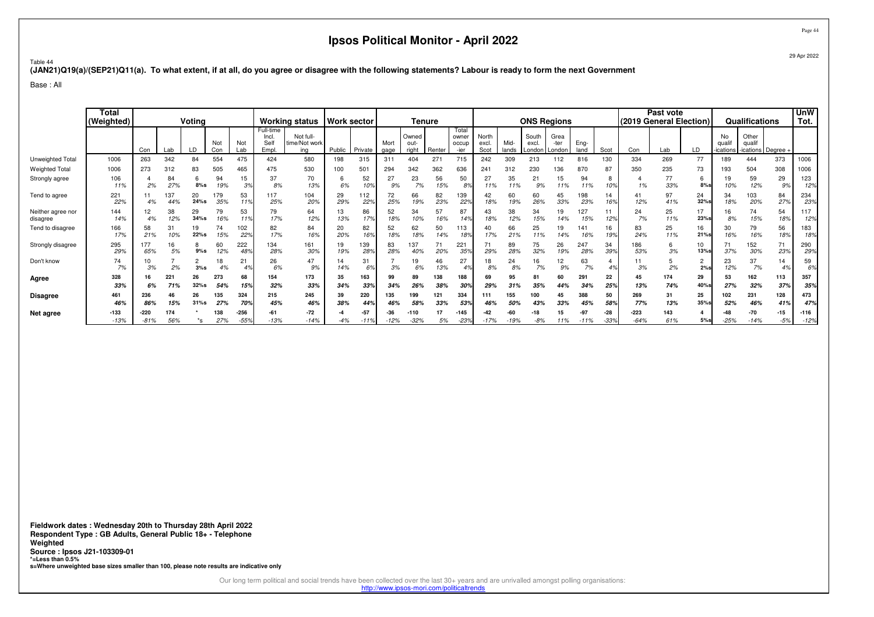Page 44

Table 44**(JAN21)Q19(a)/(SEP21)Q11(a). To what extent, if at all, do you agree or disagree with the following statements? Labour is ready to form the next Government**

Base : All

|                               | Tota<br>(Weighted) | Votina<br>Not<br>Not<br>Con<br>LD<br>Lab<br>Lab<br>Con<br>263<br>342<br>84<br>554<br>475 |            |                 |            | <b>Working status</b> | <b>Work sector</b>                 |                                   |           | Tenure     |              |                        |            |                                 |                        | <b>ONS Regions</b> |                                   |              |              | Past vote<br>(2019 General Election) |            |            | <b>Qualifications</b> |                         | <b>UnW</b><br>Tot.                      |                      |            |
|-------------------------------|--------------------|------------------------------------------------------------------------------------------|------------|-----------------|------------|-----------------------|------------------------------------|-----------------------------------|-----------|------------|--------------|------------------------|------------|---------------------------------|------------------------|--------------------|-----------------------------------|--------------|--------------|--------------------------------------|------------|------------|-----------------------|-------------------------|-----------------------------------------|----------------------|------------|
|                               |                    |                                                                                          |            |                 |            |                       | Full-time<br>Incl.<br>Sell<br>Empl | Not full-<br>time/Not work<br>ina | Public    | Private    | Mort<br>gage | Owned<br>out-<br>right | Renter     | Total<br>owner<br>occup<br>-ier | North<br>excl.<br>Scot | Mid-<br>lands      | South<br>excl.<br>London   Londor | Grea<br>-ter | Eng-<br>land | Scot                                 | Con        | Lab        | LD                    | No<br>qual<br>-ications | Other<br>qualif<br>-ications   Degree - |                      |            |
| Unweighted Total              | 1006               |                                                                                          |            |                 |            |                       | 424                                | 580                               | 198       | 315        | 311          | 404                    | $27 -$     | 715                             | 242                    | 309                | 213                               | 112          | 816          | 130                                  | 334        | 269        | 77                    | 189                     | 444                                     | 373                  | 1006       |
| <b>Weighted Total</b>         | 1006               | 273                                                                                      | 312        | 83              | 505        | 465                   | 475                                | 530                               | 100       | 501        | 294          | 342                    | 362        | 636                             | 241                    | 312                | 230                               | 136          | 870          | 87                                   | 350        | 235        | 73                    | 193                     | 504                                     | 308                  | 1006       |
| Strongly agree                | 106<br>11%         | 2%                                                                                       | 84<br>27%  | 6<br>$8%$ s     | 94<br>19%  | 15<br>3%              | 37<br>8%                           | 70<br>13%                         | 6%        | 52<br>10%  | 27<br>9%     | 23<br>7%               | 56<br>15%  | 50<br>8%                        | 27<br>11%              | 35<br>11%          | 21<br>9%                          | 15<br>11%    | 94<br>11%    | 8<br>10%                             | 1%         | 77<br>33%  | 6<br>8%               | 19<br>10%               | 59<br>12%                               | 29<br>9%             | 123<br>12% |
| Tend to agree                 | 221<br>22%         | 4%                                                                                       | 37<br>44%  | 20<br>24%s      | 179<br>35% | 53<br>119             | 117<br>25%                         | 104<br>20%                        | 29<br>29% | 112<br>22% | 72<br>25%    | 66<br>19%              | 82<br>23%  | 139<br>22%                      | 42<br>18%              | 60<br>19%          | 60<br>26%                         | 45<br>33%    | 198<br>23%   | 14<br>16%                            | 41<br>12%  | 97<br>41%  | 24<br>32%s            | 34<br>18%               | 103<br>20%                              | 84<br>27%            | 234<br>23% |
| Neither agree nor<br>disagree | 144<br>14%         | 12<br>4%                                                                                 | 38<br>12%  | 29<br>$34%$ s   | 79<br>16%  | 53<br>119             | 79<br>17%                          | 64<br>12%                         | 13<br>13% | 86<br>17%  | 52<br>18%    | 34<br>10%              | 57<br>16%  | 87<br>14%                       | 43<br>18%              | 38<br>12%          | 34<br>15%                         | 19<br>14%    | 127<br>15%   | 12 <sup>9</sup>                      | 24<br>7%   | 25<br>11%  | 17<br>23%             | 16<br>8%                | 74<br>15%                               | 54<br>18%            | 117<br>12% |
| Tend to disagree              | 166<br>17%         | 58<br>21%                                                                                | 31<br>10%  | 19<br>22%s      | 74<br>15%  | 102<br>22%            | 82<br>17%                          | 84<br>16%                         | 20<br>20% | 82<br>16%  | 52<br>18%    | 62<br>18%              | 50<br>14%  | 113<br>189                      | 17%                    | 66<br>21%          | 25<br>11%                         | 19<br>14%    | 141<br>16%   | 16<br>199                            | 83<br>24%  | 25<br>11%  | 16<br>21%             | 30<br>16%               | 79<br>16%                               | 56<br>18%            | 183<br>18% |
| Strongly disagree             | 295<br>29%         | 177<br>65%                                                                               | 16<br>5%   | 8<br>$9%$ s     | 60<br>12%  | 222<br>48%            | 134<br>28%                         | 161<br>30%                        | 19<br>19% | 139<br>28% | 83<br>28%    | 137<br>40%             | 20%        | 221<br>359                      | 71<br>29%              | 89<br>28%          | 75<br>32%                         | 26<br>19%    | 247<br>28%   | 34<br>399                            | 186<br>53% | 6<br>3%    | 10<br>13%             | 71<br>37%               | 152<br>30%                              | 71<br>23%            | 290<br>29% |
| Don't know                    | 74<br>7%           | 10<br>3%                                                                                 | 2%         | $\Omega$<br>3%s | 18<br>4%   | 21<br>4 <sup>°</sup>  | 26<br>6%                           | 47<br>9%                          | 14<br>14% | 31<br>6%   | 3%           | 1S<br>6%               | 46<br>13%  | 27<br>4%                        | 18<br>8%               | 24<br>8%           | 16<br>7%                          | 12<br>9%     | 63<br>7%     |                                      | 3%         | 2%         | $\overline{c}$<br>2%  | 23<br>12%               | 37<br>7%                                | 14<br>4 <sup>c</sup> | 59<br>6%   |
| Agree                         | 328<br>33%         | 6%                                                                                       | 221<br>71% | 26<br>$32%$ s   | 273<br>54% | 68<br>15%             | 154<br>32%                         | 173<br>33%                        | 35<br>34% | 163<br>33% | 99<br>34%    | 89<br>26%              | 138<br>38% | 188<br>30°                      | 69<br>29%              | 95<br>31%          | 81<br>35%                         | 60<br>44%    | 291<br>34%   | 22<br>25%                            | 45<br>13%  | 174<br>74% | 29<br>40%             | 53<br>27%               | 162<br>32%                              | 113<br>37%           | 357<br>35% |
| <b>Disagree</b>               | 461                | 236                                                                                      | 46         | 26              | 135        | 324                   | 215                                | 245                               | 39        | 220        | 135          | 199                    | 121        | 334                             | 111                    | 155                | 100                               |              | 388          | 50                                   | 269        | 31         | 25                    | 102                     | 231                                     | 128                  | 473        |
|                               | 46%                | 86%                                                                                      | 15%        | $31%$ s         | 27%        | <b>70%</b>            | 45%                                | 46%                               | 38%       | 44%        | 46%          | 58%                    | 33%        | 539                             | 46%                    | 50%                | 43%                               | 33%          | 45%          | 58%                                  | 77%        | 13%        | 35%                   | 52%                     | 46%                                     | 419                  | 47%        |
| Net agree                     | $-133$             | -220                                                                                     | 174        |                 | 138        | $-256$                | $-61$                              | $-72$                             |           | -57        | -36          | $-110$                 |            | -145                            | -42                    |                    |                                   |              | -97          | $-28$                                | $-223$     | 143        |                       |                         | $-70$                                   | -15                  | $-116$     |
|                               | $-13%$             | $-81%$                                                                                   | 56%        | *s              | 27%        | .559                  | $-13%$                             | $-14%$                            | $-4%$     | $-11%$     | $-12%$       | $-32%$                 | 5%         | $-23%$                          | $-17%$                 | 19%                | $-8%$                             | 11%          | $-11%$       | $-339$                               | $-64%$     | 61%        | $5%$ s                | $-25%$                  | $-14%$                                  | $-5%$                | $-12%$     |

**Fieldwork dates : Wednesday 20th to Thursday 28th April 2022 Respondent Type : GB Adults, General Public 18+ - TelephoneWeighted Source : Ipsos J21-103309-01 \*=Less than 0.5%s=Where unweighted base sizes smaller than 100, please note results are indicative only**

Our long term political and social trends have been collected over the last 30+ years and are unrivalled amongst polling organisations:

http://www.ipsos-mori.com/politicaltrends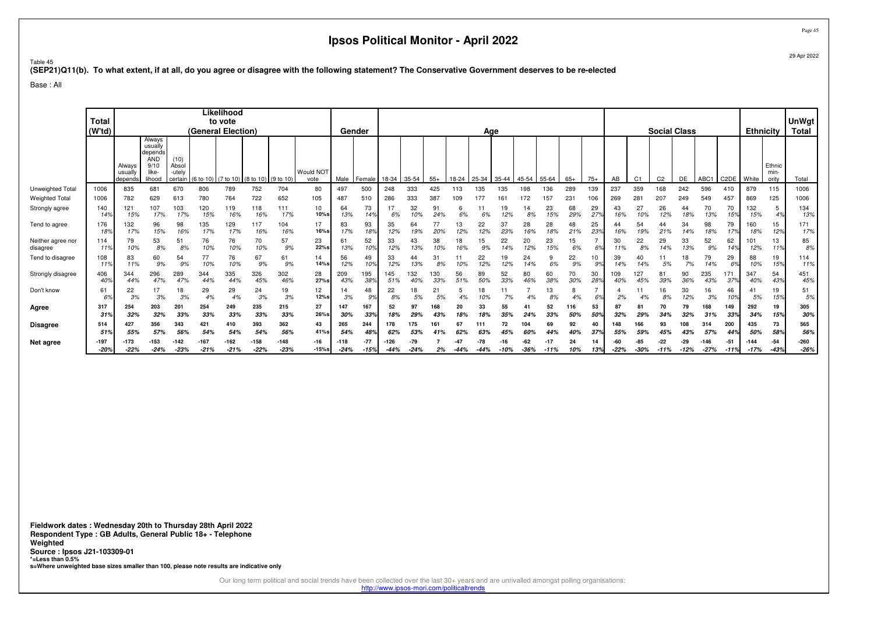Page 4529 Apr 2022

# ™able 45<br>(SEP21)Q11(b). To what extent, if at all, do you agree or disagree with the following statement? The Conservative Government deserves to be re-elected<br>.

Base : All

|                               | Total<br>(W'td) |                              |                                                                       |                                    |                | Likelihood<br>to vote<br>(General Election) |                     |                  |                   |                  | Gender                |               |                 |            |           | Age       |           |               |                 |            |                 |            |                | <b>Social Class</b> |               |                  |            | <b>Ethnicity</b> |                         | <b>UnWgt</b><br>Total |
|-------------------------------|-----------------|------------------------------|-----------------------------------------------------------------------|------------------------------------|----------------|---------------------------------------------|---------------------|------------------|-------------------|------------------|-----------------------|---------------|-----------------|------------|-----------|-----------|-----------|---------------|-----------------|------------|-----------------|------------|----------------|---------------------|---------------|------------------|------------|------------------|-------------------------|-----------------------|
|                               |                 | Always<br>usually<br>depends | Always<br>usually<br>depends<br><b>AND</b><br>9/10<br>like-<br>lihood | (10)<br>Absol<br>-utelv<br>certain | (6 to 10)      | (7 to 10)                                   | (8 to 10) (9 to 10) |                  | Would NOT<br>vote | Male             | Female                | 18-34         | 35-54           | $55+$      | 18-24     | 25-34     | 35-44     | 45-54         | 55-64           | $65+$      | $75+$           | AB         | C <sub>1</sub> | C <sub>2</sub>      | DE            | ABC1             | C2DE       | White            | Ethnic<br>min-<br>ority | Total                 |
| Unweighted Total              | 1006            | 835                          | 681                                                                   | 670                                | 806            | 789                                         | 752                 | 704              | 80                | 497              | 500                   | 248           | 333             | 425        |           | 135       | 135       | 98            | 136             | 289        | 139             | 237        | 359            | 168                 | 242           | 596              | 410        | 879              | 115                     | 1006                  |
| <b>Weighted Total</b>         | 1006            | 782                          | 629                                                                   | 613                                | 780            | 764                                         | 722                 | 652              | 105               | 487              | 510                   | 286           | 333             | 387        | 109       | 177       | 161       | 172           | 157             | 231        | 106             | 269        | 28             | 207                 | 249           | 549              | 457        | 869              | 125                     | 1006                  |
| Strongly agree                | 140<br>14%      | 121<br>15%                   | 107<br>17%                                                            | 103<br>17%                         | 120<br>15%     | 119<br>16%                                  | 118<br>16%          | 111<br>17%       | 10<br>10%s        | 64<br>13%        | 73<br>14%             | 17<br>6%      | 32<br>10%       | 91<br>24%  | 6%        | 6%        | 19<br>12% | 14<br>8%      | 23<br>15%       | 68<br>29%  | 29<br>27%       | 43<br>16%  | 27<br>10%      | 26<br>12%           | 44<br>18%     | 70<br>13%        | 70<br>15%  | 132<br>15%       | 5<br>4%                 | 134<br>13%            |
| Tend to agree                 | 176<br>18%      | 132<br>17%                   | 96<br>15%                                                             | 98<br>16%                          | 135<br>17%     | 129<br>17%                                  | 117<br>16%          | 104<br>16%       | 17<br>16%s        | 83<br>17%        | 93<br>18%             | 35<br>12%     | 64<br>19%       | 77<br>20%  | 13<br>12% | 22<br>12% | 37<br>23% | 28<br>16%     | 28<br>18%       | 48<br>21%  | 25<br>23%       | 16%        | 54<br>19%      | 44<br>21%           | 34<br>14%     | 98<br>18%        | 79<br>17%  | 160<br>18%       | 15<br>12%               | 171<br>17%            |
| Neither agree nor<br>disagree | 114<br>11%      | 79<br>10%                    | 53<br>8%                                                              | 51<br>8%                           | 76<br>10%      | 76<br>10%                                   | 70<br>10%           | 57<br>9%         | 23<br>22%s        | 61<br>13%        | 52<br>10 <sub>9</sub> | 33<br>12%     | 43<br>13%       | 38<br>10%  | 18<br>16% | 15<br>9%  | 22<br>14% | 20<br>12%     | 23<br>15%       | 15<br>6%   | 6%              | 30<br>11%  | 22<br>8%       | 29<br>14%           | 33<br>13%     | 52<br>9%         | 62<br>14%  | 101<br>12%       | 13<br>11%               | 85<br>8%              |
| Tend to disagree              | 108<br>11%      | 83<br>11%                    | 60<br>9%                                                              | 54<br>9%                           | 77<br>10%      | 76<br>10%                                   | 67<br>9%            | 61<br>9%         | 14<br>14%s        | 56<br>12%        | 49<br>10%             | 33<br>12%     | 44<br>13%       | 31<br>8%   |           | 22<br>12% | 19<br>12% | 24<br>14%     | 9<br>6%         | 22<br>9%   | 10<br>9%        | 39<br>14%  |                | 11<br>5%            | 18<br>7%      | 79<br>14%        | 29<br>6%   | 88<br>10%        | 19<br>15%               | 114<br>11%            |
| Strongly disagree             | 406<br>40%      | 344<br>44%                   | 296<br>47%                                                            | 289<br>47%                         | 344<br>44%     | 335<br>44%                                  | 326<br>45%          | 302<br>46%       | 28<br>27%s        | 209<br>43%       | 195<br>38%            | 145<br>51%    | 132             | 130<br>33% | 56<br>51% | 89<br>50% | 52<br>33% | 80<br>46%     | 60<br>38%       | 70<br>30%  | 30<br>28%       | 109<br>40% | 127<br>45%     | 81<br>39%           | 90<br>36%     | 235<br>43%       | 171<br>37% | 347<br>40%       | 54<br>43%               | 451<br>45%            |
| Don't know                    | 61<br>6%        | 22<br>3%                     | 17<br>3%                                                              | 18<br>3%                           | 29<br>4%       | 29<br>4%                                    | 24<br>3%            | 19<br>3%         | 12<br>12%s        | 3%               | 48<br>9%              | 22<br>8%      | 18<br>5%        | 21<br>5%   | 4%        | 18        | 11<br>7%  | 4%            | 13<br>8%        | 8<br>4%    | 6%              | 2%         |                | 16<br>8%            | 30<br>12%     | 16<br>3%         | 46<br>10%  | 41<br>5%         | 19<br>15%               | 51<br>5%              |
| Agree                         | 317<br>31%      | 254<br>32%                   | 203<br>32%                                                            | 201<br>33%                         | 254<br>33%     | 249<br>33%                                  | 235<br>33%          | 215<br>33%       | 27<br>26%s        | 147<br>30%       | 167<br>339            | 52<br>18%     | 97<br>29%       | 168<br>43% | 20<br>18% | 33<br>18% | 55<br>35% | 41<br>24%     | 52<br>33%       | 116<br>50% | 53<br>50%       | 8<br>32%   | 29%            | 70<br>34%           | 79<br>32%     | 168<br>31%       | 149<br>33% | 292<br>34%       | 19<br>15%               | 305<br>30%            |
| <b>Disagree</b>               | 514             | 427                          | 356                                                                   | 343                                | 421            | 410                                         | 393                 | 362              | 43                | 265              | 244                   | 178           | 175             | 161        |           |           | 72        | 104           | 69              | 92         | 40              | 148        | 166            | 93                  | 108           | 314              | 200        | 435              | 73                      | 565                   |
|                               | 519             | 55%                          | 57%                                                                   | 56%                                | 549            | 54%                                         | 54%                 | 56%              | 41%s              | $54^\circ$       | 489                   | 62%           |                 | 41%        |           |           |           |               | $44^\circ$      |            | 37 <sup>o</sup> | 559        |                | 45%                 |               | 57%              |            | 50%              | 589                     | 56%                   |
| Net agree                     | -197<br>$-20%$  | -173<br>$-22%$               | $-153$<br>$-24%$                                                      | -142<br>$-23%$                     | -167<br>$-21%$ | $-162$<br>$-21%$                            | $-158$<br>$-22%$    | $-148$<br>$-23%$ | $-16$<br>$-15%s$  | $-118$<br>$-24%$ | $-77$<br>$-15%$       | 126<br>$-44%$ | $-79$<br>$-24%$ | 2%         | $-44%$    | $-44%$    | -10%      | -62<br>$-36%$ | $-17$<br>$-11%$ | 24<br>10%  | 14<br>13%       | $-22%$     | $-30%$         | -22<br>$-11%$       | -29<br>$-12%$ | $-146$<br>$-27%$ | -51        | $-144$<br>$-17%$ | $-54$<br>$-43%$         | $-260$<br>$-26%$      |

**Fieldwork dates : Wednesday 20th to Thursday 28th April 2022 Respondent Type : GB Adults, General Public 18+ - TelephoneWeighted Source : Ipsos J21-103309-01 \*=Less than 0.5%s=Where unweighted base sizes smaller than 100, please note results are indicative only**

Our long term political and social trends have been collected over the last 30+ years and are unrivalled amongst polling organisations:

http://www.ipsos-mori.com/politicaltrends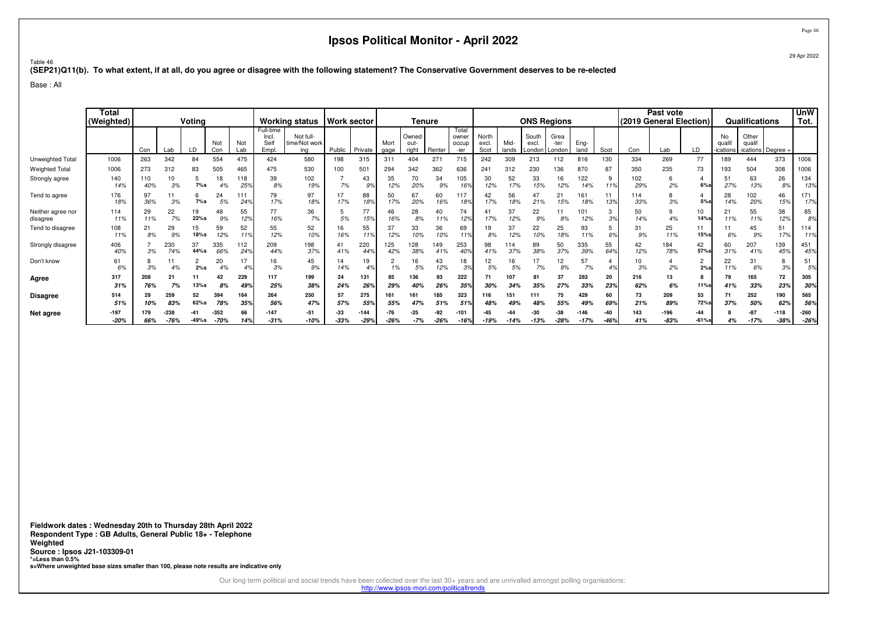™able 46<br>(SEP21)Q11(b). To what extent, if at all, do you agree or disagree with the following statement? The Conservative Government deserves to be re-elected<br>.

Base : All

|                               | <b>Total</b><br>(Weighted) | Voting<br>Not<br>Not<br>Con<br>LD<br>Lab<br>Lab<br>Con<br>554<br>475<br>263<br>342<br>84<br>273<br>505<br>465<br>312<br>83<br>118<br>110<br>18<br>10<br>5<br>40%<br>3%<br>7%s<br>25%<br>4% |               |                 |                  | <b>Working status</b> |                                    | <b>Work sector</b>                |                 | Tenure         |                 |                        |               |                                 |                        | <b>ONS Regions</b> |                          |                        |                  | Past vote<br>(2019 General Election) |            |                  | <b>Qualifications</b> |                        | <b>UnW</b><br>Tot.                  |                  |                  |
|-------------------------------|----------------------------|--------------------------------------------------------------------------------------------------------------------------------------------------------------------------------------------|---------------|-----------------|------------------|-----------------------|------------------------------------|-----------------------------------|-----------------|----------------|-----------------|------------------------|---------------|---------------------------------|------------------------|--------------------|--------------------------|------------------------|------------------|--------------------------------------|------------|------------------|-----------------------|------------------------|-------------------------------------|------------------|------------------|
|                               |                            |                                                                                                                                                                                            |               |                 |                  |                       | Full-time<br>Incl.<br>Sell<br>Empl | Not full-<br>time/Not work<br>ina | Public          | Private        | Mort<br>gage    | Owned<br>out-<br>riaht | Renter        | Total<br>owner<br>occup<br>-ier | North<br>excl.<br>Scot | Mid-<br>lands      | South<br>excl.<br>Londor | Grea<br>-ter<br>Londor | Eng-<br>land     | Scot                                 | Con        | Lab              | LD                    | No<br>qual<br>ications | Other<br>qualif<br>-ications Degree |                  |                  |
| Unweighted Total              | 1006                       |                                                                                                                                                                                            |               |                 |                  |                       | 424                                | 580                               | 198             | 315            | 311             | 404                    | $27 -$        | 715                             | 242                    | 309                | 213                      | 112                    | 816              | 130                                  | 334        | 269              | 77                    | 189                    | 444                                 | 373              | 1006             |
| <b>Weighted Total</b>         | 1006                       |                                                                                                                                                                                            |               |                 |                  |                       | 475                                | 530                               | 100             | 501            | 294             | 342                    | 362           | 636                             | 241                    | 312                | 230                      | 136                    | 870              | 87                                   | 350        | 235              | 73                    | 193                    | 504                                 | 308              | 1006             |
| Strongly agree                | 140<br>14%                 |                                                                                                                                                                                            |               |                 |                  |                       | 39<br>8%                           | 102<br>19%                        | 7%              | 43<br>9%       | 35<br>12%       | 70<br>20%              | 34<br>9%      | 105<br>169                      | 30<br>12%              | 52<br>17%          | 33<br>15%                | 16<br>12%              | 122<br>14%       | 9<br>11%                             | 102<br>29% | 6<br>2%          | 6%                    | 51<br>27%              | 63<br>13%                           | 26<br>8%         | 134<br>13%       |
| Tend to agree                 | 176<br>18%                 | 97<br>36%                                                                                                                                                                                  | 3%            | 6<br>$7\%$ s    | 24<br>5%         | 111<br>249            | 79<br>17%                          | 97<br>18%                         | 17%             | 88<br>18%      | 50<br>17%       | 67<br>20%              | 60<br>16%     | 117<br>189                      | 42<br>17%              | 56<br>18%          | 47<br>21%                | 21<br>15%              | 161<br>18%       | 139                                  | 114<br>33% | 3%               | 5%s                   | 28<br>14%              | 102<br>20%                          | 46<br>15%        | 171<br>17%       |
| Neither agree nor<br>disagree | 114<br>11%                 | 29<br>11%                                                                                                                                                                                  | 22<br>7%      | 19<br>22%s      | 48<br>9%         | 55<br>12%             | 77<br>16%                          | 36<br>7%                          | 5%              | 77<br>15%      | 46<br>16%       | 28<br>8%               | 40<br>11%     | 74<br>12%                       | 17%                    | 37<br>12%          | 22<br>9%                 | 8%                     | 101<br>12%       | 3<br>3%                              | 50<br>14%  | 9<br>4%          | 10<br>14%s            | 21<br>11%              | 55<br>11%                           | 38<br>12%        | 85<br>8%         |
| Tend to disagree              | 108<br>11%                 | 21<br>8%                                                                                                                                                                                   | 29<br>9%      | 15<br>18%s      | 59<br>12%        | 52<br>119             | 55<br>12%                          | 52<br>10%                         | 16%             | 55<br>11%      | 37<br>12%       | 33<br>10%              | 36<br>10%     | 69<br>119                       | 19<br>8%               | 37<br>12%          | 22<br>10%                | 25<br>18%              | 93<br>11%        | 5<br>6%                              | 31<br>9%   | 25<br>11%        | 15%s                  | 6%                     | 45<br>9%                            | 51<br>17%        | 114<br>11%       |
| Strongly disagree             | 406<br>40%                 | 3%                                                                                                                                                                                         | 230<br>74%    | 37<br>44%s      | 335<br>66%       | 112<br>249            | 209<br>44%                         | 198<br>37%                        | 41<br>41%       | 220<br>44%     | 125<br>42%      | 128<br>38%             | 149<br>41%    | 253<br>40 <sup>s</sup>          | 98<br>41%              | 14<br>37%          | 89<br>38%                | 50<br>37%              | 335<br>39%       | 55<br>64%                            | 42<br>12%  | 184<br>78%       | 42<br>57%             | 60<br>31%              | 207<br>41%                          | 139<br>45%       | 451<br>45%       |
| Don't know                    | 61<br>6%                   | 3%                                                                                                                                                                                         | 4%            | $\Omega$<br>2%s | 20<br>4%         | 17<br>4 <sup>°</sup>  | 16<br>3%                           | 45<br>9%                          | 14<br>14%       | 19<br>4%       | 1%              | 16<br>5%               | 43<br>12%     | 18<br>3%                        | 12<br>5%               | 16<br>5%           | 17<br>7%                 | 12<br>9%               | 57<br>7%         |                                      | 10<br>3%   | 2%               | 2<br>2%s              | 22<br>11%              | 31<br>6%                            | 8<br>3%          | 51<br>5%         |
| Agree                         | 317<br>31%                 | 208<br>76%                                                                                                                                                                                 | 21<br>7%      | 11<br>13%s      | 42<br>8%         | 229<br>499            | 117<br>25%                         | 199<br>38%                        | 24<br>24%       | 131<br>26%     | 85<br>29%       | 136<br>40%             | 93<br>26%     | 222<br>359                      | 71<br>30%              | 107<br>349         | 81<br>35%                | 37<br>27%              | 283<br>33%       | 20<br>239                            | 216<br>62% | 13<br>6%         | <b>11%s</b>           | 79<br>41%              | 165<br>33%                          | 72<br>23%        | 305<br>30%       |
| <b>Disagree</b>               | 514<br>51%                 | 29<br>10%                                                                                                                                                                                  | 259<br>83%    | 52<br>62%s      | 394<br>78%       | 164<br>359            | 264<br>56%                         | 250<br>47%                        | 57<br>57%       | 275<br>55%     | 161<br>55%      | 161<br>47%             | 185<br>51%    | 323<br>51 <sup>°</sup>          | 116<br>48%             | 151<br>49%         | 111<br>48%               | 75<br>55%              | 429<br>49%       | 60<br>69%                            | 73<br>21%  | 209<br>89%       | 53<br>72%s            | 71<br>37%              | 252<br>50%                          | 190<br>62%       | 565<br>56%       |
| Net agree                     | $-197$<br>$-20%$           | 179<br>66%                                                                                                                                                                                 | 238<br>$-76%$ | $-49%s$         | $-352$<br>$-70%$ | 66<br>14%             | $-147$<br>$-31%$                   | $-51$<br>$-10%$                   | $-33$<br>$-33%$ | -144<br>$-29%$ | $-76$<br>$-26%$ | $-25$<br>$-7%$         | -92<br>$-26%$ | -101<br>$-16%$                  | $-19%$                 |                    | -30<br>$-13%$            | -38<br>$-28%$          | $-146$<br>$-17%$ | -40<br>$-46%$                        | 143<br>41% | $-196$<br>$-83%$ | $-44$<br>$-61%s$      | 4%                     | $-87$<br>$-17%$                     | $-118$<br>$-38%$ | $-260$<br>$-269$ |

**Fieldwork dates : Wednesday 20th to Thursday 28th April 2022 Respondent Type : GB Adults, General Public 18+ - TelephoneWeighted Source : Ipsos J21-103309-01 \*=Less than 0.5%s=Where unweighted base sizes smaller than 100, please note results are indicative only**

Our long term political and social trends have been collected over the last 30+ years and are unrivalled amongst polling organisations:

http://www.ipsos-mori.com/politicaltrends

29 Apr 2022

Page 46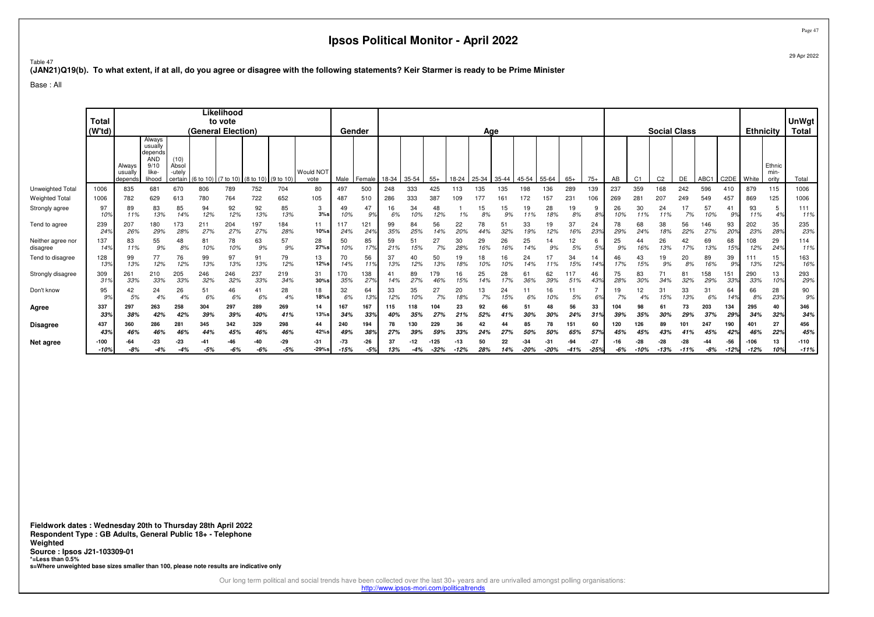Page 47

Table 47**(JAN21)Q19(b). To what extent, if at all, do you agree or disagree with the following statements? Keir Starmer is ready to be Prime Minister**

Base : All

|                               | <b>Total</b><br>(W'td)  |                              |                                                                       |                                    | (General Election) | Likelihood<br>to vote |                                         |                |                   | Gender          |              |                  |           |            |               | Age       |              |                 |                 |                 |                      |            |                | <b>Social Class</b> |               |                  |                      | <b>Ethnicity</b> |                         | <b>UnWgt</b><br>Total |
|-------------------------------|-------------------------|------------------------------|-----------------------------------------------------------------------|------------------------------------|--------------------|-----------------------|-----------------------------------------|----------------|-------------------|-----------------|--------------|------------------|-----------|------------|---------------|-----------|--------------|-----------------|-----------------|-----------------|----------------------|------------|----------------|---------------------|---------------|------------------|----------------------|------------------|-------------------------|-----------------------|
|                               |                         | Always<br>usually<br>depends | Always<br>usually<br>depends<br><b>AND</b><br>9/10<br>like-<br>lihood | (10)<br>Absol<br>-utely<br>certain |                    |                       | (6 to 10) (7 to 10) (8 to 10) (9 to 10) |                | Would NOT<br>vote | Male            | Female       | 18-34            | 35-54     | $55+$      | 18-24         | 25-34     | 35-44        | 45-54           | 55-64           | $65+$           | $75+$                | AB         | C <sub>1</sub> | C <sub>2</sub>      | <b>DE</b>     | ABC <sub>1</sub> | C <sub>2</sub> DE    | White            | Ethnic<br>min-<br>ority | Total                 |
| Unweighted Total              | 1006                    | 835                          | 681                                                                   | 670                                | 806                | 789                   | 752                                     | 704            | 80                | 497             | 500          | 248              | 333       | 425        | 113           | 135       | 135          | 198             | 136             | 289             | 139                  | 237        | 359            | 168                 | 242           | 596              | 410                  | 879              | 115                     | 1006                  |
| <b>Weighted Total</b>         | 1006                    | 782                          | 629                                                                   | 613                                | 780                | 764                   | 722                                     | 652            | 105               | 487             | 510          | 286              | 333       | 387        | 109           | 177       | $16^{\circ}$ | 72              | 157             | 231             | 106                  | 269        | 28.            | 207                 | 249           | 549              | 457                  | 869              | 125                     | 1006                  |
| Strongly agree                | 97<br>10%               | 89<br>11%                    | 83<br>13%                                                             | 85<br>14%                          | 94<br>12%          | 92<br>12%             | 92<br>13%                               | 85<br>13%      | 3<br>$3%$ s       | 10%             | 47<br>9%     | 16<br>6%         | 34<br>10% | 48<br>12%  | 1%            | 15<br>8%  | 15<br>9%     | 19<br>11%       | 28<br>18%       | 19<br>8%        | -9<br>8%             | 26<br>10%  | 30<br>11%      | 24<br>11%           | 17<br>7%      | 57<br>10%        | 4<br>9%              | 93<br>11%        | 4%                      | 111<br>11%            |
| Tend to agree                 | 239<br>24 <sup>°</sup>  | 207<br>26%                   | 180<br>29%                                                            | 173<br>28%                         | 211<br>27%         | 204<br>27%            | 197<br>27%                              | 184<br>28%     | 11<br>10%s        | 117<br>24%      | 121<br>24%   | 99<br>35%        | 84<br>25% | 56<br>14%  | 22<br>20%     | 78        | 51<br>32%    | 33<br>19%       | 19<br>12%       | 37<br>16%       | 24<br>23%            | 78<br>29%  | 68<br>24%      | 38<br>18%           | 56<br>22%     | 146<br>27%       | 93<br>20%            | 202<br>23%       | 35<br>28%               | 235<br>23%            |
| Neither agree nor<br>disagree | 137<br>14%              | 83<br>11%                    | 55<br>9%                                                              | 48<br>8%                           | 81<br>10%          | 78<br>10%             | 63<br>9%                                | 57<br>9%       | 28<br>27%s        | 50<br>10%       | 85<br>17%    | 59<br>21%        | 51<br>15% | 27<br>7%   | 30<br>28%     | 29<br>16% | 26<br>16%    | 25<br>14%       | 14<br>9%        | 12<br>5%        | 6<br>5%              | 25<br>9%   | 44<br>16%      | 26<br>13%           | 42<br>17%     | 69<br>13%        | 68<br>15%            | 108<br>12%       | 29<br>249               | 114<br>11%            |
| Tend to disagree              | 128<br>13%              | 99<br>13%                    | 77<br>12%                                                             | 76<br>12%                          | 99<br>13%          | 97<br>13%             | 91<br>13%                               | 79<br>12%      | 13<br>12%s        | 14%             | 56<br>119    | 37<br>13%        | 12%       | 50<br>13%  | 19<br>18%     | 18        | 16<br>10%    | 24<br>14%       | 17<br>11%       | 34<br>15%       | 14<br>14%            | 46<br>17%  | 43<br>15%      | 19<br>9%            | 20<br>8%      | 89<br>16%        | 39<br>9%             | 111<br>13%       | 15<br>12%               | 163<br>16%            |
| Strongly disagree             | 309<br>31'              | 261<br>33%                   | 210<br>33%                                                            | 205<br>33%                         | 246<br>32%         | 246<br>32%            | 237<br>33%                              | 219<br>34%     | 31<br>$30%$ s     | 170<br>35%      | 138<br>27%   | 41<br>14%        | 89<br>27% | 179<br>46% | 16<br>15%     | 25        | 28<br>17%    | 61<br>36%       | 62<br>39%       | 117<br>51%      | 46<br>43%            | 75<br>28%  | 83<br>30%      | 71<br>34%           | 81<br>32%     | 158<br>29%       | 151<br>33%           | 290<br>33%       | 13<br>10°               | 293<br>29%            |
| Don't know                    | 95<br>9%                | 42<br>5%                     | 24<br>4%                                                              | 26<br>4%                           | 51<br>6%           | 46<br>6%              | 41<br>6%                                | 28<br>4%       | 18<br>18%s        | 32<br>6%        | 64<br>13%    | 33<br>12%        | 35        | 27<br>7%   | 20<br>18%     | 13<br>7%  | 24<br>15%    | 11<br>6%        | 16<br>10%       | 5%              | 6%                   | 7%         | 12<br>4%       | 15%                 | 33<br>13%     | 31<br>6%         | 64<br>14%            | 66<br>8%         | 28<br>23%               | 90<br>9%              |
| Agree                         | 337<br>33%              | 297<br>38%                   | 263<br>42%                                                            | 258<br>42%                         | 304<br>39%         | 297<br>39%            | 289<br>40%                              | 269<br>41%     | 14<br>13%s        | 167<br>34%      | 167<br>33%   | 115<br>40%       | 118       | 104<br>27% | 23<br>21%     | 92<br>52% | 66           | 51<br>30%       | 48<br>30%       | 56<br>24%       | 33<br>31%            | 104<br>39% | 35%            | 61<br>30%           | 73<br>29%     | 203<br>37%       | 134<br>29%           | 295<br>34%       | 40<br>32%               | 346<br>34%            |
| <b>Disagree</b>               | 437                     | 360                          | 286<br>46%                                                            | 281<br>46%                         | 345<br>44%         | 342<br>45%            | 329                                     | 298<br>46%     | 44<br>42%s        | 240<br>49%      | 194<br>38%   | 78               | 130       | 229<br>59% | 36<br>339     |           | 44           | 85              | 78<br>50%       | 151<br>65%      | 60                   | 120        | 126            | 89<br>43%           | 101<br>41%    | 247<br>45%       | 190                  | 401<br>46%       | 27                      | 456<br>45%            |
| Net agree                     | 43%<br>$-100$<br>$-10%$ | 46%<br>$-8%$                 | -23<br>$-4%$                                                          | -23                                | -41<br>$-5%$       | -46<br>$-6%$          | 46%<br>-40<br>-6%                       | $-29$<br>$-5%$ | $-31$<br>$-29%s$  | $-73$<br>$-15%$ | -26<br>$-5%$ | 27%<br>37<br>13% | -4%       | $-32%$     | -13<br>$-12%$ | 50<br>28% | 22<br>14%    | $-34$<br>$-20%$ | $-31$<br>$-20%$ | $-94$<br>$-41%$ | 57%<br>-27<br>$-25%$ | 45%<br>-6% | 9۶.<br>-10%    | $-28$<br>-13%       | -28<br>$-11%$ | $-8%$            | 42%<br>-56<br>$-12%$ | $-106$<br>$-12%$ | 229<br>13<br>10%        | $-110$<br>$-11%$      |

**Fieldwork dates : Wednesday 20th to Thursday 28th April 2022 Respondent Type : GB Adults, General Public 18+ - TelephoneWeighted Source : Ipsos J21-103309-01 \*=Less than 0.5%s=Where unweighted base sizes smaller than 100, please note results are indicative only**

Our long term political and social trends have been collected over the last 30+ years and are unrivalled amongst polling organisations:

http://www.ipsos-mori.com/politicaltrends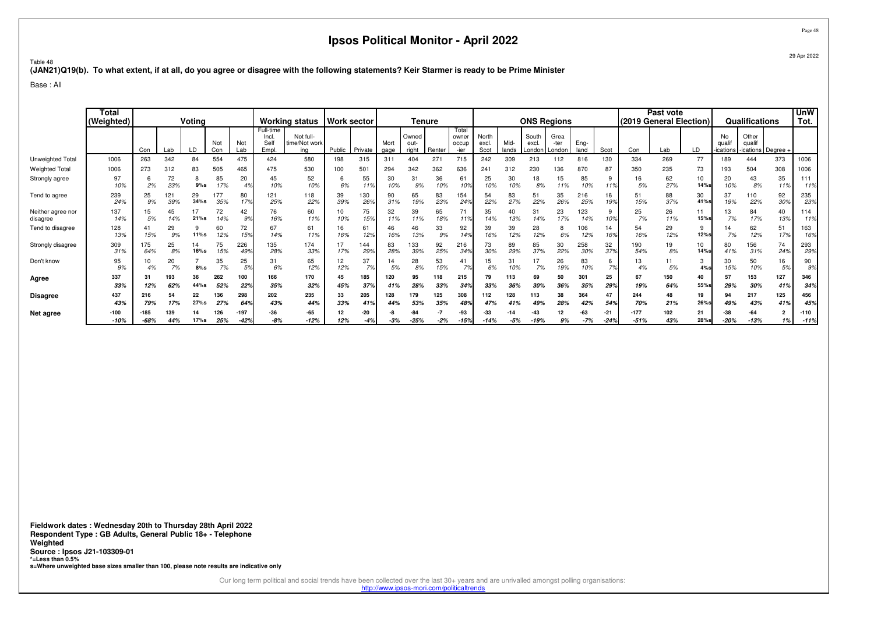Page 48

Table 48**(JAN21)Q19(b). To what extent, if at all, do you agree or disagree with the following statements? Keir Starmer is ready to be Prime Minister**

Base : All

|                               | Tota<br>(Weighted) |                  |            | Voting        |            |                |                                     | <b>Working status</b>             |           | Work sector  |              | Tenure                 |            |                                 |                        |               |                         | <b>ONS Regions</b>     |              |                 |                  | Past vote<br>(2019 General Election) |            |                        | Qualifications                          |            | <b>UnW</b><br>Tot. |
|-------------------------------|--------------------|------------------|------------|---------------|------------|----------------|-------------------------------------|-----------------------------------|-----------|--------------|--------------|------------------------|------------|---------------------------------|------------------------|---------------|-------------------------|------------------------|--------------|-----------------|------------------|--------------------------------------|------------|------------------------|-----------------------------------------|------------|--------------------|
|                               |                    | Con              | Lab        | LD            | Not<br>Con | Not<br>Lab     | Full-time<br>Incl.<br>Self<br>Empl. | Not full-<br>time/Not work<br>ing | Public    | Private      | Mort<br>gage | Owned<br>out-<br>right | Renter     | Total<br>owner<br>occup<br>-ier | North<br>excl.<br>Scot | Mid-<br>lands | South<br>excl<br>London | Grea<br>-ter<br>London | Eng-<br>land | Scot            | Con              | Lab                                  | LD         | No<br>qual<br>ications | Other<br>qualif<br>-ications   Degree - |            |                    |
| Unweighted Total              | 1006               | 263              | 342        | 84            | 554        | 475            | 424                                 | 580                               | 198       | 315          | 311          | 404                    | $27 -$     | 715                             | 242                    | 309           | 213                     | 112                    | 816          | 130             | 334              | 269                                  | 77         | 89                     | 444                                     | 373        | 1006               |
| <b>Weighted Total</b>         | 1006               | 273              | 312        | 83            | 505        | 465            | 475                                 | 530                               | 100       | 501          | 294          | 342                    | 362        | 636                             | 241                    | 312           | 230                     | 136                    | 870          | 87              | 350              | 235                                  | 73         | 193                    | 504                                     | 308        | 1006               |
| Strongly agree                | 97<br>10%          | 2%               | 72<br>23%  | ŏ<br>9%s      | 85<br>17%  | 20<br>4%       | 45<br>10%                           | 52<br>10%                         | 6<br>6%   | 55<br>11%    | 30<br>10%    | 31<br>9%               | 36<br>10%  | 61<br>10%                       | 25<br>10%              | 30<br>10%     | 18<br>8%                | 15<br>11%              | 85<br>10%    | 9<br>11%        | 16<br>5%         | 62<br>27%                            | 10<br>14%  | 20<br>10%              | 43<br>8%                                | 35<br>11%  | 111<br>11%         |
| Tend to agree                 | 239<br>24%         | 25<br>9%         | 121<br>39% | 29<br>$34%$ s | 177<br>35% | 80<br>17%      | 121<br>25%                          | 118<br>22%                        | 39<br>39% | 130<br>26%   | 90<br>31%    | 65<br>19%              | 83<br>23%  | 154<br>24 <sup>°</sup>          | 54<br>22%              | 83<br>27%     | 51<br>22%               | 35<br>26%              | 216<br>25%   | 16<br>199       | 51<br>15%        | 88<br>37%                            | 30<br>41%s | 37<br>19%              | 110<br>22%                              | 92<br>30%  | 235<br>23%         |
| Neither agree nor<br>disagree | 137<br>14%         | 15<br>5%         | 45<br>14%  | 21%s          | 72<br>14%  | 42<br>9%       | 76<br>16%                           | 60<br>11%                         | 10<br>10% | 75<br>15%    | 32<br>11%    | 39<br>11%              | 65<br>18%  | 71<br>11%                       | 35<br>14%              | 40<br>13%     | 31<br>14%               | 23<br>17%              | 123<br>14%   | 9<br>10%        | 25<br>7%         | 26<br>11%                            | 11<br>15%s | 13<br>7%               | 84<br>17%                               | 40<br>13%  | 114<br>11%         |
| Tend to disagree              | 128<br>13%         | 41<br>15%        | 29<br>9%   | 11%s          | 60<br>12%  | 72<br>15%      | 67<br>14%                           | 61<br>11%                         | 16<br>16% | 61<br>12%    | 46<br>16%    | 46<br>13%              | 33<br>9%   | 92<br>149                       | 39<br>16%              | 39<br>12%     | 28<br>12%               | 8<br>6%                | 106<br>12%   | 14<br>169       | 54<br>16%        | 29<br>12%                            | 9<br>12%s  | 14<br>7%               | 62<br>12%                               | 51<br>17%  | 163<br>16%         |
| Strongly disagree             | 309<br>31%         | 175<br>64%       | 25<br>8%   | 14<br>16%s    | 75<br>15%  | 226<br>49%     | 135<br>28%                          | 174<br>33%                        | 17<br>17% | 144<br>29%   | 83<br>28%    | 133<br>39%             | 92<br>25%  | 216<br>349                      | 73<br>30%              | 89<br>29%     | 85<br>37%               | 30<br>22%              | 258<br>30%   | 32<br>37%       | 190<br>54%       | 19<br>8%                             | 10<br>14%  | 80<br>41%              | 156<br>31%                              | 74<br>24%  | 293<br>29%         |
| Don't know                    | 95<br>9%           | 4%               | 20<br>7%   | $8%$ s        | 35<br>7%   | 25<br>.5%      | 31<br>6%                            | 65<br>12%                         | 12<br>12% | 37<br>7%     | 14<br>5%     | 28<br>8%               | 53<br>15%  | 41<br>7%                        | 15<br>6%               | 31            | 17<br>7%                | 26<br>19%              | 83<br>10%    | 6<br>7%         | 13               | 5%                                   | 3<br>4%s   | 30<br>15%              | 50<br>10%                               | 16<br>5%   | 90<br>9%           |
| Agree                         | 337<br>33%         | 31<br>12%        | 193<br>62% | 36<br>44%s    | 262<br>52% | 100<br>22%     | 166<br>35%                          | 170<br>32%                        | 45<br>45% | 185<br>37%   | 120<br>41%   | 95<br>28%              | 118<br>33% | 215<br>34%                      | 79<br>33%              | 113<br>36%    | 69<br>30%               | 50<br>36%              | 301<br>35%   | 25<br>299       | 67<br>19%        | 150<br>64%                           | 40<br>55%  | 57<br>29%              | 153<br>30%                              | 127<br>419 | 346<br>34%         |
| <b>Disagree</b>               | 437                | 216              | 54         | 22            | 136        | 298            | 202                                 | 235                               | 33        | 205          | 128          | 179                    | 125        | 308                             | 112                    | 128           | 113                     | 38                     | 364          | 47              | 244              | 48                                   | 19         | 94                     | 217                                     | 125        | 456                |
|                               | 43%                | 79%              | 17%        | 27%s          | 27%        | 649            | 43%                                 | 44%                               | 33%       | 41%          | 44%          | 53%                    | 35%        | 48%                             | 47%                    |               | 49%                     | 28%                    | 42%          | 54%             | 70%              | 21%                                  | 26%s       | 49%                    | 43%                                     | 419        | 45%                |
| Net agree                     | $-100$<br>$-10%$   | $-185$<br>$-68%$ | 139<br>44% | 17%s          | 126<br>25% | -197<br>$-42%$ | $-36$<br>$-8%$                      | $-65$<br>$-12%$                   | 12<br>12% | -20<br>$-4%$ | -3%          | 84<br>$-25%$           | $-2%$      | -93<br>$-15%$                   | -33<br>$-14%$          | $-5%$         | -43                     | 9%                     | -63<br>$-7%$ | $-21$<br>$-24%$ | $-177$<br>$-51%$ | 102<br>43%                           | 21<br>28%s | -38<br>$-20%$          | -64<br>$-13%$                           | 2<br>1%    | $-110$<br>$-119$   |

**Fieldwork dates : Wednesday 20th to Thursday 28th April 2022 Respondent Type : GB Adults, General Public 18+ - TelephoneWeighted Source : Ipsos J21-103309-01 \*=Less than 0.5%s=Where unweighted base sizes smaller than 100, please note results are indicative only**

Our long term political and social trends have been collected over the last 30+ years and are unrivalled amongst polling organisations:

http://www.ipsos-mori.com/politicaltrends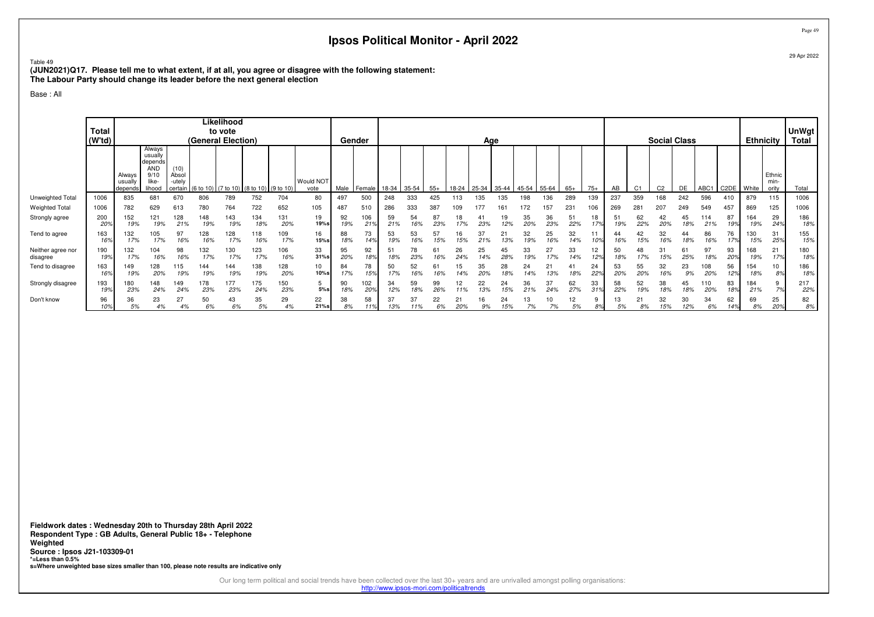Table 49

 **(JUN2021)Q17. Please tell me to what extent, if at all, you agree or disagree with the following statement:The Labour Party should change its leader before the next general election**

Base : All

|                               |                                    |                              |                                                                      |                                    |                                           | Likelihood |            |            |                   |           |            |           |           |           |           |           |           |           |           |           |           |           |                |                     |           |            |              |                  |                         |                       |
|-------------------------------|------------------------------------|------------------------------|----------------------------------------------------------------------|------------------------------------|-------------------------------------------|------------|------------|------------|-------------------|-----------|------------|-----------|-----------|-----------|-----------|-----------|-----------|-----------|-----------|-----------|-----------|-----------|----------------|---------------------|-----------|------------|--------------|------------------|-------------------------|-----------------------|
|                               | <b>Total</b><br>(W <sup>t</sup> d) |                              |                                                                      |                                    | (General Election)                        | to vote    |            |            |                   |           | Gender     |           |           |           |           | Age       |           |           |           |           |           |           |                | <b>Social Class</b> |           |            |              | <b>Ethnicity</b> |                         | UnWgt<br><b>Total</b> |
|                               |                                    | Always<br>usually<br>depends | Always<br>usually<br>depends<br><b>AND</b><br>9/1<br>like-<br>lihood | (10)<br>Absol<br>-utelv<br>certain | $(6 to 10)$ (7 to 10) (8 to 10) (9 to 10) |            |            |            | Would NOT<br>vote | Male      | Female     | 18-34     | $35 - 54$ | $55+$     | 18-24     | 25-34     | 35-44     | $ 45-54 $ | $55 - 64$ | $65+$     | $75+$     | AB        | C <sub>1</sub> | C <sub>2</sub>      | DE        | ABC1       | C2DE   White |                  | Ethnic<br>min-<br>ority | Total                 |
| Unweighted Total              | 1006                               | 835                          | 681                                                                  | 670                                | 806                                       | 789        | 752        | 704        | 80                | 497       | 500        | 248       | 333       | 425       | 113       | 135       | 135       | 198       | 136       | 289       | 139       | 237       | 359            | 168                 | 242       | 596        | 410          | 879              | 115                     | 1006                  |
| Weighted Total                | 1006                               | 782                          | 629                                                                  | 613                                | 780                                       | 764        | 722        | 652        | 105               | 487       | 510        | 286       | 333       | 387       | 109       | 177       |           | 72        | 157       | 231       | 106       | 269       | 281            | 207                 | 249       | 549        | 457          | 869              | 125                     | 1006                  |
| Strongly agree                | 200<br>20 <sub>2</sub>             | 152<br>19%                   | 121<br>19%                                                           | 28<br>21%                          | 148<br>19%                                | 143<br>19% | 134<br>18% | 131<br>20% | 19<br>19%s        | 92<br>19% | 106<br>21% | 59<br>21% | 54<br>16% | 87<br>23% | 17%       | 23%       | 19<br>12% | 35<br>20% | 36<br>23% | 22%       | 18<br>17% | 5<br>19%  | 62<br>22%      | 42<br>20%           | 18%       | 114<br>21% | 87<br>19%    | 164<br>19%       | 29<br>24%               | 186<br>18%            |
| Tend to agree                 | 163<br>16 <sup>o</sup>             | 132<br>17%                   | 05<br>17%                                                            | 97<br>16%                          | 128<br>16%                                | 128<br>17% | 118<br>16% | 109<br>17% | 16<br>15%s        | 88<br>18% | 73<br>14%  | 53<br>19% | 53<br>16% | 57<br>15% | 15%       |           | 13%       | 32<br>19% | 25<br>16% | 32<br>14% |           | 16%       | 15%            | 32<br>16%           | 44<br>18% | 86<br>16%  | 76<br>17%    | 130<br>15%       | 31<br>25%               | 155<br>15%            |
| Neither agree nor<br>disagree | 190<br>19 <sup>°</sup>             | 132<br>17%                   | 104<br>16%                                                           | 98<br>16%                          | 132<br>17%                                | 130<br>17% | 123<br>17% | 106<br>16% | 33<br>$31%$ s     | 95<br>20% | 92<br>18%  | 51<br>18% | 78<br>23% | 61<br>16% | 26<br>24% | 25<br>14% | 45<br>28% | 33<br>19% | 27<br>17% | 33<br>14% | 12<br>12% | 50<br>18% | 48<br>17%      | 31<br>15%           | 61<br>25% | 97<br>18%  | 93<br>20%    | 168<br>19%       | 21<br>17%               | 180<br>18%            |
| Tend to disagree              | 163<br>16 <sup>°</sup>             | 149<br>19%                   | 128<br>20%                                                           | 15<br>19%                          | 144<br>19%                                | 144<br>19% | 138<br>19% | 128<br>20% | 10<br>10%s        | 84<br>17% | 78<br>15%  | 50<br>17% | 52<br>16% | 61<br>16% | 14%       | 35<br>20% | 28<br>18% | 24<br>14% | 21<br>13% | 18%       | 24<br>22% | 53<br>20% | 55<br>20%      | 32<br>16%           | 23<br>9%  | 108<br>20% | 56<br>12%    | 154<br>18%       | 10                      | 186<br>18%            |
| Strongly disagree             | 193<br>199                         | 180<br>23%                   | 148<br>24%                                                           | 49<br>24%                          | 178<br>23%                                | 177<br>23% | 175<br>24% | 150<br>23% | 5<br>$5%$ s       | 90<br>18% | 02<br>20%  | 34<br>12% | 59<br>18% | 99<br>26% | 12<br>11% | 22<br>13% | 24<br>15% | 36<br>21% | 37<br>24% | 62<br>27% | 33<br>31% | 58<br>22% | 52<br>19%      | 38<br>18%           | 45<br>18% | 110<br>20% | 83<br>18%    | 184<br>21%       | 70/                     | 217<br>22%            |
| Don't know                    | 96<br>10%                          | 36<br>5%                     | 23<br>4%                                                             | 27<br>4%                           | 50<br>6%                                  | 43<br>6%   | 35<br>5%   | 29<br>4%   | 22<br>$21%$ s     | 8%        | 58<br>11%  | 37<br>13% | 37<br>11% | 22<br>6%  | 21<br>20% | 16<br>9%  | 24<br>15% | 13<br>7%  | 10<br>7%  | 12<br>5%  | 8%        | 5%        | 21<br>8%       | 32<br>15%           | 30<br>12% | 34<br>6%   | 62<br>14%    | 69<br>8%         | 25<br>20%               | 82<br>8%              |

**Fieldwork dates : Wednesday 20th to Thursday 28th April 2022 Respondent Type : GB Adults, General Public 18+ - TelephoneWeighted Source : Ipsos J21-103309-01 \*=Less than 0.5%s=Where unweighted base sizes smaller than 100, please note results are indicative only**

Our long term political and social trends have been collected over the last 30+ years and are unrivalled amongst polling organisations:

http://www.ipsos-mori.com/politicaltrends

Page 49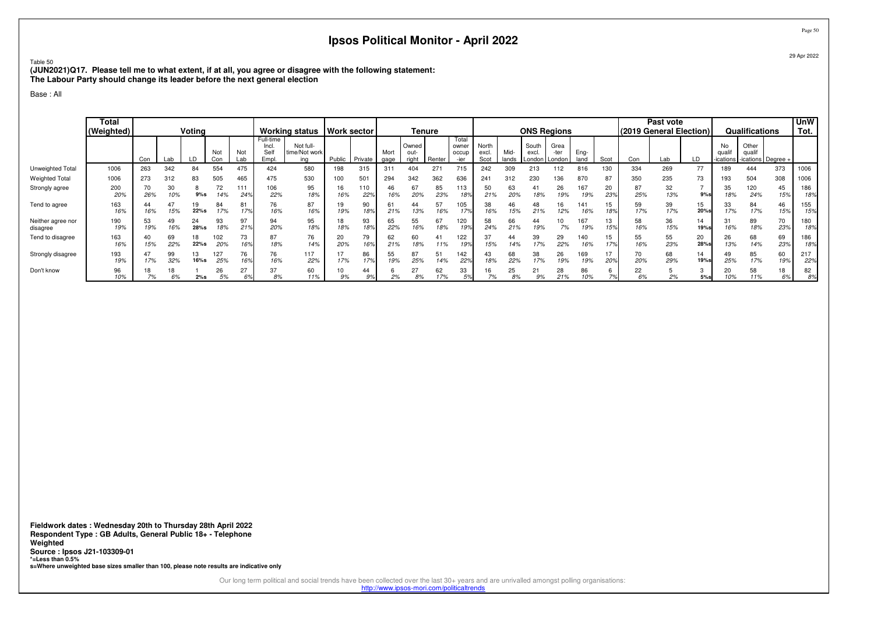Table 50

 **(JUN2021)Q17. Please tell me to what extent, if at all, you agree or disagree with the following statement:The Labour Party should change its leader before the next general election**

Base : All

|                               | <b>Total</b><br>(Weighted) |           |           | Voting     |            |                        |                                     | <b>Working status</b>             | <b>Work sector</b> |            |              | <b>Tenure</b>          |           |                                 |                        |              | <b>ONS Regions</b>      |                                 |              |           |           | Past vote<br>(2019 General Election) |            |                         | Qualifications  |                      | <b>UnW</b><br>Tot. |
|-------------------------------|----------------------------|-----------|-----------|------------|------------|------------------------|-------------------------------------|-----------------------------------|--------------------|------------|--------------|------------------------|-----------|---------------------------------|------------------------|--------------|-------------------------|---------------------------------|--------------|-----------|-----------|--------------------------------------|------------|-------------------------|-----------------|----------------------|--------------------|
|                               |                            | Con       | Lab       | LD         | Not<br>Con | Not<br>Lab             | Full-time<br>Incl.<br>Self<br>Empl. | Not full-<br>time/Not work<br>ina | Public             | Private    | Mort<br>gage | Owned<br>out-<br>riaht | Renter    | Total<br>owner<br>occup<br>-ier | North<br>excl.<br>Scot | Mid<br>lands | South<br>excl.          | Grea<br>-ter<br>London   London | Eng-<br>land | Scot      | Con       | Lab                                  | LD         | No<br>quali<br>ications | Other<br>qualif | -ications   Degree + |                    |
| Unweighted Total              | 1006                       | 263       | 342       | 84         | 554        | 475                    | 424                                 | 580                               | 198                | 315        | 311          | 404                    | 271       | 715                             | 242                    | 309          | 213                     | 112                             | 816          | 130       | 334       | 269                                  | 77         | 189                     | 444             | 373                  | 1006               |
| <b>Weighted Total</b>         | 1006                       | 273       | 312       | 83         | 505        | 465                    | 475                                 | 530                               | 100                | 501        | 294          | 342                    | 362       | 636                             | 241                    | 312          | 230                     | 136                             | 870          | 87        | 350       | 235                                  | 73         | 193                     | 504             | 308                  | 1006               |
| Strongly agree                | 200<br>20%                 | 26%       | 30<br>10% | $9%$ s     | 72<br>14%  | 111<br>24 <sup>°</sup> | 106<br>22%                          | 95<br>18%                         | 16<br>16%          | 110<br>22% | 46<br>16%    | 67<br>20%              | 85<br>23% | 113<br>18 <sup>o</sup>          | 50<br>21%              | 63<br>20%    | 41<br>18%               | 26<br>19%                       | 167<br>19%   | 20<br>23% | 87<br>25% | 32<br>13%                            | 9%s        | 35<br>18%               | 120<br>24%      | 45<br>15%            | 186<br>18%         |
| Tend to agree                 | 163<br>16%                 | 44<br>16% | 15%       | 19<br>22%s | 84<br>17%  | 81<br>17%              | 76<br>16%                           | 87<br>16%                         | 19<br>19%          | 90<br>18%  | 61<br>21%    | 44<br>13%              | 57<br>16% | 105<br>17%                      | 38<br>16%              | 46<br>15%    | 48<br>21%               | 16<br>12%                       | 141<br>16%   | 15<br>18% | 59<br>17% | 39<br>17%                            | 15<br>20%s | 33<br>17%               | 84<br>17%       | 46<br>15%            | 155<br>15%         |
| Neither agree nor<br>disagree | 190<br>19%                 | 53<br>19% | 49<br>16% | 24<br>28%s | 93<br>18%  | 97<br>21%              | 94<br>20%                           | 95<br>18%                         | 18<br>18%          | 93<br>18%  | 65<br>22%    | 55<br>16%              | 67<br>18% | 120<br>19%                      | 58<br>24%              | 66<br>21%    | 44<br>19%               | 10<br>7%                        | 167<br>19%   | 13<br>15% | 58<br>16% | 36<br>15%                            | 14<br>19%s | 31<br>16%               | 89<br>18%       | 70<br>23%            | 180<br>18%         |
| Tend to disagree              | 163<br>16%                 | 40<br>15% | 69<br>22% | 18<br>22%s | 102<br>20% | 73<br>16%              | 87<br>18%                           | 76<br>14%                         | 20<br>20%          | 79<br>16%  | 62<br>21%    | 60<br>18%              | 41<br>11% | 122<br>19%                      | 37<br>15%              | 44<br>14%    | 39<br>17%               | 29<br>22%                       | 140<br>16%   | 15<br>17% | 55<br>16% | 55<br>23%                            | 20<br>28%s | 26<br>13%               | 68<br>14%       | 69<br>23%            | 186<br>18%         |
| Strongly disagree             | 193<br>19%                 | 17%       | 99<br>32% | 13<br>16%s | 127<br>25% | 76<br>16%              | 76<br>16%                           | 117<br>22%                        | 17%                | 86<br>17%  | 55<br>19%    | 87<br>25%              | 51<br>14% | 142<br>22%                      | 43<br>18%              | 68<br>22%    | 38<br>17%               | 26<br>19%                       | 69           | 17<br>20% | 70<br>20% | 68<br>29%                            | 14<br>19%s | 49<br>25%               | 85<br>17%       | 60<br>19%            | 217<br>22%         |
| Don't know                    | 96<br>10%                  |           | 18        | 2%s        | 26<br>5%   | 27<br>6%               | 37<br>8%                            | 60<br>11%                         | 10<br>9%           | 44<br>9%   | 2%           | 27<br>$\epsilon$<br>8% | 62<br>17% | 33                              |                        | 25<br>8%     | $^{\circ}$<br>ا ے<br>9% | 28<br>21%                       | 86           |           | 22<br>6%  |                                      | $5%$ s     | 20<br>10%               | 58              | 18<br>6%             | 82<br>8%           |

**Fieldwork dates : Wednesday 20th to Thursday 28th April 2022 Respondent Type : GB Adults, General Public 18+ - TelephoneWeighted Source : Ipsos J21-103309-01 \*=Less than 0.5%s=Where unweighted base sizes smaller than 100, please note results are indicative only**

> Our long term political and social trends have been collected over the last 30+ years and are unrivalled amongst polling organisations: http://www.ipsos-mori.com/politicaltrends

Page 5029 Apr 2022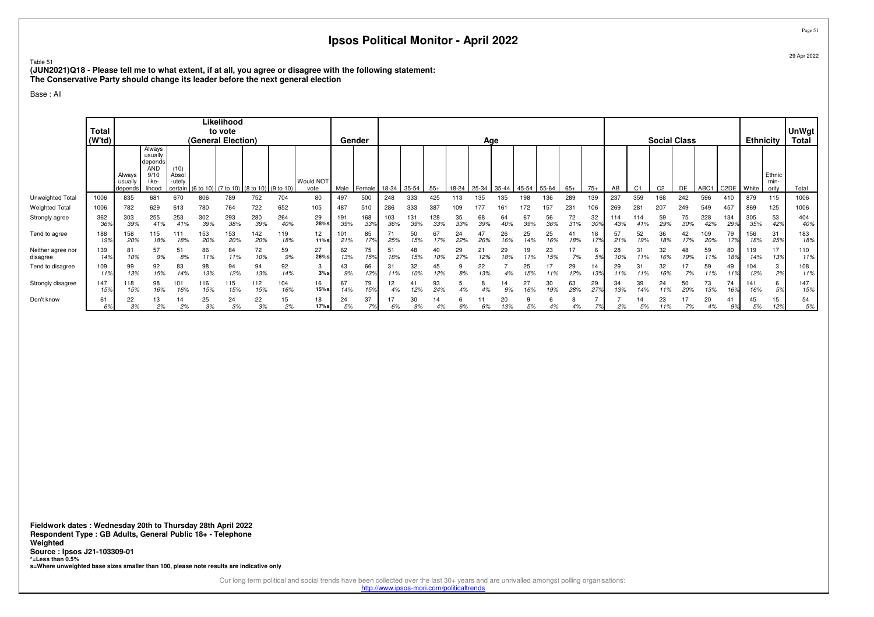Table 51

 **(JUN2021)Q18 - Please tell me to what extent, if at all, you agree or disagree with the following statement:The Conservative Party should change its leader before the next general election**

Base : All

|                               | <b>Total</b><br>(W'td) |                              |                                                                       |                                    | (General Election) | Likelihood<br>to vote |                                         |            |                   |            | Gender     |            |            |            |           | Age       |           |           |           |           |           |           |           | <b>Social Class</b> |           |            |              | <b>Ethnicity</b> |                         | <b>UnWgt</b><br>Total |
|-------------------------------|------------------------|------------------------------|-----------------------------------------------------------------------|------------------------------------|--------------------|-----------------------|-----------------------------------------|------------|-------------------|------------|------------|------------|------------|------------|-----------|-----------|-----------|-----------|-----------|-----------|-----------|-----------|-----------|---------------------|-----------|------------|--------------|------------------|-------------------------|-----------------------|
|                               |                        | Always<br>usually<br>depends | Always<br>usually<br>depends<br><b>AND</b><br>9/10<br>like-<br>lihood | (10)<br>Absol<br>-utely<br>certain |                    |                       | (6 to 10) (7 to 10) (8 to 10) (9 to 10) |            | Would NOT<br>vote | Male       | Female     | 18-34      | 35-54      | $55+$      | 18-24     | 25-34     | 35-44     | 45-54     | 55-64     | $65+$     | $75+$     | AB        |           | C <sub>2</sub>      | DE        | ABC1       | C2DE   White |                  | Ethnic<br>min-<br>oritv | Total                 |
| Unweighted Total              | 1006                   | 835                          | 681                                                                   | 670                                | 806                | 789                   | 752                                     | 704        | 80                | 497        | 500        | 248        | 333        | 425        | 113       | 135       | 135       | 98        | 36        | 289       | 139       | 237       | 359       | 168                 | 242       | 596        | 410          | 879              | 115                     | 1006                  |
| Weighted Total                | 1006                   | 782                          | 629                                                                   | 613                                | 780                | 764                   | 722                                     | 652        | 105               | 487        | 510        | 286        | 333        | 387        |           |           |           |           | 157       | 231       | 106       | 269       | 281       | 207                 | 249       | 549        | 457          | 869              | 125                     | 1006                  |
| Strongly agree                | 362<br>36 <sup>°</sup> | 303<br>39%                   | 255<br>41%                                                            | 253<br>41%                         | 302<br>39%         | 293<br>38%            | 280<br>39%                              | 264<br>40% | 29<br>28%s        | 191<br>39% | 168<br>33% | 103<br>36% | 131<br>39% | 128<br>33% | 35<br>33% | 68<br>39% | 64        | 67<br>39% | 56<br>36% | 72<br>31% | 32<br>30% | 43%       | 114       | 59<br>29%           | 75<br>30% | 228<br>42% | 134<br>299   | 305<br>35%       | 53<br>42%               | 404<br>40%            |
| Tend to agree                 | 188<br>199             | 158<br>20%                   | 15<br>18%                                                             | : 1<br>18%                         | 153<br>20%         | 153<br>20%            | 142<br>20%                              | 119<br>18% | 12<br>11%s        | 101<br>21% | 85<br>17%  | 25%        | 50<br>15%  | 67<br>17%  | 24<br>22% | 26%       | 26<br>16% | 25<br>14% | 25<br>16% | 41<br>18% | 17%       | 57<br>21% | 52<br>19% | 36<br>18%           | 42<br>17% | 109<br>20% | 79<br>17%    | 156<br>18%       | 31<br>25%               | 183<br>18%            |
| Neither agree nor<br>disagree | 139<br>14%             | 81<br>10%                    | 57<br>9%                                                              | 51<br>8%                           | 86<br>11%          | 84<br>11%             | 72<br>10%                               | 59<br>$9%$ | 27<br>26%s        | 62<br>13%  | 75<br>15%  | 51<br>18%  | 48<br>15%  | 10%        | 29<br>27% | 21<br>12% | 29<br>18% | 19<br>11% | 23<br>15% | 7%        | 5%        | 10%       | 31<br>1%  | 32<br>16%           | 48<br>19% | 59<br>11%  | 80<br>18%    | 119<br>14%       | 17<br>13%               | 110<br>11%            |
| Tend to disagree              | 109                    | 99<br>13%                    | 92<br>15%                                                             | 83<br>14%                          | 98<br>13%          | 94<br>12%             | 94<br>13%                               | 92<br>14%  | 3<br>3%s          | 9%         | 66<br>13%  | 31<br>11%  | 32<br>10%  | 45<br>12%  | 8%        | 22<br>13% |           | 25<br>15% | 17<br>11% | 29<br>12% | 13%       | 29        | 1%        | 32<br>16%           | 7%        | 59<br>11%  | 49<br>11%    | 104<br>12%       | 3<br>2%                 | 108<br>11%            |
| Strongly disagree             | 147<br>15%             | 118<br>15%                   | 98<br>16%                                                             | 101<br>16%                         | 116<br>15%         | 115<br>15%            | 112<br>15%                              | 104<br>16% | 16<br>$15%$ s     | 67<br>14%  | 79<br>15%  | 12<br>4%   | 12%        | 93<br>24%  |           |           | 14<br>9%  | 27<br>16% | 30<br>19% | 63<br>28% | 29<br>27% | 13%       | 39<br>4%  | 24<br>11%           | 50<br>20% | 73<br>13%  | 74<br>16%    | 141<br>16%       | 6<br>5%                 | 147<br>15%            |
| Don't know                    | 61<br>6%               | 22<br>3%                     | 13<br>2%                                                              | 14<br>2%                           | 25<br>3%           | 24<br>3%              | 22<br>3%                                | 15<br>2%   | 18<br>17%s        | 5%         | 37<br>7%   | 6%         | 30<br>9%   | 14<br>4%   | 6%        | 6%        | 20<br>13% | 5%        |           | 4%        |           | 2%        | 5%        | 23<br>11%           | 7%        | 20<br>4%   | 41<br>9%     | 45<br>5%         | 15<br>12%               | 54<br>5%              |

**Fieldwork dates : Wednesday 20th to Thursday 28th April 2022 Respondent Type : GB Adults, General Public 18+ - TelephoneWeighted Source : Ipsos J21-103309-01 \*=Less than 0.5%s=Where unweighted base sizes smaller than 100, please note results are indicative only**

Our long term political and social trends have been collected over the last 30+ years and are unrivalled amongst polling organisations:

http://www.ipsos-mori.com/politicaltrends

Page 51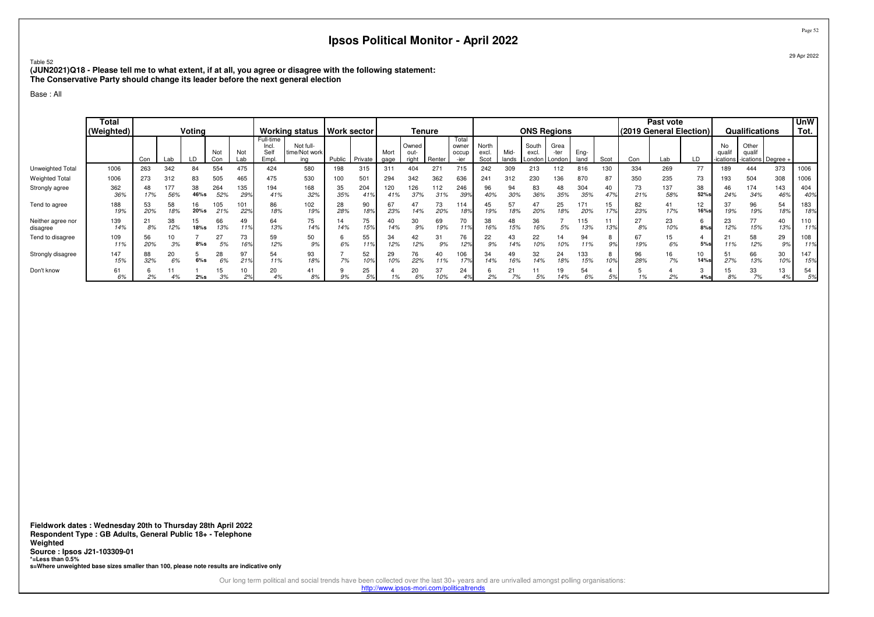Table 52

 **(JUN2021)Q18 - Please tell me to what extent, if at all, you agree or disagree with the following statement:The Conservative Party should change its leader before the next general election**

Base : All

|                               | <b>Total</b><br>(Weighted) |           |                  | Voting     |            |            |                                     | <b>Working status</b>             | Work sector |            |              | Tenure                 |            |                                 |                        |              | <b>ONS Regions</b> |                                 |              |           | (2019 General Election) | Past vote  |            |                          | Qualifications  |                    | UmW<br>Tot. |
|-------------------------------|----------------------------|-----------|------------------|------------|------------|------------|-------------------------------------|-----------------------------------|-------------|------------|--------------|------------------------|------------|---------------------------------|------------------------|--------------|--------------------|---------------------------------|--------------|-----------|-------------------------|------------|------------|--------------------------|-----------------|--------------------|-------------|
|                               |                            | Con       | Lab              |            | Not<br>Con | Not<br>Lab | Full-time<br>Incl.<br>Selt<br>Empl. | Not full-<br>time/Not work<br>ina | Public      | Private    | Mort<br>gage | Owned<br>out-<br>right | Renter     | Total<br>owner<br>occup<br>-ier | North<br>excl.<br>Scot | Mid<br>lands | South<br>excl      | Grea<br>-ter<br>London   London | Eng-<br>land | Scot      | Con                     | Lab        | LD         | No<br>quali<br>-ications | Other<br>qualit | -ications Degree + |             |
| Unweighted Total              | 1006                       | 263       | 342              | 84         | 554        | 475        | 424                                 | 580                               | 198         | 315        | 311          | 404                    | 271        | 715                             | 242                    | 309          | 213                | 112                             | 816          | 130       | 334                     | 269        | 77         | 189                      | 444             | 373                | 1006        |
| <b>Weighted Total</b>         | 1006                       | 273       | 312              | 83         | 505        | 465        | 475                                 | 530                               | 100         | 501        | 294          | 342                    | 362        | 636                             | 241                    | 312          | 230                | 136                             | 870          | 87        | 350                     | 235        | 73         | 193                      | 504             | 308                | 1006        |
| Strongly agree                | 362<br>36%                 | 48<br>17% | <b>77</b><br>56% | 38<br>46%s | 264<br>52% | 135<br>29% | 194<br>41%                          | 168<br>32%                        | 35<br>35%   | 204<br>41% | 120<br>41%   | 126<br>37%             | 112<br>31% | 246<br>399                      | 96<br>40%              | 94<br>30%    | 83<br>36%          | 48<br>35%                       | 304<br>35%   | 40<br>47% | 73<br>21%               | 137<br>58% | 38<br>52%  | 46<br>24%                | 174<br>34%      | 143<br>46%         | 404<br>40%  |
| Tend to agree                 | 188<br>19%                 | 53<br>20% | 58<br>18%        | 16<br>20%s | 105<br>21% | 101<br>22% | 86<br>18%                           | 102<br>19%                        | 28<br>28%   | 90<br>18%  | 67<br>23%    | 47<br>14%              | 73<br>20%  | 114<br>189                      | 45<br>19%              | 18%          | 47<br>20%          | 25<br>18%                       | 171<br>20%   | 15<br>17% | 82<br>23%               | 41<br>17%  | 12<br>16%s | 37<br>19%                | 96<br>19%       | 54<br>18%          | 183<br>18%  |
| Neither agree nor<br>disagree | 139<br>14%                 | 21<br>8%  | 38<br>12%        | 15<br>18%s | 66<br>13%  | 49<br>11%  | 64<br>13%                           | 75<br>14%                         | 14%         | 75<br>15%  | 40<br>14%    | 30<br>9%               | 69<br>19%  | 70<br>11%                       | 38<br>16%              | 48<br>15%    | 36<br>16%          | 5%                              | 15<br>13%    | 13%       | 27<br>8%                | 23<br>10%  | 8%s        | 23<br>12%                | 77<br>15%       | 40<br>13%          | 110<br>11%  |
| Tend to disagree              | 109<br>11%                 | 56<br>20% | 10<br>3%         | 8%s        | 27<br>5%   | 73         | 59<br>12%                           | 50<br>9%                          | 6%          | 55<br>11%  | 34<br>12%    | 42<br>12%              | 31<br>9%   | 76<br>12%                       | 22<br>9%               | 4%           | 22<br>10%          | 14<br>10%                       | 94           | 8<br>9%   | 67<br>19%               | 6%         | 5%s        | 21<br>11%                | 58<br>12%       | 29<br>9%           | 108<br>11%  |
| Strongly disagree             | 147<br>15%                 | 88<br>32% | 20<br>6%         | $6\%$ s    | 28<br>6%   | 97<br>219  | 54<br>11%                           | 93<br>18%                         | 7%          | 52<br>10%  | 29<br>10%    | 76<br>22%              | 40<br>11%  | 106<br>17%                      | 34<br>14%              | 16%          | 32<br>14%          | 24<br>18%                       | 33<br>15%    | 8<br>10%  | 96<br>28%               | 16<br>7%   | 10<br>14%s | 51<br>27%                | 66<br>13%       | 30<br>10%          | 147<br>15%  |
| Don't know                    | 61<br>6%                   | 2%        |                  | 2%s        | 15<br>3%   | 10         | 20<br>4%                            | 41<br>8%                          | 9%          | 25<br>5%   |              | 20<br>6%               | 37         | 24                              | 2%                     | 7%           | 5%                 | 19<br>14%                       | 54<br>6%     |           | 1%                      |            | 4%s        | 15<br>8%                 | 33<br>7%        | 13<br>4%           | 54<br>5%    |

**Fieldwork dates : Wednesday 20th to Thursday 28th April 2022 Respondent Type : GB Adults, General Public 18+ - TelephoneWeighted Source : Ipsos J21-103309-01 \*=Less than 0.5%s=Where unweighted base sizes smaller than 100, please note results are indicative only**

> Our long term political and social trends have been collected over the last 30+ years and are unrivalled amongst polling organisations: http://www.ipsos-mori.com/politicaltrends

Page 5229 Apr 2022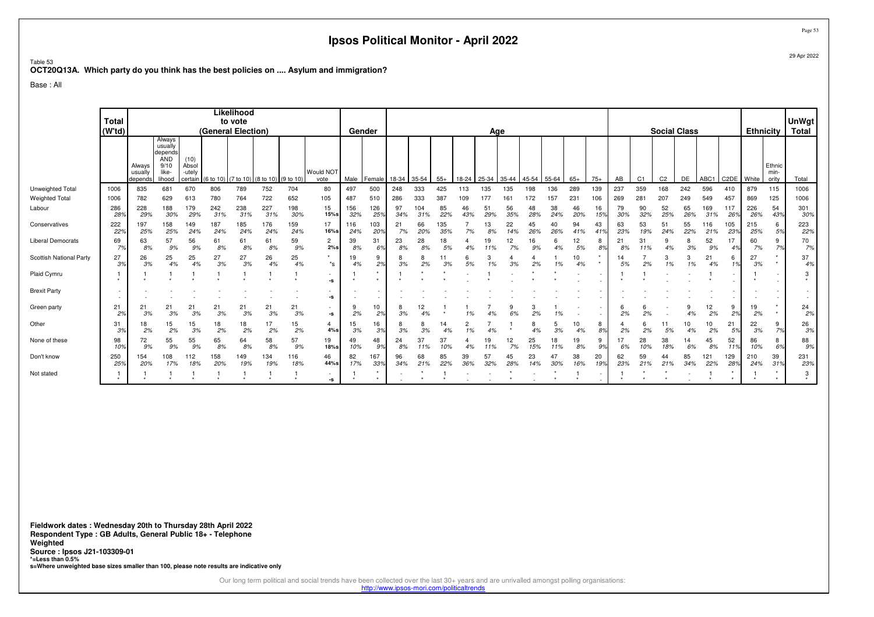Table 53 **OCT20Q13A. Which party do you think has the best policies on .... Asylum and immigration?**

Base : All

|                          | <b>Total</b> |                              |                                                             |                                    |                    | Likelihood |                               |            |                   |            |               |           |            |            |           |           |           |           |            |           |           |           |           |                     |           |            |                   |                  |                         |                       |
|--------------------------|--------------|------------------------------|-------------------------------------------------------------|------------------------------------|--------------------|------------|-------------------------------|------------|-------------------|------------|---------------|-----------|------------|------------|-----------|-----------|-----------|-----------|------------|-----------|-----------|-----------|-----------|---------------------|-----------|------------|-------------------|------------------|-------------------------|-----------------------|
|                          | (W'td)       |                              |                                                             |                                    | (General Election) | to vote    |                               |            |                   | Gender     |               |           |            |            |           |           |           |           |            |           |           |           |           | <b>Social Class</b> |           |            |                   | <b>Ethnicity</b> |                         | <b>UnWgt</b><br>Total |
|                          |              |                              | Always                                                      |                                    |                    |            |                               |            |                   |            |               |           |            |            |           | Age       |           |           |            |           |           |           |           |                     |           |            |                   |                  |                         |                       |
|                          |              | Always<br>usually<br>depends | usually<br>depends<br><b>AND</b><br>9/10<br>like-<br>lihood | (10)<br>Absol<br>-utely<br>certain | (6 to 10)          |            | (7 to 10) (8 to 10) (9 to 10) |            | Would NOT<br>vote | Male       | <b>Female</b> | 18-34     | 35-54      | $55+$      | 18-24     | 25-34     | 35-44     | 45-54     | $155 - 64$ | $65+$     | $75+$     | AB        | C1        | C <sub>2</sub>      | DE        | ABC1       | C <sub>2</sub> DE | White            | Ethnic<br>min-<br>oritv | Total                 |
| Unweighted Total         | 1006         | 835                          | 681                                                         | 670                                | 806                | 789        | 752                           | 704        | 80                | 497        | 500           | 248       | 333        | 425        | 113       | 135       | 135       | 198       | 136        | 289       | 139       | 237       | 359       | 168                 | 242       | 596        | 410               | 879              | 115                     | 1006                  |
| <b>Weighted Total</b>    | 1006         | 782                          | 629                                                         | 613                                | 780                | 764        | 722                           | 652        | 105               | 487        | 510           | 286       | 333        | 387        | 109       | 177       | 161       | 172       | 157        | 231       | 106       | 269       | 281       | 207                 | 249       | 549        | 457               | 869              | 125                     | 1006                  |
| Labour                   | 286<br>28%   | 228<br>29%                   | 188<br>30%                                                  | 179<br>29%                         | 242<br>31%         | 238<br>31% | 227<br>31%                    | 198<br>30% | 15<br>15%s        | 156<br>32% | 126<br>25%    | 97<br>34% | 104<br>31% | 85<br>22%  | 46<br>43% | 51<br>29% | 56<br>35% | 48<br>28% | 38<br>24%  | 46<br>20% | 16<br>15% | 79<br>30% | 90<br>32% | 52<br>25%           | 65<br>26% | 169<br>31% | 117<br>26%        | 226<br>26%       | 54<br>43%               | 301<br>30%            |
| Conservatives            | 222<br>22%   | 197<br>25%                   | 158<br>25%                                                  | 149<br>24%                         | 187<br>24%         | 185<br>24% | 176<br>24%                    | 159<br>24% | 17<br>16%s        | 116<br>24% | 103<br>20%    | 21<br>7%  | 66<br>20%  | 135<br>35% | 7%        | 13<br>8%  | 22<br>14% | 45<br>26% | 40<br>26%  | 94<br>41% | 43<br>41% | 63<br>23% | 53<br>19% | 51<br>24%           | 55<br>22% | 116<br>21% | 105<br>23%        | 215<br>25%       | 6<br>5%                 | 223<br>22%            |
| <b>Liberal Democrats</b> | 69<br>7%     | 63<br>8%                     | 57<br>9%                                                    | 56<br>9%                           | 61<br>8%           | 61<br>8%   | 61<br>8%                      | 59<br>9%   | 2<br>2%s          | 39<br>8%   | 31<br>6%      | 23<br>8%  | 28<br>8%   | 18<br>5%   |           | 19<br>11% | 12<br>7%  | 16<br>9%  | 6<br>4%    | 12<br>5%  | 8<br>8%   | 21<br>8%  | 31<br>11% | 9<br>4%             | 3%        | 52<br>9%   | 17<br>4%          | 60<br>7%         | 9<br>7%                 | 70<br>7%              |
| Scottish National Party  | 27<br>3%     | 26<br>3%                     | 25<br>4%                                                    | 25<br>4%                           | 27<br>3%           | 27<br>3%   | 26<br>4%                      | 25<br>4%   | $\star$<br>$^*$ s | 19<br>4%   | 9<br>2%       | 8<br>3%   | 8<br>2%    | 3%         | 5%        | 3<br>1%   | 3%        | 2%        | 1%         | 10<br>4%  | $\star$   | 14<br>5%  | 2%        | 3<br>1%             | 3<br>1%   | 21<br>4%   | 1%                | 27<br>3%         | $\star$<br>$\star$      | 37<br>4%              |
| Plaid Cymru              | $\star$      |                              |                                                             |                                    |                    |            |                               |            | -S                |            |               |           |            |            |           |           |           |           |            |           |           |           |           |                     |           |            |                   |                  |                         | 3                     |
| <b>Brexit Party</b>      |              |                              |                                                             |                                    |                    |            |                               |            | -s                |            |               |           |            |            |           |           |           |           |            |           |           |           |           |                     |           |            |                   |                  |                         | $\sim$<br>$\sim$      |
| Green party              | 21<br>2%     | 21<br>3%                     | 21<br>3%                                                    | 21<br>3%                           | 21<br>3%           | 21<br>3%   | 21<br>3%                      | 21<br>3%   | -s                | 9<br>2%    | 10<br>2%      | 8<br>3%   | 12<br>4%   |            |           |           | 6%        | 2%        | 1%         |           |           | 2%        | 6<br>2%   |                     | 9<br>4%   | 12<br>2%   | 9<br>2%           | 19<br>2%         | $\star$<br>$\star$      | 24<br>2%              |
| Other                    | 31<br>3%     | 18<br>2%                     | 15<br>2%                                                    | 15<br>3%                           | 18<br>2%           | 18<br>2%   | 17<br>2%                      | 15<br>2%   | 4<br>4%s          | 15<br>3%   | 16<br>3%      | 8<br>3%   | 8<br>3%    | 14<br>4%   | 1%        | 4%        |           | 8<br>4%   | 5<br>3%    | 10<br>4%  | 8<br>8%   | 2%        | 6<br>2%   | 5%                  | 10<br>4%  | 10<br>2%   | 21<br>5%          | 22<br>3%         | 9<br>7%                 | 26<br>3%              |
| None of these            | 98<br>10%    | 72<br>9%                     | 55<br>9%                                                    | 55<br>9%                           | 65<br>8%           | 64<br>8%   | 58<br>8%                      | 57<br>9%   | 19<br>18%s        | 49<br>10%  | 48<br>9%      | 24<br>8%  | 37         | 37<br>10%  |           | 19<br>11% | 12<br>7%  | 25<br>15% | 18<br>11%  | 19<br>8%  | 9<br>9%   | 17<br>6%  | 28<br>10% | 38<br>18%           | 14<br>6%  | 45<br>8%   | 52<br>11%         | 86<br>10%        | 8<br>6%                 | 88<br>9%              |
| Don't know               | 250<br>25%   | 154<br>20%                   | 108<br>17%                                                  | 112<br>18%                         | 158<br>20%         | 149<br>19% | 134<br>19%                    | 116<br>18% | 46<br>44%s        | 82<br>17%  | 167<br>33%    | 96<br>34% | 68<br>21%  | 85<br>22%  | 39<br>36% | 57<br>32% | 45<br>28% | 23<br>14% | 47<br>30%  | 38<br>16% | 20<br>19% | 62<br>23% | 59<br>21% | 44<br>21%           | 85<br>34% | 121<br>22% | 129<br>28%        | 210<br>24%       | 39<br>.31%              | 231<br>23%            |
| Not stated               |              |                              |                                                             |                                    |                    |            |                               |            | $\sim$<br>-s      |            |               |           |            |            |           |           |           |           |            |           | $\sim$    |           |           |                     |           |            |                   |                  | $\star$<br>$\star$      | 3                     |

**Fieldwork dates : Wednesday 20th to Thursday 28th April 2022 Respondent Type : GB Adults, General Public 18+ - TelephoneWeighted Source : Ipsos J21-103309-01 \*=Less than 0.5%s=Where unweighted base sizes smaller than 100, please note results are indicative only**

Our long term political and social trends have been collected over the last 30+ years and are unrivalled amongst polling organisations:<br>http://www.ipsos-mori.com/politicaltrends

Page 53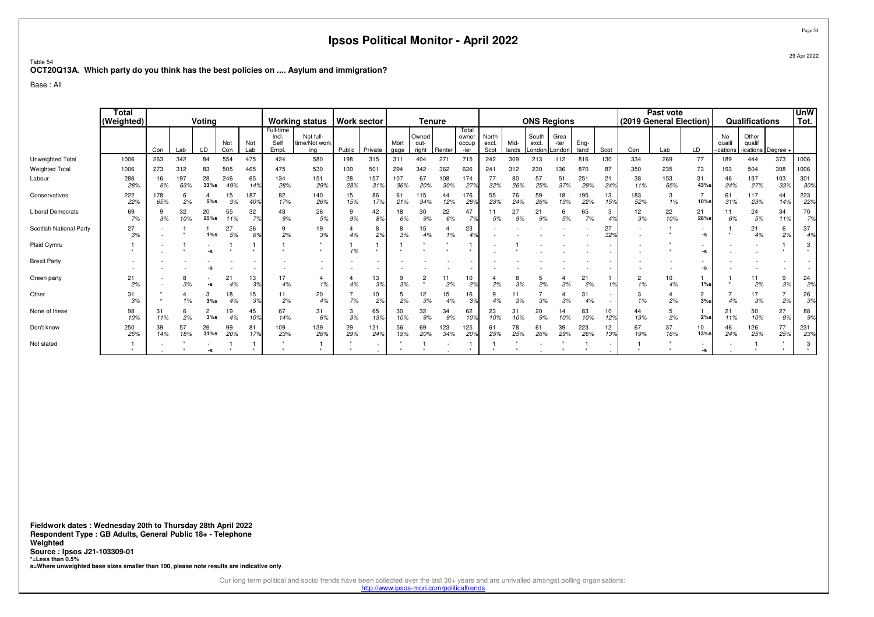#### Table 54**OCT20Q13A. Which party do you think has the best policies on .... Asylum and immigration?**

Base : All

|                          | Total<br>(Weighted) | Voting<br>Not<br>Not<br>Con<br>LD<br>Con<br>Lab |            |                       |            |                       |                                    | <b>Working status</b>             | <b>Work sector</b> |            |              |                                 | <b>Tenure</b> |                                 |                        |               | <b>ONS Regions</b>       |                        |              |           |            | Past vote<br>(2019 General Election) |                                           |                           | Qualifications                        |            | <b>UnW</b><br>Tot.       |
|--------------------------|---------------------|-------------------------------------------------|------------|-----------------------|------------|-----------------------|------------------------------------|-----------------------------------|--------------------|------------|--------------|---------------------------------|---------------|---------------------------------|------------------------|---------------|--------------------------|------------------------|--------------|-----------|------------|--------------------------------------|-------------------------------------------|---------------------------|---------------------------------------|------------|--------------------------|
|                          |                     |                                                 |            |                       |            | Lab                   | Full-time<br>Incl<br>Self<br>Empl. | Not full-<br>time/Not work<br>ina | Public             | Private    | Mort<br>gage | Owned<br>out-<br>right          | Renter        | Total<br>owner<br>occup<br>-ier | North<br>excl.<br>Scot | Mid-<br>lands | South<br>excl.<br>_ondon | Grea<br>-ter<br>_ondon | Eng-<br>land | Scot      | Con        | Lab                                  | LD.                                       | No<br>qualif<br>-ications | Other<br>qualif<br>-ications Degree - |            |                          |
| Unweighted Total         | 1006                | 263                                             | 342        | 84                    | 554        | 475                   | 424                                | 580                               | 198                | 315        | 311          | 404                             | 271           | 715                             | 242                    | 309           | 213                      | 112                    | 816          | 130       | 334        | 269                                  | 77                                        | 189                       | 444                                   | 373        | 1006                     |
| <b>Weighted Total</b>    | 1006                | 273                                             | 312        | 83                    | 505        | 465                   | 475                                | 530                               | 100                | 501        | 294          | 342                             | 362           | 636                             | 241                    | 312           | 230                      | 136                    | 870          | 87        | 350        | 235                                  | 73                                        | 193                       | 504                                   | 308        | 1006                     |
| Labour                   | 286<br>28%          | 16<br>6%                                        | 197<br>63% | 28<br>33%s            | 246<br>49% | 65<br>14 <sup>°</sup> | 134<br>28%                         | 151<br>29%                        | 28<br>28%          | 157<br>31% | 107<br>36%   | 67<br>20%                       | 108<br>30%    | 174<br>27 <sup>o</sup>          | 77<br>32%              | 80<br>26%     | 57<br>25%                | 51<br>37%              | 251<br>29%   | 21<br>24% | 38<br>11%  | 153<br>65%                           | 31<br>43%s                                | 46<br>24%                 | 137<br>27%                            | 103<br>33% | 301<br>30%               |
| Conservatives            | 222<br>22%          | 178<br>65%                                      | 6<br>2%    | 4<br>$5\%s$           | 15<br>3%   | 187<br>40%            | 82<br>17%                          | 140<br>26%                        | 15<br>15%          | 86<br>17%  | 61<br>21%    | 115<br>34%                      | 44<br>12%     | 176<br>28%                      | 55<br>23%              | 76<br>24%     | 59<br>26%                | 18<br>13%              | 195<br>22%   | 13<br>15% | 183<br>52% | 3<br>1%                              | $10%$ s                                   | 61<br>31%                 | 117<br>23%                            | 44<br>14%  | 223<br>22%               |
| <b>Liberal Democrats</b> | 69<br>7%            | 3%                                              | 32<br>10%  | 20<br>25%s            | 55<br>11%  | 32<br>7%              | 43<br>9%                           | 26<br>5%                          | 9%                 | 42<br>8%   | 18<br>6%     | 30<br>9%                        | 22<br>6%      | 47<br>7%                        | 11<br>5%               | 27<br>9%      | 21<br>9%                 | 6<br>5%                | 65<br>7%     | 3<br>4%   | 12<br>3%   | 22<br>10%                            | 21<br>28%s                                | 11<br>6%                  | 24<br>5%                              | 34<br>11%  | 70<br>7%                 |
| Scottish National Party  | 27<br>3%            |                                                 | $\star$    | $1\%s$                | 27<br>$5%$ | 26<br>6%              | 9<br>2%                            | 19<br>3%                          | 4%                 | 8<br>2%    | 8<br>3%      | 15<br>4%                        | 1%            | 23                              |                        |               |                          |                        |              | 27<br>32% |            |                                      | $\overline{\phantom{0}}$<br>$\textbf{-S}$ | $\ddot{}$                 | 21<br>4%                              | 6<br>2%    | 37<br>4%                 |
| Plaid Cymru              |                     |                                                 |            |                       |            | $\ddot{}$             |                                    |                                   | 1%                 |            |              |                                 |               | $\ddot{}$                       |                        |               |                          |                        |              |           |            |                                      | $\overline{\phantom{a}}$<br>-s            |                           |                                       |            | 3<br>$\star$             |
| <b>Brexit Party</b>      |                     |                                                 |            |                       |            |                       |                                    |                                   |                    |            |              |                                 |               |                                 |                        |               |                          |                        |              |           |            |                                      | -5                                        |                           |                                       |            | $\sim$<br>$\overline{a}$ |
| Green party              | 21<br>2%            |                                                 | 8<br>3%    |                       | 21<br>4%   | 13<br>3%              | 17<br>4%                           | 1%                                | 4%                 | 13<br>3%   | 3%           | $\overline{2}$<br>$\rightarrow$ | 11<br>3%      | 10<br>2 <sup>o</sup>            | 2%                     | 8<br>3%       | 2%                       | 3%                     | 21<br>2%     | 1%        | 2<br>1%    | 10<br>4%                             | $1\%$ s                                   |                           | 11<br>2%                              | 9<br>3%    | 24<br>2%                 |
| Other                    | 31<br>3%            |                                                 | 1%         | 3<br>3%s              | 18<br>4%   | 15<br>3%              | 11<br>2%                           | 20<br>4%                          | 7%                 | 10<br>2%   | 2%           | 12<br>3%                        | 15<br>4%      | 16<br>3%                        | 4%                     | 3%            | 3%                       | 3%                     | 31<br>4%     |           | 3<br>1%    | 2%                                   | 2<br>3%s                                  | 4%                        | 17<br>3%                              | 2%         | 26<br>3%                 |
| None of these            | 98<br>10%           | 31<br>11%                                       | 6<br>2%    | $\overline{2}$<br>3%s | 19<br>4%   | 45<br>10°             | 67<br>14%                          | 31<br>6%                          | 3%                 | 65<br>13%  | 30<br>10%    | 32<br>9%                        | 34<br>9%      | 62<br>10%                       | 23<br>10%              | 31<br>10%     | 20<br>9%                 | 14<br>10%              | 83<br>10%    | 10<br>12% | 44<br>13%  | 5<br>2%                              | 2%s                                       | 21<br>11%                 | 50<br>10%                             | 27<br>9%   | 88<br>9%                 |
| Don't know               | 250<br>25%          | 39<br>14%                                       | 57<br>18%  | 26<br>31%s            | 99<br>20%  | 81<br>17%             | 109<br>23%                         | 139<br>26%                        | 29<br>29%          | 121<br>24% | 56<br>19%    | 69<br>20%                       | 123<br>34%    | 125<br>20%                      | 61<br>25%              | 78<br>25%     | 61<br>26%                | 39<br>29%              | 223<br>26%   | 12<br>13% | 67<br>19%  | 37<br>16%                            | 10<br>13%s                                | 46<br>24%                 | 126<br>25%                            | 77<br>25%  | 231<br>23%               |
| Not stated               | $\star$             |                                                 |            |                       |            |                       |                                    |                                   |                    |            |              |                                 |               |                                 |                        |               |                          |                        |              |           |            |                                      | $\sim$<br>$\textbf{-S}$                   |                           |                                       |            | 3<br>$\star$             |

**Fieldwork dates : Wednesday 20th to Thursday 28th April 2022 Respondent Type : GB Adults, General Public 18+ - TelephoneWeighted Source : Ipsos J21-103309-01 \*=Less than 0.5%s=Where unweighted base sizes smaller than 100, please note results are indicative only**

Our long term political and social trends have been collected over the last 30+ years and are unrivalled amongst polling organisations:<br>http://www.ipsos-mori.com/politicaltrends

Page 5429 Apr 2022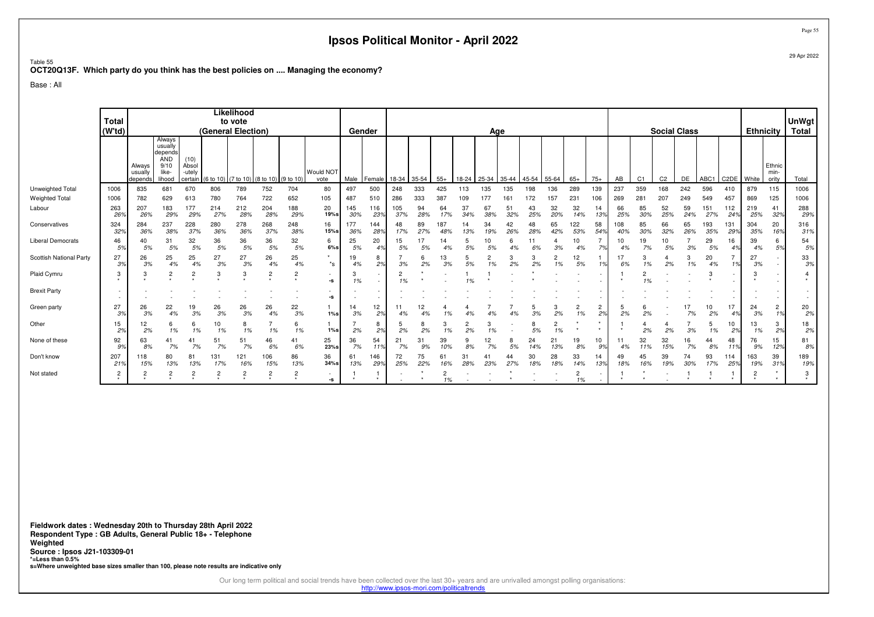Table 55 **OCT20Q13F. Which party do you think has the best policies on .... Managing the economy?**

Base : All

|                         |                        |                              |                                                                       |                                    |                    | Likelihood     |                               |                             |                   |            |            |            |           |            |           |                      |           |           |           |                      |                      |            |                |                     |           |            |                   |                  |                         |                                    |
|-------------------------|------------------------|------------------------------|-----------------------------------------------------------------------|------------------------------------|--------------------|----------------|-------------------------------|-----------------------------|-------------------|------------|------------|------------|-----------|------------|-----------|----------------------|-----------|-----------|-----------|----------------------|----------------------|------------|----------------|---------------------|-----------|------------|-------------------|------------------|-------------------------|------------------------------------|
|                         | <b>Total</b><br>(W'td) |                              |                                                                       |                                    | (General Election) | to vote        |                               |                             |                   | Gender     |            |            |           |            |           | Age                  |           |           |           |                      |                      |            |                | <b>Social Class</b> |           |            |                   | <b>Ethnicity</b> |                         | <b>UnWgt</b><br><b>Total</b>       |
|                         |                        | Always<br>usually<br>depends | Always<br>usually<br>depends<br><b>AND</b><br>9/10<br>like-<br>lihood | (10)<br>Absol<br>-utely<br>certain | (6 to 10)          |                | (7 to 10) (8 to 10) (9 to 10) |                             | Would NOT<br>vote | Male       | Female     | 18-34      | 35-54     | $55+$      | 18-24     | 25-34                | 35-44     | 45-54     | 55-64     | $65+$                | $75+$                | AB         | C <sub>1</sub> | C <sub>2</sub>      | DE        | ABC1       | C <sub>2</sub> DE | White            | Ethnic<br>min-<br>ority | Total                              |
| Unweighted Total        | 1006                   | 835                          | 681                                                                   | 670                                | 806                | 789            | 752                           | 704                         | 80                | 497        | 500        | 248        | 333       | 425        | 113       | 135                  | 135       | 198       | 136       | 289                  | 139                  | 237        | 359            | 168                 | 242       | 596        | 410               | 879              | 115                     | 1006                               |
| <b>Weighted Total</b>   | 1006                   | 782                          | 629                                                                   | 613                                | 780                | 764            | 722                           | 652                         | 105               | 487        | 510        | 286        | 333       | 387        | 109       | 177                  | 161       | 172       | 157       | 231                  | 106                  | 269        | 281            | 207                 | 249       | 549        | 457               | 869              | 125                     | 1006                               |
| Labour                  | 263<br>26%             | 207<br>26%                   | 183<br>29%                                                            | 177<br>29%                         | 214<br>27%         | 212<br>28%     | 204<br>28%                    | 188<br>29%                  | 20<br>19%s        | 145<br>30% | 116<br>23% | 105<br>37% | 94<br>28% | 64<br>17%  | 37<br>34% | 67<br>38%            | 51<br>32% | 43<br>25% | 32<br>20% | 32<br>14%            | 14<br>13%            | 66<br>25%  | 85<br>30%      | 52<br>25%           | 59<br>24% | 151<br>27% | 112<br>24%        | 219<br>25%       | 41<br>32%               | 288<br>29%                         |
| Conservatives           | 324<br>32%             | 284<br>36%                   | 237<br>38%                                                            | 228<br>37%                         | 280<br>36%         | 278<br>36%     | 268<br>37%                    | 248<br>38%                  | 16<br>15%s        | 177<br>36% | 144<br>28% | 48<br>17%  | 89<br>27% | 187<br>48% | 14<br>13% | 34<br>19%            | 42<br>26% | 48<br>28% | 65<br>42% | 122<br>53%           | 58<br>54%            | 108<br>40% | 85<br>30%      | 66<br>32%           | 65<br>26% | 193<br>35% | 131<br>29%        | 304<br>35%       | 20<br>16%               | 316<br>31%                         |
| Liberal Democrats       | 46<br>5%               | 40<br>5%                     | 31<br>5%                                                              | 32<br>5%                           | 36<br>5%           | 36<br>5%       | 36<br>5%                      | 32<br>5%                    | 6<br>$6\%s$       | 25<br>5%   | 20<br>4%   | 15<br>5%   | 17<br>5%  | 14<br>4%   | 5<br>5%   | 10<br>5%             | 4%        | 6%        | 3%        | 10<br>4%             | 7%                   | 10<br>4%   | 19<br>7%       | 10<br>5%            | 3%        | 29<br>5%   | 16<br>4%          | 39<br>4%         | 6<br>5%                 | 54<br>5%                           |
| Scottish National Party | 27<br>3%               | 26<br>3%                     | 25<br>4%                                                              | 25<br>4%                           | 27<br>3%           | 27<br>3%       | 26<br>4%                      | 25<br>4%                    | $^*$ s            | 19<br>4%   | 8<br>2%    | 3%         | 6<br>2%   | 13<br>3%   | 5<br>5%   | $\overline{2}$<br>1% | 3<br>2%   | 3<br>2%   | 2<br>1%   | 12<br>5%             |                      | 17<br>6%   | 1%             | 2%                  | 3<br>1%   | 20<br>4%   | 1%                | 27<br>3%         |                         | 33<br>3%                           |
| Plaid Cymru             | 3                      |                              | 2                                                                     | 2                                  | 3                  | 3              | $\overline{c}$                | 2                           | $\sim$<br>-s      | 3<br>1%    |            | 1%         |           |            | 1%        |                      |           |           |           |                      |                      | $\star$    | 1%             |                     |           | -3         |                   |                  |                         | 4                                  |
| <b>Brexit Party</b>     |                        |                              |                                                                       |                                    |                    |                |                               |                             | $\sim$<br>-S      |            |            |            |           |            |           |                      |           |           |           |                      |                      |            |                |                     |           |            |                   |                  |                         | $\overline{\phantom{a}}$<br>$\sim$ |
| Green party             | 27<br>3%               | 26<br>3%                     | 22<br>4%                                                              | 19<br>3%                           | 26<br>3%           | 26<br>3%       | 26<br>4%                      | 22<br>3%                    | $1\%s$            | 14<br>3%   | 12<br>2%   | 4%         | 12<br>4%  | 1%         | 4%        | 4%                   | 4%        | 3%        | 3<br>2%   | $\overline{c}$<br>1% | $\overline{c}$<br>2% | 5<br>2%    | 2%             |                     | 17<br>7%  | 10<br>2%   | 17<br>4%          | 24<br>3%         | $\overline{2}$<br>1%    | 20<br>2%                           |
| Other                   | 15<br>2%               | 12<br>2%                     | 6<br>1%                                                               | 6<br>1%                            | 10<br>1%           | 8<br>1%        | 1%                            | 6<br>1%                     | $1\%s$            | 2%         | 8<br>2%    | 5<br>2%    | 2%        | 1%         | 2<br>2%   | 3<br>1%              |           | 8<br>5%   | 2<br>1%   |                      |                      |            | 2%             | 2%                  | 3%        | 5<br>1%    | 10<br>2%          | 13<br>1%         | 3<br>2%                 | 18<br>2%                           |
| None of these           | 92<br>9%               | 63<br>8%                     | 41<br>7%                                                              | 41<br>7%                           | 51<br>7%           | 51<br>7%       | 46<br>6%                      | 41<br>6%                    | 25<br>23%s        | 36<br>7%   | 54<br>11%  | 21<br>7%   | 31<br>9%  | 39<br>10%  | 8%        | 12<br>7%             | 8<br>5%   | 24<br>14% | 21<br>13% | 19<br>8%             | 10<br>.9%            | 11<br>4%   | 32<br>11%      | 32<br>15%           | 16<br>7%  | 44<br>8%   | 48<br>11%         | 76<br>9%         | 15<br>12%               | 81<br>8%                           |
| Don't know              | 207<br>21%             | 118<br>15%                   | 80<br>13%                                                             | 81<br>13%                          | 131<br>17%         | 121<br>16%     | 106<br>15%                    | 86<br>13%                   | 36<br>$34%$ s     | 61<br>13%  | 146<br>29% | 72<br>25%  | 75<br>22% | 61<br>16%  | 31<br>28% | 4<br>23%             | 44<br>27% | 30<br>18% | 28<br>18% | 33<br>14%            | 14<br>13%            | 49<br>18%  | 45<br>16%      | 39<br>19%           | 74<br>30% | 93<br>17%  | 114<br>25%        | 163<br>19%       | 39<br>31%               | 189<br>19%                         |
| Not stated              | 2                      |                              | 2                                                                     | 2                                  | ے                  | $\overline{c}$ | $\overline{c}$                | $\overline{2}$<br>$\bullet$ | $\sim$<br>-s      |            | $\star$    |            |           | 1%         |           |                      |           |           |           | 2<br>1%              |                      |            |                |                     |           |            |                   |                  | $\star$                 | 3<br>$\star$                       |

**Fieldwork dates : Wednesday 20th to Thursday 28th April 2022 Respondent Type : GB Adults, General Public 18+ - TelephoneWeighted Source : Ipsos J21-103309-01 \*=Less than 0.5%s=Where unweighted base sizes smaller than 100, please note results are indicative only**

Our long term political and social trends have been collected over the last 30+ years and are unrivalled amongst polling organisations:<br>http://www.ipsos-mori.com/politicaltrends

Page 55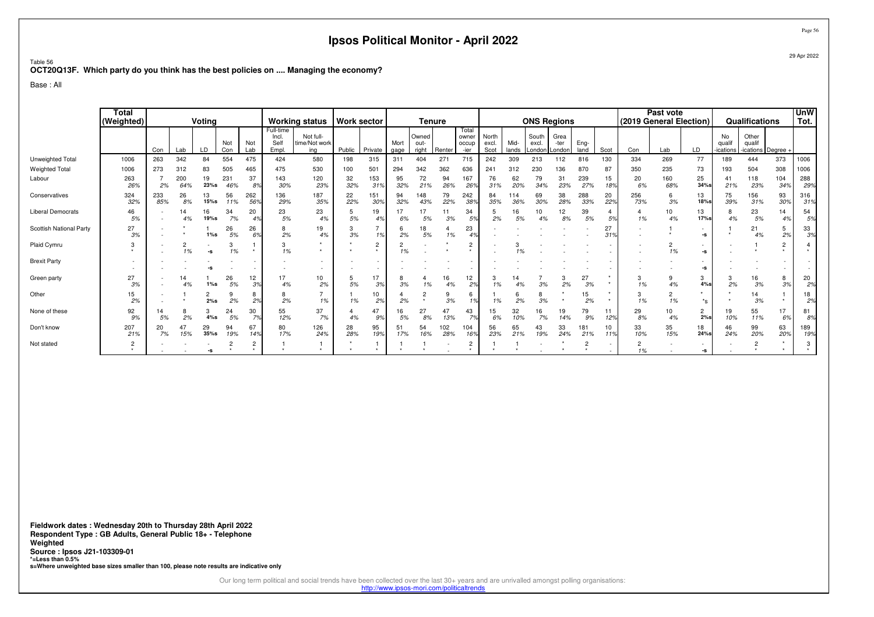#### Table 56**OCT20Q13F. Which party do you think has the best policies on .... Managing the economy?**

Base : All

|                          | Total<br>(Weighted) | Voting<br>Not<br>Not<br>Con<br>LD<br>Con<br>Lab<br>84 |            |                                                        |            |              |                                    | <b>Working status</b>             | <b>Work sector</b> |                |              | <b>Tenure</b>          |            |                                 |                        |               | <b>ONS Regions</b>       |                        |              |           |            | Past vote<br>(2019 General Election) |                                           |                          | Qualifications                        |                             | <b>UnW</b><br>Tot.               |
|--------------------------|---------------------|-------------------------------------------------------|------------|--------------------------------------------------------|------------|--------------|------------------------------------|-----------------------------------|--------------------|----------------|--------------|------------------------|------------|---------------------------------|------------------------|---------------|--------------------------|------------------------|--------------|-----------|------------|--------------------------------------|-------------------------------------------|--------------------------|---------------------------------------|-----------------------------|----------------------------------|
|                          |                     |                                                       |            |                                                        |            | Lab          | Full-time<br>Incl<br>Self<br>Empl. | Not full-<br>time/Not work<br>ina | Public             | Private        | Mort<br>gage | Owned<br>out-<br>right | Renter     | Total<br>owner<br>occup<br>-ier | North<br>excl.<br>Scot | Mid-<br>lands | South<br>excl.<br>_ondon | Grea<br>-ter<br>_ondon | Eng-<br>land | Scot      | Con        | Lab                                  | LD                                        | No<br>qualif<br>ications | Other<br>qualif<br>-ications Degree - |                             |                                  |
| Unweighted Total         | 1006                | 263                                                   | 342        |                                                        | 554        | 475          | 424                                | 580                               | 198                | 315            | 311          | 404                    | 271        | 715                             | 242                    | 309           | 213                      | 112                    | 816          | 130       | 334        | 269                                  | 77                                        | 189                      | 444                                   | 373                         | 1006                             |
| <b>Weighted Total</b>    | 1006                | 273                                                   | 312        | 83                                                     | 505        | 465          | 475                                | 530                               | 100                | 501            | 294          | 342                    | 362        | 636                             | 241                    | 312           | 230                      | 136                    | 870          | 87        | 350        | 235                                  | 73                                        | 193                      | 504                                   | 308                         | 1006                             |
| Labour                   | 263<br>26%          | 2%                                                    | 200<br>64% | 19<br>23%s                                             | 231<br>46% | 37<br>8%     | 143<br>30%                         | 120<br>23%                        | 32<br>32%          | 153<br>319     | 95<br>32%    | 72<br>21%              | 94<br>26%  | 167<br>26 <sup>°</sup>          | 76<br>31%              | 62<br>20%     | 79<br>34%                | 31<br>23%              | 239<br>27%   | 15<br>18% | 20<br>6%   | 160<br>68%                           | 25<br>$34\%$ s                            | 41<br>21%                | 118<br>23%                            | 104<br>34%                  | 288<br>29%                       |
| Conservatives            | 324<br>32%          | 233<br>85%                                            | 26<br>8%   | 13<br>15%s                                             | 56<br>11%  | 262<br>56%   | 136<br>29%                         | 187<br>35%                        | 22<br>22%          | 151<br>30%     | 94<br>32%    | 148<br>43%             | 79<br>22%  | 242<br>38%                      | 84<br>35%              | 114<br>36%    | 69<br>30%                | 38<br>28%              | 288<br>33%   | 20<br>22% | 256<br>73% | 6<br>3%                              | 13<br>18%s                                | 75<br>39%                | 156<br>31%                            | 93<br>30%                   | 316<br>31%                       |
| <b>Liberal Democrats</b> | 46<br>5%            |                                                       | 14<br>4%   | 16<br>19%s                                             | 34<br>7%   | 20           | 23<br>5%                           | 23<br>4%                          | 5%                 | 19<br>4%       | 17<br>6%     | 17<br>5%               | 11<br>3%   | 34<br>59                        | 5<br>2%                | 16<br>5%      | 10<br>4%                 | 12<br>8%               | 39<br>5%     | 5%        | 4<br>1%    | 10<br>4%                             | 13<br>17%s                                | 8<br>4%                  | 23<br>5%                              | 14<br>4%                    | 54<br>5%                         |
| Scottish National Party  | 27<br>3%            |                                                       |            | $1\%s$                                                 | 26<br>5%   | 26<br>6%     | 8<br>2%                            | 19<br>4%                          | 3<br>3%            | 1%             | 6<br>2%      | 18<br>5%               | 1%         | 23                              |                        |               |                          |                        |              | 27<br>31% |            |                                      | $\overline{\phantom{a}}$<br>-s            |                          | 21<br>4%                              | 5<br>2%                     | 33<br>3%                         |
| Plaid Cymru              | 3                   |                                                       | 2<br>1%    | $\overline{\phantom{a}}$<br>$\textnormal{\texttt{-S}}$ | 1%         | $\star$      | 3<br>1%                            |                                   |                    | $\overline{2}$ | 2<br>1%      |                        |            | $\overline{2}$<br>$\star$       |                        |               |                          |                        |              |           |            | $\overline{2}$<br>1%                 | $\sim$<br>$\textbf{-S}$                   |                          |                                       | $\overline{c}$<br>$\bullet$ | 4<br>$\star$                     |
| <b>Brexit Party</b>      |                     |                                                       |            |                                                        |            |              |                                    |                                   |                    |                |              |                        |            |                                 |                        |               |                          |                        |              |           |            |                                      | -S                                        |                          |                                       |                             | $\overline{a}$<br>$\overline{a}$ |
| Green party              | 27<br>3%            |                                                       | 14<br>4%   | $1\%s$                                                 | 26<br>5%   | 12<br>3%     | 17<br>4%                           | 10<br>2%                          | 5<br>5%            | 17<br>3%       | 8<br>3%      | 4<br>1%                | 16<br>4%   | 12<br>2%                        | 3<br>1%                | 4%            | 3%                       | 2%                     | 27<br>3%     | $\star$   | 3<br>1%    | 9<br>4%                              | 3<br>4%s                                  | 3<br>2%                  | 16<br>3%                              | 8<br>3%                     | 20<br>2%                         |
| Other                    | 15<br>2%            |                                                       |            | 2<br>2%s                                               | 2%         | 8<br>2%      | 8<br>2%                            | 1%                                | 1%                 | 10<br>2%       | 2%           | 2                      | 3%         | 6<br>1%                         | 1%                     | 6<br>2%       | 8<br>3%                  |                        | 15<br>2%     |           | 3<br>1%    | $\overline{2}$<br>1%                 | $*_{\mathbf{S}}$                          |                          | 14<br>3%                              |                             | 18<br>2%                         |
| None of these            | 92<br>9%            | 14<br>5%                                              | 8<br>2%    | 3<br>$4\%s$                                            | 24<br>5%   | 30<br>7%     | 55<br>12%                          | 37<br>7%                          | 4%                 | 47<br>9%       | 16<br>5%     | 27<br>8%               | 47<br>13%  | 43<br>7%                        | 15<br>6%               | 32<br>10%     | 16<br>7%                 | 19<br>14%              | 79<br>9%     | 11<br>12% | 29<br>8%   | 10<br>4%                             | $\mathbf{2}$<br>2%s                       | 19<br>10%                | 55<br>11%                             | 17<br>6%                    | 81<br>8%                         |
| Don't know               | 207<br>21%          | 20<br>7%                                              | 47<br>15%  | 29<br>$35%$ s                                          | 94<br>19%  | 67<br>149    | 80<br>17%                          | 126<br>24%                        | 28<br>28%          | 95<br>19%      | 51<br>17%    | 54<br>16%              | 102<br>28% | 104<br>16%                      | 56<br>23%              | 65<br>21%     | 43<br>19%                | 33<br>24%              | 181<br>21%   | 10<br>11% | 33<br>10%  | 35<br>15%                            | 18<br>24%s                                | 46<br>24%                | 99<br>20%                             | 63<br>20%                   | 189<br>19%                       |
| Not stated               | 2<br>$\star$        |                                                       |            | -S                                                     |            | 2<br>$\star$ | $\rightarrow$                      |                                   |                    |                |              |                        |            | 2<br>$\star$                    |                        |               |                          |                        | 2<br>$\star$ |           | 2<br>1%    |                                      | $\overline{\phantom{a}}$<br>$\textbf{-S}$ |                          | 2<br>$\ddot{\phantom{1}}$             |                             | 3<br>$\star$                     |

**Fieldwork dates : Wednesday 20th to Thursday 28th April 2022 Respondent Type : GB Adults, General Public 18+ - TelephoneWeighted Source : Ipsos J21-103309-01 \*=Less than 0.5%s=Where unweighted base sizes smaller than 100, please note results are indicative only**

Our long term political and social trends have been collected over the last 30+ years and are unrivalled amongst polling organisations:<br>http://www.ipsos-mori.com/politicaltrends

Page 56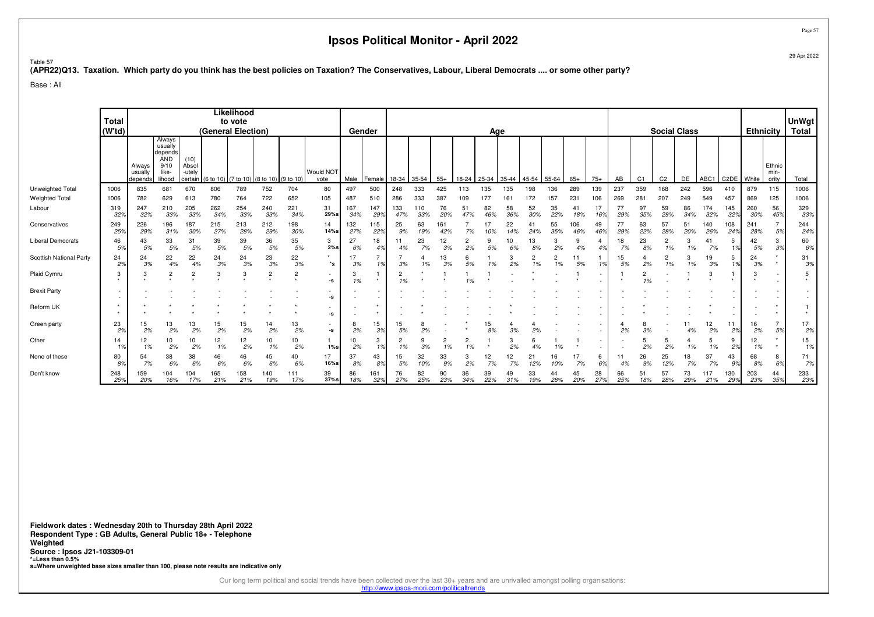Page 5729 Apr 2022

Table 57

#### **(APR22)Q13. Taxation. Which party do you think has the best policies on Taxation? The Conservatives, Labour, Liberal Democrats .... or some other party?**

Base : All

|                          | <b>Total</b><br>(W'td)        |                              |                                                                |                                    | (General Election) | Likelihood<br>to vote |                                |                             |                                                        | Gender     |            |                      |            |            |           | Age       |           |           |                      |            |                       |           |                |                | <b>Social Class</b> |            |                   | <b>Ethnicity</b> |                         | <b>UnWgt</b><br>Total |
|--------------------------|-------------------------------|------------------------------|----------------------------------------------------------------|------------------------------------|--------------------|-----------------------|--------------------------------|-----------------------------|--------------------------------------------------------|------------|------------|----------------------|------------|------------|-----------|-----------|-----------|-----------|----------------------|------------|-----------------------|-----------|----------------|----------------|---------------------|------------|-------------------|------------------|-------------------------|-----------------------|
|                          |                               | Always<br>usually<br>depends | Always<br>usually<br>depends<br>AND<br>9/10<br>like-<br>lihood | (10)<br>Absol<br>-utely<br>certain | (6 to 10)          | )   (7 to 10)         | $(8 \text{ to } 10)$ (9 to 10) |                             | Would NOT<br>vote                                      | Male       | Female     | 18-34                | 35-54      | $55+$      | 18-24     | 25-34     | 35-44     | 45-54     | 55-64                | $65+$      | $75+$                 | AB        | C <sub>1</sub> | C <sub>2</sub> | DE                  | ABC1       | C <sub>2</sub> DE | White            | Ethnic<br>min-<br>ority | Total                 |
| Unweighted Total         | 1006                          | 835                          | 681                                                            | 670                                | 806                | 789                   | 752                            | 704                         | 80                                                     | 497        | 500        | 248                  | 333        | 425        | 113       | 135       | 135       | 198       | 136                  | 289        | 139                   | 237       | 359            | 168            | 242                 | 596        | 410               | 879              | 115                     | 1006                  |
| <b>Weighted Total</b>    | 1006                          | 782                          | 629                                                            | 613                                | 780                | 764                   | 722                            | 652                         | 105                                                    | 487        | 510        | 286                  | 333        | 387        | 109       | 177       | 161       |           | 157                  | 231        | 106                   | 269       | 281            | 207            | 249                 | 549        | 457               | 869              | 125                     | 1006                  |
| Labour                   | 319<br>32%                    | 247<br>32%                   | 210<br>33%                                                     | 205<br>33%                         | 262<br>34%         | 254<br>33%            | 240<br>33%                     | 221<br>34%                  | 31<br>29%s                                             | 167<br>34% | 147<br>29° | 133<br>47%           | 110<br>33% | 76<br>20%  | 51<br>47% | 82<br>46% | 58<br>36% | 52<br>30% | 35<br>22%            | 41<br>18%  | 17<br>16 <sup>°</sup> | 77<br>29% | 97<br>35%      | 59<br>29%      | 86<br>34%           | 174<br>32% | 145<br>32%        | 260<br>30%       | 56<br>45 <sup>°</sup>   | 329<br>33%            |
| Conservatives            | 249<br>25%                    | 226<br>29%                   | 196<br>31%                                                     | 187<br>30%                         | 215<br>27%         | 213<br>28%            | 212<br>29%                     | 198<br>30%                  | 14<br>14%s                                             | 132<br>27% | 115<br>22% | 25<br>9%             | 63<br>19%  | 161<br>42% |           |           | 22<br>14% | 41<br>24% | 55<br>35%            | 106<br>46% | 49<br>46%             | 77<br>29% | 63<br>22%      | 57<br>28%      | 51<br>20%           | 140<br>26% | 108<br>24%        | 241<br>28%       | $\overline{7}$<br>5%    | 244<br>24%            |
| <b>Liberal Democrats</b> | 46<br>5%                      | 43<br>5%                     | 33<br>5%                                                       | 31<br>5%                           | 39<br>5%           | 39<br>5%              | 36<br>5%                       | 35<br>5%                    | 3<br>2%s                                               | 27<br>6%   | 18         | 11<br>4%             | 23<br>7%   | 12<br>3%   | 2%        | 5%        |           | 13<br>8%  | 3<br>2%              | 9<br>4%    | 4                     | 18<br>7%  | 23<br>8%       | 2<br>1%        | 1%                  | 41<br>7%   | 1%                | 42<br>5%         | 3<br>3%                 | 60<br>6%              |
| Scottish National Party  | 24<br>2%                      | 24<br>3%                     | 22<br>4%                                                       | 22<br>4%                           | 24<br>3%           | 24<br>3%              | 23<br>3%                       | 22<br>3%                    | $\star$<br>$^*$ s                                      | 17<br>3%   | 1%         | 3%                   | 4          | 13<br>3%   | 6<br>5%   |           | 3<br>2%   | 1%        | $\overline{2}$<br>1% | 5%         |                       | 15<br>5%  | 2%             | 2<br>1%        | 1%                  | 19<br>3%   | 1%                | 24<br>3%         | $\star$<br>$\star$      | 31<br>3%              |
| Plaid Cymru              | 3                             |                              | $\overline{c}$                                                 | 2                                  |                    | -3                    | $\overline{c}$                 | $\overline{c}$<br>$\ddot{}$ | ٠<br>$-S$                                              | 3<br>1%    | $\star$    | 1%                   |            |            | 1%        |           |           |           |                      |            |                       | $\star$   | 2<br>1%        |                |                     | 3          |                   |                  |                         | 5                     |
| <b>Brexit Party</b>      | $\overline{\phantom{a}}$<br>٠ |                              |                                                                |                                    |                    |                       |                                |                             | ٠<br>-S                                                |            |            |                      |            |            |           |           |           |           |                      |            |                       |           |                |                |                     |            |                   |                  |                         | ٠                     |
| Reform UK                |                               |                              |                                                                |                                    |                    |                       |                                |                             | ٠<br>$\textnormal{\texttt{-S}}$                        |            | $\star$    |                      |            |            |           |           |           |           |                      |            |                       |           |                |                |                     |            |                   |                  |                         |                       |
| Green party              | 23<br>2%                      | 15<br>2%                     | 13<br>2%                                                       | 13<br>2%                           | 15<br>2%           | 15<br>2%              | 14<br>2%                       | 13<br>2%                    | $\overline{\phantom{a}}$<br>$\textnormal{\texttt{-S}}$ | 8<br>2%    | 15<br>3%   | 15<br>5%             | 2%         |            |           | 15<br>8%  | 3%        | 2%        |                      |            |                       | 2%        | 3%             |                | 4%                  | 12<br>2%   | 11<br>2%          | 16<br>2%         | 7<br>5%                 | 17<br>2%              |
| Other                    | 14<br>1%                      | 12<br>1%                     | 10<br>2%                                                       | 10<br>2%                           | 12<br>1%           | 12<br>2%              | 10<br>1%                       | 10<br>2%                    | $1\%s$                                                 | 10<br>2%   | 3<br>10,   | $\overline{2}$<br>1% | 9<br>3%    | ۷<br>1%    | 2<br>1%   |           | 2%        | 4%        | 1%                   |            |                       |           | 2%             | 5<br>2%        | 1%                  | 5<br>1%    | 2%                | 12<br>1%         | $\star$                 | 15<br>1%              |
| None of these            | 80<br>8%                      | 54<br>7%                     | 38<br>6%                                                       | 38<br>6%                           | 46<br>6%           | 46<br>6%              | 45<br>6%                       | 40<br>6%                    | 17<br>16%s                                             | 37<br>8%   | 43<br>89   | 15<br>5%             | 32<br>10%  | 33<br>9%   | 3<br>2%   | 12<br>7%  | 7%        | 21<br>12% | 16<br>10%            | 17<br>7%   | 6<br>6%               | 11<br>4%  | 26<br>9%       | 25<br>12%      | 18<br>7%            | 37<br>7%   | 43<br>9%          | 68<br>8%         | 8<br>6%                 | 71<br>7%              |
| Don't know               | 248<br>25%                    | 159<br>20%                   | 104<br>16%                                                     | 104<br>17%                         | 165<br>21%         | 158<br>21%            | 140<br>19%                     | 111<br>17%                  | 39<br>$37%$ s                                          | 86<br>18%  | 161<br>32% | 76<br>27%            | 82<br>25%  | 90<br>23%  | 36<br>34% | 39<br>22% | 49<br>31% | 33<br>19% | 44<br>28%            | 45<br>20%  | 28<br>27%             | 66<br>25% | 51<br>18%      | 57<br>28%      | 73<br>29%           | 117<br>21% | 130<br>29%        | 203<br>23%       | 44<br>35%               | 233<br>23%            |

**Fieldwork dates : Wednesday 20th to Thursday 28th April 2022 Respondent Type : GB Adults, General Public 18+ - TelephoneWeighted Source : Ipsos J21-103309-01 \*=Less than 0.5%s=Where unweighted base sizes smaller than 100, please note results are indicative only**

Our long term political and social trends have been collected over the last 30+ years and are unrivalled amongst polling organisations:

http://www.ipsos-mori.com/politicaltrends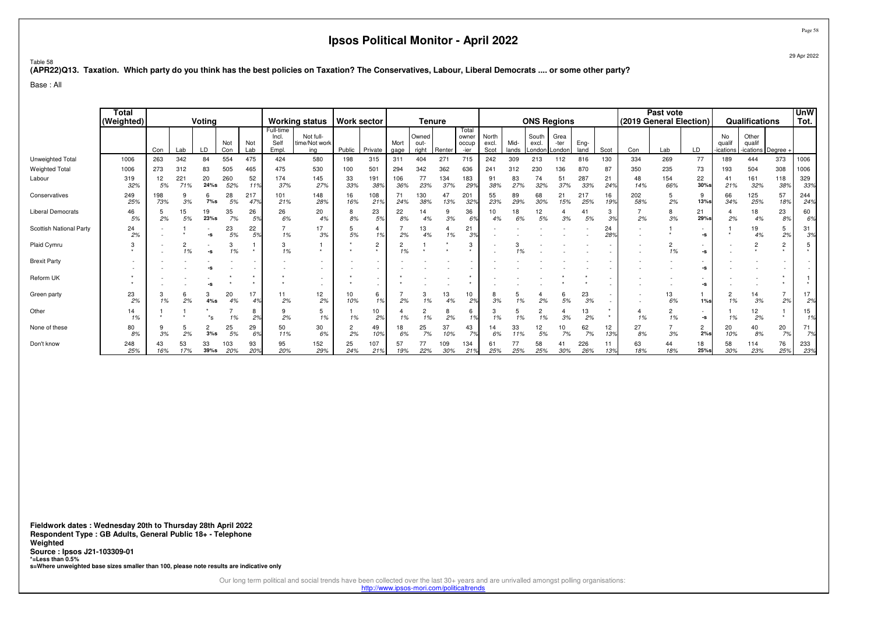29 Apr 2022

Page 58

Table 58**(APR22)Q13. Taxation. Which party do you think has the best policies on Taxation? The Conservatives, Labour, Liberal Democrats .... or some other party?**

Base : All

|                          | Total<br>(Weighted) | Voting<br>Not<br>Con<br>LD<br>Con<br>Lab<br>263<br>342<br>84<br>554<br>273<br>312<br>83<br>505<br>20<br>260<br>221<br>12<br>24%s<br>71%<br>52%<br>5%<br>28<br>6<br>198<br>9<br>73%<br>3%<br>7%s<br>5%<br>35<br>15<br>19<br>5%<br>23%s<br>2%<br>7%<br>23<br>5%<br>-S<br>2<br>$\sim$<br>1%<br>1%<br>-s<br>20<br>3<br>6<br>2%<br>4%s<br>1%<br>4%<br>1%<br>*s<br>$\overline{c}$<br>25<br>5<br>2%<br>3%s<br>$5%$<br>3% |           |            |            |            |                                    | <b>Working status</b>             |           | <b>Work sector</b>          |              | <b>Tenure</b>          |            |                                 |                        |               |                          | <b>ONS Regions</b>     |              |                        |                      | Past vote<br>(2019 General Election) |                         |                           | Qualifications                        |                          | <b>UnW</b><br>Tot.               |
|--------------------------|---------------------|-------------------------------------------------------------------------------------------------------------------------------------------------------------------------------------------------------------------------------------------------------------------------------------------------------------------------------------------------------------------------------------------------------------------|-----------|------------|------------|------------|------------------------------------|-----------------------------------|-----------|-----------------------------|--------------|------------------------|------------|---------------------------------|------------------------|---------------|--------------------------|------------------------|--------------|------------------------|----------------------|--------------------------------------|-------------------------|---------------------------|---------------------------------------|--------------------------|----------------------------------|
|                          |                     |                                                                                                                                                                                                                                                                                                                                                                                                                   |           |            |            | Not<br>Lab | Full-time<br>Incl.<br>Self<br>Empl | Not full-<br>time/Not work<br>ina | Public    | Private                     | Mort<br>gage | Owned<br>out-<br>right | Renter     | Total<br>owner<br>occup<br>-ier | North<br>excl.<br>Scot | Mid-<br>lands | South<br>excl.<br>Londor | Grea<br>-ter<br>London | Eng-<br>land | Scot                   | Con                  | Lab                                  | LD                      | No<br>qualif<br>-ications | Other<br>qualif<br>-ications Degree - |                          |                                  |
| Unweighted Total         | 1006                |                                                                                                                                                                                                                                                                                                                                                                                                                   |           |            |            | 475        | 424                                | 580                               | 198       | 315                         | 311          | 404                    | 271        | 715                             | 242                    | 309           | 213                      | 112                    | 816          | 130                    | 334                  | 269                                  | 77                      | 189                       | 444                                   | 373                      | 1006                             |
| <b>Weighted Total</b>    | 1006                |                                                                                                                                                                                                                                                                                                                                                                                                                   |           |            |            | 465        | 475                                | 530                               | 100       | 501                         | 294          | 342                    | 362        | 636                             | 241                    | 312           | 230                      | 136                    | 870          | 87                     | 350                  | 235                                  | 73                      | 193                       | 504                                   | 308                      | 1006                             |
| Labour                   | 319<br>32%          |                                                                                                                                                                                                                                                                                                                                                                                                                   |           |            |            | 52<br>119  | 174<br>37%                         | 145<br>27%                        | 33<br>33% | 191<br>38%                  | 106<br>36%   | 77<br>23%              | 134<br>37% | 183<br>299                      | 91<br>38%              | 83<br>27%     | 74<br>32%                | 51<br>37%              | 287<br>33%   | 21<br>24%              | 48<br>14%            | 154<br>66%                           | 22<br>$30%$ s           | 41<br>21%                 | 161<br>32%                            | 118<br>38%               | 329<br>33%                       |
| Conservatives            | 249<br>25%          |                                                                                                                                                                                                                                                                                                                                                                                                                   |           |            |            | 217<br>479 | 101<br>21%                         | 148<br>28%                        | 16<br>16% | 108<br>21%                  | 71<br>24%    | 130<br>38%             | 47<br>13%  | 201<br>32%                      | 55<br>23%              | 89<br>29%     | 68<br>30%                | 21<br>15%              | 217<br>25%   | 16<br>19%              | 202<br>58%           | 5<br>2%                              | 9<br>13%s               | 66<br>34%                 | 125<br>25%                            | 57<br>18%                | 244<br>24%                       |
| <b>Liberal Democrats</b> | 46<br>5%            |                                                                                                                                                                                                                                                                                                                                                                                                                   |           |            |            | 26<br>.5°  | 26<br>6%                           | 20<br>4%                          | 8%        | 23<br>5%                    | 22<br>8%     | 14<br>4%               | 3%         | 36<br>6%                        | 10<br>4%               | 18<br>6%      | 12<br>5%                 | 3%                     | 41<br>5%     | 3<br>3%                | $\overline{ }$<br>2% | 8<br>3%                              | 21<br>29%s              | 2%                        | 18<br>4%                              | 23<br>8%                 | 60<br>6%                         |
| Scottish National Party  | 24<br>2%            |                                                                                                                                                                                                                                                                                                                                                                                                                   |           |            |            | 22<br>5%   | 1%                                 | 17<br>3%                          | 5%        | 4<br>1%                     | 2%           | 13<br>4%               | 1%         | 21<br>3%                        |                        |               |                          |                        |              | 24<br>28%              |                      |                                      | $\sim$<br>-s            |                           | 19<br>4%                              | 5<br>2%                  | 31<br>3%                         |
| Plaid Cymru              |                     |                                                                                                                                                                                                                                                                                                                                                                                                                   |           |            |            | $\star$    | 1%                                 | $\sim$                            |           | $\overline{2}$<br>$\bullet$ | 2<br>1%      |                        |            | 3<br>$\star$                    |                        |               |                          |                        |              |                        |                      | 2<br>1%                              | ٠<br>$\mathbf{s}$       |                           | 2                                     | 2<br>$\bullet$           | 5<br>$\star$                     |
| <b>Brexit Party</b>      |                     |                                                                                                                                                                                                                                                                                                                                                                                                                   |           |            |            |            |                                    |                                   |           |                             |              |                        |            |                                 |                        |               |                          |                        |              |                        |                      |                                      | $\textbf{-S}$           |                           |                                       | $\overline{\phantom{a}}$ | $\overline{a}$<br>$\overline{a}$ |
| Reform UK                |                     |                                                                                                                                                                                                                                                                                                                                                                                                                   |           |            |            | $\star$    |                                    | ٠                                 |           |                             |              |                        |            | $\star$<br>$\star$              |                        |               |                          |                        |              |                        |                      |                                      | ٠<br>-S                 |                           |                                       | $\star$                  | $\star$                          |
| Green party              | 23<br>2%            |                                                                                                                                                                                                                                                                                                                                                                                                                   |           |            |            | 17         | 11<br>2%                           | 12<br>2%                          | 10<br>10% | 6<br>1%                     | 2%           | 3<br>1%                | 13<br>4%   | 10<br>2%                        | 8<br>3%                | 5<br>1%       | 2%                       | 6<br>5%                | 23<br>3%     |                        |                      | 13<br>6%                             | $1\%$ s                 | 2<br>1%                   | 14<br>3%                              | 2%                       | 17<br>2%                         |
| Other                    | 14<br>1%            |                                                                                                                                                                                                                                                                                                                                                                                                                   |           |            |            | 8<br>2%    | 9<br>2%                            | 5<br>1%                           | 1%        | 10<br>2%                    | 1%           | $\overline{2}$<br>1%   | 2%         | 6<br>10/                        | 3<br>1%                | 5<br>1%       | $\overline{2}$<br>1%     | 3%                     | 13<br>2%     | $\star$                | 1%                   | 2<br>1%                              | $\sim$<br>$\textbf{-S}$ | 1%                        | 12<br>2%                              | $\star$                  | 15<br>1%                         |
| None of these            | 80<br>8%            |                                                                                                                                                                                                                                                                                                                                                                                                                   |           |            |            | 29<br>6%   | 50<br>11%                          | 30<br>6%                          | 2<br>2%   | 49<br>10%                   | 18<br>6%     | 25<br>7%               | 37<br>10%  | 43<br>7%                        | 14<br>6%               | 33<br>11%     | 12<br>5%                 | 10<br>7%               | 62<br>7%     | 12 <sup>2</sup><br>13% | 27<br>8%             | 3%                                   | $\overline{c}$<br>2%s   | 20<br>10%                 | 40<br>8%                              | 20<br>7%                 | 71<br>7%                         |
| Don't know               | 248<br>25%          | 43<br>16%                                                                                                                                                                                                                                                                                                                                                                                                         | 53<br>17% | 33<br>39%s | 103<br>20% | 93<br>20%  | 95<br>20%                          | 152<br>29%                        | 25<br>24% | 107<br>21%                  | 57<br>19%    | 77<br>22%              | 109<br>30% | 134<br>21 <sup>o</sup>          | 61<br>25%              | 77<br>25%     | 58<br>25%                | 41<br>30%              | 226<br>26%   | 11<br>13%              | 63<br>18%            | 44<br>18%                            | 18<br>25%s              | 58<br>30%                 | 114<br>23%                            | 76<br>25%                | 233<br>23%                       |

**Fieldwork dates : Wednesday 20th to Thursday 28th April 2022 Respondent Type : GB Adults, General Public 18+ - TelephoneWeighted Source : Ipsos J21-103309-01 \*=Less than 0.5%s=Where unweighted base sizes smaller than 100, please note results are indicative only**

Our long term political and social trends have been collected over the last 30+ years and are unrivalled amongst polling organisations:

http://www.ipsos-mori.com/politicaltrends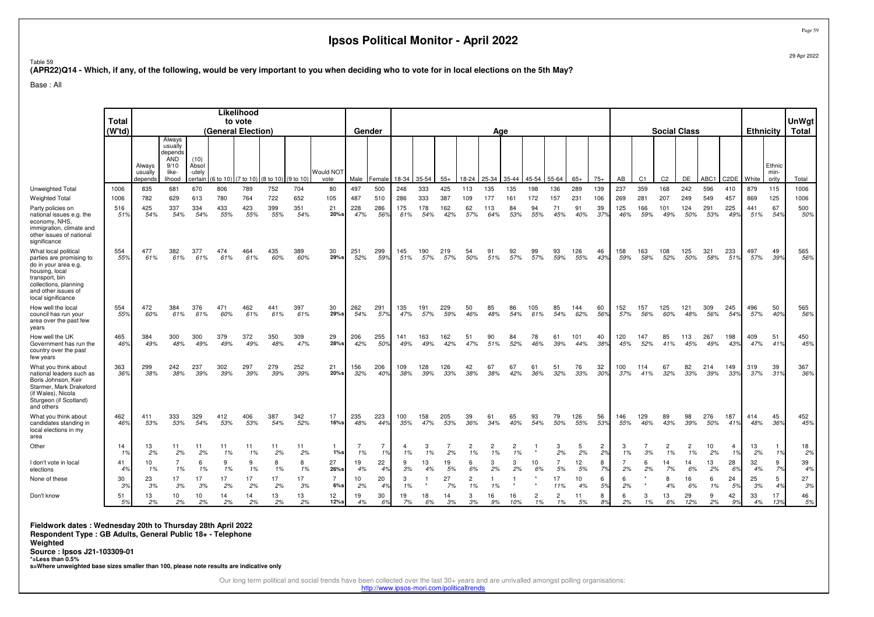Table 59

**(APR22)Q14 - Which, if any, of the following, would be very important to you when deciding who to vote for in local elections on the 5th May?**

Base : All

|                                                                                                                                                                                    | <b>Total</b><br>(W <sup>†</sup> td) |                              |                                                                |                                    |                     | Likelihood<br>to vote<br>(General Election) |                                |            |                       | Gender     |                      |            |            |            |                      | Age                  |           |                      |                      |            |                      |                      |            |                      | <b>Social Class</b>  |            |                   | <b>Ethnicity</b> |                         | UnWgt<br><b>Total</b> |
|------------------------------------------------------------------------------------------------------------------------------------------------------------------------------------|-------------------------------------|------------------------------|----------------------------------------------------------------|------------------------------------|---------------------|---------------------------------------------|--------------------------------|------------|-----------------------|------------|----------------------|------------|------------|------------|----------------------|----------------------|-----------|----------------------|----------------------|------------|----------------------|----------------------|------------|----------------------|----------------------|------------|-------------------|------------------|-------------------------|-----------------------|
|                                                                                                                                                                                    |                                     | Always<br>usually<br>depends | Always<br>usually<br>depends<br>AND<br>9/10<br>like-<br>lihood | (10)<br>Absol<br>-utely<br>certain | (6 to 10) (7 to 10) |                                             | $(8 \text{ to } 10)$ (9 to 10) |            | Would NOT<br>vote     | Male       | Female               | 18-34      | 35-54      | $55+$      | 18-24                | 25-34                | 35-44     | 45-54                | 55-64                | $65+$      | $75+$                | AB                   | C1         | C <sub>2</sub>       | DE                   | ABC1       | C <sub>2</sub> DE | White            | Ethnic<br>min-<br>ority | Total                 |
| Unweighted Total                                                                                                                                                                   | 1006                                | 835                          | 681                                                            | 670                                | 806                 | 789                                         | 752                            | 704        | 80                    | 497        | 500                  | 248        | 333        | 425        | 113                  | 135                  | 135       | 198                  | 136                  | 289        | 139                  | 237                  | 359        | 168                  | 242                  | 596        | 410               | 879              | 115                     | 1006                  |
| Weighted Total                                                                                                                                                                     | 1006                                | 782                          | 629                                                            | 613                                | 780                 | 764                                         | 722                            | 652        | 105                   | 487        | 510                  | 286        | 333        | 387        | 109                  | 177                  | 161       | 172                  | 157                  | 231        | 106                  | 269                  | 281        | 207                  | 249                  | 549        | 457               | 869              | 125                     | 1006                  |
| Party policies on<br>national issues e.g. the<br>economy, NHS,<br>immigration, climate and<br>other issues of national<br>significance                                             | 516<br>51%                          | 425<br>54%                   | 337<br>54%                                                     | 334<br>54%                         | 433<br>55%          | 423<br>55%                                  | 399<br>55%                     | 351<br>54% | 21<br>$20%$ s         | 228<br>47% | 286<br>56%           | 175<br>61% | 178<br>54% | 162<br>42% | 62<br>57%            | 113<br>64%           | 84<br>53% | 94<br>55%            | 71<br>45%            | 91<br>40%  | 39<br>37%            | 125<br>46%           | 166<br>59% | 101<br>49%           | 124<br>50%           | 291<br>53% | 225<br>49%        | 441<br>51%       | 67<br>54%               | 500<br>50%            |
| What local political<br>parties are promising to<br>do in your area e.g.<br>housing, local<br>transport, bin<br>collections, planning<br>and other issues of<br>local significance | 554<br>55%                          | 477<br>61%                   | 382<br>61%                                                     | 377<br>61%                         | 474<br>61%          | 464<br>61%                                  | 435<br>60%                     | 389<br>60% | 30<br>29%s            | 251<br>52% | 299<br>59%           | 145<br>51% | 190<br>57% | 219<br>57% | 54<br>50%            | 91<br>51%            | 92<br>57% | 99<br>57%            | 93<br>59%            | 126<br>55% | 46<br>43%            | 158<br>59%           | 163<br>58% | 108<br>52%           | 125<br>50%           | 321<br>58% | 233<br>51%        | 497<br>57%       | 49<br>39%               | 565<br>56%            |
| How well the local<br>council has run your<br>area over the past few<br>vears                                                                                                      | 554<br>55%                          | 472<br>60%                   | 384<br>61%                                                     | 376<br>61%                         | 471<br>60%          | 462<br>61%                                  | 441<br>61%                     | 397<br>61% | 30<br>29%s            | 262<br>54% | 291<br>57%           | 135<br>47% | 191<br>57% | 229<br>59% | 50<br>46%            | 85<br>48%            | 86<br>54% | 105<br>61%           | 85<br>54%            | 144<br>62% | 60<br>56%            | 152<br>57%           | 157<br>56% | 125<br>60%           | 121<br>48%           | 309<br>56% | 245<br>54%        | 496<br>57%       | 50<br>40%               | 565<br>56%            |
| How well the UK<br>Government has run the<br>country over the past<br>few years                                                                                                    | 465<br>46%                          | 384<br>49%                   | 300<br>48%                                                     | 300<br>49%                         | 379<br>49%          | 372<br>49%                                  | 350<br>48%                     | 309<br>47% | 29<br>$28%$ s         | 206<br>42% | 255<br>50%           | 141<br>49% | 163<br>49% | 162<br>42% | 51<br>47%            | 90<br>51%            | 84<br>52% | 78<br>46%            | 61<br>39%            | 101<br>44% | 40<br>38%            | 120<br>45%           | 147<br>52% | 85<br>41%            | 113<br>45%           | 267<br>49% | 198<br>43%        | 409<br>47%       | 51<br>41%               | 450<br>45%            |
| What you think about<br>national leaders such as<br>Boris Johnson, Keir<br>Starmer, Mark Drakeford<br>(if Wales), Nicola<br>Sturgeon (if Scotland)<br>and others                   | 363<br>36%                          | 299<br>38%                   | 242<br>38%                                                     | 237<br>39%                         | 302<br>39%          | 297<br>39%                                  | 279<br>39%                     | 252<br>39% | 21<br>$20%$ s         | 156<br>32% | 206<br>40%           | 109<br>38% | 128<br>39% | 126<br>33% | 42<br>38%            | 67<br>38%            | 67<br>42% | 61<br>36%            | 51<br>32%            | 76<br>33%  | 32<br>30%            | 100<br>37%           | 114<br>41% | 67<br>32%            | 82<br>33%            | 214<br>39% | 149<br>33%        | 319<br>37%       | 39<br>31%               | 367<br>36%            |
| What you think about<br>candidates standing in<br>local elections in my<br>area                                                                                                    | 462<br>46%                          | 411<br>53%                   | 333<br>53%                                                     | 329<br>54%                         | 412<br>53%          | 406<br>53%                                  | 387<br>54%                     | 342<br>52% | 17<br>$16%$ s         | 235<br>48% | 223<br>44%           | 100<br>35% | 158<br>47% | 205<br>53% | 39<br>36%            | 61<br>34%            | 65<br>40% | 93<br>54%            | 79<br>50%            | 126<br>55% | 56<br>53%            | 146<br>55%           | 129<br>46% | 89<br>43%            | 98<br>39%            | 276<br>50% | 187<br>41%        | 414<br>48%       | 45<br>36%               | 452<br>45%            |
| Other                                                                                                                                                                              | 14<br>1%                            | 13<br>2%                     | 11<br>2%                                                       | 11<br>2%                           | 11<br>1%            | 11<br>1%                                    | 11<br>2%                       | 11<br>2%   | 1%s                   | 1%         | $\overline{7}$<br>1% | 1%         | 3<br>1%    | 2%         | $\overline{2}$<br>1% | $\overline{2}$<br>1% | 2<br>1%   |                      | 3<br>2%              | 5<br>2%    | $\overline{2}$<br>2% | 1%                   | 3%         | $\overline{c}$<br>1% | $\overline{2}$<br>1% | 10<br>2%   | 4<br>1%           | 13<br>2%         | $\mathbf{1}$<br>1%      | 18<br>2%              |
| I don't vote in local<br>elections                                                                                                                                                 | 41<br>4%                            | 10<br>1%                     | $\overline{7}$<br>1%                                           | 6<br>1%                            | 9<br>1%             | $\mathbf{Q}$<br>1%                          | 8<br>1%                        | 8<br>1%    | 27<br>$26%$ s         | 19<br>4%   | 22<br>4%             | 9<br>3%    | 13<br>4%   | 19<br>5%   | 6<br>6%              | 3<br>2%              | 3<br>2%   | 10<br>6%             | $\overline{7}$<br>5% | 12<br>5%   | 8<br>7%              | $\overline{7}$<br>2% | 6<br>2%    | 14<br>7%             | 14<br>6%             | 13<br>2%   | 28<br>6%          | 32<br>4%         | 9<br>7%                 | 39<br>4%              |
| None of these                                                                                                                                                                      | 30<br>3%                            | 23<br>3%                     | 17<br>3%                                                       | 17<br>3%                           | 17<br>2%            | 17<br>2%                                    | 17<br>2%                       | 17<br>3%   | $\overline{7}$<br>6%s | 10<br>2%   | 20<br>4%             | 3<br>1%    |            | 27<br>7%   | $\overline{2}$<br>1% | 1%                   |           |                      | 17<br>11%            | 10<br>4%   | 6<br>5%              | 6<br>2%              |            | 8<br>4%              | 16<br>6%             | 6<br>1%    | 24<br>5%          | 25<br>3%         | 5<br>4%                 | 27<br>3%              |
| Don't know                                                                                                                                                                         | 51<br>5%                            | 13<br>2%                     | 10<br>2%                                                       | 10<br>2%                           | 14<br>2%            | 14<br>2%                                    | 13<br>2%                       | 13<br>2%   | 12<br>12%s            | 19<br>4%   | 30<br>6%             | 19<br>7%   | 18<br>6%   | 14<br>3%   | 3<br>3%              | 16<br>9%             | 16<br>10% | $\overline{2}$<br>1% | $\overline{2}$<br>1% | 11<br>5%   | 8<br>8%              | 6<br>2%              | 3<br>1%    | 13<br>6%             | 29<br>12%            | 9<br>2%    | 42<br>9%          | 33<br>4%         | 17<br>13%               | 46<br>5%              |

**Fieldwork dates : Wednesday 20th to Thursday 28th April 2022 Respondent Type : GB Adults, General Public 18+ - Telephone**

**Weighted**

 **Source : Ipsos J21-103309-01 \*=Less than 0.5%**

**s=Where unweighted base sizes smaller than 100, please note results are indicative only**

Our long term political and social trends have been collected over the last 30+ years and are unrivalled amongst polling organisations:

http://www.ipsos-mori.com/politicaltrends

Page 59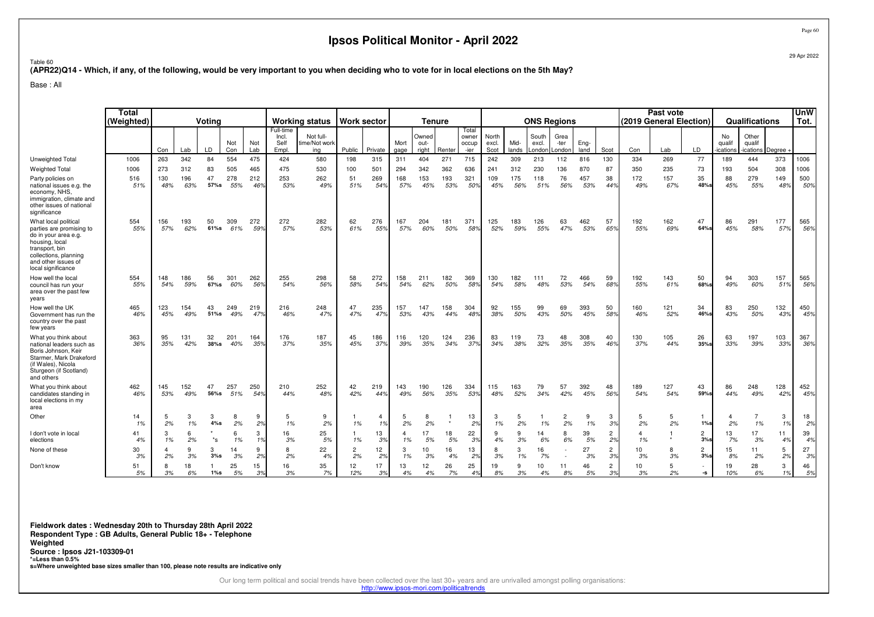29 Apr 2022

Page 60

Table 60**(APR22)Q14 - Which, if any, of the following, would be very important to you when deciding who to vote for in local elections on the 5th May?**

Base : All

|                                                                                                                                                                                    | Total<br>(Weighted) | Votina<br>Not |            |                     |            |            |                                     | <b>Working status</b>             | <b>Work sector</b>   |                      |              | <b>Tenure</b>          |            |                                 |                        |                    |                          | <b>ONS Regions</b>     |              |                      | (2019 General Election) | Past vote  |                       |                          | Qualifications              |            | UnW<br>Tot. |
|------------------------------------------------------------------------------------------------------------------------------------------------------------------------------------|---------------------|---------------|------------|---------------------|------------|------------|-------------------------------------|-----------------------------------|----------------------|----------------------|--------------|------------------------|------------|---------------------------------|------------------------|--------------------|--------------------------|------------------------|--------------|----------------------|-------------------------|------------|-----------------------|--------------------------|-----------------------------|------------|-------------|
|                                                                                                                                                                                    |                     | Con           | Lab        | LD                  | Con        | Not<br>Lab | Full-time<br>Incl.<br>Self<br>Empl. | Not full-<br>time/Not work<br>ing | Public               | Private              | Mort<br>gage | Owned<br>out-<br>right | Renter     | Total<br>owner<br>occup<br>-ier | North<br>excl.<br>Scot | Mid-<br>lands      | South<br>excl.<br>.ondor | Grea<br>-ter<br>_ondon | Eng-<br>land | Scot                 | Con                     | Lab        | LD                    | No<br>qualif<br>ications | Other<br>qualif<br>ications | Degree     |             |
| Unweighted Total                                                                                                                                                                   | 1006                | 263           | 342        | 84                  | 554        | 475        | 424                                 | 580                               | 198                  | 315                  | 311          | 404                    | 271        | 715                             | 242                    | 309                | 213                      | 112                    | 816          | 130                  | 334                     | 269        | 77                    | 189                      | 444                         | 373        | 1006        |
| <b>Weighted Total</b>                                                                                                                                                              | 1006                | 273           | 312        | 83                  | 505        | 465        | 475                                 | 530                               | 100                  | 501                  | 294          | 342                    | 362        | 636                             | 241                    | 312                | 230                      | 136                    | 870          | 87                   | 350                     | 235        | 73                    | 193                      | 504                         | 308        | 1006        |
| Party policies on<br>national issues e.g. the<br>economy, NHS.<br>immigration, climate and<br>other issues of national<br>significance                                             | 516<br>51%          | 130<br>48%    | 196<br>63% | 47<br>57%s          | 278<br>55% | 212<br>46% | 253<br>53%                          | 262<br>49%                        | 51<br>51%            | 269<br>54%           | 168<br>57%   | 153<br>45%             | 193<br>53% | 321<br>50%                      | 109<br>45%             | 175<br>56%         | 118<br>51%               | 76<br>56%              | 457<br>53%   | 38<br>44%            | 172<br>49%              | 157<br>67% | 35<br>48%s            | 88<br>45%                | 279<br>55%                  | 149<br>48% | 500<br>50%  |
| What local political<br>parties are promising to<br>do in your area e.g.<br>housing, local<br>transport, bin<br>collections, planning<br>and other issues of<br>local significance | 554<br>55%          | 156<br>57%    | 193<br>62% | 50<br>$61\%$ s      | 309<br>61% | 272<br>59% | 272<br>57%                          | 282<br>53%                        | 62<br>61%            | 276<br>55%           | 167<br>57%   | 204<br>60%             | 181<br>50% | 371<br>58%                      | 125<br>52%             | 183<br>59%         | 126<br>55%               | 63<br>47%              | 462<br>53%   | 57<br>65%            | 192<br>55%              | 162<br>69% | 47<br>64%s            | 86<br>45%                | 291<br>58%                  | 177<br>57% | 565<br>56%  |
| How well the local<br>council has run your<br>area over the past few<br>years                                                                                                      | 554<br>55%          | 148<br>54%    | 186<br>59% | 56<br>67%s          | 301<br>60% | 262<br>56% | 255<br>54%                          | 298<br>56%                        | 58<br>58%            | 272<br>54%           | 158<br>54%   | 211<br>62%             | 182<br>50% | 369<br>58%                      | 130<br>54%             | 182<br>58%         | 111<br>48%               | 72<br>53%              | 466<br>54%   | 59<br>68%            | 192<br>55%              | 143<br>61% | 50<br>68%s            | 94<br>49%                | 303<br>60%                  | 157<br>51% | 565<br>56%  |
| How well the UK<br>Government has run the<br>country over the past<br>few years                                                                                                    | 465<br>46%          | 123<br>45%    | 154<br>49% | 43<br>51%s          | 249<br>49% | 219<br>47% | 216<br>46%                          | 248<br>47%                        | 47<br>47%            | 235<br>47%           | 157<br>53%   | 147<br>43%             | 158<br>44% | 304<br>48%                      | 92<br>38%              | 155<br>50%         | 99<br>43%                | 69<br>50%              | 393<br>45%   | 50<br>58%            | 160<br>46%              | 121<br>52% | 34<br>46%s            | 83<br>43%                | 250<br>50%                  | 132<br>43% | 450<br>45%  |
| What you think about<br>national leaders such as<br>Boris Johnson, Keir<br>Starmer, Mark Drakeford<br>(if Wales), Nicola<br>Sturgeon (if Scotland)<br>and others                   | 363<br>36%          | 95<br>35%     | 131<br>42% | 32<br>$38%$ s       | 201<br>40% | 164<br>35% | 176<br>37%                          | 187<br>35%                        | 45<br>45%            | 186<br>37%           | 116<br>39%   | 120<br>35%             | 124<br>34% | 236<br>379                      | 83<br>34%              | 119<br>38%         | 73<br>32%                | 48<br>35%              | 308<br>35%   | 40<br>46%            | 130<br>37%              | 105<br>44% | 26<br>35%s            | 63<br>33%                | 197<br>39%                  | 103<br>33% | 367<br>36%  |
| What you think about<br>candidates standing in<br>local elections in my<br>area                                                                                                    | 462<br>46%          | 145<br>53%    | 152<br>49% | 47<br>56%s          | 257<br>51% | 250<br>54% | 210<br>44%                          | 252<br>48%                        | 42<br>42%            | 219<br>44%           | 143<br>49%   | 190<br>56%             | 126<br>35% | 334<br>53%                      | 115<br>48%             | 163<br>52%         | 79<br>34%                | 57<br>42%              | 392<br>45%   | 48<br>56%            | 189<br>54%              | 127<br>54% | 43<br>59%s            | 86<br>44%                | 248<br>49%                  | 128<br>42% | 452<br>45%  |
| Other                                                                                                                                                                              | 14<br>1%            | 5<br>2%       | 3<br>1%    | 3<br>4%s            | 8<br>2%    | 9<br>2%    | 5<br>1%                             | 9<br>2%                           | 1%                   | $\overline{4}$<br>1% | 5<br>2%      | 8<br>2%                |            | 13<br>2 <sup>o</sup>            | 3<br>1%                | 5<br>2%            | 1%                       | $\overline{2}$<br>2%   | 9<br>1%      | 3<br>3%              | 2%                      | 5<br>2%    | 1%                    | 2%                       | $\overline{7}$<br>1%        | 3<br>1%    | 18<br>2%    |
| I don't vote in local<br>elections                                                                                                                                                 | 41<br>4%            | 3<br>1%       | 6<br>2%    | $^{\star} \text{s}$ | 6<br>1%    | 3<br>1%    | 16<br>3%                            | 25<br>5%                          | 1%                   | 13<br>3%             | 4<br>1%      | 17<br>5%               | 18<br>5%   | 22<br>3%                        | 9<br>4%                | 3%                 | 14<br>6%                 | 8<br>6%                | 39<br>5%     | 2<br>2%              | 4<br>1%                 |            | $\overline{2}$<br>3%  | 13<br>7%                 | 17<br>3%                    | 11<br>4%   | 39<br>4%    |
| None of these                                                                                                                                                                      | 30<br>3%            | 4<br>2%       | 9<br>3%    | 3<br>3%s            | 14<br>3%   | 9<br>2%    | 8<br>2%                             | 22<br>4%                          | $\overline{2}$<br>2% | 12<br>2%             | 3<br>1%      | 10<br>3%               | 16<br>4%   | 13<br>2%                        | 8<br>3%                | 3<br>1%            | 16<br>7%                 |                        | 27<br>3%     | $\overline{2}$<br>3% | 10<br>3%                | 8<br>3%    | $\overline{2}$<br>3%s | 15<br>8%                 | 11<br>2%                    | 5<br>2%    | 27<br>3%    |
| Don't know                                                                                                                                                                         | 51<br>5%            | 8<br>3%       | 18<br>6%   | $1\%s$              | 25<br>5%   | 15<br>3%   | 16<br>3%                            | 35<br>7%                          | 12<br>12%            | 17<br>3%             | 13<br>4%     | 12<br>4%               | 26<br>7%   | 25<br>4 <sup>°</sup>            | 19<br>8%               | $\mathbf{Q}$<br>3% | 10<br>4%                 | 11<br>8%               | 46<br>5%     | $\overline{c}$<br>3% | 10<br>3%                | 5<br>2%    | -s                    | 19<br>10%                | 28<br>6%                    | 3<br>1%    | 46<br>5%    |

**Fieldwork dates : Wednesday 20th to Thursday 28th April 2022 Respondent Type : GB Adults, General Public 18+ - TelephoneWeighted Source : Ipsos J21-103309-01 \*=Less than 0.5%s=Where unweighted base sizes smaller than 100, please note results are indicative only**

Our long term political and social trends have been collected over the last 30+ years and are unrivalled amongst polling organisations:

http://www.ipsos-mori.com/politicaltrends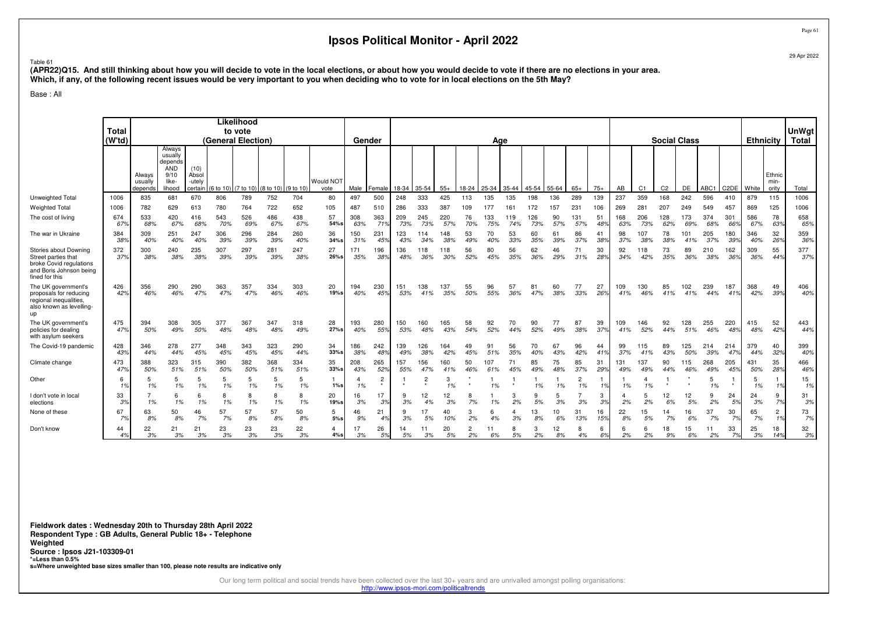Page 6129 Apr 2022

#### Table 61

 **(APR22)Q15. And still thinking about how you will decide to vote in the local elections, or about how you would decide to vote if there are no elections in your area. Which, if any, of the following recent issues would be very important to you when deciding who to vote for in local elections on the 5th May?**

Base : All

|                                                                                                                      |                        | Likelihood                    |                                                      |                         |                                                                        |            |            |            |                                      |            |                |            |                       |            |           |            |            |            |           |                      |           |            |                |                |            |            |                       |            |                                  |            |
|----------------------------------------------------------------------------------------------------------------------|------------------------|-------------------------------|------------------------------------------------------|-------------------------|------------------------------------------------------------------------|------------|------------|------------|--------------------------------------|------------|----------------|------------|-----------------------|------------|-----------|------------|------------|------------|-----------|----------------------|-----------|------------|----------------|----------------|------------|------------|-----------------------|------------|----------------------------------|------------|
|                                                                                                                      | <b>Total</b><br>(W'td) | to vote<br>(General Election) |                                                      |                         |                                                                        |            |            |            |                                      |            |                |            |                       |            |           |            |            |            |           |                      |           |            |                |                |            |            | <b>UnWgt</b><br>Total |            |                                  |            |
|                                                                                                                      |                        | Always                        |                                                      |                         |                                                                        |            |            |            | <b>Social Class</b><br>Gender<br>Age |            |                |            |                       |            |           |            |            |            |           | <b>Ethnicity</b>     |           |            |                |                |            |            |                       |            |                                  |            |
|                                                                                                                      |                        | Always<br>usually<br>depends  | usually<br>depends<br>AND<br>9/10<br>like-<br>lihood | (10)<br>Absol<br>-utely | certain $(6 \text{ to } 10)$ $(7 \text{ to } 10)$ $(8 \text{ to } 10)$ |            |            | (9 to 10   | Would NOT<br>vote                    | Male       | Female         | 18-34      | $35 - 54$             | $55+$      | $18 - 24$ | 25-34      | 35-44      | 45-54      | 55-64     | $65+$                | $75+$     | AB         | C <sub>1</sub> | C <sub>2</sub> | DE         | ABC1       | C <sub>2</sub> DE     | White      | Ethnic<br>min-<br>ority          | Total      |
| Unweighted Total                                                                                                     | 1006                   | 835                           | 681                                                  | 670                     | 806                                                                    | 789        | 752        | 704        | 80                                   | 497        | 500            | 248        | 333                   | 425        | 113       | 135        | 135        | 198        | 136       | 289                  | 139       | 237        | 359            | 168            | 242        | 596        | 410                   | 879        | 115                              | 1006       |
| <b>Weighted Total</b>                                                                                                | 1006                   | 782                           | 629                                                  | 613                     | 780                                                                    | 764        | 722        | 652        | 105                                  | 487        |                | 286        | 333                   | 387        | 109       | 177        | 161        | 172        | 157       | 231                  | 106       | 269        | 281            | 207            | 249        | 549        | 457                   | 869        | 125                              | 1006       |
| The cost of living                                                                                                   | 674<br>67%             | 533<br>68%                    | 420<br>67%                                           | 416<br>68%              | 543<br>70%                                                             | 526<br>69% | 486<br>67% | 438<br>67% | 57<br>54%s                           | 308<br>63% | 363<br>719     | 209<br>73% | 245<br>73%            | 220<br>57% | 76<br>70% | 133<br>75% | 119<br>74% | 126<br>73% | 90<br>57% | 131<br>57%           | 51<br>48% | 168<br>63% | 206<br>73%     | 128<br>62%     | 173<br>69% | 374<br>68% | 301<br>66°            | 586<br>67% | 78<br>639                        | 658<br>65% |
| The war in Ukraine                                                                                                   | 384<br>38%             | 309<br>40%                    | 251<br>40%                                           | 247<br>40%              | 306<br>39%                                                             | 296<br>39% | 284<br>39% | 260<br>40% | 36<br>34%s                           | 50<br>31%  | 231<br>45%     | 123<br>43% | 114<br>34%            | 148<br>38% | 53<br>49% | 70<br>40%  | 53<br>33%  | 60<br>35%  | 61<br>39% | 86<br>37%            | 41<br>38% | 98<br>37%  | 107<br>38%     | 78<br>38%      | 101<br>41% | 205<br>37% | 180<br>39%            | 346<br>40% | 32<br>26%                        | 359<br>36% |
| Stories about Downing<br>Street parties that<br>broke Covid regulations<br>and Boris Johnson being<br>fined for this | 372<br>37%             | 300<br>38%                    | 240<br>38%                                           | 235<br>38%              | 307<br>39%                                                             | 297<br>39% | 281<br>39% | 247<br>38% | 27<br>26%s                           | 171<br>35% | 196<br>38%     | 136<br>48% | 118<br>36%            | 118<br>30% | 56<br>52% | 80<br>45%  | 56<br>35%  | 62<br>36%  | 46<br>29% | 71<br>31%            | 30<br>28% | 92<br>34%  | 118<br>42%     | 73<br>35%      | 89<br>36%  | 210<br>38% | 162<br>36%            | 309<br>36% | 55<br>44%                        | 377<br>37% |
| The UK government's<br>proposals for reducing<br>regional inequalities,<br>also known as levelling-<br>up            | 426<br>42%             | 356<br>46%                    | 290<br>46%                                           | 290<br>47%              | 363<br>47%                                                             | 357<br>47% | 334<br>46% | 303<br>46% | 20<br>19%s                           | 194<br>40% | 230<br>45%     | 151<br>53% | 138<br>41%            | 137<br>35% | 55<br>50% | 96<br>55%  | 57<br>36%  | 81<br>47%  | 60<br>38% | 77<br>33%            | 27<br>26% | 109<br>41% | 130<br>46%     | 85<br>41%      | 102<br>41% | 239<br>44% | 187<br>41%            | 368<br>42% | 49<br>39%                        | 406<br>40% |
| The UK government's<br>policies for dealing<br>with asylum seekers                                                   | 475<br>47%             | 394<br>50%                    | 308<br>49%                                           | 305<br>50%              | 377<br>48%                                                             | 367<br>48% | 347<br>48% | 318<br>49% | 28<br>27%s                           | 193<br>40% | 280<br>55%     | 150<br>53% | 160<br>48%            | 165<br>43% | 58<br>54% | 92<br>52%  | 70<br>44%  | 90<br>52%  | 77<br>49% | 87<br>38%            | 39<br>37% | 109<br>41% | 146<br>52%     | 92<br>44%      | 128<br>51% | 255<br>46% | 220<br>48%            | 415<br>48% | 52<br>42%                        | 443<br>44% |
| The Covid-19 pandemic                                                                                                | 428<br>43%             | 346<br>44%                    | 278<br>44%                                           | 277<br>45%              | 348<br>45%                                                             | 343<br>45% | 323<br>45% | 290<br>44% | 34<br>$33%$ s                        | 186<br>38% | 242<br>48%     | 139<br>49% | 126<br>38%            | 164<br>42% | 49<br>45% | 91<br>51%  | 56<br>35%  | 70<br>40%  | 67<br>43% | 96<br>42%            | 44<br>41% | 99<br>37%  | 115<br>41%     | 89<br>43%      | 125<br>50% | 214<br>39% | 214<br>47%            | 379<br>44% | 40<br>32%                        | 399<br>40% |
| Climate change                                                                                                       | 473<br>47%             | 388<br>50%                    | 323<br>51%                                           | 315<br>51%              | 390<br>50%                                                             | 382<br>50% | 368<br>51% | 334<br>51% | 35<br>33%s                           | 208<br>43% | 265<br>52%     | 157<br>55% | 156<br>47%            | 160<br>41% | 50<br>46% | 107<br>61% | 71<br>45%  | 85<br>49%  | 75<br>48% | 85<br>37%            | 31<br>29% | 131<br>49% | 137<br>49%     | 90<br>44%      | 115<br>46% | 268<br>49% | 205<br>45%            | 431<br>50% | 35<br>28%                        | 466<br>46% |
| Other                                                                                                                | 6<br>1%                | 5<br>1%                       | 5<br>1%                                              | 5<br>1%                 | 1%                                                                     | 5<br>1%    | 5<br>1%    | 5<br>1%    | $1\%s$                               | 1%         | $\overline{c}$ |            | $\overline{c}$        | 3<br>1%    |           | 1%         |            | 1%         | 1%        | $\overline{2}$<br>1% | 1%        | 1%         | 4<br>1%        |                |            | 5<br>1%    |                       | 5<br>1%    | 1%                               | 15<br>1%   |
| don't vote in local<br>elections                                                                                     | 33<br>3%               | 1%                            | 6<br>1%                                              | 6<br>1%                 | 1%                                                                     | 8<br>1%    | 8<br>1%    | 8<br>1%    | 20<br>19%s                           | 16<br>3%   | 17<br>3%       | 9<br>3%    | 12 <sup>2</sup><br>4% | 12<br>3%   | 7%        | 1%         | 3<br>2%    | 9<br>5%    | 5<br>3%   | 3%                   | 3<br>3%   | 2%         | 5<br>2%        | 12<br>6%       | 12<br>5%   | 9<br>2%    | 24<br>5%              | 24<br>3%   | 9<br>7%                          | 31<br>3%   |
| None of these                                                                                                        | 67<br>7%               | 63<br>8%                      | 50<br>8%                                             | 46<br>7%                | 57<br>7%                                                               | 57<br>8%   | 57<br>8%   | 50<br>8%   | 5<br>5%                              | 46<br>9%   | 21<br>4%       | 3%         | 5%                    | 40<br>10%  | 3<br>2%   | 4%         | 3%         | 13<br>8%   | 10<br>6%  | 31<br>13%            | 16<br>15% | 22<br>8%   | 15<br>5%       | 14<br>7%       | 16<br>6%   | 37<br>7%   | 30<br>7%              | 65<br>7%   | $\overline{2}$<br>1 <sup>9</sup> | 73<br>7%   |
| Don't know                                                                                                           | 44<br>4%               | 22<br>3%                      | 21<br>3%                                             | 21<br>3%                | 23<br>3%                                                               | 23<br>3%   | 23<br>3%   | 22<br>3%   | 4<br>4%s                             | 17<br>3%   | 26<br>5%       | 14<br>5%   | 11<br>3%              | 20<br>5%   | 2%        | 11<br>6%   | 8<br>5%    | 3<br>2%    | 12<br>8%  | 8<br>4%              | 6<br>6%   | 6<br>2%    | 6<br>2%        | 18<br>9%       | 15<br>6%   | 11<br>2%   | 33<br>7%              | 25<br>3%   | 18<br>14%                        | 32<br>3%   |

**Fieldwork dates : Wednesday 20th to Thursday 28th April 2022 Respondent Type : GB Adults, General Public 18+ - TelephoneWeighted Source : Ipsos J21-103309-01 \*=Less than 0.5%s=Where unweighted base sizes smaller than 100, please note results are indicative only**

Our long term political and social trends have been collected over the last 30+ years and are unrivalled amongst polling organisations:

http://www.ipsos-mori.com/politicaltrends